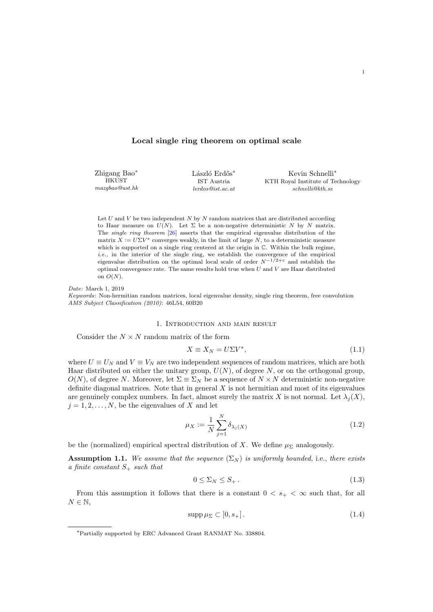## Local single ring theorem on optimal scale

Zhigang Bao<sup>∗</sup> **HKUST** mazgbao@ust.hk László Erdős<sup>∗</sup> IST Austria lerdos@ist.ac.at

Kevin Schnelli<sup>∗</sup> KTH Royal Institute of Technology schnelli@kth.se

Let  $U$  and  $V$  be two independent  $N$  by  $N$  random matrices that are distributed according to Haar measure on  $U(N)$ . Let  $\Sigma$  be a non-negative deterministic N by N matrix. The single ring theorem [\[26\]](#page-60-0) asserts that the empirical eigenvalue distribution of the matrix  $X := U\Sigma V^*$  converges weakly, in the limit of large N, to a deterministic measure which is supported on a single ring centered at the origin in  $\mathbb{C}$ . Within the bulk regime,  $i.e.,$  in the interior of the single ring, we establish the convergence of the empirical eigenvalue distribution on the optimal local scale of order  $N^{-1/2+\varepsilon}$  and establish the optimal convergence rate. The same results hold true when  $U$  and  $V$  are Haar distributed on  $O(N)$ .

Date: March 1, 2019 Keywords: Non-hermitian random matrices, local eigenvalue density, single ring theorem, free convolution AMS Subject Classification (2010): 46L54, 60B20

## 1. Introduction and main result

Consider the  $N \times N$  random matrix of the form

<span id="page-0-1"></span>
$$
X \equiv X_N = U\Sigma V^*,\tag{1.1}
$$

where  $U \equiv U_N$  and  $V \equiv V_N$  are two independent sequences of random matrices, which are both Haar distributed on either the unitary group,  $U(N)$ , of degree N, or on the orthogonal group,  $O(N)$ , of degree N. Moreover, let  $\Sigma \equiv \Sigma_N$  be a sequence of  $N \times N$  deterministic non-negative definite diagonal matrices. Note that in general  $X$  is not hermitian and most of its eigenvalues are genuinely complex numbers. In fact, almost surely the matrix X is not normal. Let  $\lambda_i(X)$ ,  $j = 1, 2, \ldots, N$ , be the eigenvalues of X and let

$$
\mu_X := \frac{1}{N} \sum_{j=1}^N \delta_{\lambda_j(X)} \tag{1.2}
$$

be the (normalized) empirical spectral distribution of X. We define  $\mu_{\Sigma}$  analogously.

<span id="page-0-0"></span>**Assumption 1.1.** We assume that the sequence  $(\Sigma_N)$  is uniformly bounded, i.e., there exists a finite constant  $S_+$  such that

<span id="page-0-3"></span><span id="page-0-2"></span>
$$
0 \le \Sigma_N \le S_+ \,. \tag{1.3}
$$

From this assumption it follows that there is a constant  $0 < s_{+} < \infty$  such that, for all  $N \in \mathbb{N}$ ,

$$
\operatorname{supp}\mu_{\Sigma}\subset[0,s_+].\tag{1.4}
$$

<sup>∗</sup>Partially supported by ERC Advanced Grant RANMAT No. 338804.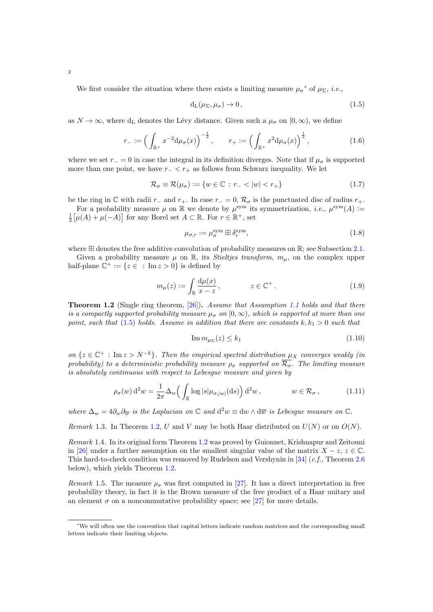We first consider the situation where there exists a limiting measure  $\mu_{\sigma}^*$  of  $\mu_{\Sigma}$ , *i.e.*,

<span id="page-1-8"></span><span id="page-1-1"></span>
$$
d_{L}(\mu_{\Sigma}, \mu_{\sigma}) \to 0, \qquad (1.5)
$$

as  $N \to \infty$ , where d<sub>L</sub> denotes the Lévy distance. Given such a  $\mu_{\sigma}$  on  $[0, \infty)$ , we define

$$
r_{-} := \left(\int_{\mathbb{R}^{+}} x^{-2} d\mu_{\sigma}(x)\right)^{-\frac{1}{2}}, \qquad r_{+} := \left(\int_{\mathbb{R}^{+}} x^{2} d\mu_{\sigma}(x)\right)^{\frac{1}{2}}, \tag{1.6}
$$

where we set  $r_0 = 0$  in case the integral in its definition diverges. Note that if  $\mu_{\sigma}$  is supported more than one point, we have  $r<sub>-</sub> < r<sub>+</sub>$  as follows from Schwarz inequality. We let

$$
\mathcal{R}_{\sigma} \equiv \mathcal{R}(\mu_{\sigma}) := \{ w \in \mathbb{C} : r_{-} < |w| < r_{+} \} \tag{1.7}
$$

be the ring in  $\mathbb C$  with radii  $r_-\$  and  $r_+$ . In case  $r_-=0$ ,  $\mathcal R_{\sigma}$  is the punctuated disc of radius  $r_+$ .

For a probability measure  $\mu$  on  $\mathbb R$  we denote by  $\mu^{\text{sym}}$  its symmetrization, *i.e.*,  $\mu^{\text{sym}}(A)$  :=  $\frac{1}{2} \big[ \mu(A) + \mu(-A) \big]$  for any Borel set  $A \subset \mathbb{R}$ . For  $r \in \mathbb{R}^+$ , set

<span id="page-1-7"></span>
$$
\mu_{\sigma,r} := \mu_{\sigma}^{\text{sym}} \boxplus \delta_r^{\text{sym}},\tag{1.8}
$$

where  $\boxplus$  denotes the free additive convolution of probability measures on  $\mathbb{R}$ ; see Subsection [2.1.](#page-4-0)

Given a probability measure  $\mu$  on  $\mathbb{R}$ , its *Stieltjes transform*,  $m_{\mu}$ , on the complex upper half-plane  $\mathbb{C}^+ := \{ z \in : \text{Im } z > 0 \}$  is defined by

$$
m_{\mu}(z) := \int_{\mathbb{R}} \frac{\mathrm{d}\mu(x)}{x - z}, \qquad z \in \mathbb{C}^{+} \,. \tag{1.9}
$$

<span id="page-1-2"></span>**Theorem 1.2** (Single ring theorem, [\[26\]](#page-60-0)). Assume that Assumption [1.1](#page-0-0) holds and that there is a compactly supported probability measure  $\mu_{\sigma}$  on  $[0,\infty)$ , which is supported at more than one point, such that [\(1.5\)](#page-1-1) holds. Assume in addition that there are constants  $k, k_1 > 0$  such that

<span id="page-1-6"></span><span id="page-1-4"></span><span id="page-1-3"></span>
$$
\operatorname{Im} m_{\mu_{\Sigma}}(z) \le k_1 \tag{1.10}
$$

on  $\{z \in \mathbb{C}^+ : \text{Im } z > N^{-k}\}\$ . Then the empirical spectral distribution  $\mu_X$  converges weakly (in probability) to a deterministic probability measure  $\rho_{\sigma}$  supported on  $\overline{\mathcal{R}_{\sigma}}$ . The limiting measure is absolutely continuous with respect to Lebesgue measure and given by

$$
\rho_{\sigma}(w) d^2 w = \frac{1}{2\pi} \Delta_w \left( \int_{\mathbb{R}} \log |s| \mu_{\sigma,|w|}(\mathrm{d}s) \right) d^2 w, \qquad w \in \mathcal{R}_{\sigma}, \qquad (1.11)
$$

where  $\Delta_w = 4 \partial_w \partial_{\overline{w}}$  is the Laplacian on  $\mathbb C$  and  $d^2w \equiv dw \wedge d\overline{w}$  is Lebesgue measure on  $\mathbb C$ .

Remark 1.3. In Theorem [1.2,](#page-1-2) U and V may be both Haar distributed on  $U(N)$  or on  $O(N)$ .

<span id="page-1-5"></span>Remark 1.4. In its original form Theorem [1.2](#page-1-2) was proved by Guionnet, Krishnapur and Zeitouni in [\[26\]](#page-60-0) under a further assumption on the smallest singular value of the matrix  $X - z$ ,  $z \in \mathbb{C}$ . This hard-to-check condition was removed by Rudelson and Vershynin in [\[34\]](#page-60-1) (c.f., Theorem [2.6](#page-7-0) below), which yields Theorem [1.2.](#page-1-2)

Remark 1.5. The measure  $\rho_{\sigma}$  was first computed in [\[27\]](#page-60-2). It has a direct interpretation in free probability theory, in fact it is the Brown measure of the free product of a Haar unitary and an element  $\sigma$  on a noncommutative probability space; see [\[27\]](#page-60-2) for more details.

<span id="page-1-0"></span><sup>∗</sup>We will often use the convention that capital letters indicate random matrices and the corresponding small letters indicate their limiting objects.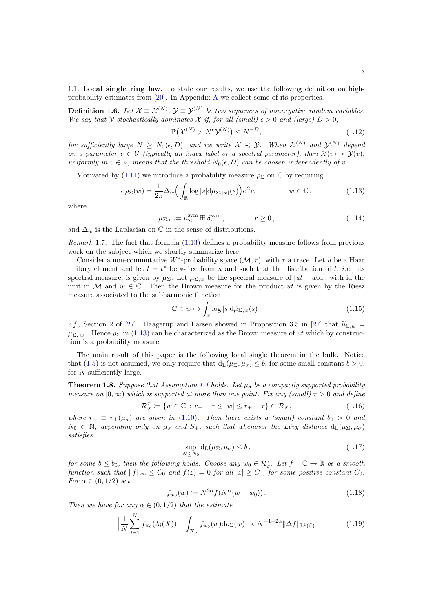1.1. Local single ring law. To state our results, we use the following definition on highprobability estimates from [\[20\]](#page-60-3). In Appendix [A](#page-55-0) we collect some of its properties.

<span id="page-2-6"></span>**Definition 1.6.** Let  $\mathcal{X} \equiv \mathcal{X}^{(N)}$ ,  $\mathcal{Y} \equiv \mathcal{Y}^{(N)}$  be two sequences of nonnegative random variables. We say that Y stochastically dominates X if, for all (small)  $\epsilon > 0$  and (large)  $D > 0$ ,

<span id="page-2-0"></span>
$$
\mathbb{P}(\mathcal{X}^{(N)} > N^{\epsilon} \mathcal{Y}^{(N)}) \le N^{-D},\tag{1.12}
$$

for sufficiently large  $N \ge N_0(\epsilon, D)$ , and we write  $\mathcal{X} \prec \mathcal{Y}$ . When  $\mathcal{X}^{(N)}$  and  $\mathcal{Y}^{(N)}$  depend on a parameter  $v \in V$  (typically an index label or a spectral parameter), then  $\mathcal{X}(v) \prec \mathcal{Y}(v)$ , uniformly in  $v \in V$ , means that the threshold  $N_0(\epsilon, D)$  can be chosen independently of v.

Motivated by [\(1.11\)](#page-1-3) we introduce a probability measure  $\rho_{\Sigma}$  on C by requiring

$$
d\rho_{\Sigma}(w) = \frac{1}{2\pi} \Delta_w \left( \int_{\mathbb{R}} \log |s| d\mu_{\Sigma,|w|}(s) \right) d^2w, \qquad w \in \mathbb{C}, \qquad (1.13)
$$

where

$$
\mu_{\Sigma,r} := \mu_{\Sigma}^{\text{sym}} \boxplus \delta_r^{\text{sym}}, \qquad r \ge 0,
$$
\n(1.14)

and  $\Delta_w$  is the Laplacian on  $\mathbb C$  in the sense of distributions.

Remark 1.7. The fact that formula [\(1.13\)](#page-2-0) defines a probability measure follows from previous work on the subject which we shortly summarize here.

Consider a non-commutative W<sup>\*</sup>-probability space  $(\mathcal{M}, \tau)$ , with  $\tau$  a trace. Let u be a Haar unitary element and let  $t = t^*$  be \*-free from u and such that the distribution of t, *i.e.*, its spectral measure, is given by  $\mu_{\Sigma}$ . Let  $\tilde{\mu}_{\Sigma,w}$  be the spectral measure of  $|ut - width|$ , with id the unit in M and  $w \in \mathbb{C}$ . Then the Brown measure for the product ut is given by the Riesz measure associated to the subharmonic function

$$
\mathbb{C} \ni w \mapsto \int_{\mathbb{R}} \log |s| \mathrm{d}\widetilde{\mu}_{\Sigma,w}(s) , \qquad (1.15)
$$

c.f., Section 2 of [\[27\]](#page-60-2). Haagerup and Larsen showed in Proposition 3.5 in [27] that  $\widetilde{\mu}_{\Sigma,w}$  =  $\mu_{\Sigma,|w|}$ . Hence  $\rho_{\Sigma}$  in [\(1.13\)](#page-2-0) can be characterized as the Brown measure of ut which by construction is a probability measure.

The main result of this paper is the following local single theorem in the bulk. Notice that [\(1.5\)](#page-1-1) is not assumed, we only require that  $d_L(\mu_{\Sigma}, \mu_{\sigma}) \leq b$ , for some small constant  $b > 0$ , for N sufficiently large.

<span id="page-2-2"></span>**Theorem 1.8.** Suppose that Assumption [1.1](#page-0-0) holds. Let  $\mu_{\sigma}$  be a compactly supported probability measure on  $[0, \infty)$  which is supported at more than one point. Fix any (small)  $\tau > 0$  and define

$$
\mathcal{R}_{\sigma}^{\tau} := \{ w \in \mathbb{C} : r_- + \tau \le |w| \le r_+ - \tau \} \subset \mathcal{R}_{\sigma},
$$
\n(1.16)

where  $r_{\pm} \equiv r_{\pm}(\mu_{\sigma})$  are given in [\(1.10\)](#page-1-4). Then there exists a (small) constant  $b_0 > 0$  and  $N_0 \in \mathbb{N}$ , depending only on  $\mu_{\sigma}$  and  $S_+$ , such that whenever the Lévy distance  $d_L(\mu_{\Sigma}, \mu_{\sigma})$ satisfies

<span id="page-2-5"></span><span id="page-2-4"></span><span id="page-2-3"></span><span id="page-2-1"></span>
$$
\sup_{N \ge N_0} d_L(\mu_\Sigma, \mu_\sigma) \le b \,, \tag{1.17}
$$

for some  $b \leq b_0$ , then the following holds. Choose any  $w_0 \in \mathcal{R}^{\tau}_{\sigma}$ . Let  $f : \mathbb{C} \to \mathbb{R}$  be a smooth function such that  $||f||_{\infty} \leq C_0$  and  $f(z) = 0$  for all  $|z| \geq C_0$ , for some positive constant  $C_0$ . For  $\alpha \in (0, 1/2)$  set

$$
f_{w_0}(w) := N^{2\alpha} f(N^{\alpha}(w - w_0)).
$$
\n(1.18)

Then we have for any  $\alpha \in (0, 1/2)$  that the estimate

$$
\left|\frac{1}{N}\sum_{i=1}^{N}f_{w_0}(\lambda_i(X)) - \int_{\mathcal{R}_{\sigma}}f_{w_0}(w)\mathrm{d}\rho_{\Sigma}(w)\right| \prec N^{-1+2\alpha} \|\Delta f\|_{\mathcal{L}^1(\mathbb{C})}
$$
(1.19)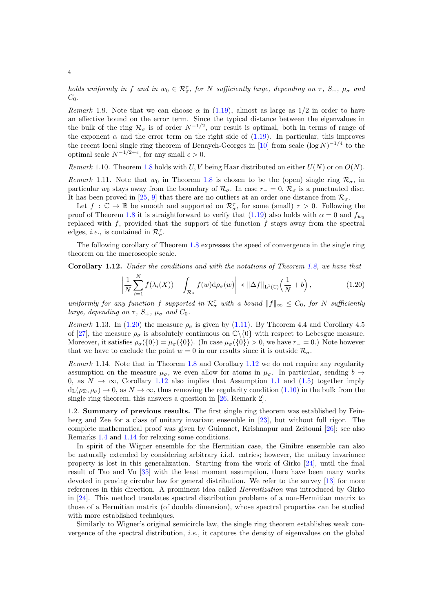holds uniformly in f and in  $w_0 \in \mathcal{R}_{\sigma}^{\tau}$ , for N sufficiently large, depending on  $\tau$ ,  $S_+$ ,  $\mu_{\sigma}$  and  $C_0$ .

Remark 1.9. Note that we can choose  $\alpha$  in [\(1.19\)](#page-2-1), almost as large as 1/2 in order to have an effective bound on the error term. Since the typical distance between the eigenvalues in the bulk of the ring  $\mathcal{R}_{\sigma}$  is of order  $N^{-1/2}$ , our result is optimal, both in terms of range of the exponent  $\alpha$  and the error term on the right side of [\(1.19\)](#page-2-1). In particular, this improves the recent local single ring theorem of Benaych-Georges in [\[10\]](#page-59-0) from scale  $(\log N)^{-1/4}$  to the optimal scale  $N^{-1/2+\epsilon}$ , for any small  $\epsilon > 0$ .

Remark 1.10. Theorem [1.8](#page-2-2) holds with U, V being Haar distributed on either  $U(N)$  or on  $O(N)$ .

<span id="page-3-3"></span>Remark 1.11. Note that  $w_0$  in Theorem [1.8](#page-2-2) is chosen to be the (open) single ring  $\mathcal{R}_{\sigma}$ , in particular w<sub>0</sub> stays away from the boundary of  $\mathcal{R}_{\sigma}$ . In case  $r = 0$ ,  $\mathcal{R}_{\sigma}$  is a punctuated disc. It has been proved in [\[25,](#page-60-4) [9\]](#page-59-1) that there are no outliers at an order one distance from  $\mathcal{R}_{\sigma}$ .

Let  $f : \mathbb{C} \to \mathbb{R}$  be smooth and supported on  $\mathcal{R}_{\sigma}^{\tau}$ , for some (small)  $\tau > 0$ . Following the proof of Theorem [1.8](#page-2-2) it is straightforward to verify that [\(1.19\)](#page-2-1) also holds with  $\alpha = 0$  and  $f_{w_0}$ replaced with  $f$ , provided that the support of the function  $f$  stays away from the spectral edges, *i.e.*, is contained in  $\mathcal{R}_{\sigma}^{\tau}$ .

The following corollary of Theorem [1.8](#page-2-2) expresses the speed of convergence in the single ring theorem on the macroscopic scale.

<span id="page-3-1"></span>Corollary 1.12. Under the conditions and with the notations of Theorem [1.8,](#page-2-2) we have that

<span id="page-3-0"></span>
$$
\left| \frac{1}{N} \sum_{i=1}^{N} f(\lambda_i(X)) - \int_{\mathcal{R}_{\sigma}} f(w) d\rho_{\sigma}(w) \right| \prec \|\Delta f\|_{\mathcal{L}^1(\mathbb{C})} \left(\frac{1}{N} + b\right),\tag{1.20}
$$

uniformly for any function f supported in  $\mathcal{R}^{\tau}_{\sigma}$  with a bound  $||f||_{\infty} \leq C_0$ , for N sufficiently large, depending on  $\tau$ ,  $S_+$ ,  $\mu_{\sigma}$  and  $C_0$ .

Remark 1.13. In [\(1.20\)](#page-3-0) the measure  $\rho_{\sigma}$  is given by [\(1.11\)](#page-1-3). By Theorem 4.4 and Corollary 4.5 of [\[27\]](#page-60-2), the measure  $\rho_{\sigma}$  is absolutely continuous on  $\mathbb{C}\backslash\{0\}$  with respect to Lebesgue measure. Moreover, it satisfies  $\rho_{\sigma}(\{0\}) = \mu_{\sigma}(\{0\})$ . (In case  $\mu_{\sigma}(\{0\}) > 0$ , we have  $r_{-} = 0$ .) Note however that we have to exclude the point  $w = 0$  in our results since it is outside  $\mathcal{R}_{\sigma}$ .

<span id="page-3-2"></span>Remark 1.14. Note that in Theorem [1.8](#page-2-2) and Corollary [1.12](#page-3-1) we do not require any regularity assumption on the measure  $\mu_{\sigma}$ , we even allow for atoms in  $\mu_{\sigma}$ . In particular, sending  $b \rightarrow$ 0, as  $N \to \infty$ , Corollary [1.12](#page-3-1) also implies that Assumption [1.1](#page-0-0) and [\(1.5\)](#page-1-1) together imply  $d_L(\rho_{\Sigma}, \rho_{\sigma}) \to 0$ , as  $N \to \infty$ , thus removing the regularity condition [\(1.10\)](#page-1-4) in the bulk from the single ring theorem, this answers a question in [\[26,](#page-60-0) Remark 2].

1.2. Summary of previous results. The first single ring theorem was established by Feinberg and Zee for a class of unitary invariant ensemble in [\[23\]](#page-60-5), but without full rigor. The complete mathematical proof was given by Guionnet, Krishnapur and Zeitouni [\[26\]](#page-60-0); see also Remarks [1.4](#page-1-5) and [1.14](#page-3-2) for relaxing some conditions.

In spirit of the Wigner ensemble for the Hermitian case, the Ginibre ensemble can also be naturally extended by considering arbitrary i.i.d. entries; however, the unitary invariance property is lost in this generalization. Starting from the work of Girko [\[24\]](#page-60-6), until the final result of Tao and Vu [\[35\]](#page-60-7) with the least moment assumption, there have been many works devoted in proving circular law for general distribution. We refer to the survey [\[13\]](#page-59-2) for more references in this direction. A prominent idea called Hermitization was introduced by Girko in [\[24\]](#page-60-6). This method translates spectral distribution problems of a non-Hermitian matrix to those of a Hermitian matrix (of double dimension), whose spectral properties can be studied with more established techniques.

Similarly to Wigner's original semicircle law, the single ring theorem establishes weak convergence of the spectral distribution, *i.e.*, it captures the density of eigenvalues on the global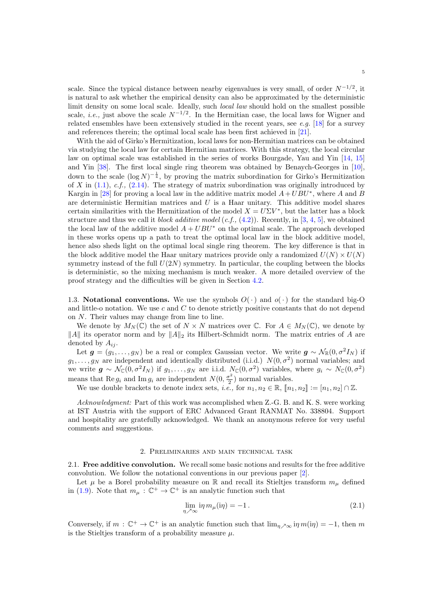scale. Since the typical distance between nearby eigenvalues is very small, of order  $N^{-1/2}$ , it is natural to ask whether the empirical density can also be approximated by the deterministic limit density on some local scale. Ideally, such *local law* should hold on the smallest possible scale, *i.e.*, just above the scale  $N^{-1/2}$ . In the Hermitian case, the local laws for Wigner and related ensembles have been extensively studied in the recent years, see  $e.g.$  [\[18\]](#page-60-8) for a survey and references therein; the optimal local scale has been first achieved in [\[21\]](#page-60-9).

With the aid of Girko's Hermitization, local laws for non-Hermitian matrices can be obtained via studying the local law for certain Hermitian matrices. With this strategy, the local circular law on optimal scale was established in the series of works Bourgade, Yau and Yin [\[14,](#page-59-3) [15\]](#page-59-4) and Yin [\[38\]](#page-60-10). The first local single ring theorem was obtained by Benaych-Georges in [\[10\]](#page-59-0), down to the scale  $(\log N)^{-\frac{1}{4}}$ , by proving the matrix subordination for Girko's Hermitization of X in  $(1.1)$ , c.f.,  $(2.14)$ . The strategy of matrix subordination was originally introduced by Kargin in [\[28\]](#page-60-11) for proving a local law in the additive matrix model  $A + UBU^*$ , where A and B are deterministic Hermitian matrices and  $U$  is a Haar unitary. This additive model shares certain similarities with the Hermitization of the model  $X = U\Sigma V^*$ , but the latter has a block structure and thus we call it block additive model (c.f.,  $(4.2)$ ). Recently, in [\[3,](#page-59-5) [4,](#page-59-6) [5\]](#page-59-7), we obtained the local law of the additive model  $A + UBU^*$  on the optimal scale. The approach developed in these works opens up a path to treat the optimal local law in the block additive model, hence also sheds light on the optimal local single ring theorem. The key difference is that in the block additive model the Haar unitary matrices provide only a randomized  $U(N) \times U(N)$ symmetry instead of the full  $U(2N)$  symmetry. In particular, the coupling between the blocks is deterministic, so the mixing mechanism is much weaker. A more detailed overview of the proof strategy and the difficulties will be given in Section [4.2.](#page-14-0)

1.3. Notational conventions. We use the symbols  $O(\cdot)$  and  $o(\cdot)$  for the standard big-O and little-o notation. We use  $c$  and  $C$  to denote strictly positive constants that do not depend on N. Their values may change from line to line.

We denote by  $M_N(\mathbb{C})$  the set of  $N \times N$  matrices over  $\mathbb{C}$ . For  $A \in M_N(\mathbb{C})$ , we denote by  $\|A\|$  its operator norm and by  $\|A\|_2$  its Hilbert-Schmidt norm. The matrix entries of A are denoted by  $A_{ij}$ .

Let  $g = (g_1, \ldots, g_N)$  be a real or complex Gaussian vector. We write  $g \sim \mathcal{N}_{\mathbb{R}}(0, \sigma^2 I_N)$  if  $g_1, \ldots, g_N$  are independent and identically distributed (i.i.d.)  $N(0, \sigma^2)$  normal variables; and we write  $g \sim \mathcal{N}_{\mathbb{C}}(0, \sigma^2 I_N)$  if  $g_1, \ldots, g_N$  are i.i.d.  $N_{\mathbb{C}}(0, \sigma^2)$  variables, where  $g_i \sim N_{\mathbb{C}}(0, \sigma^2)$ means that Re  $g_i$  and Im  $g_i$  are independent  $N(0, \frac{\sigma^2}{2})$  $(\frac{5}{2})$  normal variables.

We use double brackets to denote index sets, *i.e.*, for  $n_1, n_2 \in \mathbb{R}$ ,  $[n_1, n_2] := [n_1, n_2] \cap \mathbb{Z}$ .

Acknowledgment: Part of this work was accomplished when Z.-G. B. and K. S. were working at IST Austria with the support of ERC Advanced Grant RANMAT No. 338804. Support and hospitality are gratefully acknowledged. We thank an anonymous referee for very useful comments and suggestions.

### 2. Preliminaries and main technical task

<span id="page-4-0"></span>2.1. Free additive convolution. We recall some basic notions and results for the free additive convolution. We follow the notational conventions in our previous paper [\[2\]](#page-59-8).

Let  $\mu$  be a Borel probability measure on R and recall its Stieltjes transform  $m_{\mu}$  defined in [\(1.9\)](#page-1-6). Note that  $m_{\mu} : \mathbb{C}^+ \to \mathbb{C}^+$  is an analytic function such that

<span id="page-4-1"></span>
$$
\lim_{\eta \nearrow \infty} i\eta \, m_{\mu}(i\eta) = -1. \tag{2.1}
$$

Conversely, if  $m : \mathbb{C}^+ \to \mathbb{C}^+$  is an analytic function such that  $\lim_{\eta \nearrow \infty} i\eta m(i\eta) = -1$ , then m is the Stieltjes transform of a probability measure  $\mu$ .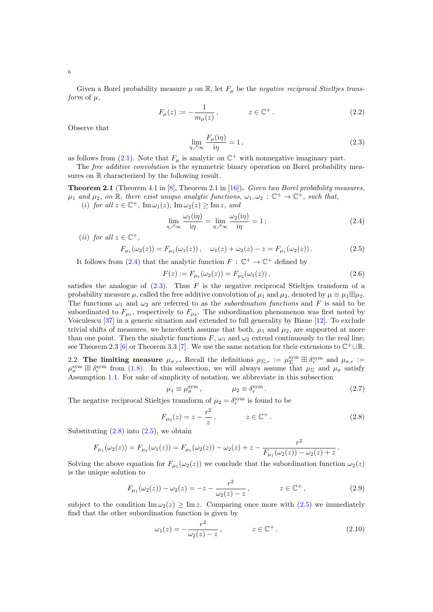Given a Borel probability measure  $\mu$  on  $\mathbb{R}$ , let  $F_{\mu}$  be the negative reciprocal Stieltjes transform of  $\mu$ ,

$$
F_{\mu}(z) := -\frac{1}{m_{\mu}(z)}, \qquad z \in \mathbb{C}^{+}.
$$
 (2.2)

Observe that

<span id="page-5-1"></span><span id="page-5-0"></span>
$$
\lim_{\eta \nearrow \infty} \frac{F_{\mu}(\mathrm{i}\eta)}{\mathrm{i}\eta} = 1, \tag{2.3}
$$

as follows from [\(2.1\)](#page-4-1). Note that  $F_{\mu}$  is analytic on  $\mathbb{C}^{+}$  with nonnegative imaginary part.

The *free additive convolution* is the symmetric binary operation on Borel probability measures on R characterized by the following result.

<span id="page-5-5"></span>**Theorem 2.1** (Theorem 4.1 in [\[8\]](#page-59-9), Theorem 2.1 in [\[16\]](#page-59-10)). Given two Borel probability measures,  $\mu_1$  and  $\mu_2$ , on  $\mathbb R$ , there exist unique analytic functions,  $\omega_1, \omega_2 : \mathbb C^+ \to \mathbb C^+$ , such that,

(i) for all  $z \in \mathbb{C}^+$ ,  $\text{Im}\,\omega_1(z)$ ,  $\text{Im}\,\omega_2(z) \ge \text{Im}\,z$ , and

<span id="page-5-3"></span>
$$
\lim_{\eta \nearrow \infty} \frac{\omega_1(i\eta)}{i\eta} = \lim_{\eta \nearrow \infty} \frac{\omega_2(i\eta)}{i\eta} = 1 ;
$$
\n(2.4)

(*ii*) for all  $z \in \mathbb{C}^+$ ,

$$
F_{\mu_1}(\omega_2(z)) = F_{\mu_2}(\omega_1(z)), \quad \omega_1(z) + \omega_2(z) - z = F_{\mu_1}(\omega_2(z)).
$$
\n(2.5)

It follows from [\(2.4\)](#page-5-0) that the analytic function  $F : \mathbb{C}^+ \to \mathbb{C}^+$  defined by

$$
F(z) := F_{\mu_1}(\omega_2(z)) = F_{\mu_2}(\omega_1(z)), \qquad (2.6)
$$

satisfies the analogue of  $(2.3)$ . Thus F is the negative reciprocal Stieltjes transform of a probability measure  $\mu$ , called the free additive convolution of  $\mu_1$  and  $\mu_2$ , denoted by  $\mu \equiv \mu_1 \boxplus \mu_2$ . The functions  $\omega_1$  and  $\omega_2$  are referred to as the *subordination functions* and F is said to be subordinated to  $F_{\mu_1}$ , respectively to  $F_{\mu_2}$ . The subordination phenomenon was first noted by Voiculescu [\[37\]](#page-60-12) in a generic situation and extended to full generality by Biane [\[12\]](#page-59-11). To exclude trivial shifts of measures, we henceforth assume that both,  $\mu_1$  and  $\mu_2$ , are supported at more than one point. Then the analytic functions F,  $\omega_1$  and  $\omega_2$  extend continuously to the real line; see Theorem 2.3 [\[6\]](#page-59-12) or Theorem 3.3 [\[7\]](#page-59-13). We use the same notation for their extensions to  $\mathbb{C}^+ \cup \mathbb{R}$ .

2.2. The limiting measure  $\mu_{\sigma,r}$ . Recall the definitions  $\mu_{\Sigma,r} := \mu_{\Sigma}^{\text{sym}} \boxplus \delta_r^{\text{sym}}$  and  $\mu_{\sigma,r} :=$  $\mu_{\sigma}^{\text{sym}} \boxplus \delta_{r}^{\text{sym}}$  from [\(1.8\)](#page-1-7). In this subsection, we will always assume that  $\mu_{\Sigma}$  and  $\mu_{\sigma}$  satisfy Assumption [1.1.](#page-0-0) For sake of simplicity of notation, we abbreviate in this subsection

<span id="page-5-2"></span>
$$
\mu_1 \equiv \mu_{\sigma}^{\text{sym}} \,, \qquad \qquad \mu_2 \equiv \delta_r^{\text{sym}} \,. \tag{2.7}
$$

The negative reciprocal Stieltjes transform of  $\mu_2 = \delta_r^{\text{sym}}$  is found to be

$$
F_{\mu_2}(z) = z - \frac{r^2}{z}, \qquad z \in \mathbb{C}^+.
$$
 (2.8)

Substituting  $(2.8)$  into  $(2.5)$ , we obtain

$$
F_{\mu_1}(\omega_2(z)) = F_{\mu_2}(\omega_1(z)) = F_{\mu_1}(\omega_2(z)) - \omega_2(z) + z - \frac{r^2}{F_{\mu_1}(\omega_2(z)) - \omega_2(z) + z}.
$$

Solving the above equation for  $F_{\mu_1}(\omega_2(z))$  we conclude that the subordination function  $\omega_2(z)$ is the unique solution to

$$
F_{\mu_1}(\omega_2(z)) - \omega_2(z) = -z - \frac{r^2}{\omega_2(z) - z}, \qquad z \in \mathbb{C}^+, \qquad (2.9)
$$

subject to the condition  $\text{Im}\,\omega_2(z) \geq \text{Im}\,z$ . Comparing once more with  $(2.5)$  we immediately find that the other subordination function is given by

<span id="page-5-6"></span><span id="page-5-4"></span>
$$
\omega_1(z) = -\frac{r^2}{\omega_2(z) - z}, \qquad z \in \mathbb{C}^+.
$$
 (2.10)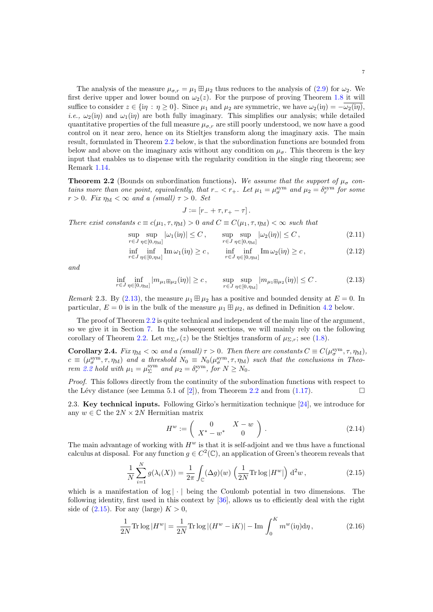The analysis of the measure  $\mu_{\sigma,r} = \mu_1 \boxplus \mu_2$  thus reduces to the analysis of [\(2.9\)](#page-5-4) for  $\omega_2$ . We first derive upper and lower bound on  $\omega_2(z)$ . For the purpose of proving Theorem [1.8](#page-2-2) it will suffice to consider  $z \in \{\mathrm{i}\eta : \eta \geq 0\}$ . Since  $\mu_1$  and  $\mu_2$  are symmetric, we have  $\omega_2(\mathrm{i}\eta) = -\overline{\omega_2(\mathrm{i}\eta)}$ . *i.e.*,  $\omega_2(i\eta)$  and  $\omega_1(i\eta)$  are both fully imaginary. This simplifies our analysis; while detailed quantitative properties of the full measure  $\mu_{\sigma,r}$  are still poorly understood, we now have a good control on it near zero, hence on its Stieltjes transform along the imaginary axis. The main result, formulated in Theorem [2.2](#page-6-1) below, is that the subordination functions are bounded from below and above on the imaginary axis without any condition on  $\mu_{\sigma}$ . This theorem is the key input that enables us to dispense with the regularity condition in the single ring theorem; see Remark [1.14.](#page-3-2)

<span id="page-6-1"></span>**Theorem 2.2** (Bounds on subordination functions). We assume that the support of  $\mu_{\sigma}$  contains more than one point, equivalently, that  $r_{-} < r_{+}$ . Let  $\mu_1 = \mu_{\sigma}^{\text{sym}}$  and  $\mu_2 = \delta_r^{\text{sym}}$  for some  $r > 0$ . Fix  $\eta_M < \infty$  and a (small)  $\tau > 0$ . Set

<span id="page-6-2"></span>
$$
J \coloneqq [r_- + \tau, r_+ - \tau].
$$

There exist constants  $c \equiv c(\mu_1, \tau, \eta_M) > 0$  and  $C \equiv C(\mu_1, \tau, \eta_M) < \infty$  such that

$$
\sup_{r \in J} \sup_{\eta \in [0, \eta_M]} |\omega_1(i\eta)| \le C, \qquad \sup_{r \in J} \sup_{\eta \in [0, \eta_M]} |\omega_2(i\eta)| \le C, \tag{2.11}
$$

$$
\inf_{r \in J} \inf_{\eta \in [0, \eta_M]} \text{Im}\,\omega_1(i\eta) \ge c, \qquad \inf_{r \in J} \inf_{\eta \in [0, \eta_M]} \text{Im}\,\omega_2(i\eta) \ge c,
$$
\n(2.12)

and

$$
\inf_{r \in J} \inf_{\eta \in [0, \eta_{\mathcal{M}}]} |m_{\mu_1 \boxplus \mu_2}(i\eta)| \ge c, \qquad \sup_{r \in J} \sup_{\eta \in [0, \eta_{\mathcal{M}}]} |m_{\mu_1 \boxplus \mu_2}(i\eta)| \le C. \tag{2.13}
$$

Remark 2.3. By [\(2.13\)](#page-6-2), the measure  $\mu_1 \boxplus \mu_2$  has a positive and bounded density at  $E = 0$ . In particular,  $E = 0$  is in the bulk of the measure  $\mu_1 \boxplus \mu_2$ , as defined in Definition [4.2](#page-11-0) below.

The proof of Theorem [2.2](#page-6-1) is quite technical and independent of the main line of the argument, so we give it in Section [7.](#page-43-0) In the subsequent sections, we will mainly rely on the following corollary of Theorem [2.2.](#page-6-1) Let  $m_{\Sigma,r}(z)$  be the Stieltjes transform of  $\mu_{\Sigma,r}$ ; see [\(1.8\)](#page-1-7).

<span id="page-6-5"></span>**Corollary 2.4.** Fix  $\eta_M < \infty$  and a (small)  $\tau > 0$ . Then there are constants  $C \equiv C(\mu_{\sigma}^{\text{sym}}, \tau, \eta_M)$ ,  $c \equiv (\mu_{\sigma}^{\text{sym}}, \tau, \eta_{\text{M}})$  and a threshold  $N_0 \equiv N_0(\mu_{\sigma}^{\text{sym}}, \tau, \eta_{\text{M}})$  such that the conclusions in Theo-rem [2.2](#page-6-1) hold with  $\mu_1 = \mu_{\Sigma}^{\text{sym}}$  and  $\mu_2 = \delta_r^{\text{sym}}$ , for  $N \ge N_0$ .

Proof. This follows directly from the continuity of the subordination functions with respect to the Lévy distance (see Lemma 5.1 of [\[2\]](#page-59-8)), from Theorem [2.2](#page-6-1) and from [\(1.17\)](#page-2-3).

2.3. Key technical inputs. Following Girko's hermitization technique [\[24\]](#page-60-6), we introduce for any  $w \in \mathbb{C}$  the  $2N \times 2N$  Hermitian matrix

<span id="page-6-4"></span><span id="page-6-3"></span><span id="page-6-0"></span>
$$
H^w := \left(\begin{array}{cc} 0 & X - w \\ X^* - w^* & 0 \end{array}\right). \tag{2.14}
$$

The main advantage of working with  $H^w$  is that it is self-adjoint and we thus have a functional calculus at disposal. For any function  $g \in C^2(\mathbb{C})$ , an application of Green's theorem reveals that

$$
\frac{1}{N} \sum_{i=1}^{N} g(\lambda_i(X)) = \frac{1}{2\pi} \int_{\mathbb{C}} (\Delta g)(w) \left(\frac{1}{2N} \text{Tr} \log |H^w|\right) d^2w,
$$
\n(2.15)

which is a manifestation of  $log | \cdot |$  being the Coulomb potential in two dimensions. The following identity, first used in this context by [\[36\]](#page-60-13), allows us to efficiently deal with the right side of  $(2.15)$ . For any (large)  $K > 0$ ,

$$
\frac{1}{2N} \text{Tr} \log |H^w| = \frac{1}{2N} \text{Tr} \log |(H^w - iK)| - \text{Im} \int_0^K m^w(i\eta) d\eta, \qquad (2.16)
$$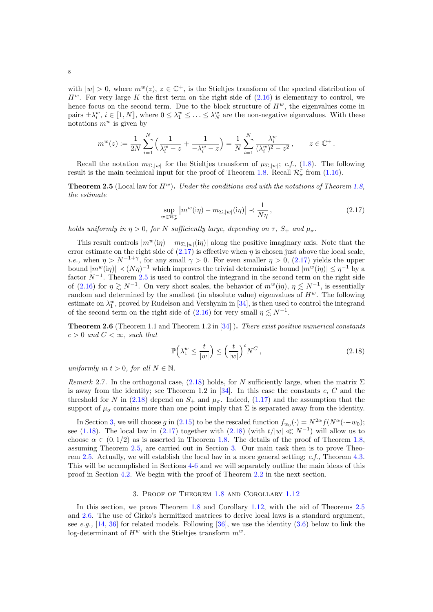with  $|w| > 0$ , where  $m^w(z)$ ,  $z \in \mathbb{C}^+$ , is the Stieltjes transform of the spectral distribution of  $H^w$ . For very large K the first term on the right side of  $(2.16)$  is elementary to control, we hence focus on the second term. Due to the block structure of  $H^w$ , the eigenvalues come in pairs  $\pm \lambda_i^w$ ,  $i \in [1, N]$ , where  $0 \le \lambda_1^w \le \ldots \le \lambda_N^w$  are the non-negative eigenvalues. With these notations  $m^w$  is given by

$$
m^{w}(z) := \frac{1}{2N} \sum_{i=1}^{N} \left( \frac{1}{\lambda_i^{w} - z} + \frac{1}{-\lambda_i^{w} - z} \right) = \frac{1}{N} \sum_{i=1}^{N} \frac{\lambda_i^{w}}{(\lambda_i^{w})^2 - z^2}, \qquad z \in \mathbb{C}^+.
$$

Recall the notation  $m_{\Sigma, |w|}$  for the Stieltjes transform of  $\mu_{\Sigma, |w|}$ ; c.f., [\(1.8\)](#page-1-7). The following result is the main technical input for the proof of Theorem [1.8.](#page-2-2) Recall  $\mathcal{R}_{\sigma}^{\tau}$  from [\(1.16\)](#page-2-4).

<span id="page-7-2"></span>**Theorem 2.5** (Local law for  $H^w$ ). Under the conditions and with the notations of Theorem [1.8,](#page-2-2) the estimate

<span id="page-7-1"></span>
$$
\sup_{w \in \mathcal{R}_{\sigma}^+} |m^w(i\eta) - m_{\Sigma,|w|}(i\eta)| \prec \frac{1}{N\eta},\tag{2.17}
$$

holds uniformly in  $\eta > 0$ , for N sufficiently large, depending on  $\tau$ ,  $S_+$  and  $\mu_{\sigma}$ .

This result controls  $|m^w(i\eta) - m_{\Sigma,|w|}(i\eta)|$  along the positive imaginary axis. Note that the error estimate on the right side of  $(2.17)$  is effective when  $\eta$  is chosen just above the local scale, *i.e.*, when  $\eta > N^{-1+\gamma}$ , for any small  $\gamma > 0$ . For even smaller  $\eta > 0$ , [\(2.17\)](#page-7-1) yields the upper bound  $|m^w(i\eta)| \prec (N\eta)^{-1}$  which improves the trivial deterministic bound  $|m^w(i\eta)| \leq \eta^{-1}$  by a factor  $N^{-1}$ . Theorem [2.5](#page-7-2) is used to control the integrand in the second term on the right side of [\(2.16\)](#page-6-4) for  $\eta \gtrsim N^{-1}$ . On very short scales, the behavior of  $m^w(i\eta)$ ,  $\eta \lesssim N^{-1}$ , is essentially random and determined by the smallest (in absolute value) eigenvalues of  $H^w$ . The following estimate on  $\lambda_1^w$ , proved by Rudelson and Vershynin in [\[34\]](#page-60-1), is then used to control the integrand of the second term on the right side of  $(2.16)$  for very small  $\eta \leq N^{-1}$ .

<span id="page-7-0"></span>**Theorem 2.6** (Theorem 1.1 and Theorem 1.2 in  $[34]$ ). There exist positive numerical constants  $c > 0$  and  $C < \infty$ , such that

<span id="page-7-3"></span>
$$
\mathbb{P}\left(\lambda_1^w \le \frac{t}{|w|}\right) \le \left(\frac{t}{|w|}\right)^c N^C,\tag{2.18}
$$

uniformly in  $t > 0$ , for all  $N \in \mathbb{N}$ .

Remark 2.7. In the orthogonal case, [\(2.18\)](#page-7-3) holds, for N sufficiently large, when the matrix  $\Sigma$ is away from the identity; see Theorem 1.2 in  $[34]$ . In this case the constants c, C and the threshold for N in [\(2.18\)](#page-7-3) depend on  $S_+$  and  $\mu_{\sigma}$ . Indeed, [\(1.17\)](#page-2-3) and the assumption that the support of  $\mu_{\sigma}$  contains more than one point imply that  $\Sigma$  is separated away from the identity.

In Section [3,](#page-7-4) we will choose g in [\(2.15\)](#page-6-3) to be the rescaled function  $f_{w_0}(\cdot) = N^{2\alpha} f(N^{\alpha}(\cdot - w_0))$ ; see [\(1.18\)](#page-2-5). The local law in [\(2.17\)](#page-7-1) together with [\(2.18\)](#page-7-3) (with  $t/|w| \ll N^{-1}$ ) will allow us to choose  $\alpha \in (0, 1/2)$  as is asserted in Theorem [1.8.](#page-2-2) The details of the proof of Theorem [1.8,](#page-2-2) assuming Theorem [2.5,](#page-7-2) are carried out in Section [3.](#page-7-4) Our main task then is to prove Theorem [2.5.](#page-7-2) Actually, we will establish the local law in a more general setting; c.f., Theorem [4.3.](#page-11-1) This will be accomplished in Sections [4-](#page-10-1)[6](#page-36-0) and we will separately outline the main ideas of this proof in Section [4.2.](#page-14-0) We begin with the proof of Theorem [2.2](#page-6-1) in the next section.

# 3. Proof of Theorem [1.8](#page-2-2) and Corollary [1.12](#page-3-1)

<span id="page-7-4"></span>In this section, we prove Theorem [1.8](#page-2-2) and Corollary [1.12,](#page-3-1) with the aid of Theorems [2.5](#page-7-2) and [2.6.](#page-7-0) The use of Girko's hermitized matrices to derive local laws is a standard argument, see e.g., [\[14,](#page-59-3) [36\]](#page-60-13) for related models. Following [\[36\]](#page-60-13), we use the identity  $(3.6)$  below to link the log-determinant of  $H^w$  with the Stieltjes transform  $m^w$ .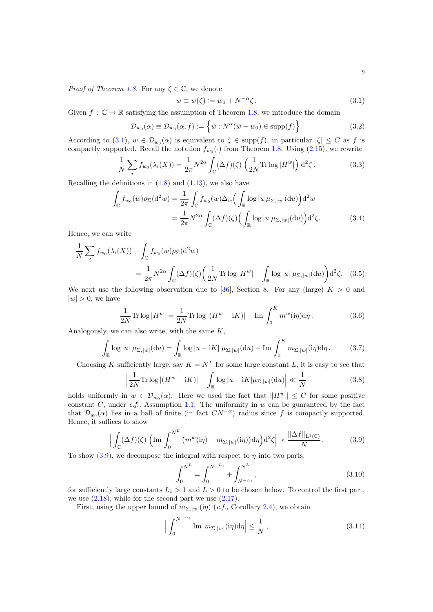<span id="page-8-1"></span>
$$
w \equiv w(\zeta) := w_0 + N^{-\alpha} \zeta. \tag{3.1}
$$

Given  $f : \mathbb{C} \to \mathbb{R}$  satisfying the assumption of Theorem [1.8,](#page-2-2) we introduce the domain

$$
\mathcal{D}_{w_0}(\alpha) \equiv \mathcal{D}_{w_0}(\alpha, f) := \left\{ \tilde{w} : N^{\alpha}(\tilde{w} - w_0) \in \text{supp}(f) \right\}.
$$
 (3.2)

According to [\(3.1\)](#page-8-1),  $w \in \mathcal{D}_{w_0}(\alpha)$  is equivalent to  $\zeta \in \text{supp}(f)$ , in particular  $|\zeta| \leq C$  as f is compactly supported. Recall the notation  $f_{w_0}(\cdot)$  from Theorem [1.8.](#page-2-2) Using [\(2.15\)](#page-6-3), we rewrite

$$
\frac{1}{N} \sum_{i} f_{w_0}(\lambda_i(X)) = \frac{1}{2\pi} N^{2\alpha} \int_{\mathbb{C}} (\Delta f)(\zeta) \left(\frac{1}{2N} \text{Tr} \log |H^w|\right) d^2 \zeta. \tag{3.3}
$$

Recalling the definitions in  $(1.8)$  and  $(1.13)$ , we also have

$$
\int_{\mathbb{C}} f_{w_0}(w)\rho_{\Sigma}(\mathrm{d}^2 w) = \frac{1}{2\pi} \int_{\mathbb{C}} f_{w_0}(w)\Delta_w\Big(\int_{\mathbb{R}} \log |u|\mu_{\Sigma,|w|}(\mathrm{d}u)\Big) \mathrm{d}^2 w
$$
\n
$$
= \frac{1}{2\pi} N^{2\alpha} \int_{\mathbb{C}} (\Delta f)(\zeta) \Big(\int_{\mathbb{R}} \log |u|\mu_{\Sigma,|w|}(\mathrm{d}u)\Big) \mathrm{d}^2 \zeta. \tag{3.4}
$$

Hence, we can write

$$
\frac{1}{N} \sum_{i} f_{w_0}(\lambda_i(X)) - \int_{\mathbb{C}} f_{w_0}(w) \rho_{\Sigma}(\mathrm{d}^2 w)
$$
\n
$$
= \frac{1}{2\pi} N^{2\alpha} \int_{\mathbb{C}} (\Delta f)(\zeta) \left( \frac{1}{2N} \text{Tr} \log |H^w| - \int_{\mathbb{R}} \log |u| \ \mu_{\Sigma, |w|}(\mathrm{d}u) \right) \mathrm{d}^2 \zeta. \tag{3.5}
$$

We next use the following observation due to [\[36\]](#page-60-13), Section 8. For any (large)  $K > 0$  and  $|w| > 0$ , we have

<span id="page-8-4"></span><span id="page-8-0"></span>
$$
\frac{1}{2N}\text{Tr}\log|H^w| = \frac{1}{2N}\text{Tr}\log|(H^w - iK)| - \text{Im}\int_0^K m^w(i\eta)d\eta.
$$
 (3.6)

Analogously, we can also write, with the same  $K$ ,

$$
\int_{\mathbb{R}} \log |u| \ \mu_{\Sigma,|w|}(\mathrm{d}u) = \int_{\mathbb{R}} \log |u - \mathrm{i}K| \ \mu_{\Sigma,|w|}(\mathrm{d}u) - \mathrm{Im} \int_{0}^{K} m_{\Sigma,|w|}(\mathrm{i}\eta) \mathrm{d}\eta. \tag{3.7}
$$

Choosing K sufficiently large, say  $K = N^L$  for some large constant L, it is easy to see that

$$
\left|\frac{1}{2N}\text{Tr}\log\left|\left(H^w - iK\right)\right| - \int_{\mathbb{R}} \log\left|u - iK\right|\mu_{\Sigma,|w|}(\mathrm{d}u)\right| \ll \frac{1}{N} \tag{3.8}
$$

holds uniformly in  $w \in \mathcal{D}_{w_0}(\alpha)$ . Here we used the fact that  $||H^w|| \leq C$  for some positive constant  $C$ , under  $c.f.$ , Assumption [1.1.](#page-0-0) The uniformity in  $w$  can be guaranteed by the fact that  $\mathcal{D}_{w_0}(\alpha)$  lies in a ball of finite (in fact  $CN^{-\alpha}$ ) radius since f is compactly supported. Hence, it suffices to show

$$
\left| \int_{\mathbb{C}} (\Delta f)(\zeta) \left( \operatorname{Im} \int_0^{N^L} \left( m^w(i\eta) - m_{\Sigma,|w|}(i\eta) \right) d\eta \right) d^2 \zeta \right| \prec \frac{\|\Delta f\|_{\mathcal{L}^1(\mathbb{C})}}{N}. \tag{3.9}
$$

To show  $(3.9)$ , we decompose the integral with respect to  $\eta$  into two parts:

<span id="page-8-6"></span><span id="page-8-5"></span><span id="page-8-3"></span><span id="page-8-2"></span>
$$
\int_0^{N^L} = \int_0^{N^{-L_1}} + \int_{N^{-L_1}}^{N^L}, \tag{3.10}
$$

for sufficiently large constants  $L_1 > 1$  and  $L > 0$  to be chosen below. To control the first part, we use  $(2.18)$ , while for the second part we use  $(2.17)$ .

First, using the upper bound of  $m_{\Sigma,|w|}(i\eta)$  (*c.f.*, Corollary [2.4\)](#page-6-5), we obtain

$$
\left| \int_0^{N^{-L_1}} \text{Im } m_{\Sigma, |w|} (i\eta) \mathrm{d}\eta \right| \le \frac{1}{N}, \tag{3.11}
$$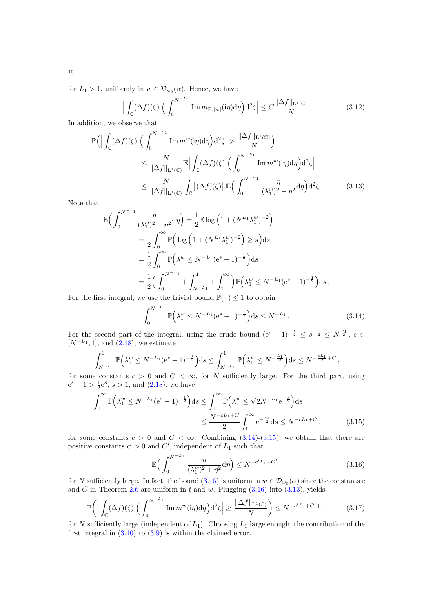for  $L_1 > 1$ , uniformly in  $w \in \mathcal{D}_{w_0}(\alpha)$ . Hence, we have

<span id="page-9-4"></span>
$$
\left| \int_{\mathbb{C}} (\Delta f)(\zeta) \left( \int_0^{N^{-L_1}} \mathrm{Im} \, m_{\Sigma, |w|} (i\eta) d\eta \right) d^2 \zeta \right| \le C \frac{\|\Delta f\|_{\mathcal{L}^1(\mathbb{C})}}{N}.
$$
 (3.12)

In addition, we observe that

$$
\mathbb{P}\Big(\Big|\int_{\mathbb{C}} (\Delta f)(\zeta) \Big(\int_{0}^{N^{-L_{1}}} \operatorname{Im} m^{w}(i\eta) d\eta\Big) d^{2}\zeta\Big| > \frac{\|\Delta f\|_{\mathcal{L}^{1}(\mathbb{C})}}{N}\Big) \leq \frac{N}{\|\Delta f\|_{\mathcal{L}^{1}(\mathbb{C})}} \mathbb{E}\Big|\int_{\mathbb{C}} (\Delta f)(\zeta) \Big(\int_{0}^{N^{-L_{1}}} \operatorname{Im} m^{w}(i\eta) d\eta\Big) d^{2}\zeta\Big| \leq \frac{N}{\|\Delta f\|_{\mathcal{L}^{1}(\mathbb{C})}} \int_{\mathbb{C}} |(\Delta f)(\zeta)| \mathbb{E}\Big(\int_{0}^{N^{-L_{1}}} \frac{\eta}{(\lambda_{1}^{w})^{2} + \eta^{2}} d\eta\Big) d^{2}\zeta.
$$
\n(3.13)

Note that

$$
\mathbb{E}\Big(\int_0^{N^{-L_1}} \frac{\eta}{(\lambda_1^w)^2 + \eta^2} d\eta\Big) = \frac{1}{2} \mathbb{E} \log \left(1 + (N^{L_1} \lambda_1^w)^{-2}\right)
$$

$$
= \frac{1}{2} \int_0^{\infty} \mathbb{P}\Big(\log \left(1 + (N^{L_1} \lambda_1^w)^{-2}\right) \ge s\Big) ds
$$

$$
= \frac{1}{2} \int_0^{\infty} \mathbb{P}\Big(\lambda_1^w \le N^{-L_1} (e^s - 1)^{-\frac{1}{2}}\Big) ds
$$

$$
= \frac{1}{2} \Big(\int_0^{N^{-L_1}} + \int_{N^{-L_1}}^1 + \int_1^{\infty} \Big) \mathbb{P}\Big(\lambda_1^w \le N^{-L_1} (e^s - 1)^{-\frac{1}{2}}\Big) ds.
$$
st integral we use the trivial bound  $\mathbb{P}(\cdot) \le 1$  to obtain

For the first integral, we use the trivial bound  $\mathbb{P}(\,\cdot\,) \leq 1$  to obtain

<span id="page-9-3"></span><span id="page-9-0"></span>
$$
\int_0^{N^{-L_1}} \mathbb{P}\Big(\lambda_1^w \le N^{-L_1} (e^s - 1)^{-\frac{1}{2}}\Big) ds \le N^{-L_1}.
$$
\n(3.14)

For the second part of the integral, using the crude bound  $(e^s - 1)^{-\frac{1}{2}} \leq s^{-\frac{1}{2}} \leq N^{\frac{L_1}{2}}$ ,  $s \in$  $[N^{-L_1}, 1]$ , and  $(2.18)$ , we estimate

$$
\int_{N^{-L_1}}^1 \mathbb{P}\Big(\lambda_1^w \le N^{-L_1} (e^s - 1)^{-\frac{1}{2}}\Big) ds \le \int_{N^{-L_1}}^1 \mathbb{P}\Big(\lambda_1^w \le N^{-\frac{L_1}{2}}\Big) ds \le N^{-\frac{cL_1}{2} + C},
$$

for some constants  $c > 0$  and  $C < \infty$ , for N sufficiently large. For the third part, using  $e^{s} - 1 > \frac{1}{2}e^{s}, s > 1$ , and  $(2.18)$ , we have

$$
\int_{1}^{\infty} \mathbb{P}\left(\lambda_{1}^{w} \leq N^{-L_{1}} (e^{s} - 1)^{-\frac{1}{2}}\right) ds \leq \int_{1}^{\infty} \mathbb{P}\left(\lambda_{1}^{w} \leq \sqrt{2} N^{-L_{1}} e^{-\frac{s}{2}}\right) ds
$$
  

$$
\leq \frac{N^{-cL_{1}+C}}{2} \int_{1}^{\infty} e^{-\frac{cs}{2}} ds \leq N^{-cL_{1}+C}, \qquad (3.15)
$$

for some constants  $c > 0$  and  $C < \infty$ . Combining  $(3.14)-(3.15)$  $(3.14)-(3.15)$ , we obtain that there are positive constants  $c' > 0$  and  $C'$ , independent of  $L_1$  such that

<span id="page-9-5"></span><span id="page-9-2"></span><span id="page-9-1"></span>
$$
\mathbb{E}\Big(\int_0^{N^{-L_1}} \frac{\eta}{(\lambda_1^w)^2 + \eta^2} d\eta\Big) \le N^{-c'L_1 + C'},\tag{3.16}
$$

for N sufficiently large. In fact, the bound  $(3.16)$  is uniform in  $w \in \mathcal{D}_{w_0}(\alpha)$  since the constants c and C in Theorem [2.6](#page-7-0) are uniform in t and w. Plugging  $(3.16)$  into  $(3.13)$ , yields

$$
\mathbb{P}\bigg(\Big|\int_{\mathbb{C}} (\Delta f)(\zeta) \Big(\int_0^{N^{-L_1}} \operatorname{Im} m^w(i\eta) d\eta\Big) d^2\zeta\Big| \ge \frac{\|\Delta f\|_{\mathcal{L}^1(\mathbb{C})}}{N}\bigg) \le N^{-c'L_1 + C' + 1},\tag{3.17}
$$

for N sufficiently large (independent of  $L_1$ ). Choosing  $L_1$  large enough, the contribution of the first integral in  $(3.10)$  to  $(3.9)$  is within the claimed error.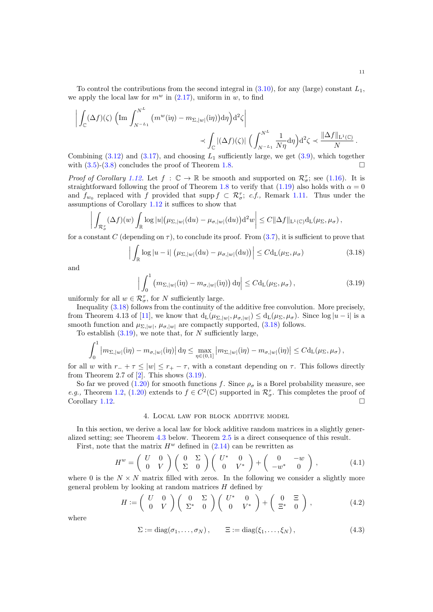To control the contributions from the second integral in  $(3.10)$ , for any (large) constant  $L_1$ , we apply the local law for  $m^w$  in  $(2.17)$ , uniform in w, to find

$$
\left| \int_{\mathbb{C}} (\Delta f)(\zeta) \left( \operatorname{Im} \int_{N^{-L_1}}^{N^L} (m^w(i\eta) - m_{\Sigma,|w|}(i\eta)) d\eta \right) d^2 \zeta \right| \right|
$$
  

$$
\prec \int_{\mathbb{C}} |(\Delta f)(\zeta)| \left( \int_{N^{-L_1}}^{N^L} \frac{1}{N\eta} d\eta \right) d^2 \zeta \prec \frac{\|\Delta f\|_{\mathcal{L}^1(\mathbb{C})}}{N}.
$$

Combining  $(3.12)$  and  $(3.17)$ , and choosing  $L_1$  sufficiently large, we get  $(3.9)$ , which together with  $(3.5)-(3.8)$  $(3.5)-(3.8)$  concludes the proof of Theorem [1.8.](#page-2-2)

*Proof of Corollary [1.12.](#page-3-1)* Let  $f : \mathbb{C} \to \mathbb{R}$  be smooth and supported on  $\mathcal{R}_{\sigma}^{\tau}$ ; see [\(1.16\)](#page-2-4). It is straightforward following the proof of Theorem [1.8](#page-2-2) to verify that [\(1.19\)](#page-2-1) also holds with  $\alpha = 0$ and  $f_{w_0}$  replaced with f provided that supp  $f \text{ }\subset \mathcal{R}_{\sigma}^{\tau}$ ; c.f., Remark [1.11.](#page-3-3) Thus under the assumptions of Corollary [1.12](#page-3-1) it suffices to show that

$$
\left| \int_{\mathcal{R}_{\sigma}^{\tau}} (\Delta f)(w) \int_{\mathbb{R}} \log |u| (\mu_{\Sigma,|w|}(\mathrm{d}u) - \mu_{\sigma,|w|}(\mathrm{d}u)) \mathrm{d}^2 w \right| \leq C ||\Delta f||_{\mathrm{L}^1(\mathbb{C})} \mathrm{d}_{\mathrm{L}}(\mu_{\Sigma},\mu_{\sigma}),
$$

for a constant C (depending on  $\tau$ ), to conclude its proof. From [\(3.7\)](#page-8-6), it is sufficient to prove that

$$
\left| \int_{\mathbb{R}} \log |u - i| \left( \mu_{\Sigma, |w|}(\mathrm{d}u) - \mu_{\sigma, |w|}(\mathrm{d}u) \right) \right| \leq C \mathrm{d}_{\mathrm{L}}(\mu_{\Sigma}, \mu_{\sigma}) \tag{3.18}
$$

and

<span id="page-10-3"></span><span id="page-10-2"></span>
$$
\left| \int_0^1 \left( m_{\Sigma,|w|}(\mathrm{i}\eta) - m_{\sigma,|w|}(\mathrm{i}\eta) \right) \mathrm{d}\eta \right| \le C \mathrm{d}_{\mathrm{L}}(\mu_{\Sigma}, \mu_{\sigma}), \tag{3.19}
$$

uniformly for all  $w \in \mathcal{R}_{\sigma}^{\tau}$ , for N sufficiently large.

Inequality [\(3.18\)](#page-10-2) follows from the continuity of the additive free convolution. More precisely, from Theorem 4.13 of [\[11\]](#page-59-14), we know that  $d_L(\mu_{\Sigma}|\omega|, \mu_{\sigma}|\omega|) \leq d_L(\mu_{\Sigma}, \mu_{\sigma})$ . Since  $\log |u - i|$  is a smooth function and  $\mu_{\Sigma, |w|}$ ,  $\mu_{\sigma, |w|}$  are compactly supported, [\(3.18\)](#page-10-2) follows.

To establish  $(3.19)$ , we note that, for N sufficiently large,

$$
\int_0^1 \left| m_{\Sigma,|w|}(\mathrm{i}\eta) - m_{\sigma,|w|}(\mathrm{i}\eta) \right| \mathrm{d}\eta \le \max_{\eta \in (0,1]} \left| m_{\Sigma,|w|}(\mathrm{i}\eta) - m_{\sigma,|w|}(\mathrm{i}\eta) \right| \le C \mathrm{d}_{\mathrm{L}}(\mu_{\Sigma},\mu_{\sigma}),
$$

for all w with  $r_+ + \tau \leq |w| \leq r_+ - \tau$ , with a constant depending on  $\tau$ . This follows directly from Theorem 2.7 of  $[2]$ . This shows  $(3.19)$ .

So far we proved [\(1.20\)](#page-3-0) for smooth functions f. Since  $\rho_{\sigma}$  is a Borel probability measure, see e.g., Theorem [1.2,](#page-1-2) [\(1.20\)](#page-3-0) extends to  $f \in C^2(\mathbb{C})$  supported in  $\mathcal{R}_{\sigma}^{\tau}$ . This completes the proof of Corollary [1.12.](#page-3-1)

#### 4. Local law for block additive model

<span id="page-10-1"></span>In this section, we derive a local law for block additive random matrices in a slightly generalized setting; see Theorem [4.3](#page-11-1) below. Theorem [2.5](#page-7-2) is a direct consequence of this result.

First, note that the matrix  $H^w$  defined in  $(2.14)$  can be rewritten as

$$
H^w = \begin{pmatrix} U & 0 \\ 0 & V \end{pmatrix} \begin{pmatrix} 0 & \Sigma \\ \Sigma & 0 \end{pmatrix} \begin{pmatrix} U^* & 0 \\ 0 & V^* \end{pmatrix} + \begin{pmatrix} 0 & -w \\ -w^* & 0 \end{pmatrix}, \tag{4.1}
$$

where 0 is the  $N \times N$  matrix filled with zeros. In the following we consider a slightly more general problem by looking at random matrices  $H$  defined by

$$
H := \left(\begin{array}{cc} U & 0 \\ 0 & V \end{array}\right) \left(\begin{array}{cc} 0 & \Sigma \\ \Sigma^* & 0 \end{array}\right) \left(\begin{array}{cc} U^* & 0 \\ 0 & V^* \end{array}\right) + \left(\begin{array}{cc} 0 & \Xi \\ \Xi^* & 0 \end{array}\right),\tag{4.2}
$$

where

<span id="page-10-4"></span><span id="page-10-0"></span>
$$
\Sigma := \text{diag}(\sigma_1, \dots, \sigma_N), \qquad \Xi := \text{diag}(\xi_1, \dots, \xi_N), \qquad (4.3)
$$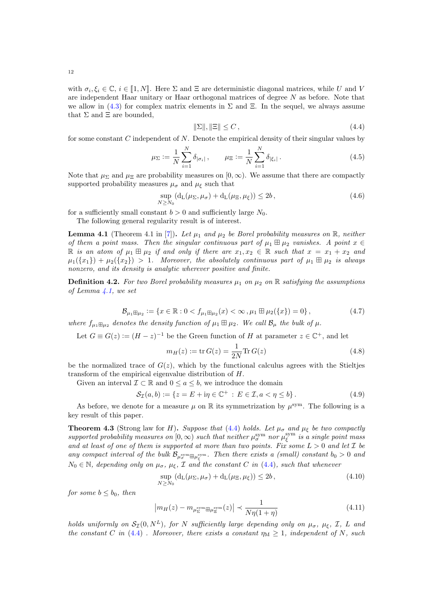<span id="page-11-6"></span><span id="page-11-5"></span><span id="page-11-3"></span>
$$
\|\Sigma\|, \|\Xi\| \le C\,,\tag{4.4}
$$

for some constant  $C$  independent of  $N$ . Denote the empirical density of their singular values by

we allow in [\(4.3\)](#page-10-4) for complex matrix elements in  $\Sigma$  and  $\Xi$ . In the sequel, we always assume

$$
\mu_{\Sigma} := \frac{1}{N} \sum_{i=1}^{N} \delta_{|\sigma_i|} , \qquad \mu_{\Xi} := \frac{1}{N} \sum_{i=1}^{N} \delta_{|\xi_i|} .
$$
 (4.5)

Note that  $\mu_{\Sigma}$  and  $\mu_{\Xi}$  are probability measures on  $[0,\infty)$ . We assume that there are compactly supported probability measures  $\mu_{\sigma}$  and  $\mu_{\xi}$  such that

$$
\sup_{N \ge N_0} \left( d_L(\mu_\Sigma, \mu_\sigma) + d_L(\mu_\Xi, \mu_\xi) \right) \le 2b \,, \tag{4.6}
$$

for a sufficiently small constant  $b > 0$  and sufficiently large  $N_0$ .

The following general regularity result is of interest.

<span id="page-11-2"></span>**Lemma 4.1** (Theorem 4.1 in [\[7\]](#page-59-13)). Let  $\mu_1$  and  $\mu_2$  be Borel probability measures on R, neither of them a point mass. Then the singular continuous part of  $\mu_1 \boxplus \mu_2$  vanishes. A point  $x \in$ R is an atom of  $\mu_1 \boxplus \mu_2$  if and only if there are  $x_1, x_2 \in \mathbb{R}$  such that  $x = x_1 + x_2$  and  $\mu_1(\{x_1\}) + \mu_2(\{x_2\}) > 1$ . Moreover, the absolutely continuous part of  $\mu_1 \boxplus \mu_2$  is always nonzero, and its density is analytic wherever positive and finite.

<span id="page-11-0"></span>**Definition 4.2.** For two Borel probability measures  $\mu_1$  on  $\mu_2$  on R satisfying the assumptions of Lemma  $\angle 4.1$ , we set

$$
\mathcal{B}_{\mu_1 \boxplus \mu_2} := \{ x \in \mathbb{R} : 0 < f_{\mu_1 \boxplus \mu_2}(x) < \infty \,, \mu_1 \boxplus \mu_2(\{x\}) = 0 \},\tag{4.7}
$$

where  $f_{\mu_1 \boxplus \mu_2}$  denotes the density function of  $\mu_1 \boxplus \mu_2$ . We call  $\mathcal{B}_{\mu}$  the bulk of  $\mu$ .

Let  $G \equiv G(z) := (H - z)^{-1}$  be the Green function of H at parameter  $z \in \mathbb{C}^+$ , and let

<span id="page-11-7"></span>
$$
m_H(z) := \text{tr}\, G(z) = \frac{1}{2N} \text{Tr}\, G(z)
$$
\n(4.8)

be the normalized trace of  $G(z)$ , which by the functional calculus agrees with the Stieltjes transform of the empirical eigenvalue distribution of H.

Given an interval  $\mathcal{I} \subset \mathbb{R}$  and  $0 \leq a \leq b$ , we introduce the domain

$$
\mathcal{S}_{\mathcal{I}}(a,b) := \{ z = E + i\eta \in \mathbb{C}^+ : E \in \mathcal{I}, a < \eta \le b \}.
$$
 (4.9)

As before, we denote for a measure  $\mu$  on  $\mathbb R$  its symmetrization by  $\mu^{\text{sym}}$ . The following is a key result of this paper.

<span id="page-11-1"></span>**Theorem 4.3** (Strong law for H). Suppose that [\(4.4\)](#page-11-3) holds. Let  $\mu_{\sigma}$  and  $\mu_{\xi}$  be two compactly supported probability measures on  $[0, \infty)$  such that neither  $\mu_{\sigma}^{\text{sym}}$  nor  $\mu_{\xi}^{\text{sym}}$  is a single point mass and at least of one of them is supported at more than two points. Fix some  $L > 0$  and let  $\mathcal I$  be any compact interval of the bulk  $\mathcal{B}_{\mu_{\sigma}^{\text{sym}}\boxplus\mu_{\xi}^{\text{sym}}}$ . Then there exists a (small) constant  $b_0 > 0$  and  $N_0 \in \mathbb{N}$ , depending only on  $\mu_{\sigma}$ ,  $\mu_{\xi}$ ,  $\mathcal I$  and the constant C in [\(4.4\)](#page-11-3), such that whenever

<span id="page-11-4"></span>
$$
\sup_{N \ge N_0} \left( d_L(\mu_\Sigma, \mu_\sigma) + d_L(\mu_\Xi, \mu_\xi) \right) \le 2b \,, \tag{4.10}
$$

for some  $b \leq b_0$ , then

$$
\left| m_H(z) - m_{\mu_{\Sigma}^{\text{sym}} \boxplus \mu_{\Xi}^{\text{sym}}}(z) \right| \prec \frac{1}{N\eta(1+\eta)}
$$
\n(4.11)

holds uniformly on  $S_7(0, N^L)$ , for N sufficiently large depending only on  $\mu_{\sigma}$ ,  $\mu_{\sigma}$ ,  $\mathcal{I}$ , L and the constant C in [\(4.4\)](#page-11-3). Moreover, there exists a constant  $\eta_M \geq 1$ , independent of N, such

that  $\Sigma$  and  $\Xi$  are bounded,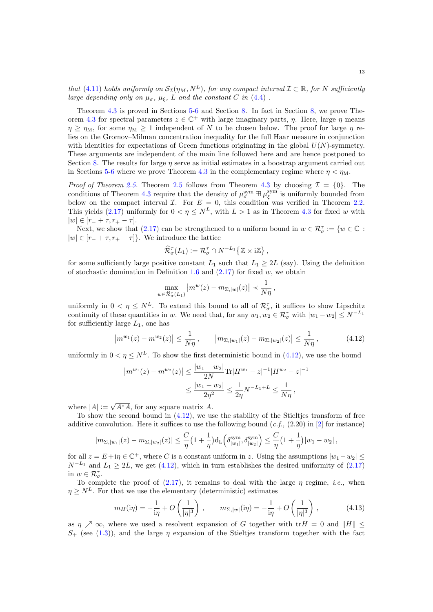that [\(4.11\)](#page-11-4) holds uniformly on  $\mathcal{S}_{\mathcal{I}}(\eta_M, N^L)$ , for any compact interval  $\mathcal{I} \subset \mathbb{R}$ , for N sufficiently large depending only on  $\mu_{\sigma}$ ,  $\mu_{\xi}$ , L and the constant C in [\(4.4\)](#page-11-3).

Theorem [4.3](#page-11-1) is proved in Sections [5-](#page-16-0)[6](#page-36-0) and Section [8.](#page-50-0) In fact in Section [8,](#page-50-0) we prove The-orem [4.3](#page-11-1) for spectral parameters  $z \in \mathbb{C}^+$  with large imaginary parts,  $\eta$ . Here, large  $\eta$  means  $\eta > \eta_M$ , for some  $\eta_M > 1$  independent of N to be chosen below. The proof for large  $\eta$  relies on the Gromov–Milman concentration inequality for the full Haar measure in conjunction with identities for expectations of Green functions originating in the global  $U(N)$ -symmetry. These arguments are independent of the main line followed here and are hence postponed to Section [8.](#page-50-0) The results for large  $\eta$  serve as initial estimates in a boostrap argument carried out in Sections [5](#page-16-0)[-6](#page-36-0) where we prove Theorem [4.3](#page-11-1) in the complementary regime where  $\eta < \eta_M$ .

*Proof of Theorem [2.5.](#page-7-2)* Theorem [2.5](#page-7-2) follows from Theorem [4.3](#page-11-1) by choosing  $\mathcal{I} = \{0\}$ . The conditions of Theorem [4.3](#page-11-1) require that the density of  $\mu_{\sigma}^{\text{sym}} \boxplus \mu_{\xi}^{\text{sym}}$  is uniformly bounded from below on the compact interval  $\mathcal{I}$ . For  $E = 0$ , this condition was verified in Theorem [2.2.](#page-6-1) This yields [\(2.17\)](#page-7-1) uniformly for  $0 < \eta \leq N^L$ , with  $L > 1$  as in Theorem [4.3](#page-11-1) for fixed w with  $|w| \in [r_- + \tau, r_+ - \tau].$ 

Next, we show that [\(2.17\)](#page-7-1) can be strengthened to a uniform bound in  $w \in \mathcal{R}_{\sigma}^{\tau} := \{w \in \mathbb{C} :$  $|w| \in [r_- + \tau, r_+ - \tau]$ . We introduce the lattice

$$
\widehat{\mathcal{R}}_{\sigma}^{\tau}(L_1) := \mathcal{R}_{\sigma}^{\tau} \cap N^{-L_1}\big\{\mathbb{Z} \times i\mathbb{Z}\big\}\,,
$$

for some sufficiently large positive constant  $L_1$  such that  $L_1 \geq 2L$  (say). Using the definition of stochastic domination in Definition [1.6](#page-2-6) and  $(2.17)$  for fixed w, we obtain

<span id="page-12-0"></span>
$$
\max_{w \in \widehat{\mathcal{R}}_{\sigma}^{\tau}(L_1)} |m^w(z) - m_{\Sigma,|w|}(z)| \prec \frac{1}{N\eta},
$$

uniformly in  $0 < \eta \leq N^L$ . To extend this bound to all of  $\mathcal{R}^{\tau}_{\sigma}$ , it suffices to show Lipschitz continuity of these quantities in w. We need that, for any  $w_1, w_2 \in \mathcal{R}_{\sigma}^{\tau}$  with  $|w_1 - w_2| \le N^{-L_1}$ for sufficiently large  $L_1$ , one has

$$
\left| m^{w_1}(z) - m^{w_2}(z) \right| \le \frac{1}{N\eta}, \qquad \left| m_{\Sigma, |w_1|}(z) - m_{\Sigma, |w_2|}(z) \right| \le \frac{1}{N\eta}, \tag{4.12}
$$

uniformly in  $0 < \eta \leq N^L$ . To show the first deterministic bound in [\(4.12\)](#page-12-0), we use the bound

$$
|m^{w_1}(z) - m^{w_2}(z)| \le \frac{|w_1 - w_2|}{2N} \text{Tr}|H^{w_1} - z|^{-1}|H^{w_2} - z|^{-1}
$$
  

$$
\le \frac{|w_1 - w_2|}{2\eta^2} \le \frac{1}{2\eta} N^{-L_1 + L} \le \frac{1}{N\eta},
$$

where  $|A| :=$  $\sqrt{A^*A}$ , for any square matrix A.

To show the second bound in [\(4.12\)](#page-12-0), we use the stability of the Stieltjes transform of free additive convolution. Here it suffices to use the following bound  $(c.f., (2.20)$  in [\[2\]](#page-59-8) for instance)

$$
|m_{\Sigma,|w_1|}(z)-m_{\Sigma,|w_2|}(z)|\leq \frac{C}{\eta}\left(1+\frac{1}{\eta}\right) d_{\rm L}\left(\delta^{\rm sym}_{|w_1|},\delta^{\rm sym}_{|w_2|}\right)\leq \frac{C}{\eta}\left(1+\frac{1}{\eta}\right)|w_1-w_2|\,,
$$

for all  $z = E + i\eta \in \mathbb{C}^+$ , where C is a constant uniform in z. Using the assumptions  $|w_1 - w_2| \le$  $N^{-L_1}$  and  $L_1 \geq 2L$ , we get [\(4.12\)](#page-12-0), which in turn establishes the desired uniformity of [\(2.17\)](#page-7-1) in  $w \in \mathcal{R}_{\sigma}^{\tau}$ .

To complete the proof of  $(2.17)$ , it remains to deal with the large  $\eta$  regime, *i.e.*, when  $\eta > N^L$ . For that we use the elementary (deterministic) estimates

<span id="page-12-1"></span>
$$
m_H(i\eta) = -\frac{1}{i\eta} + O\left(\frac{1}{|\eta|^3}\right), \qquad m_{\Sigma,|w|}(i\eta) = -\frac{1}{i\eta} + O\left(\frac{1}{|\eta|^3}\right), \tag{4.13}
$$

as  $n \nearrow \infty$ , where we used a resolvent expansion of G together with tr $H = 0$  and  $\|H\| \leq$  $S_{+}$  (see [\(1.3\)](#page-0-2)), and the large  $\eta$  expansion of the Stieltjes transform together with the fact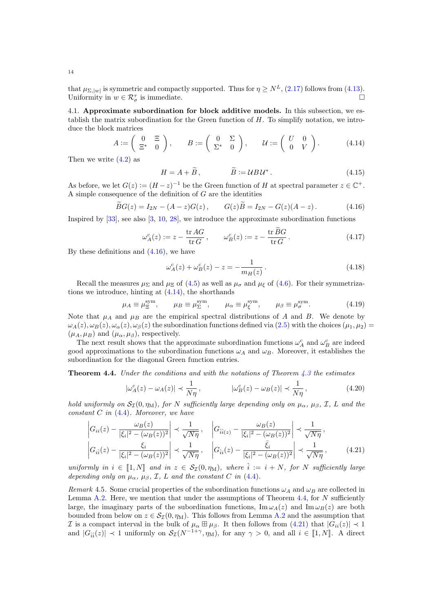that  $\mu_{\Sigma, |w|}$  is symmetric and compactly supported. Thus for  $\eta \ge N^L$ , [\(2.17\)](#page-7-1) follows from [\(4.13\)](#page-12-1). Uniformity in  $w \in \mathcal{R}_{\sigma}^{\tau}$  is immediate.

4.1. Approximate subordination for block additive models. In this subsection, we establish the matrix subordination for the Green function of  $H$ . To simplify notation, we introduce the block matrices

$$
A := \begin{pmatrix} 0 & \Xi \\ \Xi^* & 0 \end{pmatrix}, \qquad B := \begin{pmatrix} 0 & \Sigma \\ \Sigma^* & 0 \end{pmatrix}, \qquad \mathcal{U} := \begin{pmatrix} U & 0 \\ 0 & V \end{pmatrix}.
$$
 (4.14)

Then we write  $(4.2)$  as

<span id="page-13-4"></span><span id="page-13-1"></span><span id="page-13-0"></span>
$$
H = A + \widetilde{B}, \qquad \qquad \widetilde{B} := U B U^* \,. \tag{4.15}
$$

As before, we let  $G(z) := (H - z)^{-1}$  be the Green function of H at spectral parameter  $z \in \mathbb{C}^+$ . A simple consequence of the definition of G are the identities

$$
\widetilde{B}G(z) = I_{2N} - (A - z)G(z), \qquad G(z)\widetilde{B} = I_{2N} - G(z)(A - z). \tag{4.16}
$$

Inspired by [\[33\]](#page-60-14), see also [\[3,](#page-59-5) [10,](#page-59-0) [28\]](#page-60-11), we introduce the approximate subordination functions

$$
\omega_A^c(z) := z - \frac{\text{tr} \, AG}{\text{tr} \, G}, \qquad \omega_B^c(z) := z - \frac{\text{tr} \, BG}{\text{tr} \, G} \,. \tag{4.17}
$$

By these definitions and [\(4.16\)](#page-13-0), we have

<span id="page-13-7"></span><span id="page-13-6"></span><span id="page-13-5"></span>
$$
\omega_A^c(z) + \omega_B^c(z) - z = -\frac{1}{m_H(z)}.
$$
\n(4.18)

Recall the measures  $\mu_{\Sigma}$  and  $\mu_{\Xi}$  of [\(4.5\)](#page-11-5) as well as  $\mu_{\sigma}$  and  $\mu_{\xi}$  of [\(4.6\)](#page-11-6). For their symmetrizations we introduce, hinting at [\(4.14\)](#page-13-1), the shorthands

$$
\mu_A \equiv \mu_{\Xi}^{\text{sym}}, \qquad \mu_B \equiv \mu_{\Sigma}^{\text{sym}}, \qquad \mu_{\alpha} \equiv \mu_{\xi}^{\text{sym}}, \qquad \mu_{\beta} \equiv \mu_{\sigma}^{\text{sym}}.
$$
\n(4.19)

Note that  $\mu_A$  and  $\mu_B$  are the empirical spectral distributions of A and B. We denote by  $\omega_A(z), \omega_B(z), \omega_\alpha(z), \omega_\beta(z)$  the subordination functions defined via [\(2.5\)](#page-5-3) with the choices  $(\mu_1, \mu_2)$  $(\mu_A, \mu_B)$  and  $(\mu_\alpha, \mu_\beta)$ , respectively.

The next result shows that the approximate subordination functions  $\omega_A^c$  and  $\omega_B^c$  are indeed good approximations to the subordination functions  $\omega_A$  and  $\omega_B$ . Moreover, it establishes the subordination for the diagonal Green function entries.

<span id="page-13-2"></span>**Theorem 4.4.** Under the conditions and with the notations of Theorem [4.3](#page-11-1) the estimates

<span id="page-13-3"></span>
$$
|\omega_A^c(z) - \omega_A(z)| \prec \frac{1}{N\eta}, \qquad |\omega_B^c(z) - \omega_B(z)| \prec \frac{1}{N\eta}, \qquad (4.20)
$$

hold uniformly on  $S_1(0, \eta_M)$ , for N sufficiently large depending only on  $\mu_\alpha$ ,  $\mu_\beta$ , I, L and the constant  $C$  in  $(4.4)$ . Moreover, we have

$$
\left| G_{ii}(z) - \frac{\omega_B(z)}{|\xi_i|^2 - (\omega_B(z))^2} \right| \prec \frac{1}{\sqrt{N\eta}}, \quad \left| G_{\hat{i}i}(z) - \frac{\omega_B(z)}{|\xi_i|^2 - (\omega_B(z))^2} \right| \prec \frac{1}{\sqrt{N\eta}},
$$
  

$$
\left| G_{i\hat{i}}(z) - \frac{\xi_i}{|\xi_i|^2 - (\omega_B(z))^2} \right| \prec \frac{1}{\sqrt{N\eta}}, \quad \left| G_{\hat{i}i}(z) - \frac{\bar{\xi}_i}{|\xi_i|^2 - (\omega_B(z))^2} \right| \prec \frac{1}{\sqrt{N\eta}}, \quad (4.21)
$$

uniformly in  $i \in [1, N]$  and in  $z \in S_{\mathcal{I}}(0, \eta_M)$ , where  $\hat{i} := i + N$ , for N sufficiently large depending only on  $\mu_{\alpha}$ ,  $\mu_{\beta}$ , I, L and the constant C in [\(4.4\)](#page-11-3).

Remark 4.5. Some crucial properties of the subordination functions  $\omega_A$  and  $\omega_B$  are collected in Lemma [A.2.](#page-56-0) Here, we mention that under the assumptions of Theorem  $4.4$ , for N sufficiently large, the imaginary parts of the subordination functions,  $\text{Im}\,\omega_A(z)$  and  $\text{Im}\,\omega_B(z)$  are both bounded from below on  $z \in \mathcal{S}_{\tau}(0, \eta_M)$ . This follows from Lemma [A.2](#page-56-0) and the assumption that *I* is a compact interval in the bulk of  $\mu_{\alpha} \boxplus \mu_{\beta}$ . It then follows from [\(4.21\)](#page-13-3) that  $|G_{ii}(z)| \prec 1$ and  $|G_{\hat{i}\hat{i}}(z)| \prec 1$  uniformly on  $\mathcal{S}_{\mathcal{I}}(N^{-1+\gamma}, \eta_M)$ , for any  $\gamma > 0$ , and all  $i \in [1, N]$ . A direct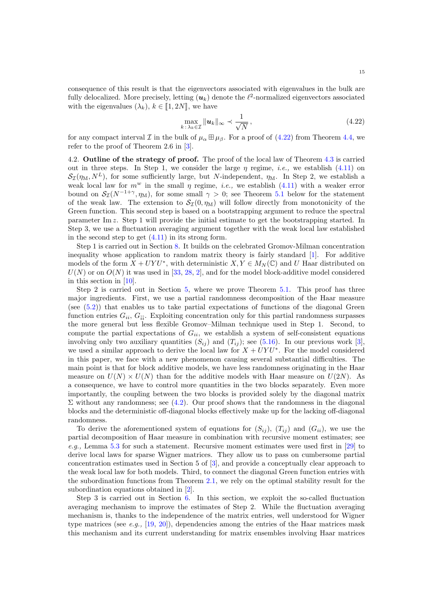consequence of this result is that the eigenvectors associated with eigenvalues in the bulk are fully delocalized. More precisely, letting  $(u_k)$  denote the  $\ell^2$ -normalized eigenvectors associated with the eigenvalues  $(\lambda_k)$ ,  $k \in [1, 2N]$ , we have

<span id="page-14-1"></span>
$$
\max_{k\,:\,\lambda_k\in\mathcal{I}}\|\mathbf{u}_k\|_{\infty}\prec\frac{1}{\sqrt{N}}\,,\tag{4.22}
$$

for any compact interval I in the bulk of  $\mu_{\alpha} \boxplus \mu_{\beta}$ . For a proof of [\(4.22\)](#page-14-1) from Theorem [4.4,](#page-13-2) we refer to the proof of Theorem 2.6 in [\[3\]](#page-59-5).

<span id="page-14-0"></span>4.2. Outline of the strategy of proof. The proof of the local law of Theorem [4.3](#page-11-1) is carried out in three steps. In Step 1, we consider the large  $\eta$  regime, *i.e.*, we establish [\(4.11\)](#page-11-4) on  $\mathcal{S}_{\mathcal{I}}(\eta_{\rm M}, N^L)$ , for some sufficiently large, but N-independent,  $\eta_{\rm M}$ . In Step 2, we establish a weak local law for  $m^w$  in the small  $\eta$  regime, *i.e.*, we establish [\(4.11\)](#page-11-4) with a weaker error bound on  $S_{\mathcal{I}}(N^{-1+\gamma}, \eta_M)$ , for some small  $\gamma > 0$ ; see Theorem [5.1](#page-19-0) below for the statement of the weak law. The extension to  $S_{\mathcal{I}}(0, \eta_M)$  will follow directly from monotonicity of the Green function. This second step is based on a bootstrapping argument to reduce the spectral parameter Im z. Step 1 will provide the initial estimate to get the bootstrapping started. In Step 3, we use a fluctuation averaging argument together with the weak local law established in the second step to get  $(4.11)$  in its strong form.

Step 1 is carried out in Section [8.](#page-50-0) It builds on the celebrated Gromov-Milman concentration inequality whose application to random matrix theory is fairly standard [\[1\]](#page-59-15). For additive models of the form  $X + UYU^*$ , with deterministic  $X, Y \in M_N(\mathbb{C})$  and U Haar distributed on  $U(N)$  or on  $O(N)$  it was used in [\[33,](#page-60-14) [28,](#page-60-11) [2\]](#page-59-8), and for the model block-additive model considered in this section in [\[10\]](#page-59-0).

Step 2 is carried out in Section [5,](#page-16-0) where we prove Theorem [5.1.](#page-19-0) This proof has three major ingredients. First, we use a partial randomness decomposition of the Haar measure (see [\(5.2\)](#page-16-1)) that enables us to take partial expectations of functions of the diagonal Green function entries  $G_{ii}$ ,  $G_{\hat{i}\hat{i}}$ . Exploiting concentration only for this partial randomness surpasses the more general but less flexible Gromov–Milman technique used in Step 1. Second, to compute the partial expectations of  $G_{ii}$ , we establish a system of self-consistent equations involving only two auxiliary quantities  $(S_{ij})$  and  $(T_{ij})$ ; see [\(5.16\)](#page-18-0). In our previous work [\[3\]](#page-59-5), we used a similar approach to derive the local law for  $X + UYU^*$ . For the model considered in this paper, we face with a new phenomenon causing several substantial difficulties. The main point is that for block additive models, we have less randomness originating in the Haar measure on  $U(N) \times U(N)$  than for the additive models with Haar measure on  $U(2N)$ . As a consequence, we have to control more quantities in the two blocks separately. Even more importantly, the coupling between the two blocks is provided solely by the diagonal matrix  $\Sigma$  without any randomness; see [\(4.2\)](#page-10-0). Our proof shows that the randomness in the diagonal blocks and the deterministic off-diagonal blocks effectively make up for the lacking off-diagonal randomness.

To derive the aforementioned system of equations for  $(S_{ij})$ ,  $(T_{ij})$  and  $(G_{ii})$ , we use the partial decomposition of Haar measure in combination with recursive moment estimates; see e.g., Lemma [5.3](#page-21-0) for such a statement. Recursive moment estimates were used first in [\[29\]](#page-60-15) to derive local laws for sparse Wigner matrices. They allow us to pass on cumbersome partial concentration estimates used in Section 5 of [\[3\]](#page-59-5), and provide a conceptually clear approach to the weak local law for both models. Third, to connect the diagonal Green function entries with the subordination functions from Theorem [2.1,](#page-5-5) we rely on the optimal stability result for the subordination equations obtained in [\[2\]](#page-59-8).

Step 3 is carried out in Section [6.](#page-36-0) In this section, we exploit the so-called fluctuation averaging mechanism to improve the estimates of Step 2. While the fluctuation averaging mechanism is, thanks to the independence of the matrix entries, well understood for Wigner type matrices (see e.g., [\[19,](#page-60-16) [20\]](#page-60-3)), dependencies among the entries of the Haar matrices mask this mechanism and its current understanding for matrix ensembles involving Haar matrices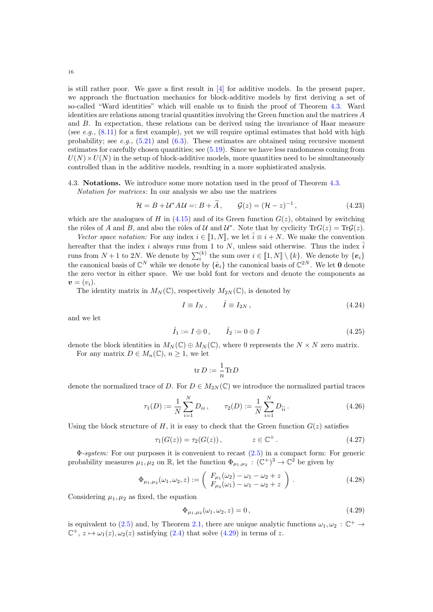is still rather poor. We gave a first result in [\[4\]](#page-59-6) for additive models. In the present paper, we approach the fluctuation mechanics for block-additive models by first deriving a set of so-called "Ward identities" which will enable us to finish the proof of Theorem [4.3.](#page-11-1) Ward identities are relations among tracial quantities involving the Green function and the matrices A and B. In expectation, these relations can be derived using the invariance of Haar measure (see e.g.,  $(8.11)$  for a first example), yet we will require optimal estimates that hold with high probability; see e.g.,  $(5.21)$  and  $(6.3)$ . These estimates are obtained using recursive moment estimates for carefully chosen quantities; see [\(5.19\)](#page-18-2). Since we have less randomness coming from  $U(N) \times U(N)$  in the setup of block-additive models, more quantities need to be simultaneously controlled than in the additive models, resulting in a more sophisticated analysis.

4.3. Notations. We introduce some more notation used in the proof of Theorem [4.3.](#page-11-1)

Notation for matrices: In our analysis we also use the matrices

$$
\mathcal{H} = B + \mathcal{U}^* A \mathcal{U} =: B + \widetilde{A}, \qquad \mathcal{G}(z) = (\mathcal{H} - z)^{-1}, \tag{4.23}
$$

which are the analogues of H in [\(4.15\)](#page-13-4) and of its Green function  $G(z)$ , obtained by switching the rôles of A and B, and also the rôles of U and  $\mathcal{U}^*$ . Note that by cyclicity  $\text{Tr}G(z) = \text{Tr}\mathcal{G}(z)$ .

Vector space notation: For any index  $i \in [1, N]$ , we let  $\hat{i} \equiv i + N$ . We make the convention hereafter that the index i always runs from 1 to N, unless said otherwise. Thus the index  $\hat{i}$ runs from  $N + 1$  to 2N. We denote by  $\sum_{i}^{(k)}$  the sum over  $i \in [1, N] \setminus \{k\}$ . We denote by  $\{e_i\}$  the canonical basis of  $\mathbb{C}^{2N}$ . We let **0** denote the zero vector in either space. We use bold font for vectors and denote the components as  $\mathbf{v}=(v_i).$ 

The identity matrix in  $M_N(\mathbb{C})$ , respectively  $M_{2N}(\mathbb{C})$ , is denoted by

<span id="page-15-2"></span>
$$
I \equiv I_N \,, \qquad \hat{I} \equiv I_{2N} \,, \tag{4.24}
$$

and we let

$$
\hat{I}_1 := I \oplus 0, \qquad \hat{I}_2 := 0 \oplus I \tag{4.25}
$$

denote the block identities in  $M_N(\mathbb{C}) \oplus M_N(\mathbb{C})$ , where 0 represents the  $N \times N$  zero matrix. For any matrix  $D \in M_n(\mathbb{C}), n \geq 1$ , we let

<span id="page-15-4"></span><span id="page-15-3"></span><span id="page-15-1"></span>
$$
\mathrm{tr} \, D := \frac{1}{n} \mathrm{Tr} D
$$

denote the normalized trace of D. For  $D \in M_{2N}(\mathbb{C})$  we introduce the normalized partial traces

$$
\tau_1(D) := \frac{1}{N} \sum_{i=1}^N D_{ii}, \qquad \tau_2(D) := \frac{1}{N} \sum_{i=1}^N D_{\hat{i}\hat{i}}.
$$
\n(4.26)

Using the block structure of H, it is easy to check that the Green function  $G(z)$  satisfies

$$
\tau_1(G(z)) = \tau_2(G(z)), \qquad z \in \mathbb{C}^+ \,. \tag{4.27}
$$

Φ-system: For our purposes it is convenient to recast [\(2.5\)](#page-5-3) in a compact form: For generic probability measures  $\mu_1, \mu_2$  on R, let the function  $\Phi_{\mu_1,\mu_2} : (\mathbb{C}^+)^3 \to \mathbb{C}^2$  be given by

$$
\Phi_{\mu_1,\mu_2}(\omega_1,\omega_2,z) := \begin{pmatrix} F_{\mu_1}(\omega_2) - \omega_1 - \omega_2 + z \\ F_{\mu_2}(\omega_1) - \omega_1 - \omega_2 + z \end{pmatrix} . \tag{4.28}
$$

Considering  $\mu_1, \mu_2$  as fixed, the equation

<span id="page-15-5"></span><span id="page-15-0"></span>
$$
\Phi_{\mu_1,\mu_2}(\omega_1,\omega_2,z) = 0, \qquad (4.29)
$$

is equivalent to [\(2.5\)](#page-5-3) and, by Theorem [2.1,](#page-5-5) there are unique analytic functions  $\omega_1, \omega_2 : \mathbb{C}^+ \to$  $\mathbb{C}^+$ ,  $z \mapsto \omega_1(z)$ ,  $\omega_2(z)$  satisfying [\(2.4\)](#page-5-0) that solve [\(4.29\)](#page-15-0) in terms of z.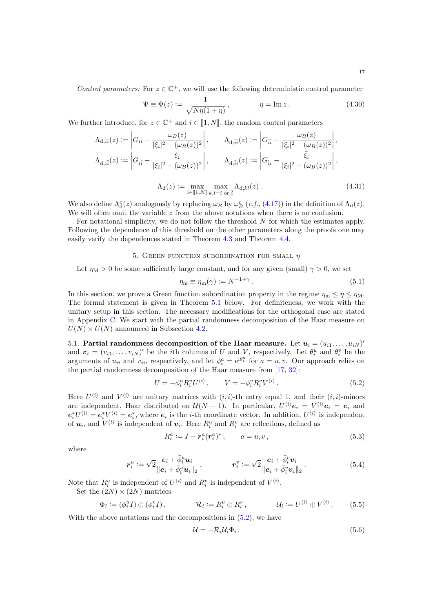Control parameters: For  $z \in \mathbb{C}^+$ , we will use the following deterministic control parameter

<span id="page-16-5"></span>
$$
\Psi \equiv \Psi(z) := \frac{1}{\sqrt{N\eta(1+\eta)}}, \qquad \eta = \text{Im}\,z. \qquad (4.30)
$$

We further introduce, for  $z \in \mathbb{C}^+$  and  $i \in [1, N]$ , the random control parameters

$$
\Lambda_{d;ii}(z) := \left| G_{ii} - \frac{\omega_B(z)}{|\xi_i|^2 - (\omega_B(z))^2} \right|, \qquad \Lambda_{d;ii}(z) := \left| G_{\hat{i}\hat{i}} - \frac{\omega_B(z)}{|\xi_i|^2 - (\omega_B(z))^2} \right|,
$$
\n
$$
\Lambda_{d;ii}(z) := \left| G_{i\hat{i}} - \frac{\xi_i}{|\xi_i|^2 - (\omega_B(z))^2} \right|, \qquad \Lambda_{d;ii}(z) := \left| G_{\hat{i}i} - \frac{\bar{\xi}_i}{|\xi_i|^2 - (\omega_B(z))^2} \right|,
$$

<span id="page-16-4"></span>
$$
\Lambda_{d}(z) := \max_{i \in [1,N]}\max_{k,l=i \text{ or } i} \Lambda_{d;kl}(z).
$$
\n(4.31)

We also define  $\Lambda_d^c(z)$  analogously by replacing  $\omega_B$  by  $\omega_B^c$  (*c.f.*, [\(4.17\)](#page-13-5)) in the definition of  $\Lambda_d(z)$ . We will often omit the variable  $z$  from the above notations when there is no confusion.

For notational simplicity, we do not follow the threshold N for which the estimates apply. Following the dependence of this threshold on the other parameters along the proofs one may easily verify the dependences stated in Theorem [4.3](#page-11-1) and Theorem [4.4.](#page-13-2)

### 5. GREEN FUNCTION SUBORDINATION FOR SMALL  $\eta$

<span id="page-16-0"></span>Let  $\eta_M > 0$  be some sufficiently large constant, and for any given (small)  $\gamma > 0$ , we set

<span id="page-16-6"></span>
$$
\eta_{\mathbf{m}} \equiv \eta_{\mathbf{m}}(\gamma) := N^{-1+\gamma} \,. \tag{5.1}
$$

In this section, we prove a Green function subordination property in the regime  $\eta_m \leq \eta \leq \eta_M$ . The formal statement is given in Theorem [5.1](#page-19-0) below. For definiteness, we work with the unitary setup in this section. The necessary modifications for the orthogonal case are stated in Appendix [C.](#page-58-0) We start with the partial randomness decomposition of the Haar measure on  $U(N) \times U(N)$  announced in Subsection [4.2.](#page-14-0)

5.1. Partial randomness decomposition of the Haar measure. Let  $\boldsymbol{u}_i = (u_{i1}, \dots, u_{iN})'$ and  $\mathbf{v}_i = (v_{i1}, \dots, v_{iN})'$  be the *i*th columns of U and V, respectively. Let  $\theta_i^u$  and  $\theta_i^v$  be the arguments of  $u_{ii}$  and  $v_{ii}$ , respectively, and let  $\phi_i^a = e^{i\theta_i^a}$  for  $a = u, v$ . Our approach relies on the partial randomness decomposition of the Haar measure from [\[17,](#page-59-16) [32\]](#page-60-17):

$$
U = -\phi_i^u R_i^u U^{\langle i \rangle}, \qquad V = -\phi_i^v R_i^v V^{\langle i \rangle}.
$$
\n
$$
(5.2)
$$

Here  $U^{(i)}$  and  $V^{(i)}$  are unitary matrices with  $(i, i)$ -th entry equal 1, and their  $(i, i)$ -minors are independent, Haar distributed on  $\mathcal{U}(N-1)$ . In particular,  $U^{(i)}e_i = V^{(i)}e_i = e_i$  and  $e_i^* U^{(i)} = e_i^* V^{(i)} = e_i^*$ , where  $e_i$  is the *i*-th coordinate vector. In addition,  $U^{(i)}$  is independent of  $u_i$ , and  $V^{\langle i \rangle}$  is independent of  $v_i$ . Here  $R_i^u$  and  $R_i^v$  are reflections, defined as

<span id="page-16-7"></span><span id="page-16-1"></span>
$$
R_i^a := I - r_i^a (r_i^a)^*, \qquad a = u, v,
$$
\n(5.3)

where

$$
\boldsymbol{r}_i^u := \sqrt{2} \frac{\boldsymbol{e}_i + \bar{\phi}_i^u \boldsymbol{u}_i}{\|\boldsymbol{e}_i + \bar{\phi}_i^u \boldsymbol{u}_i\|_2}, \qquad \qquad \boldsymbol{r}_i^v := \sqrt{2} \frac{\boldsymbol{e}_i + \bar{\phi}_i^v \boldsymbol{v}_i}{\|\boldsymbol{e}_i + \bar{\phi}_i^v \boldsymbol{v}_i\|_2}.
$$
\n
$$
(5.4)
$$

Note that  $R_i^u$  is independent of  $U^{\langle i \rangle}$  and  $R_i^v$  is independent of  $V^{\langle i \rangle}$ .

Set the  $(2N) \times (2N)$  matrices

$$
\Phi_i := (\phi_i^u I) \oplus (\phi_i^v I), \qquad \mathcal{R}_i := R_i^u \oplus R_i^v, \qquad \mathcal{U}_i := U^{\langle i \rangle} \oplus V^{\langle i \rangle}. \qquad (5.5)
$$

With the above notations and the decompositions in [\(5.2\)](#page-16-1), we have

<span id="page-16-8"></span><span id="page-16-3"></span><span id="page-16-2"></span>
$$
\mathcal{U} = -\mathcal{R}_i \mathcal{U}_i \Phi_i \,. \tag{5.6}
$$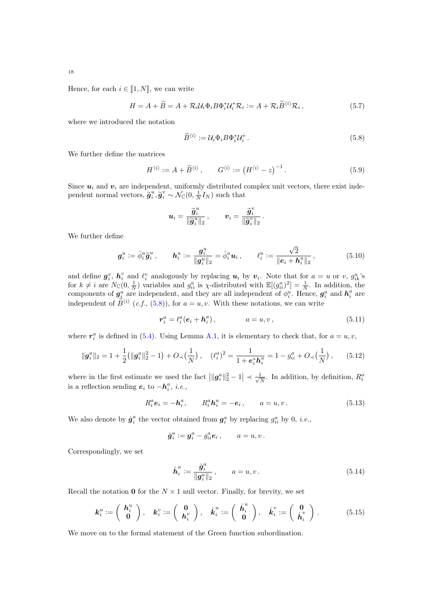Hence, for each  $i \in [1, N]$ , we can write

$$
H = A + \widetilde{B} = A + \mathcal{R}_i \mathcal{U}_i \Phi_i B \Phi_i^* \mathcal{U}_i^* \mathcal{R}_i := A + \mathcal{R}_i \widetilde{B}^{\langle i \rangle} \mathcal{R}_i, \tag{5.7}
$$

where we introduced the notation

<span id="page-17-7"></span><span id="page-17-1"></span><span id="page-17-0"></span>
$$
\widetilde{B}^{\langle i \rangle} := \mathcal{U}_i \Phi_i B \Phi_i^* \mathcal{U}_i^* \,. \tag{5.8}
$$

We further define the matrices

$$
H^{\langle i \rangle} := A + \widetilde{B}^{\langle i \rangle}, \qquad G^{\langle i \rangle} := \left(H^{\langle i \rangle} - z\right)^{-1}.
$$
 (5.9)

Since  $u_i$  and  $v_i$  are independent, uniformly distributed complex unit vectors, there exist independent normal vectors,  $\tilde{g}_i^u, \tilde{g}_i^v \sim \mathcal{N}_{\mathbb{C}}(0, \frac{1}{N}I_N)$  such that

<span id="page-17-5"></span>
$$
\boldsymbol{u}_i = \frac{\widetilde{\boldsymbol{g}}_i^u}{\|\widetilde{\boldsymbol{g}}_i^u\|_2}\,, \qquad \boldsymbol{v}_i = \frac{\widetilde{\boldsymbol{g}}_i^v}{\|\widetilde{\boldsymbol{g}}_i^v\|_2}\,.
$$

We further define

$$
\boldsymbol{g}_i^u := \bar{\phi}_i^u \tilde{\boldsymbol{g}}_i^u, \qquad \boldsymbol{h}_i^u := \frac{\boldsymbol{g}_i^u}{\|\boldsymbol{g}_i^u\|_2} = \bar{\phi}_i^u \boldsymbol{u}_i, \qquad \ell_i^u := \frac{\sqrt{2}}{\|\boldsymbol{e}_i + \boldsymbol{h}_i^u\|_2}, \tag{5.10}
$$

and define  $g_i^v$ ,  $h_i^v$  and  $\ell_i^v$  analogously by replacing  $u_i$  by  $v_i$ . Note that for  $a = u$  or v,  $g_{ik}^a$ 's for  $k \neq i$  are  $N_{\mathbb{C}}(0, \frac{1}{N})$  variables and  $g_{ii}^a$  is  $\chi$ -distributed with  $\mathbb{E}[(g_{ii}^a)^2] = \frac{1}{N}$ . In addition, the components of  $g_i^a$  are independent, and they are all independent of  $\phi_i^a$ . Hence,  $g_i^a$  and  $h_i^a$  are independent of  $\tilde{B}^{\langle i \rangle}$  (*c.f.*, [\(5.8\)](#page-17-0)), for  $a = u, v$ . With these notations, we can write

<span id="page-17-6"></span><span id="page-17-4"></span>
$$
r_i^a = \ell_i^a(e_i + h_i^a), \qquad a = u, v, \qquad (5.11)
$$

where  $r_i^a$  is defined in [\(5.4\)](#page-16-2). Using Lemma [A.1,](#page-55-1) it is elementary to check that, for  $a = u, v$ ,

$$
\|\mathbf{g}_i^a\|_2 = 1 + \frac{1}{2} (\|\mathbf{g}_i^a\|_2^2 - 1) + O_{\prec}(\frac{1}{N}), \quad (\ell_i^a)^2 = \frac{1}{1 + \mathbf{e}_i^* \mathbf{h}_i^a} = 1 - g_{ii}^a + O_{\prec}(\frac{1}{N}), \quad (5.12)
$$

where in the first estimate we used the fact  $\left| \|\mathbf{g}_{i}^{a}\|_{2}^{2} - 1 \right| \prec \frac{1}{\sqrt{2}}$  $\frac{1}{N}$ . In addition, by definition,  $R_i^a$ is a reflection sending  $e_i$  to  $-h_i^a$ , *i.e.*,

$$
R_i^a e_i = -h_i^a, \qquad R_i^a h_i^a = -e_i, \qquad a = u, v. \tag{5.13}
$$

We also denote by  $\mathring{g}_i^a$  the vector obtained from  $g_i^a$  by replacing  $g_{ii}^a$  by 0, *i.e.*,

<span id="page-17-2"></span>
$$
\mathring{\boldsymbol{g}}_i^a := \boldsymbol{g}_i^a - g_{ii}^a \boldsymbol{e}_i \,, \qquad a = u, v \,.
$$

Correspondingly, we set

<span id="page-17-3"></span>
$$
\mathring{\boldsymbol{h}}_i^a := \frac{\mathring{\boldsymbol{g}}_i^a}{\|\boldsymbol{g}_i^a\|_2}, \qquad a = u, v. \tag{5.14}
$$

Recall the notation 0 for the  $N \times 1$  null vector. Finally, for brevity, we set

$$
\boldsymbol{k}_{i}^{u} := \left(\begin{array}{c} \boldsymbol{h}_{i}^{u} \\ \boldsymbol{0} \end{array}\right), \quad \boldsymbol{k}_{i}^{v} := \left(\begin{array}{c} \boldsymbol{0} \\ \boldsymbol{h}_{i}^{v} \end{array}\right), \quad \mathring{\boldsymbol{k}}_{i}^{u} := \left(\begin{array}{c} \mathring{\boldsymbol{h}}_{i}^{u} \\ \boldsymbol{0} \end{array}\right), \quad \mathring{\boldsymbol{k}}_{i}^{v} := \left(\begin{array}{c} \boldsymbol{0} \\ \mathring{\boldsymbol{h}}_{i}^{v} \end{array}\right).
$$
 (5.15)

We move on to the formal statement of the Green function subordination.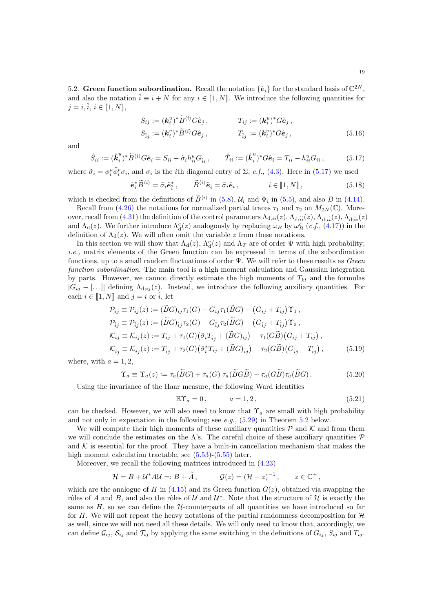5.2. Green function subordination. Recall the notation  $\{\hat{\mathbf{e}}_i\}$  for the standard basis of  $\mathbb{C}^{2N}$ , and also the notation  $\hat{i} \equiv i + N$  for any  $i \in [1, N]$ . We introduce the following quantities for  $j = i$ ,  $\hat{i}$ ,  $i \in [\![1, N]\!]$ ,

<span id="page-18-5"></span><span id="page-18-3"></span><span id="page-18-0"></span>
$$
S_{ij} := (\mathbf{k}_i^u)^* \widetilde{B}^{\langle i \rangle} G \hat{\mathbf{e}}_j, \qquad T_{ij} := (\mathbf{k}_i^u)^* G \hat{\mathbf{e}}_j, S_{\hat{i}j} := (\mathbf{k}_i^v)^* \widetilde{B}^{\langle i \rangle} G \hat{\mathbf{e}}_j, \qquad T_{\hat{i}j} := (\mathbf{k}_i^v)^* G \hat{\mathbf{e}}_j,
$$
(5.16)

and

$$
\mathring{S}_{ii} := (\mathring{k}_i^u)^* \widetilde{B}^{\langle i \rangle} G \hat{e}_i = S_{ii} - \tilde{\sigma}_i h_{ii}^u G_{\hat{i}i}, \qquad \mathring{T}_{ii} := (\mathring{k}_i^u)^* G \hat{e}_i = T_{ii} - h_{ii}^u G_{ii}, \tag{5.17}
$$

where  $\tilde{\sigma}_i = \phi_i^u \bar{\phi}_i^v \sigma_i$ , and  $\sigma_i$  is the *i*th diagonal entry of  $\Sigma$ , *c.f.*, [\(4.3\)](#page-10-4). Here in [\(5.17\)](#page-18-3) we used

$$
\hat{\boldsymbol{e}}_i^* \widetilde{B}^{\langle i \rangle} = \tilde{\sigma}_i \hat{\boldsymbol{e}}_i^*, \qquad \widetilde{B}^{\langle i \rangle} \hat{\boldsymbol{e}}_i = \tilde{\sigma}_i \hat{\boldsymbol{e}}_i, \qquad i \in [\![ 1, N ]\!], \qquad (5.18)
$$

which is checked from the definitions of  $\tilde{B}^{\langle i \rangle}$  in [\(5.8\)](#page-17-0),  $\mathcal{U}_i$  and  $\Phi_i$  in [\(5.5\)](#page-16-3), and also B in [\(4.14\)](#page-13-1).

Recall from [\(4.26\)](#page-15-1) the notations for normalized partial traces  $\tau_1$  and  $\tau_2$  on  $M_{2N}(\mathbb{C})$ . Moreover, recall from  $(4.31)$  the definition of the control parameters  $\Lambda_{\mathrm{d},ii}(z),\Lambda_{\mathrm{d},\hat{i}\hat{i}}(z),\Lambda_{\mathrm{d},\hat{i}\hat{i}}(z),\Lambda_{\mathrm{d},\hat{i}\hat{i}}(z)$ and  $\Lambda_{d}(z)$ . We further introduce  $\Lambda_{d}^{c}(z)$  analogously by replacing  $\omega_{B}$  by  $\omega_{B}^{c}$  (*c.f.*, [\(4.17\)](#page-13-5)) in the definition of  $\Lambda_d(z)$ . We will often omit the variable z from these notations.

In this section we will show that  $\Lambda_d(z)$ ,  $\Lambda_d^c(z)$  and  $\Lambda_T$  are of order  $\Psi$  with high probability; i.e., matrix elements of the Green function can be expressed in terms of the subordination functions, up to a small random fluctuations of order  $\Psi$ . We will refer to these results as *Green* function subordination. The main tool is a high moment calculation and Gaussian integration by parts. However, we cannot directly estimate the high moments of  $T_{kl}$  and the formulas  $|G_{ij} - [\ldots]|$  defining  $\Lambda_{d;ij}(z)$ . Instead, we introduce the following auxiliary quantities. For each  $i \in [1, N]$  and  $j = i$  or  $\hat{i}$ , let

$$
\mathcal{P}_{ij} \equiv \mathcal{P}_{ij}(z) := (\tilde{B}G)_{ij}\tau_1(G) - G_{ij}\tau_1(\tilde{B}G) + (G_{ij} + T_{ij})\Upsilon_1, \n\mathcal{P}_{ij} \equiv \mathcal{P}_{ij}(z) := (\tilde{B}G)_{ij}\tau_2(G) - G_{ij}\tau_2(\tilde{B}G) + (G_{ij} + T_{ij})\Upsilon_2, \n\mathcal{K}_{ij} \equiv \mathcal{K}_{ij}(z) := T_{ij} + \tau_1(G)(\tilde{\sigma}_i T_{ij} + (\tilde{B}G)_{ij}) - \tau_1(G\tilde{B})(G_{ij} + T_{ij}), \n\mathcal{K}_{ij} \equiv \mathcal{K}_{ij}(z) := T_{ij} + \tau_2(G)(\tilde{\sigma}_i^* T_{ij} + (\tilde{B}G)_{ij}) - \tau_2(G\tilde{B})(G_{ij} + T_{ij}),
$$
\n(5.19)

where, with  $a = 1, 2$ ,

$$
\Upsilon_a \equiv \Upsilon_a(z) := \tau_a(\widetilde{B}G) + \tau_a(G)\,\tau_a(\widetilde{B}G\widetilde{B}) - \tau_a(G\widetilde{B})\tau_a(\widetilde{B}G). \tag{5.20}
$$

Using the invariance of the Haar measure, the following Ward identities

<span id="page-18-4"></span><span id="page-18-2"></span><span id="page-18-1"></span>
$$
\mathbb{E}\Upsilon_a = 0, \qquad a = 1, 2, \tag{5.21}
$$

can be checked. However, we will also need to know that  $\Upsilon_a$  are small with high probability and not only in expectation in the following; see  $e.g., (5.29)$  $e.g., (5.29)$  in Theorem [5.2](#page-19-2) below.

We will compute their high moments of these auxiliary quantities  $P$  and K and from them we will conclude the estimates on the  $\Lambda$ 's. The careful choice of these auxiliary quantities  $\mathcal P$ and  $K$  is essential for the proof. They have a built-in cancellation mechanism that makes the high moment calculation tractable, see  $(5.53)$ - $(5.55)$  later.

Moreover, we recall the following matrices introduced in [\(4.23\)](#page-15-2)

$$
\mathcal{H} = B + \mathcal{U}^* A \mathcal{U} =: B + \widetilde{A}, \qquad \mathcal{G}(z) = (\mathcal{H} - z)^{-1}, \qquad z \in \mathbb{C}^+,
$$

which are the analogue of H in  $(4.15)$  and its Green function  $G(z)$ , obtained via swapping the rôles of A and B, and also the rôles of U and  $\mathcal{U}^*$ . Note that the structure of H is exactly the same as  $H$ , so we can define the  $H$ -counterparts of all quantities we have introduced so far for H. We will not repeat the heavy notations of the partial randomness decomposition for  $H$ as well, since we will not need all these details. We will only need to know that, accordingly, we can define  $G_{ij}$ ,  $S_{ij}$  and  $\mathcal{T}_{ij}$  by applying the same switching in the definitions of  $G_{ij}$ ,  $S_{ij}$  and  $T_{ij}$ .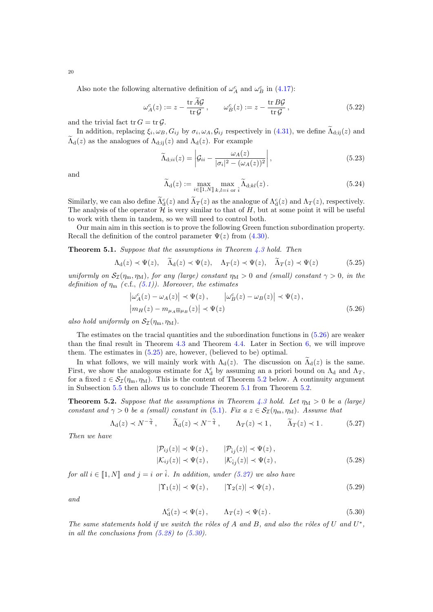Also note the following alternative definition of  $\omega_A^c$  and  $\omega_B^c$  in [\(4.17\)](#page-13-5):

$$
\omega_A^c(z) := z - \frac{\text{tr}\,A\mathcal{G}}{\text{tr}\,\mathcal{G}}, \qquad \omega_B^c(z) := z - \frac{\text{tr}\,B\mathcal{G}}{\text{tr}\,\mathcal{G}},\tag{5.22}
$$

and the trivial fact tr  $G = \text{tr } \mathcal{G}$ .

In addition, replacing  $\xi_i, \omega_B, G_{ij}$  by  $\sigma_i, \omega_A, \mathcal{G}_{ij}$  respectively in [\(4.31\)](#page-16-4), we define  $\Lambda_{d;ij}(z)$  and  $\widetilde{\Lambda}_{d}(z)$  as the analogues of  $\Lambda_{d;ii}(z)$  and  $\Lambda_{d}(z)$ . For example

<span id="page-19-9"></span><span id="page-19-8"></span>
$$
\widetilde{\Lambda}_{d;ii}(z) = \left| \mathcal{G}_{ii} - \frac{\omega_A(z)}{|\sigma_i|^2 - (\omega_A(z))^2} \right|,
$$
\n(5.23)

and

<span id="page-19-4"></span><span id="page-19-3"></span>
$$
\widetilde{\Lambda}_{d}(z) := \max_{i \in [\![1,N]\!]} \max_{k,l=i \text{ or } \hat{i}} \widetilde{\Lambda}_{d;kl}(z).
$$
\n(5.24)

Similarly, we can also define  $\Lambda^c(z)$  and  $\Lambda_T(z)$  as the analogue of  $\Lambda^c_d(z)$  and  $\Lambda_T(z)$ , respectively. The analysis of the operator  $\mathcal{H}$  is very similar to that of H, but at some point it will be useful to work with them in tandem, so we will need to control both.

Our main aim in this section is to prove the following Green function subordination property. Recall the definition of the control parameter  $\Psi(z)$  from [\(4.30\)](#page-16-5).

<span id="page-19-0"></span>**Theorem 5.1.** Suppose that the assumptions in Theorem  $4.3$  hold. Then

$$
\Lambda_{\mathbf{d}}(z) \prec \Psi(z), \quad \widetilde{\Lambda}_{\mathbf{d}}(z) \prec \Psi(z), \quad \Lambda_{T}(z) \prec \Psi(z), \quad \widetilde{\Lambda}_{T}(z) \prec \Psi(z) \tag{5.25}
$$

uniformly on  $S_{\mathcal{I}}(\eta_m, \eta_M)$ , for any (large) constant  $\eta_M > 0$  and (small) constant  $\gamma > 0$ , in the definition of  $\eta_{\rm m}$  (c.f., [\(5.1\)](#page-16-6)). Moreover, the estimates

$$
\left|\omega_A^c(z) - \omega_A(z)\right| \prec \Psi(z), \qquad \left|\omega_B^c(z) - \omega_B(z)\right| \prec \Psi(z),
$$
  

$$
\left|m_H(z) - m_{\mu_A \boxplus \mu_B}(z)\right| \prec \Psi(z)
$$
 (5.26)

also hold uniformly on  $\mathcal{S}_{\mathcal{I}}(\eta_m, \eta_M)$ .

The estimates on the tracial quantities and the subordination functions in [\(5.26\)](#page-19-3) are weaker than the final result in Theorem [4.3](#page-11-1) and Theorem [4.4.](#page-13-2) Later in Section [6,](#page-36-0) we will improve them. The estimates in [\(5.25\)](#page-19-4) are, however, (believed to be) optimal.

In what follows, we will mainly work with  $\Lambda_d(z)$ . The discussion on  $\widetilde{\Lambda}_d(z)$  is the same. First, we show the analogous estimate for  $\Lambda_d^c$  by assuming an a priori bound on  $\Lambda_d$  and  $\Lambda_T$ , for a fixed  $z \in S_{\mathcal{I}}(\eta_m, \eta_M)$ . This is the content of Theorem [5.2](#page-19-2) below. A continuity argument in Subsection [5.5](#page-32-0) then allows us to conclude Theorem [5.1](#page-19-0) from Theorem [5.2.](#page-19-2)

<span id="page-19-2"></span>**Theorem 5.2.** Suppose that the assumptions in Theorem [4.3](#page-11-1) hold. Let  $\eta_M > 0$  be a (large) constant and  $\gamma > 0$  be a (small) constant in [\(5.1\)](#page-16-6). Fix a  $z \in S_{\mathcal{I}}(\eta_m, \eta_M)$ . Assume that

$$
\Lambda_{\rm d}(z) \prec N^{-\frac{\gamma}{4}}, \qquad \widetilde{\Lambda}_{\rm d}(z) \prec N^{-\frac{\gamma}{4}}, \qquad \Lambda_T(z) \prec 1, \qquad \widetilde{\Lambda}_T(z) \prec 1. \tag{5.27}
$$

Then we have

<span id="page-19-6"></span><span id="page-19-5"></span>
$$
|\mathcal{P}_{ij}(z)| \prec \Psi(z), \qquad |\mathcal{P}_{ij}(z)| \prec \Psi(z),
$$
  

$$
|\mathcal{K}_{ij}(z)| \prec \Psi(z), \qquad |\mathcal{K}_{ij}(z)| \prec \Psi(z), \qquad (5.28)
$$

for all  $i \in [1, N]$  and  $j = i$  or  $\hat{i}$ . In addition, under [\(5.27\)](#page-19-5) we also have

$$
|\Upsilon_1(z)| \prec \Psi(z), \qquad |\Upsilon_2(z)| \prec \Psi(z), \tag{5.29}
$$

and

<span id="page-19-7"></span><span id="page-19-1"></span>
$$
\Lambda_{\mathbf{d}}^c(z) \prec \Psi(z)\,, \qquad \Lambda_T(z) \prec \Psi(z)\,.
$$
\n(5.30)

The same statements hold if we switch the rôles of A and B, and also the rôles of U and  $U^*$ , in all the conclusions from  $(5.28)$  to  $(5.30)$ .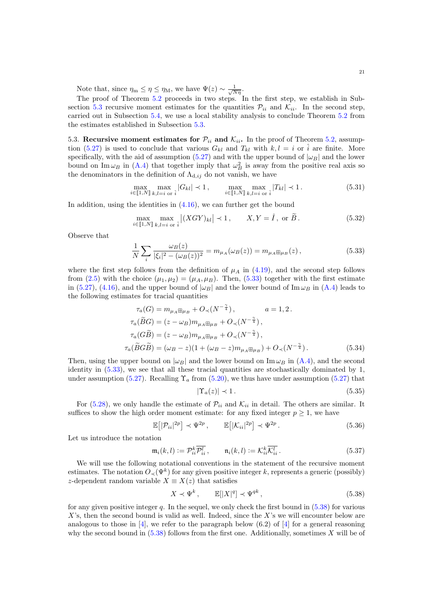Note that, since  $\eta_m \leq \eta \leq \eta_M$ , we have  $\Psi(z) \sim \frac{1}{\sqrt{N\eta}}$ .

The proof of Theorem [5.2](#page-19-2) proceeds in two steps. In the first step, we establish in Sub-section [5.3](#page-20-0) recursive moment estimates for the quantities  $\mathcal{P}_{ii}$  and  $\mathcal{K}_{ii}$ . In the second step, carried out in Subsection [5.4,](#page-29-0) we use a local stability analysis to conclude Theorem [5.2](#page-19-2) from the estimates established in Subsection [5.3.](#page-20-0)

<span id="page-20-0"></span>5.3. Recursive moment estimates for  $\mathcal{P}_{ii}$  and  $\mathcal{K}_{ii}$ . In the proof of Theorem [5.2,](#page-19-2) assump-tion [\(5.27\)](#page-19-5) is used to conclude that various  $G_{kl}$  and  $T_{kl}$  with  $k, l = i$  or  $\hat{i}$  are finite. More specifically, with the aid of assumption [\(5.27\)](#page-19-5) and with the upper bound of  $|\omega_B|$  and the lower bound on Im  $\omega_B$  in [\(A.4\)](#page-56-1) that together imply that  $\omega_B^2$  is away from the positive real axis so the denominators in the definition of  $\Lambda_{d,ij}$  do not vanish, we have

<span id="page-20-4"></span>
$$
\max_{i \in [\![1,N]\!]} \max_{k,l=i \text{ or } \hat{i}} |G_{kl}| \prec 1, \qquad \max_{i \in [\![1,N]\!]} \max_{k,l=i \text{ or } \hat{i}} |T_{kl}| \prec 1. \tag{5.31}
$$

In addition, using the identities in  $(4.16)$ , we can further get the bound

<span id="page-20-7"></span>
$$
\max_{i \in [\![1,N]\!]} \max_{k,l=i \text{ or } \hat{i}} |(XGY)_{kl}| \prec 1, \qquad X, Y = \hat{I}, \text{ or } \tilde{B}. \tag{5.32}
$$

Observe that

$$
\frac{1}{N} \sum_{i} \frac{\omega_B(z)}{|\xi_i|^2 - (\omega_B(z))^2} = m_{\mu_A}(\omega_B(z)) = m_{\mu_A \boxplus \mu_B}(z),
$$
\n(5.33)

where the first step follows from the definition of  $\mu_A$  in [\(4.19\)](#page-13-6), and the second step follows from [\(2.5\)](#page-5-3) with the choice  $(\mu_1, \mu_2) = (\mu_A, \mu_B)$ . Then, [\(5.33\)](#page-20-1) together with the first estimate in [\(5.27\)](#page-19-5), [\(4.16\)](#page-13-0), and the upper bound of  $|\omega_B|$  and the lower bound of Im  $\omega_B$  in [\(A.4\)](#page-56-1) leads to the following estimates for tracial quantities

$$
\tau_a(G) = m_{\mu_A \boxplus \mu_B} + O_\prec(N^{-\frac{\gamma}{4}}), \qquad a = 1, 2.
$$
  
\n
$$
\tau_a(\widetilde{B}G) = (z - \omega_B) m_{\mu_A \boxplus \mu_B} + O_\prec(N^{-\frac{\gamma}{4}}),
$$
  
\n
$$
\tau_a(G\widetilde{B}) = (z - \omega_B) m_{\mu_A \boxplus \mu_B} + O_\prec(N^{-\frac{\gamma}{4}}),
$$
  
\n
$$
\tau_a(\widetilde{B}G\widetilde{B}) = (\omega_B - z)(1 + (\omega_B - z) m_{\mu_A \boxplus \mu_B}) + O_\prec(N^{-\frac{\gamma}{4}}).
$$
\n(5.34)

Then, using the upper bound on  $|\omega_B|$  and the lower bound on Im  $\omega_B$  in [\(A.4\)](#page-56-1), and the second identity in [\(5.33\)](#page-20-1), we see that all these tracial quantities are stochastically dominated by 1, under assumption [\(5.27\)](#page-19-5). Recalling  $\Upsilon_a$  from [\(5.20\)](#page-18-4), we thus have under assumption (5.27) that

<span id="page-20-6"></span><span id="page-20-5"></span><span id="page-20-3"></span><span id="page-20-1"></span>
$$
|\Upsilon_a(z)| \prec 1. \tag{5.35}
$$

For [\(5.28\)](#page-19-6), we only handle the estimate of  $\mathcal{P}_{ii}$  and  $\mathcal{K}_{ii}$  in detail. The others are similar. It suffices to show the high order moment estimate: for any fixed integer  $p \geq 1$ , we have

$$
\mathbb{E}\big[|\mathcal{P}_{ii}|^{2p}\big] \prec \Psi^{2p}\,, \qquad \mathbb{E}\big[|\mathcal{K}_{ii}|^{2p}\big] \prec \Psi^{2p}\,.
$$
 (5.36)

Let us introduce the notation

$$
\mathfrak{m}_i(k,l) := \mathcal{P}_{ii}^k \overline{\mathcal{P}_{ii}^l} , \qquad \mathfrak{n}_i(k,l) := \mathcal{K}_{ii}^k \overline{\mathcal{K}_{ii}^l} . \qquad (5.37)
$$

We will use the following notational conventions in the statement of the recursive moment estimates. The notation  $O_{\prec}(\Psi^k)$  for any given positive integer k, represents a generic (possibly) z-dependent random variable  $X \equiv X(z)$  that satisfies

<span id="page-20-2"></span>
$$
X \prec \Psi^k, \qquad \mathbb{E}[|X|^q] \prec \Psi^{qk}, \tag{5.38}
$$

for any given positive integer q. In the sequel, we only check the first bound in  $(5.38)$  for various  $X$ 's, then the second bound is valid as well. Indeed, since the  $X$ 's we will encounter below are analogous to those in [\[4\]](#page-59-6), we refer to the paragraph below  $(6.2)$  of [4] for a general reasoning why the second bound in  $(5.38)$  follows from the first one. Additionally, sometimes X will be of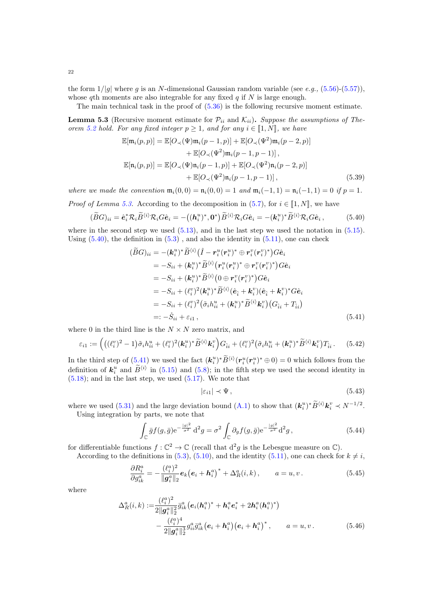the form  $1/|q|$  where q is an N-dimensional Gaussian random variable (see e.q.,  $(5.56)-(5.57)$  $(5.56)-(5.57)$  $(5.56)-(5.57)$ ), whose qth moments are also integrable for any fixed  $q$  if N is large enough.

The main technical task in the proof of  $(5.36)$  is the following recursive moment estimate.

<span id="page-21-0"></span>**Lemma 5.3** (Recursive moment estimate for  $\mathcal{P}_{ii}$  and  $\mathcal{K}_{ii}$ ). Suppose the assumptions of The-orem [5.2](#page-19-2) hold. For any fixed integer  $p \ge 1$ , and for any  $i \in [1, N]$ , we have

<span id="page-21-6"></span>
$$
\mathbb{E}[\mathfrak{m}_{i}(p,p)] = \mathbb{E}[O_{\prec}(\Psi)\mathfrak{m}_{i}(p-1,p)] + \mathbb{E}[O_{\prec}(\Psi^{2})\mathfrak{m}_{i}(p-2,p)] \n+ \mathbb{E}[O_{\prec}(\Psi^{2})\mathfrak{m}_{i}(p-1,p-1)], \n\mathbb{E}[\mathfrak{n}_{i}(p,p)] = \mathbb{E}[O_{\prec}(\Psi)\mathfrak{n}_{i}(p-1,p)] + \mathbb{E}[O_{\prec}(\Psi^{2})\mathfrak{n}_{i}(p-2,p)] \n+ \mathbb{E}[O_{\prec}(\Psi^{2})\mathfrak{n}_{i}(p-1,p-1)],
$$
\n(5.39)

where we made the convention  $\mathfrak{m}_i(0,0) = \mathfrak{n}_i(0,0) = 1$  and  $\mathfrak{m}_i(-1,1) = \mathfrak{n}_i(-1,1) = 0$  if  $p = 1$ .

*Proof of Lemma [5.3.](#page-21-0)* According to the decomposition in [\(5.7\)](#page-17-1), for  $i \in [1, N]$ , we have

$$
(\widetilde{B}G)_{ii} = \hat{\mathbf{e}}_i^* \mathcal{R}_i \widetilde{B}^{\langle i \rangle} \mathcal{R}_i G \hat{\mathbf{e}}_i = -\big((\mathbf{h}_i^u)^*, \mathbf{0}^*\big) \widetilde{B}^{\langle i \rangle} \mathcal{R}_i G \hat{\mathbf{e}}_i = -(\mathbf{k}_i^u)^* \widetilde{B}^{\langle i \rangle} \mathcal{R}_i G \hat{\mathbf{e}}_i ,\tag{5.40}
$$

where in the second step we used  $(5.13)$ , and in the last step we used the notation in  $(5.15)$ . Using  $(5.40)$ , the definition in  $(5.3)$ , and also the identity in  $(5.11)$ , one can check

<span id="page-21-1"></span>
$$
(\widetilde{B}G)_{ii} = -(\mathbf{k}_{i}^{u})^{*}\widetilde{B}^{\langle i \rangle} (\hat{I} - \mathbf{r}_{i}^{u}(\mathbf{r}_{i}^{u})^{*} \oplus \mathbf{r}_{i}^{v}(\mathbf{r}_{i}^{v})^{*}) G \hat{\mathbf{e}}_{i}
$$
  
\n
$$
= -S_{ii} + (\mathbf{k}_{i}^{u})^{*}\widetilde{B}^{\langle i \rangle} (\mathbf{r}_{i}^{u}(\mathbf{r}_{i}^{u})^{*} \oplus \mathbf{r}_{i}^{v}(\mathbf{r}_{i}^{v})^{*}) G \hat{\mathbf{e}}_{i}
$$
  
\n
$$
= -S_{ii} + (\mathbf{k}_{i}^{u})^{*}\widetilde{B}^{\langle i \rangle} (0 \oplus \mathbf{r}_{i}^{v}(\mathbf{r}_{i}^{v})^{*}) G \hat{\mathbf{e}}_{i}
$$
  
\n
$$
= -S_{ii} + (\ell_{i}^{v})^{2} (\mathbf{k}_{i}^{u})^{*}\widetilde{B}^{\langle i \rangle} (\hat{\mathbf{e}}_{\hat{i}} + \mathbf{k}_{i}^{v}) (\hat{\mathbf{e}}_{\hat{i}} + \mathbf{k}_{i}^{v})^{*} G \hat{\mathbf{e}}_{i}
$$
  
\n
$$
= -S_{ii} + (\ell_{i}^{v})^{2} (\tilde{\sigma}_{i} h_{ii}^{u} + (\mathbf{k}_{i}^{u})^{*}\widetilde{B}^{\langle i \rangle} \mathbf{k}_{i}^{v}) (G_{\hat{i}i} + T_{\hat{i}i})
$$
  
\n
$$
= -\mathring{S}_{ii} + \varepsilon_{i1}, \qquad (5.41)
$$

where 0 in the third line is the  $N \times N$  zero matrix, and

$$
\varepsilon_{i1} := \left( \left( (\ell_i^v)^2 - 1 \right) \tilde{\sigma}_i h_{ii}^u + (\ell_i^v)^2 (\mathbf{k}_i^u)^* \tilde{B}^{\langle i \rangle} \mathbf{k}_i^v \right) G_{\hat{i}i} + (\ell_i^v)^2 (\tilde{\sigma}_i h_{ii}^u + (\mathbf{k}_i^u)^* \tilde{B}^{\langle i \rangle} \mathbf{k}_i^v) T_{\hat{i}i}. \tag{5.42}
$$

In the third step of  $(5.41)$  we used the fact  $(k_i^u)^* \tilde{B}^{(i)}(r_i^u(r_i^u)^* \oplus 0) = 0$  which follows from the definition of  $k_i^u$  and  $\widetilde{B}^{\langle i \rangle}$  in [\(5.15\)](#page-17-3) and [\(5.8\)](#page-17-0); in the fifth step we used the second identity in  $(5.18)$ ; and in the last step, we used  $(5.17)$ . We note that

<span id="page-21-7"></span><span id="page-21-5"></span><span id="page-21-4"></span><span id="page-21-3"></span><span id="page-21-2"></span>
$$
|\varepsilon_{i1}| \prec \Psi , \tag{5.43}
$$

where we used [\(5.31\)](#page-20-4) and the large deviation bound [\(A.1\)](#page-55-2) to show that  $(\mathbf{k}_i^u)^* \widetilde{B}^{\langle i \rangle} \mathbf{k}_i^v \prec N^{-1/2}$ . Using integration by parts, we note that

$$
\int_{\mathbb{C}} \bar{g} f(g, \bar{g}) e^{-\frac{|g|^2}{\sigma^2}} d^2 g = \sigma^2 \int_{\mathbb{C}} \partial_g f(g, \bar{g}) e^{-\frac{|g|^2}{\sigma^2}} d^2 g,
$$
\n(5.44)

for differentiable functions  $f: \mathbb{C}^2 \to \mathbb{C}$  (recall that  $d^2g$  is the Lebesgue measure on  $\mathbb{C}$ ).

According to the definitions in [\(5.3\)](#page-16-7), [\(5.10\)](#page-17-5), and the identity [\(5.11\)](#page-17-4), one can check for  $k \neq i$ ,

$$
\frac{\partial R_i^a}{\partial g_{ik}^a} = -\frac{(\ell_i^a)^2}{\|\mathbf{g}_i^a\|_2} \mathbf{e}_k (\mathbf{e}_i + \mathbf{h}_i^a)^* + \Delta_R^a(i,k), \qquad a = u, v. \tag{5.45}
$$

where

$$
\Delta_{R}^{a}(i,k) := \frac{(\ell_{i}^{a})^{2}}{2\|\boldsymbol{g}_{i}^{a}\|_{2}^{2}} \bar{g}_{ik}^{a} (\boldsymbol{e}_{i}(\boldsymbol{h}_{i}^{a})^{*} + \boldsymbol{h}_{i}^{a} \boldsymbol{e}_{i}^{*} + 2\boldsymbol{h}_{i}^{a}(\boldsymbol{h}_{i}^{a})^{*}) - \frac{(\ell_{i}^{a})^{4}}{2\|\boldsymbol{g}_{i}^{a}\|_{2}^{3}} g_{ii}^{a} \bar{g}_{ik}^{a} (\boldsymbol{e}_{i} + \boldsymbol{h}_{i}^{a}) (\boldsymbol{e}_{i} + \boldsymbol{h}_{i}^{a})^{*}, \qquad a = u, v.
$$
\n(5.46)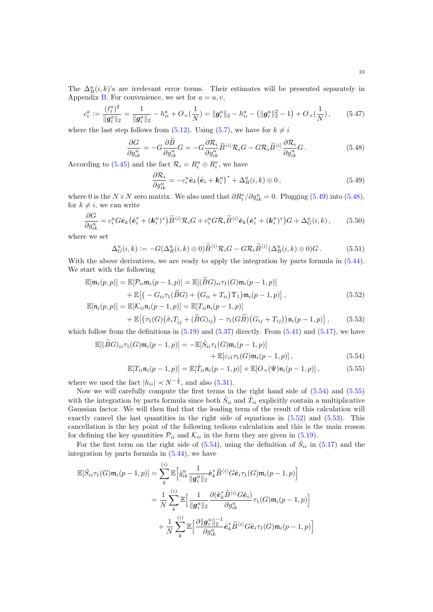The  $\Delta_R^a(i,k)$ 's are irrelevant error terms. Their estimates will be presented separately in Appendix [B.](#page-57-0) For convenience, we set for  $a = u, v$ ,

$$
c_i^a := \frac{(\ell_i^a)^2}{\|\mathbf{g}_i^a\|_2} = \frac{1}{\|\mathbf{g}_i^a\|_2} - h_{ii}^a + O_\prec(\frac{1}{N}) = \|\mathbf{g}_i^a\|_2 - h_{ii}^a - (\|\mathbf{g}_i^a\|_2^2 - 1) + O_\prec(\frac{1}{N}),\tag{5.47}
$$

where the last step follows from [\(5.12\)](#page-17-6). Using [\(5.7\)](#page-17-1), we have for  $k \neq i$ 

$$
\frac{\partial G}{\partial g_{ik}^u} = -G \frac{\partial B}{\partial g_{ik}^u} G = -G \frac{\partial \mathcal{R}_i}{\partial g_{ik}^u} \tilde{B}^{\langle i \rangle} \mathcal{R}_i G - G \mathcal{R}_i \tilde{B}^{\langle i \rangle} \frac{\partial \mathcal{R}_i}{\partial g_{ik}^u} G.
$$
(5.48)

According to [\(5.45\)](#page-21-3) and the fact  $\mathcal{R}_i = R_i^u \oplus R_i^v$ , we have

<span id="page-22-8"></span><span id="page-22-7"></span><span id="page-22-6"></span><span id="page-22-3"></span><span id="page-22-2"></span>
$$
\frac{\partial \mathcal{R}_i}{\partial g_{ik}^u} = -c_i^u \hat{\mathbf{e}}_k \left(\hat{\mathbf{e}}_i + \mathbf{k}_i^u\right)^* + \Delta_R^a(i,k) \oplus 0, \qquad (5.49)
$$

where 0 is the  $N \times N$  zero matrix. We also used that  $\partial R_i^v / \partial g_{ik}^u = 0$ . Plugging [\(5.49\)](#page-22-2) into [\(5.48\)](#page-22-3), for  $k \neq i$ , we can write

$$
\frac{\partial G}{\partial g_{ik}^u} = c_i^u G \hat{\mathbf{e}}_k \left( \hat{\mathbf{e}}_i^* + (\mathbf{k}_i^u)^* \right) \widetilde{B}^{\langle i \rangle} \mathcal{R}_i G + c_i^u G \mathcal{R}_i \widetilde{B}^{\langle i \rangle} \hat{\mathbf{e}}_k \left( \hat{\mathbf{e}}_i^* + (\mathbf{k}_i^u)^* \right) G + \Delta_G^u(i,k), \tag{5.50}
$$

where we set

$$
\Delta_G^u(i,k) := -G(\Delta_R^u(i,k) \oplus 0)\widetilde{B}^{\langle i \rangle}\mathcal{R}_i G - G \mathcal{R}_i \widetilde{B}^{\langle i \rangle}(\Delta_R^u(i,k) \oplus 0)G. \tag{5.51}
$$

With the above derivatives, we are ready to apply the integration by parts formula in  $(5.44)$ . We start with the following

$$
\mathbb{E}[\mathfrak{m}_i(p,p)] = \mathbb{E}[\mathcal{P}_{ii}\mathfrak{m}_i(p-1,p)] = \mathbb{E}[(\widetilde{B}G)_{ii}\tau_1(G)\mathfrak{m}_i(p-1,p)] \n+ \mathbb{E}\big[(-G_{ii}\tau_1(\widetilde{B}G) + (G_{ii} + T_{ii})\Upsilon_1)\mathfrak{m}_i(p-1,p)\big], \n\mathbb{E}[\mathfrak{n}_i(p,p)] = \mathbb{E}[X_{ii}\mathfrak{n}_i(p-1,p)] = \mathbb{E}[T_{ii}\mathfrak{n}_i(p-1,p)]
$$
\n(5.52)

<span id="page-22-5"></span><span id="page-22-0"></span>
$$
+\mathbb{E}\big[\big(\tau_1(G)\big(\tilde{\sigma}_i T_{\tilde{i}j}+(\tilde{B}G)_{ij}\big)-\tau_1(G\tilde{B})\big(G_{ij}+T_{ij}\big)\big)\mathfrak{n}_i(p-1,p)\big],\qquad(5.53)
$$

which follow from the definitions in  $(5.19)$  and  $(5.37)$  directly. From  $(5.41)$  and  $(5.17)$ , we have

$$
\mathbb{E}[(\widetilde{B}G)_{ii}\tau_1(G)\mathfrak{m}_i(p-1,p)] = -\mathbb{E}[\widetilde{S}_{ii}\tau_1(G)\mathfrak{m}_i(p-1,p)] + \mathbb{E}[\varepsilon_{i1}\tau_1(G)\mathfrak{m}_i(p-1,p)],
$$
\n(5.54)

<span id="page-22-4"></span><span id="page-22-1"></span>
$$
\mathbb{E}[T_{ii}\mathfrak{n}_i(p-1,p)] = \mathbb{E}[\mathring{T}_{ii}\mathfrak{n}_i(p-1,p)] + \mathbb{E}[O_{\prec}(\Psi)\mathfrak{n}_i(p-1,p)],\tag{5.55}
$$

where we used the fact  $|h_{ii}| \prec N^{-\frac{1}{2}}$ , and also [\(5.31\)](#page-20-4).

Now we will carefully compute the first terms in the right hand side of [\(5.54\)](#page-22-4) and [\(5.55\)](#page-22-1) with the integration by parts formula since both  $\dot{S}_{ii}$  and  $\dot{T}_{ii}$  explicitly contain a multiplicative Gaussian factor. We will then find that the leading term of the result of this calculation will exactly cancel the last quantities in the right side of equations in  $(5.52)$  and  $(5.53)$ . This cancellation is the key point of the following tedious calculation and this is the main reason for defining the key quantities  $P_{ii}$  and  $K_{ii}$  in the form they are given in [\(5.19\)](#page-18-2).

For the first term on the right side of [\(5.54\)](#page-22-4), using the definition of  $\mathring{S}_{ii}$  in [\(5.17\)](#page-18-3) and the integration by parts formula in [\(5.44\)](#page-21-4), we have

$$
\mathbb{E}[\hat{S}_{ii}\tau_1(G)\mathfrak{m}_i(p-1,p)] = \sum_{k}^{(i)} \mathbb{E}\Big[\bar{g}_{ik}^u \frac{1}{\|\boldsymbol{g}_i^u\|_2} \hat{\boldsymbol{e}}_k^* \widetilde{B}^{\langle i \rangle} G \hat{\boldsymbol{e}}_i \tau_1(G)\mathfrak{m}_i(p-1,p)\Big]
$$
  

$$
= \frac{1}{N} \sum_{k}^{(i)} \mathbb{E}\Big[\frac{1}{\|\boldsymbol{g}_i^u\|_2} \frac{\partial(\hat{\boldsymbol{e}}_k^* \widetilde{B}^{\langle i \rangle} G \hat{\boldsymbol{e}}_i)}{\partial g_{ik}^u} \tau_1(G)\mathfrak{m}_i(p-1,p)\Big]
$$
  

$$
+ \frac{1}{N} \sum_{k}^{(i)} \mathbb{E}\Big[\frac{\partial \|\boldsymbol{g}_i^u\|_2^{-1}}{\partial g_{ik}^u} \hat{\boldsymbol{e}}_k^* \widetilde{B}^{\langle i \rangle} G \hat{\boldsymbol{e}}_i \tau_1(G)\mathfrak{m}_i(p-1,p)\Big]
$$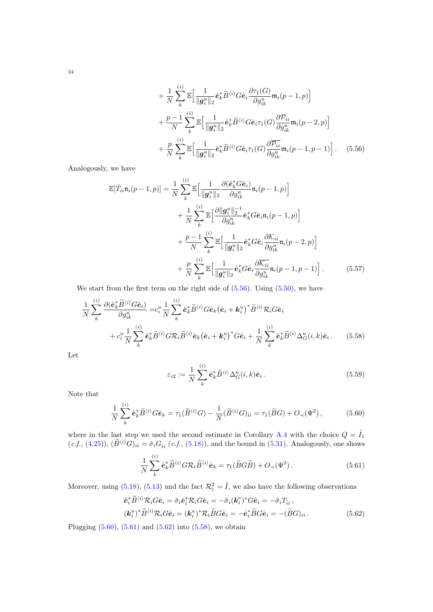<span id="page-23-0"></span>
$$
+\frac{1}{N}\sum_{k}^{(i)}\mathbb{E}\Big[\frac{1}{\|\boldsymbol{g}_{i}^{u}\|_{2}}\hat{\boldsymbol{e}}_{k}^{*}\widetilde{B}^{\langle i\rangle}G\hat{\boldsymbol{e}}_{i}\frac{\partial\tau_{1}(G)}{\partial g_{ik}^{u}}\mathfrak{m}_{i}(p-1,p)\Big] + \frac{p-1}{N}\sum_{k}^{(i)}\mathbb{E}\Big[\frac{1}{\|\boldsymbol{g}_{i}^{u}\|_{2}}\hat{\boldsymbol{e}}_{k}^{*}\widetilde{B}^{\langle i\rangle}G\hat{\boldsymbol{e}}_{i}\tau_{1}(G)\frac{\partial\mathcal{P}_{ii}}{\partial g_{ik}^{u}}\mathfrak{m}_{i}(p-2,p)\Big] + \frac{p}{N}\sum_{k}^{(i)}\mathbb{E}\Big[\frac{1}{\|\boldsymbol{g}_{i}^{u}\|_{2}}\hat{\boldsymbol{e}}_{k}^{*}\widetilde{B}^{\langle i\rangle}G\hat{\boldsymbol{e}}_{i}\tau_{1}(G)\frac{\partial\overline{\mathcal{P}_{ii}}}{\partial g_{ik}^{u}}\mathfrak{m}_{i}(p-1,p-1)\Big].
$$
 (5.56)

Analogously, we have

$$
\mathbb{E}[\hat{T}_{ii}\mathbf{n}_{i}(p-1,p)] = \frac{1}{N} \sum_{k}^{(i)} \mathbb{E}\Big[\frac{1}{\|\boldsymbol{g}_{i}^{u}\|_{2}} \frac{\partial(\hat{\boldsymbol{e}}_{k}^{*} G \hat{\boldsymbol{e}}_{i})}{\partial g_{ik}^{u}} \mathbf{n}_{i}(p-1,p)\Big] \n+ \frac{1}{N} \sum_{k}^{(i)} \mathbb{E}\Big[\frac{\partial \|\boldsymbol{g}_{i}^{u}\|_{2}^{-1}}{\partial g_{ik}^{u}} \hat{\boldsymbol{e}}_{k}^{*} G \hat{\boldsymbol{e}}_{i} \mathbf{n}_{i}(p-1,p)\Big] \n+ \frac{p-1}{N} \sum_{k}^{(i)} \mathbb{E}\Big[\frac{1}{\|\boldsymbol{g}_{i}^{u}\|_{2}} \hat{\boldsymbol{e}}_{k}^{*} G \hat{\boldsymbol{e}}_{i} \frac{\partial K_{ii}}{\partial g_{ik}^{u}} \mathbf{n}_{i}(p-2,p)\Big] \n+ \frac{p}{N} \sum_{k}^{(i)} \mathbb{E}\Big[\frac{1}{\|\boldsymbol{g}_{i}^{u}\|_{2}} \hat{\boldsymbol{e}}_{k}^{*} G \hat{\boldsymbol{e}}_{i} \frac{\partial \overline{K_{ii}}}{\partial g_{ik}^{u}} \mathbf{n}_{i}(p-1,p-1)\Big].
$$
\n(5.57)

We start from the first term on the right side of  $(5.56)$ . Using  $(5.50)$ , we have

$$
\frac{1}{N} \sum_{k}^{(i)} \frac{\partial (\hat{\mathbf{e}}_{k}^{*} \widetilde{B}^{\langle i \rangle} G \hat{\mathbf{e}}_{i})}{\partial g_{ik}^{u}} = c_{i}^{u} \frac{1}{N} \sum_{k}^{(i)} \hat{\mathbf{e}}_{k}^{*} \widetilde{B}^{\langle i \rangle} G \hat{\mathbf{e}}_{k} (\hat{\mathbf{e}}_{i} + \mathbf{k}_{i}^{u})^{*} \widetilde{B}^{\langle i \rangle} \mathcal{R}_{i} G \hat{\mathbf{e}}_{i}
$$
\n
$$
+ c_{i}^{u} \frac{1}{N} \sum_{k}^{(i)} \hat{\mathbf{e}}_{k}^{*} \widetilde{B}^{\langle i \rangle} G \mathcal{R}_{i} \widetilde{B}^{\langle i \rangle} \hat{\mathbf{e}}_{k} (\hat{\mathbf{e}}_{i} + \mathbf{k}_{i}^{u})^{*} G \hat{\mathbf{e}}_{i} + \frac{1}{N} \sum_{k}^{(i)} \hat{\mathbf{e}}_{k}^{*} \widetilde{B}^{\langle i \rangle} \Delta_{G}^{u}(i, k) \hat{\mathbf{e}}_{i}.
$$
\n(5.58)

Let

<span id="page-23-6"></span><span id="page-23-5"></span><span id="page-23-3"></span><span id="page-23-2"></span><span id="page-23-1"></span>
$$
\varepsilon_{i2} := \frac{1}{N} \sum_{k}^{(i)} \hat{\mathbf{e}}_k^* \widetilde{B}^{\langle i \rangle} \Delta_G^u(i,k) \hat{\mathbf{e}}_i.
$$
\n(5.59)

Note that

$$
\frac{1}{N} \sum_{k}^{(i)} \hat{\mathbf{e}}_{k}^{*} \widetilde{B}^{\langle i \rangle} G \hat{\mathbf{e}}_{k} = \tau_{1} (\widetilde{B}^{\langle i \rangle} G) - \frac{1}{N} (\widetilde{B}^{\langle i \rangle} G)_{ii} = \tau_{1} (\widetilde{B} G) + O_{\prec} (\Psi^{2}), \tag{5.60}
$$

where in the last step we used the second estimate in Corollary [A.4](#page-56-2) with the choice  $Q = \hat{I}_1$  $(c.f., (4.25)), (\tilde{B}^{(i)}G)_{ii} = \tilde{\sigma}_i G_{\hat{i}i} (c.f., (5.18)),$  $(c.f., (4.25)), (\tilde{B}^{(i)}G)_{ii} = \tilde{\sigma}_i G_{\hat{i}i} (c.f., (5.18)),$  $(c.f., (4.25)), (\tilde{B}^{(i)}G)_{ii} = \tilde{\sigma}_i G_{\hat{i}i} (c.f., (5.18)),$  $(c.f., (4.25)), (\tilde{B}^{(i)}G)_{ii} = \tilde{\sigma}_i G_{\hat{i}i} (c.f., (5.18)),$  $(c.f., (4.25)), (\tilde{B}^{(i)}G)_{ii} = \tilde{\sigma}_i G_{\hat{i}i} (c.f., (5.18)),$  and the bound in [\(5.31\)](#page-20-4). Analogously, one shows

<span id="page-23-4"></span>
$$
\frac{1}{N} \sum_{k}^{(i)} \hat{\mathbf{e}}_{k}^{*} \widetilde{B}^{\langle i \rangle} G \mathcal{R}_{i} \widetilde{B}^{\langle i \rangle} \hat{\mathbf{e}}_{k} = \tau_{1} (\widetilde{B} G \widetilde{B}) + O_{\prec}(\Psi^{2}). \tag{5.61}
$$

Moreover, using [\(5.18\)](#page-18-5), [\(5.13\)](#page-17-2) and the fact  $\mathcal{R}_i^2 = \hat{I}$ , we also have the following observations

$$
\hat{\mathbf{e}}_i^* \widetilde{B}^{\langle i \rangle} \mathcal{R}_i G \hat{\mathbf{e}}_i = \tilde{\sigma}_i \hat{\mathbf{e}}_i^* \mathcal{R}_i G \hat{\mathbf{e}}_i = -\tilde{\sigma}_i (\mathbf{k}_i^v)^* G \hat{\mathbf{e}}_i = -\tilde{\sigma}_i T_{\hat{i}i} ,
$$
  

$$
(\mathbf{k}_i^u)^* \widetilde{B}^{\langle i \rangle} \mathcal{R}_i G \hat{\mathbf{e}}_i = (\mathbf{k}_i^u)^* \mathcal{R}_i \widetilde{B} G \hat{\mathbf{e}}_i = -\hat{\mathbf{e}}_i^* \widetilde{B} G \hat{\mathbf{e}}_i = -(\widetilde{B} G)_{ii} .
$$
 (5.62)

Plugging  $(5.60)$ ,  $(5.61)$  and  $(5.62)$  into  $(5.58)$ , we obtain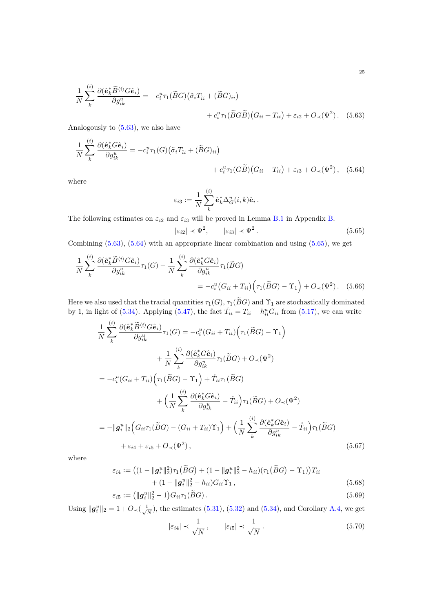$$
\frac{1}{N} \sum_{k}^{(i)} \frac{\partial (\hat{\mathbf{e}}_{k}^{*} \widetilde{B}^{\langle i \rangle} G \hat{\mathbf{e}}_{i})}{\partial g_{ik}^{u}} = -c_{i}^{u} \tau_{1} (\widetilde{B}G) (\tilde{\sigma}_{i} T_{\hat{i}i} + (\widetilde{B}G)_{ii}) + c_{i}^{u} \tau_{1} (\widetilde{B}G \widetilde{B}) (G_{ii} + T_{ii}) + \varepsilon_{i2} + O_{\prec}(\Psi^{2}).
$$
 (5.63)

Analogously to  $(5.63)$ , we also have

$$
\frac{1}{N} \sum_{k}^{(i)} \frac{\partial (\hat{\mathbf{e}}_{k}^{*} G \hat{\mathbf{e}}_{i})}{\partial g_{ik}^{u}} = -c_{i}^{u} \tau_{1}(G) \big( \tilde{\sigma}_{i} T_{\hat{i}i} + (\tilde{B} G)_{ii} \big) \n+ c_{i}^{u} \tau_{1}(G \tilde{B}) \big( G_{ii} + T_{ii} \big) + \varepsilon_{i3} + O_{\prec}(\Psi^{2}), \quad (5.64)
$$

where

<span id="page-24-1"></span><span id="page-24-0"></span>
$$
\varepsilon_{i3} := \frac{1}{N} \sum_{k}^{(i)} \hat{\mathbf{e}}_k^* \Delta_G^u(i,k) \hat{\mathbf{e}}_i.
$$

The following estimates on  $\varepsilon_{i2}$  and  $\varepsilon_{i3}$  will be proved in Lemma [B.1](#page-57-1) in Appendix [B.](#page-57-0)

<span id="page-24-2"></span>
$$
|\varepsilon_{i2}| \prec \Psi^2, \qquad |\varepsilon_{i3}| \prec \Psi^2. \tag{5.65}
$$

Combining [\(5.63\)](#page-24-0), [\(5.64\)](#page-24-1) with an appropriate linear combination and using [\(5.65\)](#page-24-2), we get

$$
\frac{1}{N} \sum_{k}^{(i)} \frac{\partial (\hat{\mathbf{e}}_{k}^{*} \widetilde{B}^{(i)} G \hat{\mathbf{e}}_{i})}{\partial g_{ik}^{u}} \tau_{1}(G) - \frac{1}{N} \sum_{k}^{(i)} \frac{\partial (\hat{\mathbf{e}}_{k}^{*} G \hat{\mathbf{e}}_{i})}{\partial g_{ik}^{u}} \tau_{1}(\widetilde{B}G)
$$
\n
$$
= -c_{i}^{u} (G_{ii} + T_{ii}) \Big( \tau_{1}(\widetilde{B}G) - \Upsilon_{1} \Big) + O_{\prec}(\Psi^{2}). \quad (5.66)
$$

Here we also used that the tracial quantities  $\tau_1(G)$ ,  $\tau_1(BG)$  and  $\Upsilon_1$  are stochastically dominated by 1, in light of [\(5.34\)](#page-20-6). Applying [\(5.47\)](#page-22-7), the fact  $\mathring{T}_{ii} = T_{ii} - h_{ii}^u G_{ii}$  from [\(5.17\)](#page-18-3), we can write

$$
\frac{1}{N} \sum_{k}^{(i)} \frac{\partial(\hat{e}_{k}^{*}\tilde{B}^{(i)}G\hat{e}_{i})}{\partial g_{ik}^{u}} \tau_{1}(G) = -c_{i}^{u}(G_{ii} + T_{ii}) \Big( \tau_{1}(\tilde{B}G) - \Upsilon_{1} \Big)
$$
\n
$$
+ \frac{1}{N} \sum_{k}^{(i)} \frac{\partial(\hat{e}_{k}^{*}G\hat{e}_{i})}{\partial g_{ik}^{u}} \tau_{1}(\tilde{B}G) + O_{\prec}(\Psi^{2})
$$
\n
$$
= -c_{i}^{u}(G_{ii} + T_{ii}) \Big( \tau_{1}(\tilde{B}G) - \Upsilon_{1} \Big) + \mathring{T}_{ii} \tau_{1}(\tilde{B}G)
$$
\n
$$
+ \Big( \frac{1}{N} \sum_{k}^{(i)} \frac{\partial(\hat{e}_{k}^{*}G\hat{e}_{i})}{\partial g_{ik}^{u}} - \mathring{T}_{ii} \Big) \tau_{1}(\tilde{B}G) + O_{\prec}(\Psi^{2})
$$
\n
$$
= -\|g_{i}^{u}\|_{2} \Big( G_{ii} \tau_{1}(\tilde{B}G) - (G_{ii} + T_{ii})\Upsilon_{1} \Big) + \Big( \frac{1}{N} \sum_{k}^{(i)} \frac{\partial(\hat{e}_{k}^{*}G\hat{e}_{i})}{\partial g_{ik}^{u}} - \mathring{T}_{ii} \Big) \tau_{1}(\tilde{B}G)
$$
\n
$$
+ \varepsilon_{i4} + \varepsilon_{i5} + O_{\prec}(\Psi^{2}), \qquad (5.67)
$$

where

$$
\varepsilon_{i4} := ((1 - ||g_i^u||_2^2)\tau_1(\widetilde{B}G) + (1 - ||g_i^u||_2^2 - h_{ii})(\tau_1(\widetilde{B}G) - \Upsilon_1))T_{ii}
$$
  
+ 
$$
(1 - ||g_i^u||_2^2 - h_{ii})G_{ii}\Upsilon_1,
$$
  

$$
\varepsilon_{i5} := (||g_i^u||_2^2 - 1)G_{ii}\tau_1(\widetilde{B}G).
$$
 (5.69)

Using  $\|\boldsymbol{g}_i^u\|_2 = 1 + O_{\prec}(\frac{1}{\sqrt{n}})$  $\frac{1}{N}$ , the estimates [\(5.31\)](#page-20-4), [\(5.32\)](#page-20-7) and [\(5.34\)](#page-20-6), and Corollary [A.4,](#page-56-2) we get

<span id="page-24-5"></span><span id="page-24-4"></span><span id="page-24-3"></span>
$$
|\varepsilon_{i4}| \prec \frac{1}{\sqrt{N}}, \qquad |\varepsilon_{i5}| \prec \frac{1}{\sqrt{N}}.
$$
 (5.70)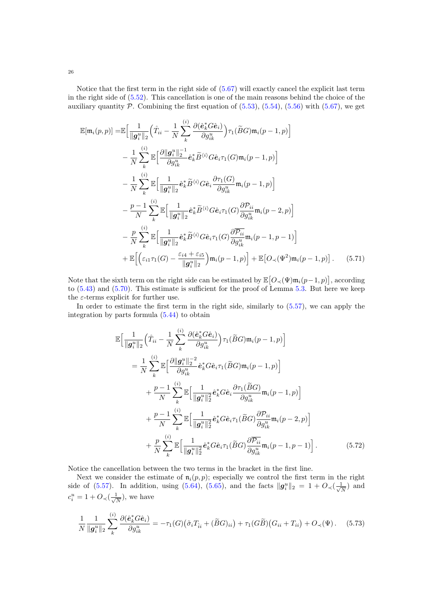Notice that the first term in the right side of [\(5.67\)](#page-24-3) will exactly cancel the explicit last term in the right side of [\(5.52\)](#page-22-5). This cancellation is one of the main reasons behind the choice of the auxiliary quantity  $P$ . Combining the first equation of  $(5.53)$ ,  $(5.54)$ ,  $(5.56)$  with  $(5.67)$ , we get

$$
\mathbb{E}[\mathfrak{m}_{i}(p,p)] = \mathbb{E}\Big[\frac{1}{\|\mathbf{g}_{i}^{u}\|_{2}}\Big(\mathring{T}_{ii} - \frac{1}{N}\sum_{k}^{(i)}\frac{\partial(\hat{e}_{k}^{*}G\hat{e}_{i})}{\partial g_{ik}^{u}}\Big)\tau_{1}(\widetilde{B}G)\mathfrak{m}_{i}(p-1,p)\Big] \n- \frac{1}{N}\sum_{k}^{(i)}\mathbb{E}\Big[\frac{\partial\|\mathbf{g}_{i}^{u}\|_{2}^{-1}}{\partial g_{ik}^{u}}\hat{e}_{k}^{*}\widetilde{B}^{(i)}G\hat{e}_{i}\tau_{1}(G)\mathfrak{m}_{i}(p-1,p)\Big] \n- \frac{1}{N}\sum_{k}^{(i)}\mathbb{E}\Big[\frac{1}{\|\mathbf{g}_{i}^{u}\|_{2}}\hat{e}_{k}^{*}\widetilde{B}^{(i)}G\hat{e}_{i}\frac{\partial\tau_{1}(G)}{\partial g_{ik}^{u}}\mathfrak{m}_{i}(p-1,p)\Big] \n- \frac{p-1}{N}\sum_{k}^{(i)}\mathbb{E}\Big[\frac{1}{\|\mathbf{g}_{i}^{u}\|_{2}}\hat{e}_{k}^{*}\widetilde{B}^{(i)}G\hat{e}_{i}\tau_{1}(G)\frac{\partial P_{ii}}{\partial g_{ik}^{u}}\mathfrak{m}_{i}(p-2,p)\Big] \n- \frac{p}{N}\sum_{k}^{(i)}\mathbb{E}\Big[\frac{1}{\|\mathbf{g}_{i}^{u}\|_{2}}\hat{e}_{k}^{*}\widetilde{B}^{(i)}G\hat{e}_{i}\tau_{1}(G)\frac{\partial \overline{P_{ii}}}{\partial g_{ik}^{u}}\mathfrak{m}_{i}(p-1,p-1)\Big] \n+ \mathbb{E}\Big[\Big(\varepsilon_{i1}\tau_{1}(G) - \frac{\varepsilon_{i4} + \varepsilon_{i5}}{\|\mathbf{g}_{i}^{u}\|_{2}}\Big)\mathfrak{m}_{i}(p-1,p)\Big] + \mathbb{E}\big[O_{\prec}(\Psi^{2})\mathfrak{m}_{i}(p-1,p)\big].
$$
\n(5.71)

Note that the sixth term on the right side can be estimated by  $\mathbb{E}[O_{\prec}(\Psi)\mathfrak{m}_i(p-1,p)]$ , according to [\(5.43\)](#page-21-5) and [\(5.70\)](#page-24-4). This estimate is sufficient for the proof of Lemma [5.3.](#page-21-0) But here we keep the  $\varepsilon$ -terms explicit for further use.

In order to estimate the first term in the right side, similarly to  $(5.57)$ , we can apply the integration by parts formula [\(5.44\)](#page-21-4) to obtain

<span id="page-25-2"></span><span id="page-25-0"></span>
$$
\mathbb{E}\Big[\frac{1}{\|\mathbf{g}_{i}^{u}\|_{2}}\Big(\mathring{T}_{ii} - \frac{1}{N}\sum_{k}^{(i)}\frac{\partial(\hat{e}_{k}^{*}G\hat{e}_{i})}{\partial g_{ik}^{u}}\Big)\tau_{1}(\widetilde{B}G)\mathfrak{m}_{i}(p-1,p)\Big] \n= \frac{1}{N}\sum_{k}^{(i)}\mathbb{E}\Big[\frac{\partial\|\mathbf{g}_{i}^{u}\|_{2}^{-2}}{\partial g_{ik}^{u}}\hat{e}_{k}^{*}G\hat{e}_{i}\tau_{1}(\widetilde{B}G)\mathfrak{m}_{i}(p-1,p)\Big] \n+ \frac{p-1}{N}\sum_{k}^{(i)}\mathbb{E}\Big[\frac{1}{\|\mathbf{g}_{i}^{u}\|_{2}^{2}}\hat{e}_{k}^{*}G\hat{e}_{i}\frac{\partial\tau_{1}(\widetilde{B}G)}{\partial g_{ik}^{u}}\mathfrak{m}_{i}(p-1,p)\Big] \n+ \frac{p-1}{N}\sum_{k}^{(i)}\mathbb{E}\Big[\frac{1}{\|\mathbf{g}_{i}^{u}\|_{2}^{2}}\hat{e}_{k}^{*}G\hat{e}_{i}\tau_{1}(\widetilde{B}G)\frac{\partial\mathcal{P}_{ii}}{\partial g_{ik}^{u}}\mathfrak{m}_{i}(p-2,p)\Big] \n+ \frac{p}{N}\sum_{k}^{(i)}\mathbb{E}\Big[\frac{1}{\|\mathbf{g}_{i}^{u}\|_{2}^{2}}\hat{e}_{k}^{*}G\hat{e}_{i}\tau_{1}(\widetilde{B}G)\frac{\partial\overline{\mathcal{P}_{ii}}}{\partial g_{ik}^{u}}\mathfrak{m}_{i}(p-1,p-1)\Big].
$$
\n(5.72)

Notice the cancellation between the two terms in the bracket in the first line.

Next we consider the estimate of  $\mathfrak{n}_i(p, p)$ ; especially we control the first term in the right side of [\(5.57\)](#page-23-1). In addition, using [\(5.64\)](#page-24-1), [\(5.65\)](#page-24-2), and the facts  $\|\boldsymbol{g}_i^u\|_2 = 1 + O\left(\frac{1}{\sqrt{n}}\right)$  $\frac{1}{\overline{N}}$ ) and  $c_i^u = 1 + O_\prec(\frac{1}{\sqrt{2}})$  $\frac{1}{\overline{N}}$ ), we have

<span id="page-25-1"></span>
$$
\frac{1}{N} \frac{1}{\|\mathbf{g}_i^u\|_2} \sum_k^{(i)} \frac{\partial (\hat{\mathbf{e}}_k^* G \hat{\mathbf{e}}_i)}{\partial g_{ik}^u} = -\tau_1(G) (\tilde{\sigma}_i T_{\hat{i}i} + (\tilde{B}G)_{ii}) + \tau_1(G\tilde{B}) (G_{ii} + T_{ii}) + O_\prec(\Psi). \tag{5.73}
$$

26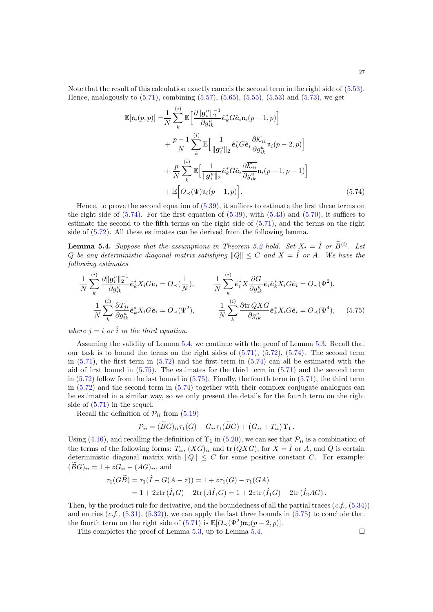Note that the result of this calculation exactly cancels the second term in the right side of [\(5.53\)](#page-22-0). Hence, analogously to  $(5.71)$ , combining  $(5.57)$ ,  $(5.65)$ ,  $(5.55)$ ,  $(5.53)$  and  $(5.73)$ , we get

<span id="page-26-0"></span>
$$
\mathbb{E}[\mathfrak{n}_{i}(p,p)] = \frac{1}{N} \sum_{k}^{(i)} \mathbb{E} \Big[ \frac{\partial ||g_{i}^{u}||_{2}^{-1}}{\partial g_{ik}^{u}} \hat{e}_{k}^{*} G \hat{e}_{i} \mathfrak{n}_{i}(p-1,p) \Big] \n+ \frac{p-1}{N} \sum_{k}^{(i)} \mathbb{E} \Big[ \frac{1}{||g_{i}^{u}||_{2}} \hat{e}_{k}^{*} G \hat{e}_{i} \frac{\partial \mathcal{K}_{ii}}{\partial g_{ik}^{u}} \mathfrak{n}_{i}(p-2,p) \Big] \n+ \frac{p}{N} \sum_{k}^{(i)} \mathbb{E} \Big[ \frac{1}{||g_{i}^{u}||_{2}} \hat{e}_{k}^{*} G \hat{e}_{i} \frac{\partial \overline{\mathcal{K}_{ii}}}{\partial g_{ik}^{u}} \mathfrak{n}_{i}(p-1,p-1) \Big] \n+ \mathbb{E} \Big[ O_{\prec}(\Psi) \mathfrak{n}_{i}(p-1,p) \Big]. \tag{5.74}
$$

Hence, to prove the second equation of [\(5.39\)](#page-21-6), it suffices to estimate the first three terms on the right side of  $(5.74)$ . For the first equation of  $(5.39)$ , with  $(5.43)$  and  $(5.70)$ , it suffices to estimate the second to the fifth terms on the right side of [\(5.71\)](#page-25-0), and the terms on the right side of [\(5.72\)](#page-25-2). All these estimates can be derived from the following lemma.

<span id="page-26-1"></span>**Lemma 5.4.** Suppose that the assumptions in Theorem [5.2](#page-19-2) hold. Set  $X_i = \hat{I}$  or  $\widetilde{B}^{\langle i \rangle}$ . Let Q be any deterministic diagonal matrix satisfying  $||Q|| \leq C$  and  $X = \hat{I}$  or A. We have the following estimates

$$
\frac{1}{N} \sum_{k}^{(i)} \frac{\partial ||g_i^u||_2^{-1}}{\partial g_{ik}^u} \hat{\mathbf{e}}_k^* X_i G \hat{\mathbf{e}}_i = O_{\prec}(\frac{1}{N}), \qquad \frac{1}{N} \sum_{k}^{(i)} \hat{\mathbf{e}}_i^* X \frac{\partial G}{\partial g_{ik}^u} \hat{\mathbf{e}}_i \hat{\mathbf{e}}_k^* X_i G \hat{\mathbf{e}}_i = O_{\prec}(\Psi^2),
$$
\n
$$
\frac{1}{N} \sum_{k}^{(i)} \frac{\partial T_{ji}}{\partial g_{ik}^u} \hat{\mathbf{e}}_k^* X_i G \hat{\mathbf{e}}_i = O_{\prec}(\Psi^2), \qquad \frac{1}{N} \sum_{k}^{(i)} \frac{\partial \text{tr } Q X G}{\partial g_{ik}^u} \hat{\mathbf{e}}_k^* X_i G \hat{\mathbf{e}}_i = O_{\prec}(\Psi^4), \qquad (5.75)
$$

where  $i = i$  or  $\hat{i}$  in the third equation.

Assuming the validity of Lemma [5.4,](#page-26-1) we continue with the proof of Lemma [5.3.](#page-21-0) Recall that our task is to bound the terms on the right sides of  $(5.71)$ ,  $(5.72)$ ,  $(5.74)$ . The second term in  $(5.71)$ , the first term in  $(5.72)$  and the first term in  $(5.74)$  can all be estimated with the aid of first bound in [\(5.75\)](#page-26-2). The estimates for the third term in [\(5.71\)](#page-25-0) and the second term in  $(5.72)$  follow from the last bound in  $(5.75)$ . Finally, the fourth term in  $(5.71)$ , the third term in  $(5.72)$  and the second term in  $(5.74)$  together with their complex conjugate analogues can be estimated in a similar way, so we only present the details for the fourth term on the right side of [\(5.71\)](#page-25-0) in the sequel.

Recall the definition of  $\mathcal{P}_{ii}$  from [\(5.19\)](#page-18-2)

$$
\mathcal{P}_{ii} = (\widetilde{B}G)_{ii}\tau_1(G) - G_{ii}\tau_1(\widetilde{B}G) + (G_{ii} + T_{ii})\Upsilon_1.
$$

Using [\(4.16\)](#page-13-0), and recalling the definition of  $\Upsilon_1$  in [\(5.20\)](#page-18-4), we can see that  $\mathcal{P}_{ii}$  is a combination of the terms of the following forms:  $T_{ii}$ ,  $(XG)_{ii}$  and  $\operatorname{tr}(Q XG)$ , for  $X = \hat{I}$  or A, and Q is certain deterministic diagonal matrix with  $||Q|| \leq C$  for some positive constant C. For example:  $(BG)_{ii} = 1 + zG_{ii} - (AG)_{ii}$ , and

$$
\tau_1(G\widetilde{B}) = \tau_1(\widehat{I} - G(A - z)) = 1 + z\tau_1(G) - \tau_1(GA)
$$
  
= 1 + 2ztr(\widehat{I}\_1G) - 2tr(A\widehat{I}\_1G) = 1 + 2ztr(\widehat{I}\_1G) - 2tr(\widehat{I}\_2AG).

Then, by the product rule for derivative, and the boundedness of all the partial traces  $(c.f., (5.34))$  $(c.f., (5.34))$  $(c.f., (5.34))$ and entries  $(c.f., (5.31), (5.32))$  $(c.f., (5.31), (5.32))$  $(c.f., (5.31), (5.32))$  $(c.f., (5.31), (5.32))$  $(c.f., (5.31), (5.32))$ , we can apply the last three bounds in  $(5.75)$  to conclude that the fourth term on the right side of  $(5.71)$  is  $\mathbb{E}[O_{\prec}(\Psi^2)\mathfrak{m}_i(p-2, p)].$ 

This completes the proof of Lemma [5.3,](#page-21-0) up to Lemma [5.4.](#page-26-1)  $\Box$ 

<span id="page-26-2"></span>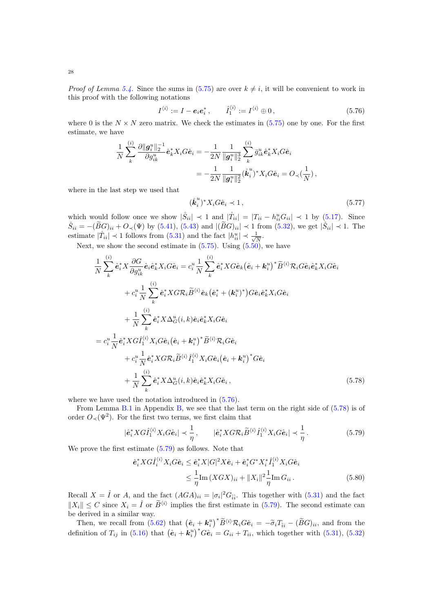*Proof of Lemma [5.4.](#page-26-1)* Since the sums in [\(5.75\)](#page-26-2) are over  $k \neq i$ , it will be convenient to work in this proof with the following notations

$$
I^{\langle i \rangle} := I - e_i e_i^*, \qquad \hat{I}_1^{\langle i \rangle} := I^{\langle i \rangle} \oplus 0, \qquad (5.76)
$$

where 0 is the  $N \times N$  zero matrix. We check the estimates in [\(5.75\)](#page-26-2) one by one. For the first estimate, we have

$$
\frac{1}{N} \sum_{k}^{(i)} \frac{\partial \|g_{i}^{u}\|_{2}^{-1}}{\partial g_{ik}^{u}} \hat{\mathbf{e}}_{k}^{*} X_{i} G \hat{\mathbf{e}}_{i} = -\frac{1}{2N} \frac{1}{\|g_{i}^{u}\|_{2}^{3}} \sum_{k}^{(i)} \bar{g}_{ik}^{u} \hat{\mathbf{e}}_{k}^{*} X_{i} G \hat{\mathbf{e}}_{i}
$$
\n
$$
= -\frac{1}{2N} \frac{1}{\|g_{i}^{u}\|_{2}^{2}} (\overset{\circ}{k}_{i}^{u})^{*} X_{i} G \hat{\mathbf{e}}_{i} = O_{\prec}(\frac{1}{N}),
$$

where in the last step we used that

<span id="page-27-3"></span><span id="page-27-0"></span>
$$
(\stackrel{\circ}{\mathbf{k}}_i^u)^* X_i G \hat{\mathbf{e}}_i \prec 1, \tag{5.77}
$$

which would follow once we show  $|\dot{S}_{ii}| \prec 1$  and  $|\dot{T}_{ii}| = |T_{ii} - h_{ii}^u G_{ii}| \prec 1$  by [\(5.17\)](#page-18-3). Since  $\mathring{S}_{ii} = -(\widetilde{B}G)_{ii} + O_{\prec}(\Psi)$  by [\(5.41\)](#page-21-2), [\(5.43\)](#page-21-5) and  $|(\widetilde{B}G)_{ii}| \prec 1$  from [\(5.32\)](#page-20-7), we get  $|\mathring{S}_{ii}| \prec 1$ . The estimate  $|\mathring{T}_{ii}| \prec 1$  follows from  $(5.31)$  and the fact  $|h_{ii}^u| \prec \frac{1}{\sqrt{n}}$  $\frac{1}{N}$ .

Next, we show the second estimate in  $(5.75)$ . Using  $(5.50)$ , we have

$$
\frac{1}{N} \sum_{k}^{(i)} \hat{\mathbf{e}}_{i}^{*} X \frac{\partial G}{\partial g_{ik}^{u}} \hat{\mathbf{e}}_{i} \hat{\mathbf{e}}_{k}^{*} X_{i} G \hat{\mathbf{e}}_{i} = c_{i}^{u} \frac{1}{N} \sum_{k}^{(i)} \hat{\mathbf{e}}_{i}^{*} X G \hat{\mathbf{e}}_{k} (\hat{\mathbf{e}}_{i} + \mathbf{k}_{i}^{u})^{*} \tilde{B}^{\langle i \rangle} \mathcal{R}_{i} G \hat{\mathbf{e}}_{i} \hat{\mathbf{e}}_{k}^{*} X_{i} G \hat{\mathbf{e}}_{i}
$$
\n
$$
+ c_{i}^{u} \frac{1}{N} \sum_{k}^{(i)} \hat{\mathbf{e}}_{i}^{*} X G \mathcal{R}_{i} \tilde{B}^{\langle i \rangle} \hat{\mathbf{e}}_{k} (\hat{\mathbf{e}}_{i}^{*} + (\mathbf{k}_{i}^{u})^{*}) G \hat{\mathbf{e}}_{i} \hat{\mathbf{e}}_{k}^{*} X_{i} G \hat{\mathbf{e}}_{i}
$$
\n
$$
+ \frac{1}{N} \sum_{k}^{(i)} \hat{\mathbf{e}}_{i}^{*} X \Delta_{G}^{u} (i, k) \hat{\mathbf{e}}_{i} \hat{\mathbf{e}}_{k}^{*} X_{i} G \hat{\mathbf{e}}_{i}
$$
\n
$$
= c_{i}^{u} \frac{1}{N} \hat{\mathbf{e}}_{i}^{*} X G \hat{I}_{1}^{\langle i \rangle} X_{i} G \hat{\mathbf{e}}_{i} (\hat{\mathbf{e}}_{i} + \mathbf{k}_{i}^{u})^{*} \tilde{B}^{\langle i \rangle} \mathcal{R}_{i} G \hat{\mathbf{e}}_{i}
$$
\n
$$
+ c_{i}^{u} \frac{1}{N} \hat{\mathbf{e}}_{i}^{*} X G \mathcal{R}_{i} \tilde{B}^{\langle i \rangle} \hat{I}_{1}^{\langle i \rangle} X_{i} G \hat{\mathbf{e}}_{i} (\hat{\mathbf{e}}_{i} + \mathbf{k}_{i}^{u})^{*} G \hat{\mathbf{e}}_{i}
$$
\n
$$
+ \frac{1}{N} \sum_{k}^{(i)} \hat{\mathbf{
$$

where we have used the notation introduced in  $(5.76)$ .

From Lemma [B.1](#page-57-1) in Appendix [B,](#page-57-0) we see that the last term on the right side of [\(5.78\)](#page-27-1) is of order  $O_{\prec}(\Psi^2)$ . For the first two terms, we first claim that

$$
|\hat{\mathbf{e}}_i^* X G \hat{I}_1^{(i)} X_i G \hat{\mathbf{e}}_i| \prec \frac{1}{\eta}, \qquad |\hat{\mathbf{e}}_i^* X G \mathcal{R}_i \widetilde{B}^{\langle i \rangle} \hat{I}_1^{\langle i \rangle} X_i G \hat{\mathbf{e}}_i| \prec \frac{1}{\eta}.
$$
 (5.79)

We prove the first estimate [\(5.79\)](#page-27-2) as follows. Note that

<span id="page-27-4"></span><span id="page-27-2"></span><span id="page-27-1"></span>
$$
\begin{split} \hat{\mathbf{e}}_i^* X G \hat{I}_i^{(i)} X_i G \hat{\mathbf{e}}_i &\leq \hat{\mathbf{e}}_i^* X |G|^2 X \hat{\mathbf{e}}_i + \hat{\mathbf{e}}_i^* G^* X_i^* \hat{I}_1^{(i)} X_i G \hat{\mathbf{e}}_i \\ &\leq \frac{1}{\eta} \text{Im} \left( X G X \right)_{ii} + \| X_i \|^2 \frac{1}{\eta} \text{Im} \, G_{ii} \,. \end{split} \tag{5.80}
$$

Recall  $X = \hat{I}$  or A, and the fact  $(AGA)_{ii} = |\sigma_i|^2 G_{\hat{i}\hat{i}}$ . This together with  $(5.31)$  and the fact  $||X_i|| \leq C$  since  $X_i = \hat{I}$  or  $\tilde{B}^{\langle i \rangle}$  implies the first estimate in [\(5.79\)](#page-27-2). The second estimate can be derived in a similar way.

Then, we recall from [\(5.62\)](#page-23-4) that  $(\hat{e}_i + k_i^u)^* \widetilde{B}^{\langle i \rangle} \mathcal{R}_i G \hat{e}_i = -\widetilde{\sigma}_i T_{\hat{i}i} - (\widetilde{B}G)_{ii}$ , and from the definition of  $T_{ij}$  in [\(5.16\)](#page-18-0) that  $(\hat{\mathbf{e}}_i + \hat{\mathbf{k}}_i^u)^* G \hat{\mathbf{e}}_i = G_{ii} + T_{ii}$ , which together with [\(5.31\)](#page-20-4), [\(5.32\)](#page-20-7)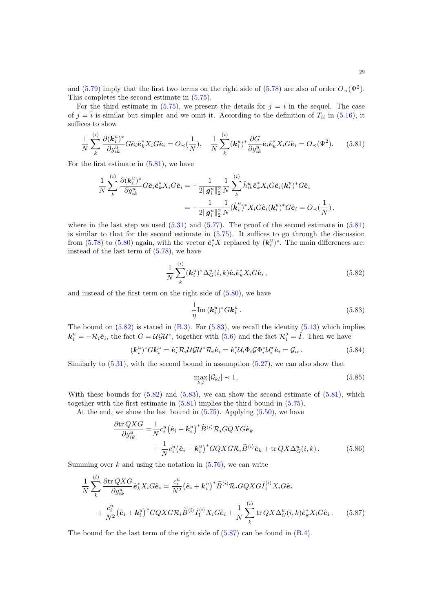and [\(5.79\)](#page-27-2) imply that the first two terms on the right side of [\(5.78\)](#page-27-1) are also of order  $O_{\prec}(\Psi^2)$ . This completes the second estimate in [\(5.75\)](#page-26-2).

For the third estimate in  $(5.75)$ , we present the details for  $j = i$  in the sequel. The case of  $j = \hat{i}$  is similar but simpler and we omit it. According to the definition of  $T_{ii}$  in [\(5.16\)](#page-18-0), it suffices to show

$$
\frac{1}{N}\sum_{k}^{(i)}\frac{\partial(\mathbf{k}_{i}^{u})^{*}}{\partial g_{ik}^{u}}G\hat{\mathbf{e}}_{i}\hat{\mathbf{e}}_{k}^{*}X_{i}G\hat{\mathbf{e}}_{i}=O_{\prec}(\frac{1}{N}),\quad\frac{1}{N}\sum_{k}^{(i)}(\mathbf{k}_{i}^{u})^{*}\frac{\partial G}{\partial g_{ik}^{u}}\hat{\mathbf{e}}_{i}\hat{\mathbf{e}}_{k}^{*}X_{i}G\hat{\mathbf{e}}_{i}=O_{\prec}(\Psi^{2}).\tag{5.81}
$$

For the first estimate in [\(5.81\)](#page-28-0), we have

$$
\begin{split} \frac{1}{N}\sum_{k}^{(i)}\frac{\partial(\bm{k}_{i}^{u})^{*}}{\partial g_{ik}^{u}}G\hat{\bm{e}}_{i}\hat{\bm{e}}_{k}^{*}X_{i}G\hat{\bm{e}}_{i} &=-\frac{1}{2\|\bm{g}_{i}^{u}\|_{2}^{2}}\frac{1}{N}\sum_{k}^{(i)}\bar{h}_{ik}^{u}\hat{\bm{e}}_{k}^{*}X_{i}G\hat{\bm{e}}_{i}(\bm{k}_{i}^{u})^{*}G\hat{\bm{e}}_{i} \\ &=-\frac{1}{2\|\bm{g}_{i}^{u}\|_{2}^{2}}\frac{1}{N}(\mathring{\bm{k}}_{i}^{u})^{*}X_{i}G\hat{\bm{e}}_{i}(\bm{k}_{i}^{u})^{*}G\hat{\bm{e}}_{i} = O_{\prec}(\frac{1}{N})\,, \end{split}
$$

where in the last step we used  $(5.31)$  and  $(5.77)$ . The proof of the second estimate in  $(5.81)$ is similar to that for the second estimate in  $(5.75)$ . It suffices to go through the discussion from [\(5.78\)](#page-27-1) to [\(5.80\)](#page-27-4) again, with the vector  $\hat{e}_i^* X$  replaced by  $(k_i^u)^*$ . The main differences are: instead of the last term of [\(5.78\)](#page-27-1), we have

<span id="page-28-0"></span>
$$
\frac{1}{N} \sum_{k}^{(i)} (\mathbf{k}_i^u)^* \Delta_G^u(i,k) \hat{\mathbf{e}}_i \hat{\mathbf{e}}_k^* X_i G \hat{\mathbf{e}}_i, \qquad (5.82)
$$

and instead of the first term on the right side of [\(5.80\)](#page-27-4), we have

<span id="page-28-2"></span><span id="page-28-1"></span>
$$
\frac{1}{\eta} \text{Im}\left(\mathbf{k}_i^u\right)^* G \mathbf{k}_i^u \,. \tag{5.83}
$$

The bound on  $(5.82)$  is stated in  $(B.3)$ . For  $(5.83)$ , we recall the identity  $(5.13)$  which implies  $\mathbf{k}_i^u = -\mathcal{R}_i \hat{\mathbf{e}}_i$ , the fact  $G = U \mathcal{G} U^*$ , together with  $(5.6)$  and the fact  $\mathcal{R}_i^2 = \hat{I}$ . Then we have

$$
(\mathbf{k}_i^u)^* G \mathbf{k}_i^u = \hat{\mathbf{e}}_i^* \mathcal{R}_i \mathcal{U} \mathcal{G} \mathcal{U}^* \mathcal{R}_i \hat{\mathbf{e}}_i = \hat{\mathbf{e}}_i^* \mathcal{U}_i \Phi_i \mathcal{G} \Phi_i^* \mathcal{U}_i^* \hat{\mathbf{e}}_i = \mathcal{G}_{ii} \,. \tag{5.84}
$$

Similarly to [\(5.31\)](#page-20-4), with the second bound in assumption [\(5.27\)](#page-19-5), we can also show that

<span id="page-28-5"></span><span id="page-28-4"></span><span id="page-28-3"></span>
$$
\max_{k,l} |\mathcal{G}_{kl}| \prec 1. \tag{5.85}
$$

With these bounds for  $(5.82)$  and  $(5.83)$ , we can show the second estimate of  $(5.81)$ , which together with the first estimate in [\(5.81\)](#page-28-0) implies the third bound in [\(5.75\)](#page-26-2).

At the end, we show the last bound in  $(5.75)$ . Applying  $(5.50)$ , we have

$$
\frac{\partial \text{tr} QXG}{\partial g_{ik}^u} = \frac{1}{N} c_i^u (\hat{\mathbf{e}}_i + \mathbf{k}_i^u)^* \tilde{B}^{\langle i \rangle} \mathcal{R}_i GQX G \hat{\mathbf{e}}_k \n+ \frac{1}{N} c_i^u (\hat{\mathbf{e}}_i + \mathbf{k}_i^u)^* GQX G \mathcal{R}_i \tilde{B}^{\langle i \rangle} \hat{\mathbf{e}}_k + \text{tr} QX \Delta_G^u(i,k).
$$
\n(5.86)

Summing over  $k$  and using the notation in  $(5.76)$ , we can write

$$
\frac{1}{N} \sum_{k}^{(i)} \frac{\partial \text{tr } QKG}{\partial g_{ik}^{u}} \hat{\mathbf{e}}_{k}^{*} X_{i} G \hat{\mathbf{e}}_{i} = \frac{c_{i}^{u}}{N^{2}} (\hat{\mathbf{e}}_{i} + \mathbf{k}_{i}^{u})^{*} \tilde{B}^{\langle i \rangle} \mathcal{R}_{i} GQX G \hat{I}_{1}^{\langle i \rangle} X_{i} G \hat{\mathbf{e}}_{i} \n+ \frac{c_{i}^{u}}{N^{2}} (\hat{\mathbf{e}}_{i} + \mathbf{k}_{i}^{u})^{*} GQX G \mathcal{R}_{i} \tilde{B}^{\langle i \rangle} \hat{I}_{1}^{\langle i \rangle} X_{i} G \hat{\mathbf{e}}_{i} + \frac{1}{N} \sum_{k}^{(i)} \text{tr } QX \Delta_{G}^{u}(i, k) \hat{\mathbf{e}}_{k}^{*} X_{i} G \hat{\mathbf{e}}_{i}.
$$
\n(5.87)

The bound for the last term of the right side of  $(5.87)$  can be found in  $(B.4)$ .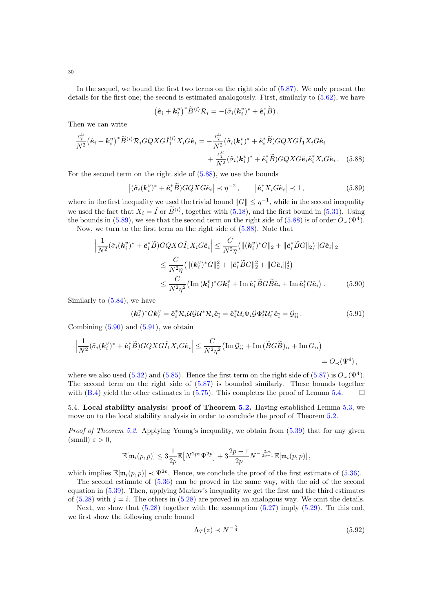In the sequel, we bound the first two terms on the right side of [\(5.87\)](#page-28-3). We only present the details for the first one; the second is estimated analogously. First, similarly to [\(5.62\)](#page-23-4), we have

<span id="page-29-2"></span><span id="page-29-1"></span>
$$
(\hat{\boldsymbol{e}}_i + \boldsymbol{k}_i^u)^* \widetilde{B}^{\langle i \rangle} \mathcal{R}_i = -(\tilde{\sigma}_i (\boldsymbol{k}_i^v)^* + \hat{\boldsymbol{e}}_i^* \widetilde{B}).
$$

Then we can write

$$
\frac{c_i^u}{N^2}(\hat{\mathbf{e}}_i + \mathbf{k}_i^u)^* \widetilde{B}^{\langle i \rangle} \mathcal{R}_i GQX G \hat{I}_1^{\langle i \rangle} X_i G \hat{\mathbf{e}}_i = -\frac{c_i^u}{N^2} (\tilde{\sigma}_i(\mathbf{k}_i^v)^* + \hat{\mathbf{e}}_i^* \widetilde{B}) GQX G \hat{I}_1 X_i G \hat{\mathbf{e}}_i + \frac{c_i^u}{N^2} (\tilde{\sigma}_i(\mathbf{k}_i^v)^* + \hat{\mathbf{e}}_i^* \widetilde{B}) GQX G \hat{\mathbf{e}}_i \hat{\mathbf{e}}_i^* X_i G \hat{\mathbf{e}}_i. \tag{5.88}
$$

For the second term on the right side of [\(5.88\)](#page-29-1), we use the bounds

$$
\left| (\tilde{\sigma}_i(\mathbf{k}_i^v)^* + \hat{\mathbf{e}}_i^* \widetilde{B}) GQX G \hat{\mathbf{e}}_i \right| \prec \eta^{-2}, \qquad \left| \hat{\mathbf{e}}_i^* X_i G \hat{\mathbf{e}}_i \right| \prec 1, \tag{5.89}
$$

where in the first inequality we used the trivial bound  $||G|| \leq \eta^{-1}$ , while in the second inequality we used the fact that  $X_i = \hat{I}$  or  $\widetilde{B}^{\langle i \rangle}$ , together with [\(5.18\)](#page-18-5), and the first bound in [\(5.31\)](#page-20-4). Using the bounds in [\(5.89\)](#page-29-2), we see that the second term on the right side of [\(5.88\)](#page-29-1) is of order  $O_{\prec}(\Psi^4)$ . Now, we turn to the first term on the right side of [\(5.88\)](#page-29-1). Note that

$$
\left| \frac{1}{N^2} (\tilde{\sigma}_i(\mathbf{k}_i^v)^* + \hat{\mathbf{e}}_i^* \tilde{B}) GQX G \hat{I}_1 X_i G \hat{\mathbf{e}}_i \right| \leq \frac{C}{N^2 \eta} \left( \| (\mathbf{k}_i^v)^* G \|_2 + \| \hat{\mathbf{e}}_i^* \tilde{B} G \|_2 \right) \| G \hat{\mathbf{e}}_i \|_2
$$
  

$$
\leq \frac{C}{N^2 \eta} \left( \| (\mathbf{k}_i^v)^* G \|_2^2 + \| \hat{\mathbf{e}}_i^* \tilde{B} G \|_2^2 + \| G \hat{\mathbf{e}}_i \|_2^2 \right)
$$
  

$$
\leq \frac{C}{N^2 \eta^2} \left( \text{Im} (\mathbf{k}_i^v)^* G \mathbf{k}_i^v + \text{Im} \, \hat{\mathbf{e}}_i^* \tilde{B} G \tilde{B} \hat{\mathbf{e}}_i + \text{Im} \, \hat{\mathbf{e}}_i^* G \hat{\mathbf{e}}_i \right). \tag{5.90}
$$

Similarly to [\(5.84\)](#page-28-4), we have

<span id="page-29-4"></span><span id="page-29-3"></span>
$$
(\mathbf{k}_i^v)^* G \mathbf{k}_i^v = \hat{\mathbf{e}}_i^* \mathcal{R}_i \mathcal{U} \mathcal{G} \mathcal{U}^* \mathcal{R}_i \hat{\mathbf{e}}_i^* = \hat{\mathbf{e}}_i^* \mathcal{U}_i \Phi_i \mathcal{G} \Phi_i^* \mathcal{U}_i^* \hat{\mathbf{e}}_i^* = \mathcal{G}_{\hat{i}\hat{i}}.
$$
\n(5.91)

Combining  $(5.90)$  and  $(5.91)$ , we obtain

$$
\left|\frac{1}{N^2}(\tilde{\sigma}_i(\mathbf{k}_i^v)^* + \hat{\mathbf{e}}_i^*\tilde{B})GQXG\hat{I}_1X_iG\hat{\mathbf{e}}_i\right| \leq \frac{C}{N^2\eta^2}(\text{Im}\,\mathcal{G}_{\hat{i}\hat{i}} + \text{Im}\,(\tilde{B}G\tilde{B})_{ii} + \text{Im}\,G_{ii})
$$
  
=  $O_{\prec}(\Psi^4)$ ,

where we also used [\(5.32\)](#page-20-7) and [\(5.85\)](#page-28-5). Hence the first term on the right side of [\(5.87\)](#page-28-3) is  $O_{\prec}(\Psi^4)$ . The second term on the right side of [\(5.87\)](#page-28-3) is bounded similarly. These bounds together with [\(B.4\)](#page-57-3) yield the other estimates in [\(5.75\)](#page-26-2). This completes the proof of Lemma [5.4.](#page-26-1)  $\Box$ 

<span id="page-29-0"></span>5.4. Local stability analysis: proof of Theorem [5.2.](#page-19-2) Having established Lemma [5.3,](#page-21-0) we move on to the local stability analysis in order to conclude the proof of Theorem [5.2.](#page-19-2)

Proof of Theorem [5.2.](#page-19-2) Applying Young's inequality, we obtain from  $(5.39)$  that for any given (small)  $\varepsilon > 0$ ,

$$
\mathbb{E}[\mathfrak{m}_i(p,p)] \leq 3\frac{1}{2p}\mathbb{E}\big[N^{2p\varepsilon}\Psi^{2p}\big] + 3\frac{2p-1}{2p}N^{-\frac{2p\varepsilon}{2p-1}}\mathbb{E}[\mathfrak{m}_i(p,p)]\,,
$$

which implies  $\mathbb{E}[\mathfrak{m}_i(p,p)] \prec \Psi^{2p}$ . Hence, we conclude the proof of the first estimate of [\(5.36\)](#page-20-3).

The second estimate of [\(5.36\)](#page-20-3) can be proved in the same way, with the aid of the second equation in [\(5.39\)](#page-21-6). Then, applying Markov's inequality we get the first and the third estimates of  $(5.28)$  with  $j = i$ . The others in  $(5.28)$  are proved in an analogous way. We omit the details.

Next, we show that  $(5.28)$  together with the assumption  $(5.27)$  imply  $(5.29)$ . To this end, we first show the following crude bound

<span id="page-29-5"></span>
$$
\Lambda_T(z) \prec N^{-\frac{\gamma}{4}} \tag{5.92}
$$

30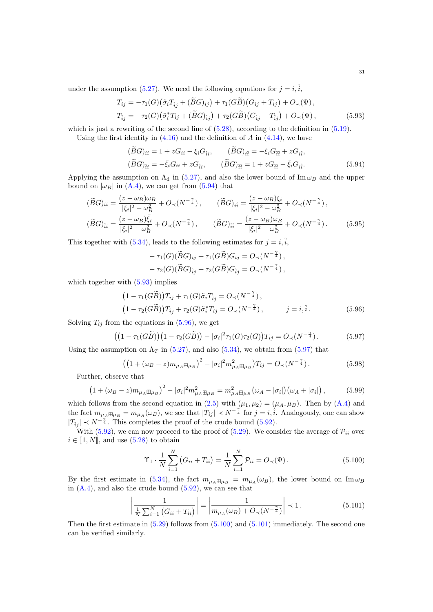under the assumption [\(5.27\)](#page-19-5). We need the following equations for  $j = i, \hat{i}$ ,

$$
T_{ij} = -\tau_1(G)(\tilde{\sigma}_i T_{\hat{i}j} + (\tilde{B}G)_{ij}) + \tau_1(G\tilde{B})(G_{ij} + T_{ij}) + O_{\prec}(\Psi),
$$
  
\n
$$
T_{\hat{i}j} = -\tau_2(G)(\tilde{\sigma}_i^* T_{ij} + (\tilde{B}G)_{\hat{i}j}) + \tau_2(G\tilde{B})(G_{\hat{i}j} + T_{\hat{i}j}) + O_{\prec}(\Psi),
$$
\n(5.93)

which is just a rewriting of the second line of  $(5.28)$ , according to the definition in  $(5.19)$ . Using the first identity in  $(4.16)$  and the definition of A in  $(4.14)$ , we have

<span id="page-30-1"></span><span id="page-30-0"></span>
$$
(\widetilde{B}G)_{ii} = 1 + zG_{ii} - \xi_i G_{\hat{i}i}, \qquad (\widetilde{B}G)_{i\hat{i}} = -\xi_i G_{\hat{i}i} + zG_{i\hat{i}},
$$
  
\n
$$
(\widetilde{B}G)_{\hat{i}i} = -\bar{\xi}_i G_{ii} + zG_{\hat{i}i}, \qquad (\widetilde{B}G)_{\hat{i}i} = 1 + zG_{\hat{i}i} - \bar{\xi}_i G_{i\hat{i}}.
$$
\n(5.94)

Applying the assumption on  $\Lambda_d$  in [\(5.27\)](#page-19-5), and also the lower bound of Im  $\omega_B$  and the upper bound on  $|\omega_B|$  in [\(A.4\)](#page-56-1), we can get from [\(5.94\)](#page-30-0) that

$$
(\widetilde{B}G)_{ii} = \frac{(z - \omega_B)\omega_B}{|\xi_i|^2 - \omega_B^2} + O_{\prec}(N^{-\frac{\gamma}{4}}), \qquad (\widetilde{B}G)_{i\hat{i}} = \frac{(z - \omega_B)\xi_i}{|\xi_i|^2 - \omega_B^2} + O_{\prec}(N^{-\frac{\gamma}{4}}),
$$
  

$$
(\widetilde{B}G)_{\hat{i}i} = \frac{(z - \omega_B)\bar{\xi}_i}{|\xi_i|^2 - \omega_B^2} + O_{\prec}(N^{-\frac{\gamma}{4}}), \qquad (\widetilde{B}G)_{\hat{i}i} = \frac{(z - \omega_B)\omega_B}{|\xi_i|^2 - \omega_B^2} + O_{\prec}(N^{-\frac{\gamma}{4}}).
$$
(5.95)

This together with [\(5.34\)](#page-20-6), leads to the following estimates for  $j = i, \hat{i}$ ,

<span id="page-30-6"></span><span id="page-30-3"></span><span id="page-30-2"></span>
$$
-\tau_1(G)(\widetilde{B}G)_{ij} + \tau_1(G\widetilde{B})G_{ij} = O_{\prec}(N^{-\frac{\gamma}{4}}),
$$
  

$$
-\tau_2(G)(\widetilde{B}G)_{\hat{i}j} + \tau_2(G\widetilde{B})G_{\hat{i}j} = O_{\prec}(N^{-\frac{\gamma}{4}}),
$$

which together with  $(5.93)$  implies

$$
(1 - \tau_1(G\widetilde{B}))T_{ij} + \tau_1(G)\widetilde{\sigma}_i T_{\hat{i}j} = O_{\prec}(N^{-\frac{\gamma}{4}}),
$$
  
\n
$$
(1 - \tau_2(G\widetilde{B}))T_{\hat{i}j} + \tau_2(G)\widetilde{\sigma}_i^* T_{ij} = O_{\prec}(N^{-\frac{\gamma}{4}}), \qquad j = i, \hat{i}.
$$
\n(5.96)

Solving  $T_{ij}$  from the equations in [\(5.96\)](#page-30-2), we get

$$
((1 - \tau_1(G\widetilde{B})) (1 - \tau_2(G\widetilde{B})) - |\sigma_i|^2 \tau_1(G)\tau_2(G)) T_{ij} = O_{\prec}(N^{-\frac{\gamma}{4}}).
$$
 (5.97)

Using the assumption on  $\Lambda_T$  in [\(5.27\)](#page-19-5), and also [\(5.34\)](#page-20-6), we obtain from [\(5.97\)](#page-30-3) that

$$
\left( \left( 1 + (\omega_B - z) m_{\mu_A \boxplus \mu_B} \right)^2 - |\sigma_i|^2 m_{\mu_A \boxplus \mu_B}^2 \right) T_{ij} = O_{\prec} (N^{-\frac{\gamma}{4}}).
$$
\n(5.98)

Further, observe that

$$
\left(1+(\omega_B-z)m_{\mu_A\boxplus\mu_B}\right)^2-|\sigma_i|^2m_{\mu_A\boxplus\mu_B}^2=m_{\mu_A\boxplus\mu_B}^2(\omega_A-|\sigma_i|)(\omega_A+|\sigma_i|)\,,\tag{5.99}
$$

which follows from the second equation in [\(2.5\)](#page-5-3) with  $(\mu_1, \mu_2) = (\mu_A, \mu_B)$ . Then by [\(A.4\)](#page-56-1) and the fact  $m_{\mu_A} \equiv m_{\mu_A}(\omega_B)$ , we see that  $|T_{ij}| \prec N^{-\frac{\gamma}{4}}$  for  $j = i, \hat{i}$ . Analogously, one can show  $|T_{\hat{i}j}| \prec N^{-\frac{\gamma}{4}}$ . This completes the proof of the crude bound [\(5.92\)](#page-29-5).

With [\(5.92\)](#page-29-5), we can now proceed to the proof of [\(5.29\)](#page-19-1). We consider the average of  $\mathcal{P}_{ii}$  over  $i \in [1, N]$ , and use  $(5.28)$  to obtain

<span id="page-30-7"></span><span id="page-30-5"></span><span id="page-30-4"></span>
$$
\Upsilon_1 \cdot \frac{1}{N} \sum_{i=1}^N (G_{ii} + T_{ii}) = \frac{1}{N} \sum_{i=1}^N \mathcal{P}_{ii} = O_{\prec}(\Psi). \tag{5.100}
$$

By the first estimate in [\(5.34\)](#page-20-6), the fact  $m_{\mu_A \boxplus \mu_B} = m_{\mu_A}(\omega_B)$ , the lower bound on  $\text{Im}\,\omega_B$ in  $(A.4)$ , and also the crude bound  $(5.92)$ , we can see that

$$
\left| \frac{1}{\frac{1}{N} \sum_{i=1}^{N} (G_{ii} + T_{ii})} \right| = \left| \frac{1}{m_{\mu_A}(\omega_B) + O_{\prec}(N^{-\frac{\gamma}{4}})} \right| \prec 1. \tag{5.101}
$$

Then the first estimate in  $(5.29)$  follows from  $(5.100)$  and  $(5.101)$  immediately. The second one can be verified similarly.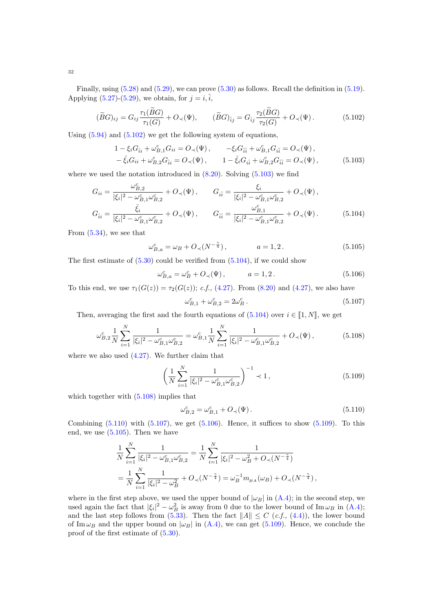Finally, using  $(5.28)$  and  $(5.29)$ , we can prove  $(5.30)$  as follows. Recall the definition in  $(5.19)$ . Applying  $(5.27)-(5.29)$  $(5.27)-(5.29)$ , we obtain, for  $j = i, \hat{i}$ ,

$$
(\widetilde{B}G)_{ij} = G_{ij}\frac{\tau_1(\widetilde{B}G)}{\tau_1(G)} + O_{\prec}(\Psi), \qquad (\widetilde{B}G)_{\hat{i}j} = G_{\hat{i}j}\frac{\tau_2(\widetilde{B}G)}{\tau_2(G)} + O_{\prec}(\Psi). \tag{5.102}
$$

Using [\(5.94\)](#page-30-0) and [\(5.102\)](#page-31-0) we get the following system of equations,

<span id="page-31-0"></span>
$$
1 - \xi_i G_{\hat{i}i} + \omega_{B,1}^c G_{ii} = O_{\prec}(\Psi), \qquad -\xi_i G_{\hat{i}i} + \omega_{B,1}^c G_{i\hat{i}} = O_{\prec}(\Psi), -\bar{\xi}_i G_{ii} + \omega_{B,2}^c G_{\hat{i}i} = O_{\prec}(\Psi), \qquad 1 - \bar{\xi}_i G_{i\hat{i}} + \omega_{B,2}^c G_{\hat{i}i} = O_{\prec}(\Psi),
$$
 (5.103)

where we used the notation introduced in  $(8.20)$ . Solving  $(5.103)$  we find

$$
G_{ii} = \frac{\omega_{B,2}^c}{|\xi_i|^2 - \omega_{B,1}^c \omega_{B,2}^c} + O_{\prec}(\Psi), \qquad G_{i\hat{i}} = \frac{\xi_i}{|\xi_i|^2 - \omega_{B,1}^c \omega_{B,2}^c} + O_{\prec}(\Psi),
$$
  

$$
G_{\hat{i}i} = \frac{\bar{\xi}_i}{|\xi_i|^2 - \omega_{B,1}^c \omega_{B,2}^c} + O_{\prec}(\Psi), \qquad G_{\hat{i}\hat{i}} = \frac{\omega_{B,1}^c}{|\xi_i|^2 - \omega_{B,1}^c \omega_{B,2}^c} + O_{\prec}(\Psi).
$$
(5.104)

From  $(5.34)$ , we see that

<span id="page-31-1"></span>
$$
\omega_{B,a}^c = \omega_B + O_\prec (N^{-\frac{\gamma}{4}}), \qquad a = 1, 2. \tag{5.105}
$$

The first estimate of  $(5.30)$  could be verified from  $(5.104)$ , if we could show

$$
\omega_{B,a}^c = \omega_B^c + O_\prec(\Psi), \qquad a = 1, 2. \tag{5.106}
$$

To this end, we use  $\tau_1(G(z)) = \tau_2(G(z))$ ; c.f., [\(4.27\)](#page-15-4). From [\(8.20\)](#page-53-0) and [\(4.27\)](#page-15-4), we also have

<span id="page-31-8"></span><span id="page-31-6"></span><span id="page-31-5"></span><span id="page-31-3"></span><span id="page-31-2"></span>
$$
\omega_{B,1}^c + \omega_{B,2}^c = 2\omega_B^c. \tag{5.107}
$$

Then, averaging the first and the fourth equations of  $(5.104)$  over  $i \in \llbracket 1, N \rrbracket$ , we get

$$
\omega_{B,2}^c \frac{1}{N} \sum_{i=1}^N \frac{1}{|\xi_i|^2 - \omega_{B,1}^c \omega_{B,2}^c} = \omega_{B,1}^c \frac{1}{N} \sum_{i=1}^N \frac{1}{|\xi_i|^2 - \omega_{B,1}^c \omega_{B,2}^c} + O_\prec(\Psi),\tag{5.108}
$$

where we also used [\(4.27\)](#page-15-4). We further claim that

$$
\left(\frac{1}{N}\sum_{i=1}^{N}\frac{1}{|\xi_i|^2 - \omega_{B,1}^c \omega_{B,2}^c}\right)^{-1} \prec 1,
$$
\n(5.109)

which together with  $(5.108)$  implies that

<span id="page-31-7"></span><span id="page-31-4"></span>
$$
\omega_{B,2}^c = \omega_{B,1}^c + O_{\prec}(\Psi). \tag{5.110}
$$

Combining  $(5.110)$  with  $(5.107)$ , we get  $(5.106)$ . Hence, it suffices to show  $(5.109)$ . To this end, we use  $(5.105)$ . Then we have

$$
\frac{1}{N} \sum_{i=1}^{N} \frac{1}{|\xi_i|^2 - \omega_{B,1}^c \omega_{B,2}^c} = \frac{1}{N} \sum_{i=1}^{N} \frac{1}{|\xi_i|^2 - \omega_B^2 + O_\prec(N^{-\frac{\gamma}{4}})} \n= \frac{1}{N} \sum_{i=1}^{N} \frac{1}{|\xi_i|^2 - \omega_B^2} + O_\prec(N^{-\frac{\gamma}{4}}) = \omega_B^{-1} m_{\mu_A}(\omega_B) + O_\prec(N^{-\frac{\gamma}{4}}),
$$

where in the first step above, we used the upper bound of  $|\omega_B|$  in  $(A.4)$ ; in the second step, we used again the fact that  $|\xi_i|^2 - \omega_B^2$  is away from 0 due to the lower bound of Im  $\omega_B$  in [\(A.4\)](#page-56-1); and the last step follows from [\(5.33\)](#page-20-1). Then the fact  $||A|| \leq C$  (*c.f.*, [\(4.4\)](#page-11-3)), the lower bound of Im  $\omega_B$  and the upper bound on  $|\omega_B|$  in [\(A.4\)](#page-56-1), we can get [\(5.109\)](#page-31-7). Hence, we conclude the proof of the first estimate of [\(5.30\)](#page-19-7).

32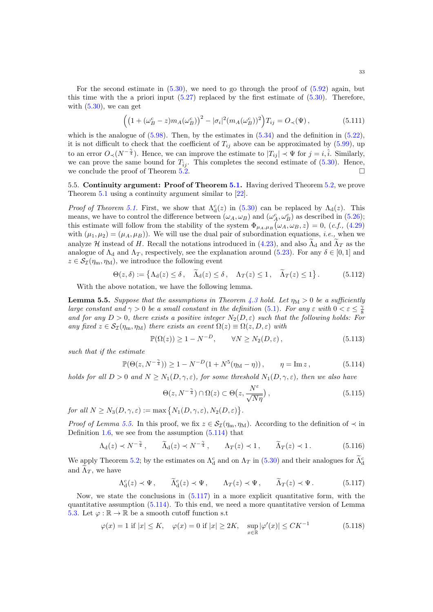For the second estimate in  $(5.30)$ , we need to go through the proof of  $(5.92)$  again, but this time with the a priori input  $(5.27)$  replaced by the first estimate of  $(5.30)$ . Therefore, with  $(5.30)$ , we can get

$$
\left( \left( 1 + (\omega_B^c - z) m_A(\omega_B^c) \right)^2 - |\sigma_i|^2 (m_A(\omega_B^c))^2 \right) T_{ij} = O_\prec(\Psi), \tag{5.111}
$$

which is the analogue of  $(5.98)$ . Then, by the estimates in  $(5.34)$  and the definition in  $(5.22)$ , it is not difficult to check that the coefficient of  $T_{ij}$  above can be approximated by [\(5.99\)](#page-30-7), up to an error  $O_{\prec}(N^{-\frac{\gamma}{4}})$ . Hence, we can improve the estimate to  $|T_{ij}| \prec \Psi$  for  $j = i, \hat{i}$ . Similarly, we can prove the same bound for  $T_{\hat{i}i}$ . This completes the second estimate of [\(5.30\)](#page-19-7). Hence, we conclude the proof of Theorem  $5.\overline{2}$ .

<span id="page-32-0"></span>5.5. Continuity argument: Proof of Theorem [5.1.](#page-19-0) Having derived Theorem [5.2,](#page-19-2) we prove Theorem [5.1](#page-19-0) using a continuity argument similar to [\[22\]](#page-60-18).

*Proof of Theorem [5.1.](#page-19-0)* First, we show that  $\Lambda_d^c(z)$  in [\(5.30\)](#page-19-7) can be replaced by  $\Lambda_d(z)$ . This means, we have to control the difference between  $(\omega_A, \omega_B)$  and  $(\omega_A^c, \omega_B^c)$  as described in [\(5.26\)](#page-19-3); this estimate will follow from the stability of the system  $\Phi_{\mu_A,\mu_B}(\omega_A,\omega_B,z) = 0$ , (*c.f.*, [\(4.29\)](#page-15-0) with  $(\mu_1, \mu_2) = (\mu_A, \mu_B)$ . We will use the dual pair of subordination equations, *i.e.*, when we analyze H instead of H. Recall the notations introduced in [\(4.23\)](#page-15-2), and also  $\Lambda_d$  and  $\Lambda_T$  as the analogue of  $\Lambda_d$  and  $\Lambda_T$ , respectively, see the explanation around [\(5.23\)](#page-19-9). For any  $\delta \in [0,1]$  and  $z \in \mathcal{S}_{\mathcal{I}}(\eta_m, \eta_M)$ , we introduce the following event

$$
\Theta(z,\delta) := \left\{ \Lambda_d(z) \le \delta \,, \quad \widetilde{\Lambda}_d(z) \le \delta \,, \quad \Lambda_T(z) \le 1 \,, \quad \widetilde{\Lambda}_T(z) \le 1 \right\}. \tag{5.112}
$$

With the above notation, we have the following lemma.

<span id="page-32-1"></span>**Lemma 5.5.** Suppose that the assumptions in Theorem [4.3](#page-11-1) hold. Let  $\eta_M > 0$  be a sufficiently large constant and  $\gamma > 0$  be a small constant in the definition [\(5.1\)](#page-16-6). For any  $\varepsilon$  with  $0 < \varepsilon \leq \frac{2}{8}$ and for any  $D > 0$ , there exists a positive integer  $N_2(D, \varepsilon)$  such that the following holds: For any fixed  $z \in \mathcal{S}_{\mathcal{I}}(\eta_m, \eta_M)$  there exists an event  $\Omega(z) \equiv \Omega(z, D, \varepsilon)$  with

<span id="page-32-5"></span>
$$
\mathbb{P}(\Omega(z)) \ge 1 - N^{-D}, \qquad \forall N \ge N_2(D, \varepsilon), \tag{5.113}
$$

such that if the estimate

$$
\mathbb{P}(\Theta(z, N^{-\frac{\gamma}{4}})) \ge 1 - N^{-D} (1 + N^5 (\eta_M - \eta)), \qquad \eta = \text{Im } z, \qquad (5.114)
$$

holds for all  $D > 0$  and  $N \geq N_1(D, \gamma, \varepsilon)$ , for some threshold  $N_1(D, \gamma, \varepsilon)$ , then we also have

<span id="page-32-7"></span><span id="page-32-6"></span><span id="page-32-4"></span><span id="page-32-3"></span><span id="page-32-2"></span>
$$
\Theta(z, N^{-\frac{\gamma}{4}}) \cap \Omega(z) \subset \Theta\left(z, \frac{N^{\varepsilon}}{\sqrt{N\eta}}\right),\tag{5.115}
$$

for all  $N \ge N_3(D, \gamma, \varepsilon) := \max \left\{ N_1(D, \gamma, \varepsilon), N_2(D, \varepsilon) \right\}.$ 

*Proof of Lemma [5.5.](#page-32-1)* In this proof, we fix  $z \in S_{\mathcal{I}}(\eta_m, \eta_M)$ . According to the definition of  $\prec$  in Definition [1.6,](#page-2-6) we see from the assumption [\(5.114\)](#page-32-2) that

$$
\Lambda_{\rm d}(z) \prec N^{-\frac{\gamma}{4}}, \qquad \widetilde{\Lambda}_{\rm d}(z) \prec N^{-\frac{\gamma}{4}}, \qquad \Lambda_T(z) \prec 1, \qquad \widetilde{\Lambda}_T(z) \prec 1. \tag{5.116}
$$

We apply Theorem [5.2;](#page-19-2) by the estimates on  $\Lambda_d^c$  and on  $\Lambda_T$  in [\(5.30\)](#page-19-7) and their analogues for  $\Lambda_d^c$ and  $\Lambda_T$ , we have

$$
\Lambda_d^c(z) \prec \Psi, \qquad \widetilde{\Lambda}_d^c(z) \prec \Psi, \qquad \Lambda_T(z) \prec \Psi, \qquad \widetilde{\Lambda}_T(z) \prec \Psi. \tag{5.117}
$$

Now, we state the conclusions in  $(5.117)$  in a more explicit quantitative form, with the quantitative assumption [\(5.114\)](#page-32-2). To this end, we need a more quantitative version of Lemma [5.3.](#page-21-0) Let  $\varphi : \mathbb{R} \to \mathbb{R}$  be a smooth cutoff function s.t

$$
\varphi(x) = 1 \text{ if } |x| \le K, \quad \varphi(x) = 0 \text{ if } |x| \ge 2K, \quad \sup_{x \in \mathbb{R}} |\varphi'(x)| \le CK^{-1}
$$
 (5.118)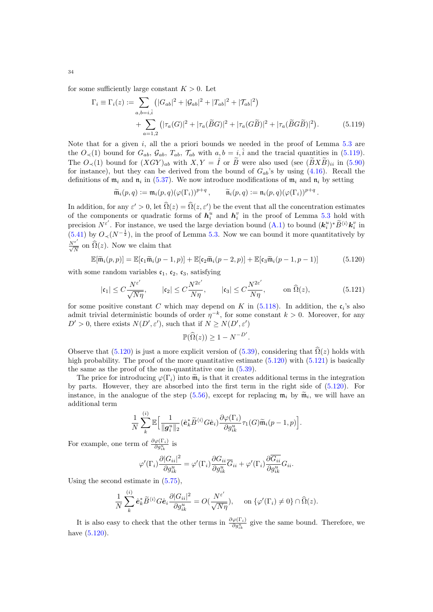for some sufficiently large constant  $K > 0$ . Let

$$
\Gamma_i \equiv \Gamma_i(z) := \sum_{a,b=i,\hat{i}} \left( |G_{ab}|^2 + |\mathcal{G}_{ab}|^2 + |T_{ab}|^2 + |\mathcal{T}_{ab}|^2 \right) + \sum_{a=1,2} \left( |\tau_a(G)|^2 + |\tau_a(\widetilde{B}G)|^2 + |\tau_a(G\widetilde{B})|^2 + |\tau_a(\widetilde{B}G\widetilde{B})|^2 \right).
$$
(5.119)

Note that for a given  $i$ , all the a priori bounds we needed in the proof of Lemma [5.3](#page-21-0) are the  $O_{\prec}(1)$  bound for  $G_{ab}$ ,  $\mathcal{G}_{ab}$ ,  $T_{ab}$ ,  $\mathcal{T}_{ab}$  with  $a, b = i, \hat{i}$  and the tracial quantities in [\(5.119\)](#page-33-0). The  $O_{\prec}(1)$  bound for  $(XGY)_{ab}$  with  $X, Y = \hat{I}$  or  $\tilde{B}$  were also used (see  $(\tilde{B}X\tilde{B})_{ii}$  in [\(5.90\)](#page-29-3) for instance), but they can be derived from the bound of  $G_{ab}$ 's by using [\(4.16\)](#page-13-0). Recall the definitions of  $\mathfrak{m}_i$  and  $\mathfrak{n}_i$  in [\(5.37\)](#page-20-5). We now introduce modifications of  $\mathfrak{m}_i$  and  $\mathfrak{n}_i$  by setting

<span id="page-33-0"></span>
$$
\widetilde{\mathfrak{m}}_i(p,q) := \mathfrak{m}_i(p,q) (\varphi(\Gamma_i))^{p+q}, \qquad \widetilde{\mathfrak{n}}_i(p,q) := \mathfrak{n}_i(p,q) (\varphi(\Gamma_i))^{p+q}.
$$

In addition, for any  $\varepsilon' > 0$ , let  $\widehat{\Omega}(z) = \widehat{\Omega}(z, \varepsilon')$  be the event that all the concentration estimates of the components or quadratic forms of  $h_i^u$  and  $h_i^v$  in the proof of Lemma [5.3](#page-21-0) hold with precision  $N^{\varepsilon'}$ . For instance, we used the large deviation bound  $(A.1)$  to bound  $(\mathbf{k}_i^u)^* \widetilde{B}^{\langle i \rangle} \mathbf{k}_i^v$  in  $(5.41)$  by  $O_{\prec}(N^{-\frac{1}{2}})$ , in the proof of Lemma [5.3.](#page-21-0) Now we can bound it more quantitatively by  $\frac{N^{\varepsilon'}}{\sqrt{N}}$  on  $\widehat{\Omega}(z)$ . Now we claim that

$$
\mathbb{E}[\widetilde{\mathfrak{m}}_i(p,p)] = \mathbb{E}[\mathfrak{c}_1 \widetilde{\mathfrak{m}}_i(p-1,p)] + \mathbb{E}[\mathfrak{c}_2 \widetilde{\mathfrak{m}}_i(p-2,p)] + \mathbb{E}[\mathfrak{c}_3 \widetilde{\mathfrak{m}}_i(p-1,p-1)] \tag{5.120}
$$

with some random variables  $c_1$ ,  $c_2$ ,  $c_3$ , satisfying

$$
|\mathfrak{c}_1| \le C \frac{N^{\varepsilon'}}{\sqrt{N\eta}}, \qquad |\mathfrak{c}_2| \le C \frac{N^{2\varepsilon'}}{N\eta}, \qquad |\mathfrak{c}_3| \le C \frac{N^{2\varepsilon'}}{N\eta}, \qquad \text{on } \widehat{\Omega}(z), \tag{5.121}
$$

for some positive constant C which may depend on K in  $(5.118)$ . In addition, the  $\mathfrak{c}_i$ 's also admit trivial deterministic bounds of order  $\eta^{-k}$ , for some constant  $k > 0$ . Moreover, for any  $D' > 0$ , there exists  $N(D', \varepsilon')$ , such that if  $N \ge N(D', \varepsilon')$ 

<span id="page-33-2"></span><span id="page-33-1"></span>
$$
\mathbb{P}(\widehat{\Omega}(z)) \ge 1 - N^{-D'}.
$$

Observe that [\(5.120\)](#page-33-1) is just a more explicit version of [\(5.39\)](#page-21-6), considering that  $\hat{\Omega}(z)$  holds with high probability. The proof of the more quantitative estimate  $(5.120)$  with  $(5.121)$  is basically the same as the proof of the non-quantitative one in [\(5.39\)](#page-21-6).

The price for introducing  $\varphi(\Gamma_i)$  into  $\tilde{\mathfrak{m}}_i$  is that it creates additional terms in the integration<br>next, Houvern, they are showned into the first term in the right side of (5.190). For by parts. However, they are absorbed into the first term in the right side of [\(5.120\)](#page-33-1). For instance, in the analogue of the step [\(5.56\)](#page-23-0), except for replacing  $\mathfrak{m}_i$  by  $\widetilde{\mathfrak{m}}_i$ , we will have an additional term additional term

$$
\frac{1}{N}\sum_{k}^{(i)}\mathbb{E}\Big[\frac{1}{\|\boldsymbol{g}_{i}^{u}\|_{2}}(\hat{\boldsymbol{e}}_{k}^{*}\widetilde{B}^{\langle i\rangle}G\hat{\boldsymbol{e}}_{i})\frac{\partial\varphi(\Gamma_{i})}{\partial g_{ik}^{u}}\tau_{1}(G)\widetilde{\mathfrak{m}}_{i}(p-1,p)\Big].
$$

For example, one term of  $\frac{\partial \varphi(\Gamma_i)}{\partial g_{ik}^u}$  is

$$
\varphi'(\Gamma_i)\frac{\partial |G_{ii}|^2}{\partial g_{ik}^u}=\varphi'(\Gamma_i)\frac{\partial G_{ii}}{\partial g_{ik}^u}\overline G_{ii}+\varphi'(\Gamma_i)\frac{\partial \overline G_{ii}}{\partial g_{ik}^u}G_{ii}.
$$

Using the second estimate in [\(5.75\)](#page-26-2),

$$
\frac{1}{N}\sum_{k}^{(i)} \hat{\mathbf{e}}_{k}^{*} \widetilde{B}^{\langle i \rangle} G \hat{\mathbf{e}}_{i} \frac{\partial |G_{ii}|^{2}}{\partial g_{ik}^{u}} = O(\frac{N^{\varepsilon'}}{\sqrt{N\eta}}), \quad \text{on } \{\varphi'(\Gamma_{i}) \neq 0\} \cap \widehat{\Omega}(z).
$$

It is also easy to check that the other terms in  $\frac{\partial \varphi(\Gamma_i)}{\partial g_{ik}^u}$  give the same bound. Therefore, we have  $(5.120)$ .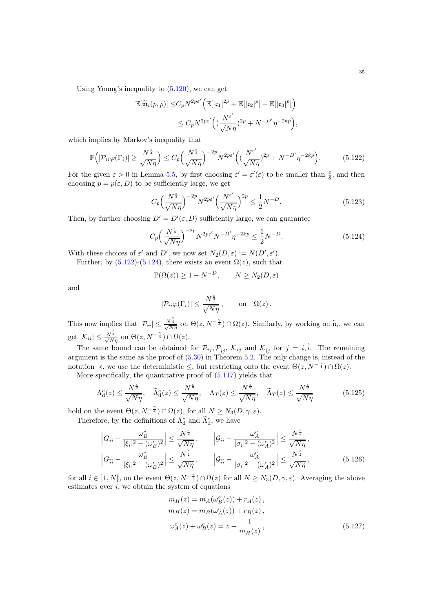Using Young's inequality to  $(5.120)$ , we can get

$$
\mathbb{E}[\widetilde{\mathfrak{m}}_i(p,p)] \leq C_p N^{2p\varepsilon'} \Big( \mathbb{E}[|\mathfrak{c}_1|^{2p} + \mathbb{E}[|\mathfrak{c}_2|^p] + \mathbb{E}[|\mathfrak{c}_3|^p] \Big) \leq C_p N^{2p\varepsilon'} \Big( \big(\frac{N^{\varepsilon'}}{\sqrt{N\eta}}\big)^{2p} + N^{-D'} \eta^{-2kp} \Big),
$$

which implies by Markov's inequality that

$$
\mathbb{P}\Big(|\mathcal{P}_{ii}\varphi(\Gamma_i)| \ge \frac{N^{\frac{\epsilon}{4}}}{\sqrt{N\eta}}\Big) \le C_p \Big(\frac{N^{\frac{\epsilon}{4}}}{\sqrt{N\eta}}\Big)^{-2p} N^{2p\epsilon'} \Big(\big(\frac{N^{\epsilon'}}{\sqrt{N\eta}}\big)^{2p} + N^{-D'} \eta^{-2kp}\Big). \tag{5.122}
$$

For the given  $\varepsilon > 0$  in Lemma [5.5,](#page-32-1) by first choosing  $\varepsilon' = \varepsilon'(\varepsilon)$  to be smaller than  $\frac{\varepsilon}{8}$ , and then choosing  $p = p(\varepsilon, D)$  to be sufficiently large, we get

<span id="page-34-0"></span>
$$
C_p \left(\frac{N^{\frac{\varepsilon}{4}}}{\sqrt{N\eta}}\right)^{-2p} N^{2p\varepsilon'} \left(\frac{N^{\varepsilon'}}{\sqrt{N\eta}}\right)^{2p} \le \frac{1}{2} N^{-D}.\tag{5.123}
$$

Then, by further choosing  $D' = D'(\varepsilon, D)$  sufficiently large, we can guarantee

$$
C_p \left(\frac{N^{\frac{\epsilon}{4}}}{\sqrt{N\eta}}\right)^{-2p} N^{2p\epsilon'} N^{-D'} \eta^{-2kp} \le \frac{1}{2} N^{-D}.
$$
 (5.124)

With these choices of  $\varepsilon'$  and D', we now set  $N_2(D, \varepsilon) := N(D', \varepsilon')$ .

Further, by  $(5.122)$ - $(5.124)$ , there exists an event  $\Omega(z)$ , such that

$$
\mathbb{P}(\Omega(z)) \ge 1 - N^{-D}, \qquad N \ge N_2(D, \varepsilon)
$$

and

<span id="page-34-3"></span><span id="page-34-1"></span>
$$
|\mathcal{P}_{ii}\varphi(\Gamma_i)| \leq \frac{N^{\frac{\varepsilon}{4}}}{\sqrt{N\eta}}, \quad \text{on} \quad \Omega(z).
$$

This now implies that  $|\mathcal{P}_{ii}| \leq \frac{N^{\frac{\varepsilon}{4}}}{\sqrt{N\eta}}$  on  $\Theta(z, N^{-\frac{\gamma}{4}}) \cap \Omega(z)$ . Similarly, by working on  $\widetilde{\mathfrak{n}}_i$ , we can get  $|\mathcal{K}_{ii}| \leq \frac{N^{\frac{\varepsilon}{4}}}{\sqrt{N\eta}}$  on  $\Theta(z, N^{-\frac{\gamma}{4}}) \cap \Omega(z)$ .

The same bound can be obtained for  $\mathcal{P}_{ij}, \mathcal{P}_{ij}, \mathcal{K}_{ij}$  and  $\mathcal{K}_{ij}$  for  $j = i, \hat{i}$ . The remaining argument is the same as the proof of [\(5.30\)](#page-19-7) in Theorem [5.2.](#page-19-2) The only change is, instead of the notation  $\prec$ , we use the deterministic  $\leq$ , but restricting onto the event  $\Theta(z, N^{-\frac{\gamma}{4}}) \cap \Omega(z)$ .

More specifically, the quantitative proof of [\(5.117\)](#page-32-3) yields that

$$
\Lambda_{\mathrm{d}}^{c}(z) \leq \frac{N^{\frac{\varepsilon}{2}}}{\sqrt{N\eta}}, \quad \widetilde{\Lambda}_{\mathrm{d}}^{c}(z) \leq \frac{N^{\frac{\varepsilon}{2}}}{\sqrt{N\eta}}, \quad \Lambda_{T}(z) \leq \frac{N^{\frac{\varepsilon}{2}}}{\sqrt{N\eta}}, \quad \widetilde{\Lambda}_{T}(z) \leq \frac{N^{\frac{\varepsilon}{2}}}{\sqrt{N\eta}} \tag{5.125}
$$

hold on the event  $\Theta(z, N^{-\frac{\gamma}{4}}) \cap \Omega(z)$ , for all  $N \geq N_3(D, \gamma, \varepsilon)$ . Therefore, by the definitions of  $\Lambda_d^c$  and  $\tilde{\Lambda}_d^c$ , we have

$$
\left| G_{ii} - \frac{\omega_B^c}{|\xi_i|^2 - (\omega_B^c)^2} \right| \le \frac{N^{\frac{\epsilon}{2}}}{\sqrt{N\eta}}, \qquad \left| \mathcal{G}_{ii} - \frac{\omega_A^c}{|\sigma_i|^2 - (\omega_A^c)^2} \right| \le \frac{N^{\frac{\epsilon}{2}}}{\sqrt{N\eta}},
$$

$$
\left| G_{\hat{i}\hat{i}} - \frac{\omega_B^c}{|\xi_i|^2 - (\omega_B^c)^2} \right| \le \frac{N^{\frac{\epsilon}{2}}}{\sqrt{N\eta}}, \qquad \left| \mathcal{G}_{\hat{i}\hat{i}} - \frac{\omega_A^c}{|\sigma_i|^2 - (\omega_A^c)^2} \right| \le \frac{N^{\frac{\epsilon}{2}}}{\sqrt{N\eta}}, \qquad (5.126)
$$

for all  $i \in [1, N]$ , on the event  $\Theta(z, N^{-\frac{\gamma}{4}}) \cap \Omega(z)$  for all  $N \geq N_3(D, \gamma, \varepsilon)$ . Averaging the above estimates over  $i$ , we obtain the system of equations estimates over  $\overline{i}$ , we obtain the system of equations

<span id="page-34-2"></span>
$$
m_H(z) = m_A(\omega_B^c(z)) + r_A(z),
$$
  
\n
$$
m_H(z) = m_B(\omega_A^c(z)) + r_B(z),
$$
  
\n
$$
\omega_A^c(z) + \omega_B^c(z) = z - \frac{1}{m_H(z)},
$$
\n(5.127)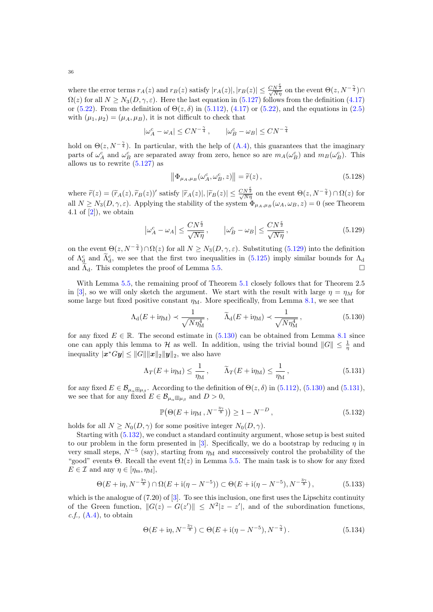where the error terms  $r_A(z)$  and  $r_B(z)$  satisfy  $|r_A(z)|, |r_B(z)| \leq \frac{CN^{\frac{5}{2}}}{\sqrt{N\eta}}$  on the event  $\Theta(z, N^{-\frac{\gamma}{4}}) \cap$  $\Omega(z)$  for all  $N \geq N_3(D,\gamma,\varepsilon)$ . Here the last equation in  $(5.127)$  follows from the definition  $(4.17)$ or [\(5.22\)](#page-19-8). From the definition of  $\Theta(z,\delta)$  in [\(5.112\)](#page-32-5), [\(4.17\)](#page-13-5) or (5.22), and the equations in [\(2.5\)](#page-5-3) with  $(\mu_1, \mu_2) = (\mu_A, \mu_B)$ , it is not difficult to check that

$$
|\omega_A^c - \omega_A| \leq CN^{-\frac{\gamma}{4}}\,, \qquad |\omega_B^c - \omega_B| \leq CN^{-\frac{\gamma}{4}}
$$

hold on  $\Theta(z, N^{-\frac{\gamma}{4}})$ . In particular, with the help of [\(A.4\)](#page-56-1), this guarantees that the imaginary parts of  $\omega_A^c$  and  $\omega_B^c$  are separated away from zero, hence so are  $m_A(\omega_B^c)$  and  $m_B(\omega_B^c)$ . This allows us to rewrite [\(5.127\)](#page-34-2) as

<span id="page-35-6"></span><span id="page-35-0"></span>
$$
\left\| \Phi_{\mu_A, \mu_B}(\omega_A^c, \omega_B^c, z) \right\| = \widetilde{r}(z), \tag{5.128}
$$

where  $\widetilde{r}(z) = (\widetilde{r}_A(z), \widetilde{r}_B(z))'$  satisfy  $|\widetilde{r}_A(z)|, |\widetilde{r}_B(z)| \leq \frac{CN^{\frac{5}{2}}}{\sqrt{N\eta}}$  on the event  $\Theta(z, N^{-\frac{\gamma}{4}}) \cap \Omega(z)$  for all  $N \geq N_3(D, \gamma, \varepsilon)$ . Applying the stability of the system  $\Phi_{\mu_A, \mu_B}(\omega_A, \omega_B, z) = 0$  (see Theorem 4.1 of  $[2]$ , we obtain

$$
\left|\omega_A^c - \omega_A\right| \le \frac{CN^{\frac{\epsilon}{2}}}{\sqrt{N\eta}}, \qquad \left|\omega_B^c - \omega_B\right| \le \frac{CN^{\frac{\epsilon}{2}}}{\sqrt{N\eta}},\tag{5.129}
$$

on the event  $\Theta(z, N^{-\frac{\gamma}{4}}) \cap \Omega(z)$  for all  $N \geq N_3(D, \gamma, \varepsilon)$ . Substituting [\(5.129\)](#page-35-0) into the definition of  $\Lambda_d^c$  and  $\tilde{\Lambda}_d^c$ , we see that the first two inequalities in [\(5.125\)](#page-34-3) imply similar bounds for  $\Lambda_d$ and  $\Lambda_{d}$ . This completes the proof of Lemma [5.5.](#page-32-1)

With Lemma [5.5,](#page-32-1) the remaining proof of Theorem [5.1](#page-19-0) closely follows that for Theorem 2.5 in [\[3\]](#page-59-5), so we will only sketch the argument. We start with the result with large  $\eta = \eta_M$  for some large but fixed positive constant  $\eta_M$ . More specifically, from Lemma [8.1,](#page-55-3) we see that

$$
\Lambda_{\rm d}(E + i\eta_{\rm M}) \prec \frac{1}{\sqrt{N\eta_{\rm M}^4}}, \qquad \widetilde{\Lambda}_{\rm d}(E + i\eta_{\rm M}) \prec \frac{1}{\sqrt{N\eta_{\rm M}^4}}, \qquad (5.130)
$$

for any fixed  $E \in \mathbb{R}$ . The second estimate in [\(5.130\)](#page-35-1) can be obtained from Lemma [8.1](#page-55-3) since one can apply this lemma to H as well. In addition, using the trivial bound  $||G|| \leq \frac{1}{\eta}$  and inequality  $|\boldsymbol{x}^*G\boldsymbol{y}| \le ||G|| ||\boldsymbol{x}||_2 ||\boldsymbol{y}||_2$ , we also have

<span id="page-35-1"></span>
$$
\Lambda_T(E + i\eta_M) \le \frac{1}{\eta_M}, \qquad \widetilde{\Lambda}_T(E + i\eta_M) \le \frac{1}{\eta_M}, \qquad (5.131)
$$

for any fixed  $E \in \mathcal{B}_{\mu_{\alpha} \boxplus \mu_{\beta}}$ . According to the definition of  $\Theta(z, \delta)$  in  $(5.112)$ ,  $(5.130)$  and  $(5.131)$ , we see that for any fixed  $E \in \mathcal{B}_{\mu_{\alpha} \boxplus \mu_{\beta}}$  and  $D > 0$ ,

<span id="page-35-5"></span><span id="page-35-3"></span><span id="page-35-2"></span>
$$
\mathbb{P}\big(\Theta(E + \mathrm{i}\eta_{\mathrm{M}}\,, N^{-\frac{3\gamma}{8}})\big) \ge 1 - N^{-D}\,,\tag{5.132}
$$

holds for all  $N > N_0(D, \gamma)$  for some positive integer  $N_0(D, \gamma)$ .

Starting with [\(5.132\)](#page-35-3), we conduct a standard continuity argument, whose setup is best suited to our problem in the form presented in [\[3\]](#page-59-5). Specifically, we do a bootstrap by reducing  $\eta$  in very small steps,  $N^{-5}$  (say), starting from  $\eta_M$  and successively control the probability of the "good" events Θ. Recall the event  $\Omega(z)$  in Lemma [5.5.](#page-32-1) The main task is to show for any fixed  $E \in \mathcal{I}$  and any  $\eta \in [\eta_{\text{m}}, \eta_{\text{M}}],$ 

$$
\Theta(E + i\eta, N^{-\frac{3\gamma}{8}}) \cap \Omega(E + i(\eta - N^{-5})) \subset \Theta(E + i(\eta - N^{-5}), N^{-\frac{3\gamma}{8}}),
$$
\n(5.133)

which is the analogue of  $(7.20)$  of  $[3]$ . To see this inclusion, one first uses the Lipschitz continuity of the Green function,  $||G(z) - G(z')|| \leq N^2 |z - z'|$ , and of the subordination functions,  $c.f., (A.4), to obtain$  $c.f., (A.4), to obtain$  $c.f., (A.4), to obtain$ 

<span id="page-35-4"></span>
$$
\Theta(E + i\eta, N^{-\frac{3\gamma}{8}}) \subset \Theta(E + i(\eta - N^{-5}), N^{-\frac{\gamma}{4}}).
$$
\n(5.134)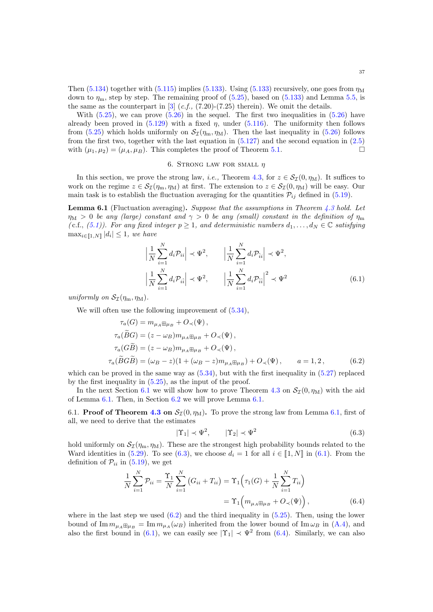Then  $(5.134)$  together with  $(5.115)$  implies  $(5.133)$ . Using  $(5.133)$  recursively, one goes from  $\eta_M$ down to  $\eta_{\rm m}$ , step by step. The remaining proof of [\(5.25\)](#page-19-4), based on [\(5.133\)](#page-35-5) and Lemma [5.5,](#page-32-1) is the same as the counterpart in  $[3]$  (*c.f.*, (7.20)-(7.25) therein). We omit the details.

With  $(5.25)$ , we can prove  $(5.26)$  in the sequel. The first two inequalities in  $(5.26)$  have already been proved in  $(5.129)$  with a fixed  $\eta$ , under  $(5.116)$ . The uniformity then follows from [\(5.25\)](#page-19-4) which holds uniformly on  $\mathcal{S}_{\mathcal{I}}(\eta_m, \eta_M)$ . Then the last inequality in [\(5.26\)](#page-19-3) follows from the first two, together with the last equation in  $(5.127)$  and the second equation in  $(2.5)$ with  $(\mu_1, \mu_2) = (\mu_A, \mu_B)$ . This completes the proof of Theorem [5.1.](#page-19-0)

#### 6. STRONG LAW FOR SMALL  $\eta$

<span id="page-36-0"></span>In this section, we prove the strong law, *i.e.*, Theorem [4.3,](#page-11-1) for  $z \in S_{\mathcal{I}}(0, \eta_M)$ . It suffices to work on the regime  $z \in S_{\mathcal{I}}(\eta_m, \eta_M)$  at first. The extension to  $z \in S_{\mathcal{I}}(0, \eta_M)$  will be easy. Our main task is to establish the fluctuation averaging for the quantities  $\mathcal{P}_{ij}$  defined in [\(5.19\)](#page-18-2).

<span id="page-36-3"></span>Lemma 6.1 (Fluctuation averaging). Suppose that the assumptions in Theorem [4.3](#page-11-1) hold. Let  $\eta_M > 0$  be any (large) constant and  $\gamma > 0$  be any (small) constant in the definition of  $\eta_m$ (c.f., [\(5.1\)](#page-16-6)). For any fixed integer  $p \geq 1$ , and deterministic numbers  $d_1, \ldots, d_N \in \mathbb{C}$  satisfying  $\max_{i \in [\![1,N]\!]}|d_i| \leq 1$ , we have

<span id="page-36-4"></span>
$$
\left| \frac{1}{N} \sum_{i=1}^{N} d_i \mathcal{P}_{ii} \right| \prec \Psi^2, \qquad \left| \frac{1}{N} \sum_{i=1}^{N} d_i \mathcal{P}_{ii} \right| \prec \Psi^2,
$$
\n
$$
\left| \frac{1}{N} \sum_{i=1}^{N} d_i \mathcal{P}_{ii} \right| \prec \Psi^2, \qquad \left| \frac{1}{N} \sum_{i=1}^{N} d_i \mathcal{P}_{ii} \right|^2 \prec \Psi^2
$$
\n(6.1)

uniformly on  $\mathcal{S}_{\mathcal{I}}(\eta_m, \eta_M)$ .

We will often use the following improvement of  $(5.34)$ ,

$$
\tau_a(G) = m_{\mu_A \boxplus \mu_B} + O_\prec(\Psi),
$$
  
\n
$$
\tau_a(\widetilde{B}G) = (z - \omega_B)m_{\mu_A \boxplus \mu_B} + O_\prec(\Psi),
$$
  
\n
$$
\tau_a(G\widetilde{B}) = (z - \omega_B)m_{\mu_A \boxplus \mu_B} + O_\prec(\Psi),
$$
  
\n
$$
\tau_a(\widetilde{B}G\widetilde{B}) = (\omega_B - z)(1 + (\omega_B - z)m_{\mu_A \boxplus \mu_B}) + O_\prec(\Psi), \qquad a = 1, 2,
$$
\n(6.2)

which can be proved in the same way as  $(5.34)$ , but with the first inequality in  $(5.27)$  replaced by the first inequality in [\(5.25\)](#page-19-4), as the input of the proof.

In the next Section [6.1](#page-36-2) we will show how to prove Theorem [4.3](#page-11-1) on  $\mathcal{S}_{\mathcal{I}}(0, \eta_M)$  with the aid of Lemma [6.1.](#page-36-3) Then, in Section [6.2](#page-39-0) we will prove Lemma [6.1.](#page-36-3)

<span id="page-36-2"></span>6.1. **Proof of Theorem [4.3](#page-11-1) on**  $S_{\mathcal{I}}(0, \eta_M)$ . To prove the strong law from Lemma [6.1,](#page-36-3) first of all, we need to derive that the estimates

<span id="page-36-6"></span><span id="page-36-5"></span><span id="page-36-1"></span>
$$
|\Upsilon_1| \prec \Psi^2, \qquad |\Upsilon_2| \prec \Psi^2 \tag{6.3}
$$

hold uniformly on  $S_{\mathcal{I}}(\eta_m, \eta_M)$ . These are the strongest high probability bounds related to the Ward identities in [\(5.29\)](#page-19-1). To see [\(6.3\)](#page-36-1), we choose  $d_i = 1$  for all  $i \in [1, N]$  in [\(6.1\)](#page-36-4). From the definition of  $\mathcal{P}_{ii}$  in [\(5.19\)](#page-18-2), we get

$$
\frac{1}{N} \sum_{i=1}^{N} \mathcal{P}_{ii} = \frac{\Upsilon_1}{N} \sum_{i=1}^{N} (G_{ii} + T_{ii}) = \Upsilon_1 \Big( \tau_1(G) + \frac{1}{N} \sum_{i=1}^{N} T_{ii} \Big)
$$
  
=  $\Upsilon_1 \Big( m_{\mu_A \boxplus \mu_B} + O_{\prec}(\Psi) \Big)$ , (6.4)

where in the last step we used  $(6.2)$  and the third inequality in  $(5.25)$ . Then, using the lower bound of  $\text{Im } m_{\mu_A} \boxplus_{\mu_B} = \text{Im } m_{\mu_A} (\omega_B)$  inherited from the lower bound of  $\text{Im } \omega_B$  in [\(A.4\)](#page-56-1), and also the first bound in [\(6.1\)](#page-36-4), we can easily see  $|\Upsilon_1| \prec \Psi^2$  from [\(6.4\)](#page-36-6). Similarly, we can also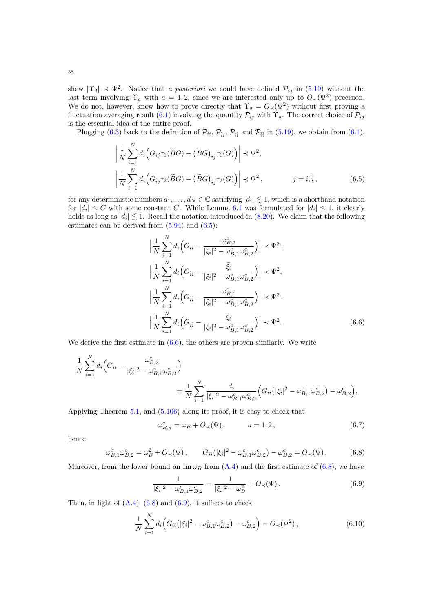show  $|\Upsilon_2| \prec \Psi^2$ . Notice that a posteriori we could have defined  $\mathcal{P}_{ij}$  in [\(5.19\)](#page-18-2) without the last term involving  $\Upsilon_a$  with  $a = 1, 2$ , since we are interested only up to  $O_{\prec}(\Psi^2)$  precision. We do not, however, know how to prove directly that  $\Upsilon_a = O_{\prec}(\Psi^2)$  without first proving a fluctuation averaging result [\(6.1\)](#page-36-4) involving the quantity  $\mathcal{P}_{ij}$  with  $\Upsilon_a$ . The correct choice of  $\mathcal{P}_{ij}$ is the essential idea of the entire proof.

Plugging [\(6.3\)](#page-36-1) back to the definition of  $\mathcal{P}_{ii}$ ,  $\mathcal{P}_{\hat{i}i}$ ,  $\mathcal{P}_{\hat{i}i}$  and  $\mathcal{P}_{\hat{i}i}$  in [\(5.19\)](#page-18-2), we obtain from [\(6.1\)](#page-36-4),

$$
\left| \frac{1}{N} \sum_{i=1}^{N} d_i \Big( G_{ij} \tau_1(\widetilde{B}G) - (\widetilde{B}G)_{ij} \tau_1(G) \Big) \right| \prec \Psi^2,
$$
\n
$$
\left| \frac{1}{N} \sum_{i=1}^{N} d_i \Big( G_{ij} \tau_2(\widetilde{B}G) - (\widetilde{B}G)_{ij} \tau_2(G) \Big) \right| \prec \Psi^2, \qquad j = i, \hat{i}, \qquad (6.5)
$$

for any deterministic numbers  $d_1, \ldots, d_N \in \mathbb{C}$  satisfying  $|d_i| \lesssim 1$ , which is a shorthand notation for  $|d_i| \leq C$  with some constant C. While Lemma [6.1](#page-36-3) was formulated for  $|d_i| \leq 1$ , it clearly holds as long as  $|d_i| \lesssim 1$ . Recall the notation introduced in [\(8.20\)](#page-53-0). We claim that the following estimates can be derived from [\(5.94\)](#page-30-0) and [\(6.5\)](#page-37-0):

<span id="page-37-1"></span><span id="page-37-0"></span>
$$
\left| \frac{1}{N} \sum_{i=1}^{N} d_i \left( G_{ii} - \frac{\omega_{B,2}^c}{|\xi_i|^2 - \omega_{B,1}^c \omega_{B,2}^c} \right) \right| \prec \Psi^2,
$$
\n
$$
\left| \frac{1}{N} \sum_{i=1}^{N} d_i \left( G_{\hat{i}i} - \frac{\bar{\xi}_i}{|\xi_i|^2 - \omega_{B,1}^c \omega_{B,2}^c} \right) \right| \prec \Psi^2,
$$
\n
$$
\left| \frac{1}{N} \sum_{i=1}^{N} d_i \left( G_{\hat{i}i} - \frac{\omega_{B,1}^c}{|\xi_i|^2 - \omega_{B,1}^c \omega_{B,2}^c} \right) \right| \prec \Psi^2,
$$
\n
$$
\left| \frac{1}{N} \sum_{i=1}^{N} d_i \left( G_{i\hat{i}} - \frac{\xi_i}{|\xi_i|^2 - \omega_{B,1}^c \omega_{B,2}^c} \right) \right| \prec \Psi^2.
$$
\n(6.6)

We derive the first estimate in  $(6.6)$ , the others are proven similarly. We write

$$
\frac{1}{N} \sum_{i=1}^{N} d_i \Big( G_{ii} - \frac{\omega_{B,2}^c}{|\xi_i|^2 - \omega_{B,1}^c \omega_{B,2}^c} \Big) \n= \frac{1}{N} \sum_{i=1}^{N} \frac{d_i}{|\xi_i|^2 - \omega_{B,1}^c \omega_{B,2}^c} \Big( G_{ii} (|\xi_i|^2 - \omega_{B,1}^c \omega_{B,2}^c) - \omega_{B,2}^c \Big).
$$

Applying Theorem [5.1,](#page-19-0) and [\(5.106\)](#page-31-6) along its proof, it is easy to check that

<span id="page-37-4"></span><span id="page-37-2"></span>
$$
\omega_{B,a}^c = \omega_B + O_{\prec}(\Psi), \qquad a = 1, 2, \tag{6.7}
$$

hence

$$
\omega_{B,1}^c \omega_{B,2}^c = \omega_B^2 + O_\prec(\Psi), \qquad G_{ii} (|\xi_i|^2 - \omega_{B,1}^c \omega_{B,2}^c) - \omega_{B,2}^c = O_\prec(\Psi). \tag{6.8}
$$

Moreover, from the lower bound on  $\text{Im }\omega_B$  from  $(A.4)$  and the first estimate of [\(6.8\)](#page-37-2), we have

<span id="page-37-5"></span><span id="page-37-3"></span>
$$
\frac{1}{|\xi_i|^2 - \omega_{B,1}^c \omega_{B,2}^c} = \frac{1}{|\xi_i|^2 - \omega_B^2} + O_\prec(\Psi). \tag{6.9}
$$

Then, in light of  $(A.4)$ ,  $(6.8)$  and  $(6.9)$ , it suffices to check

$$
\frac{1}{N} \sum_{i=1}^{N} d_i \Big( G_{ii} \big( |\xi_i|^2 - \omega_{B,1}^c \omega_{B,2}^c \big) - \omega_{B,2}^c \Big) = O_{\prec}(\Psi^2) \,, \tag{6.10}
$$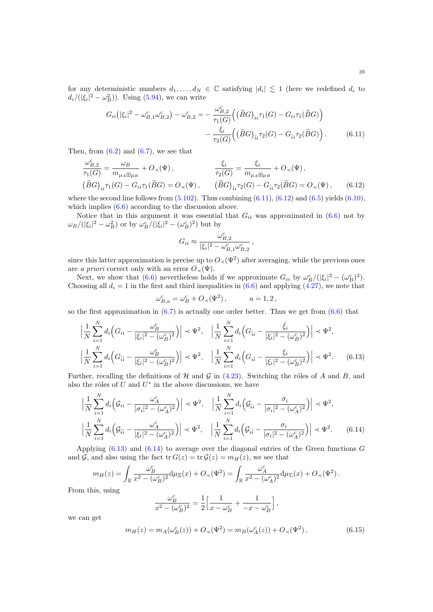for any deterministic numbers  $d_1, \ldots, d_N \in \mathbb{C}$  satisfying  $|d_i| \lesssim 1$  (here we redefined  $d_i$  to  $d_i/(|\xi_i|^2 - \omega_B^2)$ ). Using [\(5.94\)](#page-30-0), we can write

$$
G_{ii}(|\xi_i|^2 - \omega_{B,1}^c \omega_{B,2}^c) - \omega_{B,2}^c = -\frac{\omega_{B,2}^c}{\tau_1(G)} \Big( (\widetilde{B}G)_{ii} \tau_1(G) - G_{ii} \tau_1(\widetilde{B}G) \Big) - \frac{\xi_i}{\tau_2(G)} \Big( (\widetilde{B}G)_{ii} \tau_2(G) - G_{ii} \tau_2(\widetilde{B}G) \Big).
$$
(6.11)

Then, from  $(6.2)$  and  $(6.7)$ , we see that

$$
\frac{\omega_{B,2}^c}{\tau_1(G)} = \frac{\omega_B}{m_{\mu_A \boxplus \mu_B}} + O_{\prec}(\Psi), \qquad \frac{\xi_i}{\tau_2(G)} = \frac{\xi_i}{m_{\mu_A \boxplus \mu_B}} + O_{\prec}(\Psi),
$$
\n
$$
(\widetilde{B}G)_{ii}\tau_1(G) - G_{ii}\tau_1(\widetilde{B}G) = O_{\prec}(\Psi), \qquad (\widetilde{B}G)_{\hat{i}i}\tau_2(G) - G_{\hat{i}i}\tau_2(\widetilde{B}G) = O_{\prec}(\Psi), \qquad (6.12)
$$

where the second line follows from  $(5.102)$ . Thus combining  $(6.11)$ ,  $(6.12)$  and  $(6.5)$  yields  $(6.10)$ , which implies [\(6.6\)](#page-37-1) according to the discussion above.

Notice that in this argument it was essential that  $G_{ii}$  was approximated in  $(6.6)$  not by  $\omega_B/(|\xi_i|^2 - \omega_B^2)$  or by  $\omega_B^c/(|\xi_i|^2 - (\omega_B^c)^2)$  but by

<span id="page-38-1"></span><span id="page-38-0"></span>
$$
G_{ii} \approx \frac{\omega_{B,2}^c}{|\xi_i|^2 - \omega_{B,1}^c \omega_{B,2}^c},
$$

since this latter approximation is precise up to  $O_{\prec}(\Psi^2)$  after averaging, while the previous ones are a priori correct only with an error  $O_{\prec}(\Psi)$ .

Next, we show that [\(6.6\)](#page-37-1) nevertheless holds if we approximate  $G_{ii}$  by  $\omega_B^c/(|\xi_i|^2 - (\omega_B^c)^2)$ . Choosing all  $d_i = 1$  in the first and third inequalities in  $(6.6)$  and applying  $(4.27)$ , we note that

<span id="page-38-2"></span>
$$
\omega_{B,a}^c = \omega_B^c + O_\prec(\Psi^2), \qquad a = 1, 2,
$$

so the first approximation in  $(6.7)$  is actually one order better. Thus we get from  $(6.6)$  that

$$
\left| \frac{1}{N} \sum_{i=1}^{N} d_i \left( G_{ii} - \frac{\omega_B^c}{|\xi_i|^2 - (\omega_B^c)^2} \right) \right| \prec \Psi^2, \quad \left| \frac{1}{N} \sum_{i=1}^{N} d_i \left( G_{\hat{i}i} - \frac{\bar{\xi}_i}{|\xi_i|^2 - (\omega_B^c)^2} \right) \right| \prec \Psi^2,
$$
\n
$$
\left| \frac{1}{N} \sum_{i=1}^{N} d_i \left( G_{\hat{i}i} - \frac{\omega_B^c}{|\xi_i|^2 - (\omega_B^c)^2} \right) \right| \prec \Psi^2, \quad \left| \frac{1}{N} \sum_{i=1}^{N} d_i \left( G_{\hat{i}i} - \frac{\xi_i}{|\xi_i|^2 - (\omega_B^c)^2} \right) \right| \prec \Psi^2. \tag{6.13}
$$

Further, recalling the definitions of  $H$  and  $G$  in [\(4.23\)](#page-15-2). Switching the rôles of A and B, and also the rôles of  $U$  and  $U^*$  in the above discussions, we have

$$
\left| \frac{1}{N} \sum_{i=1}^{N} d_i \left( \mathcal{G}_{ii} - \frac{\omega_A^c}{|\sigma_i|^2 - (\omega_A^c)^2} \right) \right| \prec \Psi^2, \quad \left| \frac{1}{N} \sum_{i=1}^{N} d_i \left( \mathcal{G}_{ii} - \frac{\bar{\sigma}_i}{|\sigma_i|^2 - (\omega_A^c)^2} \right) \right| \prec \Psi^2,
$$
\n
$$
\left| \frac{1}{N} \sum_{i=1}^{N} d_i \left( \mathcal{G}_{\hat{i}\hat{i}} - \frac{\omega_A^c}{|\xi_i|^2 - (\omega_A^c)^2} \right) \right| \prec \Psi^2, \quad \left| \frac{1}{N} \sum_{i=1}^{N} d_i \left( \mathcal{G}_{\hat{i}\hat{i}} - \frac{\sigma_i}{|\sigma_i|^2 - (\omega_A^c)^2} \right) \right| \prec \Psi^2. \quad (6.14)
$$

Applying  $(6.13)$  and  $(6.14)$  to average over the diagonal entries of the Green functions G and  $\mathcal G$ , and also using the fact tr  $G(z) = \text{tr} \, \mathcal G(z) = m_H(z)$ , we see that

$$
m_H(z)=\int_{\mathbb{R}}\frac{\omega_B^c}{x^2-(\omega_B^c)^2}{\rm d}\mu_{\Xi}(x)+O_\prec(\Psi^2)=\int_{\mathbb{R}}\frac{\omega_A^c}{x^2-(\omega_A^c)^2}{\rm d}\mu_\Sigma(x)+O_\prec(\Psi^2)\,.
$$

From this, using

<span id="page-38-3"></span>
$$
\frac{\omega_B^c}{x^2 - (\omega_B^c)^2} = \frac{1}{2} \Big[ \frac{1}{x - \omega_B^c} + \frac{1}{-x - \omega_B^c} \Big],
$$

we can get

$$
m_H(z) = m_A(\omega_B^c(z)) + O_\prec(\Psi^2) = m_B(\omega_A^c(z)) + O_\prec(\Psi^2), \tag{6.15}
$$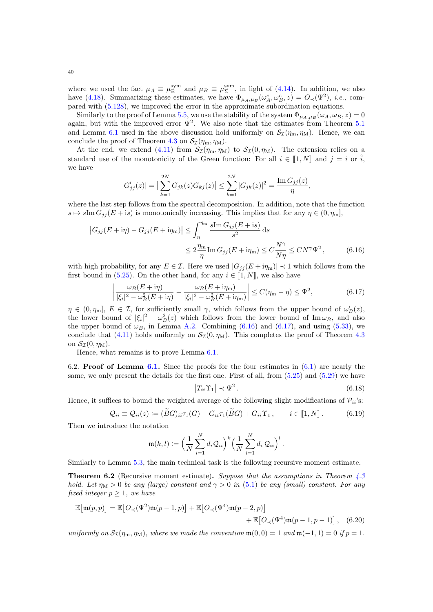where we used the fact  $\mu_A \equiv \mu_{\Xi}^{\text{sym}}$  and  $\mu_B \equiv \mu_{\Sigma}^{\text{sym}}$ , in light of [\(4.14\)](#page-13-1). In addition, we also have [\(4.18\)](#page-13-7). Summarizing these estimates, we have  $\Phi_{\mu_A,\mu_B}(\omega_A^c,\omega_B^c,z) = O_{\prec}(\Psi^2)$ , *i.e.*, compared with [\(5.128\)](#page-35-6), we improved the error in the approximate subordination equations.

Similarly to the proof of Lemma [5.5,](#page-32-1) we use the stability of the system  $\Phi_{\mu_A,\mu_B}(\omega_A,\omega_B,z) = 0$ again, but with the improved error  $\Psi^2$ . We also note that the estimates from Theorem [5.1](#page-19-0) and Lemma [6.1](#page-36-3) used in the above discussion hold uniformly on  $\mathcal{S}_{\mathcal{I}}(\eta_m, \eta_M)$ . Hence, we can conclude the proof of Theorem [4.3](#page-11-1) on  $\mathcal{S}_{\mathcal{I}}(\eta_m, \eta_M)$ .

At the end, we extend [\(4.11\)](#page-11-4) from  $S_{\mathcal{I}}(\eta_m, \eta_M)$  to  $S_{\mathcal{I}}(0, \eta_M)$ . The extension relies on a standard use of the monotonicity of the Green function: For all  $i \in [1, N]$  and  $j = i$  or  $\hat{i}$ , we have

$$
|G'_{jj}(z)| = \left| \sum_{k=1}^{2N} G_{jk}(z) G_{kj}(z) \right| \leq \sum_{k=1}^{2N} |G_{jk}(z)|^2 = \frac{\operatorname{Im} G_{jj}(z)}{\eta},
$$

where the last step follows from the spectral decomposition. In addition, note that the function  $s \mapsto s \text{Im } G_{ij} (E + is)$  is monotonically increasing. This implies that for any  $\eta \in (0, \eta_m],$ 

$$
\left| G_{jj}(E + \mathrm{i}\eta) - G_{jj}(E + \mathrm{i}\eta_{\mathrm{m}}) \right| \leq \int_{\eta}^{\eta_{\mathrm{m}}} \frac{s \mathrm{Im} G_{jj}(E + \mathrm{i}s)}{s^2} \, \mathrm{d}s
$$

$$
\leq 2 \frac{\eta_{\mathrm{m}}}{\eta} \mathrm{Im} G_{jj}(E + \mathrm{i}\eta_{\mathrm{m}}) \leq C \frac{N^{\gamma}}{N\eta} \leq C N^{\gamma} \Psi^2 \,, \tag{6.16}
$$

with high probability, for any  $E \in \mathcal{I}$ . Here we used  $|G_{ij}(E + i\eta_m)| \prec 1$  which follows from the first bound in [\(5.25\)](#page-19-4). On the other hand, for any  $i \in [1, N]$ , we also have

$$
\left| \frac{\omega_B(E + i\eta)}{|\xi_i|^2 - \omega_B^2(E + i\eta)} - \frac{\omega_B(E + i\eta_m)}{|\xi_i|^2 - \omega_B^2(E + i\eta_m)} \right| \le C(\eta_m - \eta) \le \Psi^2,
$$
\n(6.17)

 $\eta \in (0, \eta_{\text{m}}], E \in \mathcal{I}$ , for sufficiently small  $\gamma$ , which follows from the upper bound of  $\omega'_{B}(z)$ , the lower bound of  $|\xi_i|^2 - \omega_B^2(z)$  which follows from the lower bound of Im  $\omega_B$ , and also the upper bound of  $\omega_B$ , in Lemma [A.2.](#page-56-0) Combining [\(6.16\)](#page-39-1) and [\(6.17\)](#page-39-2), and using [\(5.33\)](#page-20-1), we conclude that [\(4.11\)](#page-11-4) holds uniformly on  $S_{\mathcal{I}}(0, \eta_M)$ . This completes the proof of Theorem [4.3](#page-11-1) on  $\mathcal{S}_{\mathcal{I}}(0, \eta_{\mathrm{M}})$ .

Hence, what remains is to prove Lemma [6.1.](#page-36-3)

<span id="page-39-0"></span>6.2. **Proof of Lemma [6.1.](#page-36-3)** Since the proofs for the four estimates in  $(6.1)$  are nearly the same, we only present the details for the first one. First of all, from  $(5.25)$  and  $(5.29)$  we have

<span id="page-39-5"></span><span id="page-39-4"></span><span id="page-39-2"></span><span id="page-39-1"></span>
$$
\left|T_{ii}\Upsilon_1\right| \prec \Psi^2\,. \tag{6.18}
$$

Hence, it suffices to bound the weighted average of the following slight modifications of  $\mathcal{P}_{ii}$ 's:

$$
Q_{ii} \equiv Q_{ii}(z) := (\widetilde{B}G)_{ii}\tau_1(G) - G_{ii}\tau_1(\widetilde{B}G) + G_{ii}\Upsilon_1, \qquad i \in [1, N]. \tag{6.19}
$$

Then we introduce the notation

$$
\mathfrak{m}(k,l) := \Big(\frac{1}{N}\sum_{i=1}^N d_i \mathcal{Q}_{ii}\Big)^k \Big(\frac{1}{N}\sum_{i=1}^N \overline{d_i} \,\overline{\mathcal{Q}_{ii}}\Big)^l.
$$

Similarly to Lemma [5.3,](#page-21-0) the main technical task is the following recursive moment estimate.

<span id="page-39-3"></span>**Theorem 6.2** (Recursive moment estimate). Suppose that the assumptions in Theorem  $4.3$ hold. Let  $\eta_M > 0$  be any (large) constant and  $\gamma > 0$  in [\(5.1\)](#page-16-6) be any (small) constant. For any fixed integer  $p \geq 1$ , we have

$$
\mathbb{E}\big[\mathfrak{m}(p,p)\big] = \mathbb{E}\big[O_{\prec}(\Psi^2)\mathfrak{m}(p-1,p)\big] + \mathbb{E}\big[O_{\prec}(\Psi^4)\mathfrak{m}(p-2,p)\big] \n+ \mathbb{E}\big[O_{\prec}(\Psi^4)\mathfrak{m}(p-1,p-1)\big], \quad (6.20)
$$

uniformly on  $S_{\mathcal{I}}(\eta_m, \eta_M)$ , where we made the convention  $\mathfrak{m}(0, 0) = 1$  and  $\mathfrak{m}(-1, 1) = 0$  if  $p = 1$ .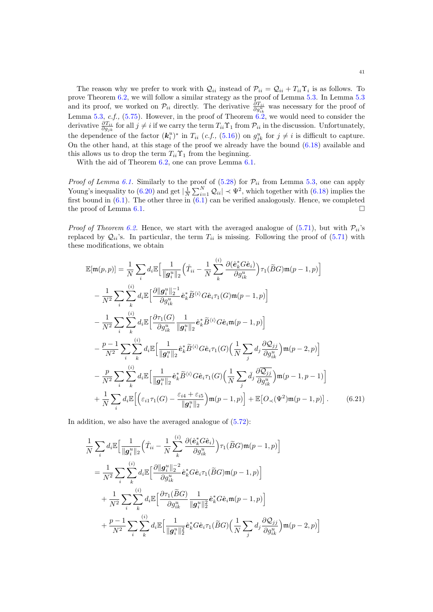The reason why we prefer to work with  $Q_{ii}$  instead of  $P_{ii} = Q_{ii} + T_{ii} \Upsilon_i$  is as follows. To prove Theorem [6.2,](#page-39-3) we will follow a similar strategy as the proof of Lemma [5.3.](#page-21-0) In Lemma [5.3](#page-21-0) and its proof, we worked on  $\mathcal{P}_{ii}$  directly. The derivative  $\frac{\partial T_{ii}}{\partial g_{ik}^u}$  was necessary for the proof of Lemma [5.3,](#page-21-0) c.f., [\(5.75\)](#page-26-2). However, in the proof of Theorem  $6.2$ , we would need to consider the derivative  $\frac{\partial T_{ii}}{\partial g_{jk}}$  for all  $j \neq i$  if we carry the term  $T_{ii} \Upsilon_1$  from  $\mathcal{P}_{ii}$  in the discussion. Unfortunately, the dependence of the factor  $(k_i^u)^*$  in  $T_{ii}$  (c.f., [\(5.16\)](#page-18-0)) on  $g_{jk}^u$  for  $j \neq i$  is difficult to capture. On the other hand, at this stage of the proof we already have the bound [\(6.18\)](#page-39-4) available and this allows us to drop the term  $T_{ii}\Upsilon_1$  from the beginning.

With the aid of Theorem [6.2,](#page-39-3) one can prove Lemma [6.1.](#page-36-3)

*Proof of Lemma [6.1.](#page-36-3)* Similarly to the proof of  $(5.28)$  for  $\mathcal{P}_{ii}$  from Lemma [5.3,](#page-21-0) one can apply Young's inequality to [\(6.20\)](#page-39-5) and get  $|\frac{1}{N}\sum_{i=1}^{N} \mathcal{Q}_{ii}| \prec \Psi^2$ , which together with [\(6.18\)](#page-39-4) implies the first bound in  $(6.1)$ . The other three in  $(6.1)$  can be verified analogously. Hence, we completed the proof of Lemma [6.1.](#page-36-3)

*Proof of Theorem [6.2.](#page-39-3)* Hence, we start with the averaged analogue of [\(5.71\)](#page-25-0), but with  $\mathcal{P}_{ii}$ 's replaced by  $Q_{ii}$ 's. In particular, the term  $T_{ii}$  is missing. Following the proof of [\(5.71\)](#page-25-0) with these modifications, we obtain

$$
\mathbb{E}[\mathfrak{m}(p,p)] = \frac{1}{N} \sum_{i} d_{i} \mathbb{E} \Big[ \frac{1}{\|\mathbf{g}_{i}^{u}\|_{2}} \Big( \mathring{T}_{ii} - \frac{1}{N} \sum_{k}^{(i)} \frac{\partial(\hat{\mathbf{e}}_{k}^{*} G \hat{\mathbf{e}}_{i})}{\partial g_{ik}^{u}} \Big) \tau_{1}(\widetilde{B}G) \mathfrak{m}(p-1,p) \Big] \n- \frac{1}{N^{2}} \sum_{i} \sum_{k}^{(i)} d_{i} \mathbb{E} \Big[ \frac{\partial \|\mathbf{g}_{i}^{u}\|_{2}^{-1}}{\partial g_{ik}^{u}} \hat{\mathbf{e}}_{k}^{*} \widetilde{B}^{(i)} G \hat{\mathbf{e}}_{i} \tau_{1}(G) \mathfrak{m}(p-1,p) \Big] \n- \frac{1}{N^{2}} \sum_{i} \sum_{k}^{(i)} d_{i} \mathbb{E} \Big[ \frac{\partial \tau_{1}(G)}{\partial g_{ik}^{u}} \frac{1}{\|\mathbf{g}_{i}^{u}\|_{2}} \hat{\mathbf{e}}_{k}^{*} \widetilde{B}^{(i)} G \hat{\mathbf{e}}_{i} \mathfrak{m}(p-1,p) \Big] \n- \frac{p-1}{N^{2}} \sum_{i} \sum_{k}^{(i)} d_{i} \mathbb{E} \Big[ \frac{1}{\|\mathbf{g}_{i}^{u}\|_{2}} \hat{\mathbf{e}}_{k}^{*} \widetilde{B}^{(i)} G \hat{\mathbf{e}}_{i} \tau_{1}(G) \Big( \frac{1}{N} \sum_{j} d_{j} \frac{\partial Q_{jj}}{\partial g_{ik}^{u}} \Big) \mathfrak{m}(p-2,p) \Big] \n- \frac{p}{N^{2}} \sum_{i} \sum_{k}^{(i)} d_{i} \mathbb{E} \Big[ \frac{1}{\|\mathbf{g}_{i}^{u}\|_{2}} \hat{\mathbf{e}}_{k}^{*} \widetilde{B}^{(i)} G \hat{\mathbf{e}}_{i} \tau_{1}(G) \Big( \frac{1}{N} \sum_{j} \bar{d}_{j} \frac{\partial Q_{jj}}{\partial g_{ik}^{u}} \Big) \mathfrak{m}(p-1,p-1) \Big] \n+
$$

In addition, we also have the averaged analogue of [\(5.72\)](#page-25-2):

<span id="page-40-0"></span>
$$
\frac{1}{N} \sum_{i} d_{i} \mathbb{E} \Big[ \frac{1}{\|\boldsymbol{g}_{i}^{u}\|_{2}} \Big( \mathring{T}_{ii} - \frac{1}{N} \sum_{k}^{(i)} \frac{\partial (\hat{\boldsymbol{e}}_{k}^{*} G \hat{\boldsymbol{e}}_{i})}{\partial g_{ik}^{u}} \Big) \tau_{1}(\widetilde{B}G) \mathfrak{m}(p-1, p) \Big]
$$
\n
$$
= \frac{1}{N^{2}} \sum_{i} \sum_{k}^{(i)} d_{i} \mathbb{E} \Big[ \frac{\partial \|\boldsymbol{g}_{i}^{u}\|_{2}^{-2}}{\partial g_{ik}^{u}} \hat{\boldsymbol{e}}_{k}^{*} G \hat{\boldsymbol{e}}_{i} \tau_{1}(\widetilde{B}G) \mathfrak{m}(p-1, p) \Big]
$$
\n
$$
+ \frac{1}{N^{2}} \sum_{i} \sum_{k}^{(i)} d_{i} \mathbb{E} \Big[ \frac{\partial \tau_{1}(\widetilde{B}G)}{\partial g_{ik}^{u}} \frac{1}{\|\boldsymbol{g}_{i}^{u}\|_{2}^{2}} \hat{\boldsymbol{e}}_{k}^{*} G \hat{\boldsymbol{e}}_{i} \mathfrak{m}(p-1, p) \Big]
$$
\n
$$
+ \frac{p-1}{N^{2}} \sum_{i} \sum_{k}^{(i)} d_{i} \mathbb{E} \Big[ \frac{1}{\|\boldsymbol{g}_{i}^{u}\|_{2}^{2}} \hat{\boldsymbol{e}}_{k}^{*} G \hat{\boldsymbol{e}}_{i} \tau_{1}(\widetilde{B}G) \Big( \frac{1}{N} \sum_{j} d_{j} \frac{\partial Q_{j j}}{\partial g_{ik}^{u}} \Big) \mathfrak{m}(p-2, p) \Big]
$$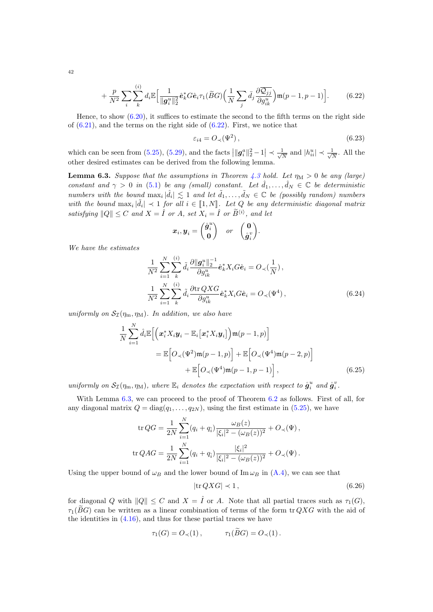$$
+\frac{p}{N^2}\sum_{i}\sum_{k}^{(i)}d_i\mathbb{E}\Big[\frac{1}{\|\boldsymbol{g}_i^u\|_2^2}\hat{\boldsymbol{e}}_k^*\boldsymbol{G}\hat{\boldsymbol{e}}_i\tau_1(\widetilde{B}\boldsymbol{G})\Big(\frac{1}{N}\sum_{j}\bar{d}_j\frac{\partial\overline{Q_{jj}}}{\partial g_{ik}^u}\Big)\mathfrak{m}(p-1,p-1)\Big].
$$
 (6.22)

Hence, to show  $(6.20)$ , it suffices to estimate the second to the fifth terms on the right side of  $(6.21)$ , and the terms on the right side of  $(6.22)$ . First, we notice that

<span id="page-41-4"></span><span id="page-41-0"></span>
$$
\varepsilon_{i4} = O_{\prec}(\Psi^2),\tag{6.23}
$$

which can be seen from [\(5.25\)](#page-19-4), [\(5.29\)](#page-19-1), and the facts  $\left| \|\boldsymbol{g}_i^a\|_2^2 - 1 \right| \prec \frac{1}{\sqrt{2}}$  $\frac{1}{\overline{N}}$  and  $|h_{ii}^u| \prec \frac{1}{\sqrt{N}}$  $\frac{1}{\overline{N}}$ . All the other desired estimates can be derived from the following lemma.

<span id="page-41-1"></span>**Lemma 6.3.** Suppose that the assumptions in Theorem [4.3](#page-11-1) hold. Let  $\eta_M > 0$  be any (large) constant and  $\gamma > 0$  in [\(5.1\)](#page-16-6) be any (small) constant. Let  $\hat{d}_1, \ldots, \hat{d}_N \in \mathbb{C}$  be deterministic numbers with the bound  $\max_i |\hat{d}_i| \lesssim 1$  and let  $\tilde{d}_1, \ldots, \tilde{d}_N \in \mathbb{C}$  be (possibly random) numbers with the bound  $\max_i |\tilde{d}_i| \prec 1$  for all  $i \in [1, N]$ . Let Q be any deterministic diagonal matrix satisfying  $||Q|| \leq C$  and  $X = \hat{I}$  or  $A$ , set  $X_i = \hat{I}$  or  $\widetilde{B}^{\langle i \rangle}$ , and let

<span id="page-41-2"></span>
$$
\boldsymbol{x}_i, \boldsymbol{y}_i = \begin{pmatrix} \mathring{g}_i^u \\ \mathbf{0} \end{pmatrix} \quad or \quad \begin{pmatrix} \mathbf{0} \\ \mathring{g}_i^v \end{pmatrix}.
$$

We have the estimates

$$
\frac{1}{N^2} \sum_{i=1}^{N} \sum_{k}^{(i)} \tilde{d}_i \frac{\partial ||g_i^u||_2^{-1}}{\partial g_{ik}^u} \hat{e}_k^* X_i G \hat{e}_i = O_{\prec}(\frac{1}{N}),
$$
  

$$
\frac{1}{N^2} \sum_{i=1}^{N} \sum_{k}^{(i)} \tilde{d}_i \frac{\partial \text{tr } Q X G}{\partial g_{ik}^u} \hat{e}_k^* X_i G \hat{e}_i = O_{\prec}(\Psi^4),
$$
(6.24)

uniformly on  $S_{\mathcal{I}}(\eta_m, \eta_M)$ . In addition, we also have

$$
\frac{1}{N} \sum_{i=1}^{N} \hat{d}_i \mathbb{E} \Big[ \Big( \boldsymbol{x}_i^* X_i \boldsymbol{y}_i - \mathbb{E}_i \big[ \boldsymbol{x}_i^* X_i \boldsymbol{y}_i \big] \Big) \mathfrak{m}(p-1, p) \Big] \n= \mathbb{E} \Big[ O_{\prec}(\Psi^2) \mathfrak{m}(p-1, p) \Big] + \mathbb{E} \Big[ O_{\prec}(\Psi^4) \mathfrak{m}(p-2, p) \Big] \n+ \mathbb{E} \Big[ O_{\prec}(\Psi^4) \mathfrak{m}(p-1, p-1) \Big],
$$
\n(6.25)

uniformly on  $S_{\mathcal{I}}(\eta_m, \eta_M)$ , where  $\mathbb{E}_i$  denotes the expectation with respect to  $\mathring{g}_i^u$  and  $\mathring{g}_i^v$ .

<span id="page-41-5"></span>N

With Lemma [6.3,](#page-41-1) we can proceed to the proof of Theorem [6.2](#page-39-3) as follows. First of all, for any diagonal matrix  $Q = diag(q_1, \ldots, q_{2N})$ , using the first estimate in [\(5.25\)](#page-19-4), we have

$$
\operatorname{tr} QG = \frac{1}{2N} \sum_{i=1}^{N} (q_i + q_i) \frac{\omega_B(z)}{|\xi_i|^2 - (\omega_B(z))^2} + O_{\prec}(\Psi),
$$
  

$$
\operatorname{tr} QAG = \frac{1}{2N} \sum_{i=1}^{N} (q_i + q_i) \frac{|\xi_i|^2}{|\xi_i|^2 - (\omega_B(z))^2} + O_{\prec}(\Psi).
$$

Using the upper bound of  $\omega_B$  and the lower bound of Im  $\omega_B$  in [\(A.4\)](#page-56-1), we can see that

<span id="page-41-3"></span>
$$
|\mathrm{tr}\,QXG| \prec 1\,,\tag{6.26}
$$

for diagonal Q with  $||Q|| \leq C$  and  $X = \hat{I}$  or A. Note that all partial traces such as  $\tau_1(G)$ ,  $\tau_1(BG)$  can be written as a linear combination of terms of the form tr  $QXG$  with the aid of the identities in [\(4.16\)](#page-13-0), and thus for these partial traces we have

$$
\tau_1(G) = O_{\prec}(1), \qquad \tau_1(BG) = O_{\prec}(1).
$$

42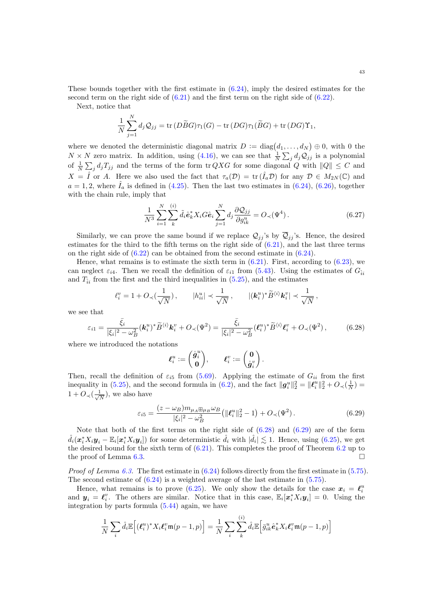These bounds together with the first estimate in  $(6.24)$ , imply the desired estimates for the second term on the right side of  $(6.21)$  and the first term on the right side of  $(6.22)$ .

Next, notice that

$$
\frac{1}{N} \sum_{j=1}^{N} d_j Q_{jj} = \text{tr}(D\widetilde{B}G)\tau_1(G) - \text{tr}(DG)\tau_1(\widetilde{B}G) + \text{tr}(DG)\Upsilon_1,
$$

where we denoted the deterministic diagonal matrix  $D := \text{diag}(d_1, \ldots, d_N) \oplus 0$ , with 0 the  $N \times N$  zero matrix. In addition, using [\(4.16\)](#page-13-0), we can see that  $\frac{1}{N} \sum_j d_j Q_{jj}$  is a polynomial of  $\frac{1}{N} \sum_j d_j T_{jj}$  and the terms of the form tr QXG for some diagonal Q with  $||Q|| \leq C$  and  $X = \hat{I}$  or A. Here we also used the fact that  $\tau_a(\mathcal{D}) = \text{tr}(\hat{I}_a \mathcal{D})$  for any  $\mathcal{D} \in M_{2N}(\mathbb{C})$  and  $a = 1, 2$ , where  $I_a$  is defined in [\(4.25\)](#page-15-3). Then the last two estimates in [\(6.24\)](#page-41-2), [\(6.26\)](#page-41-3), together with the chain rule, imply that

<span id="page-42-2"></span>
$$
\frac{1}{N^3} \sum_{i=1}^{N} \sum_{k}^{(i)} \tilde{d}_i \hat{\mathbf{e}}_k^* X_i G \hat{\mathbf{e}}_i \sum_{j=1}^{N} d_j \frac{\partial Q_{jj}}{\partial g_{ik}^u} = O_{\prec}(\Psi^4).
$$
 (6.27)

Similarly, we can prove the same bound if we replace  $\mathcal{Q}_{jj}$ 's by  $\overline{\mathcal{Q}}_{jj}$ 's. Hence, the desired estimates for the third to the fifth terms on the right side of  $(6.21)$ , and the last three terms on the right side of  $(6.22)$  can be obtained from the second estimate in  $(6.24)$ .

Hence, what remains is to estimate the sixth term in  $(6.21)$ . First, according to  $(6.23)$ , we can neglect  $\varepsilon_{i4}$ . Then we recall the definition of  $\varepsilon_{i1}$  from [\(5.43\)](#page-21-5). Using the estimates of  $G_{\hat{i}i}$ and  $T_{ii}$  from the first and the third inequalities in  $(5.25)$ , and the estimates

$$
\ell_i^v = 1 + O\left(\frac{1}{\sqrt{N}}\right), \qquad |h_{ii}^u| \prec \frac{1}{\sqrt{N}}, \qquad |(\mathbf{k}_i^u)^* \widetilde{B}^{\langle i \rangle} \mathbf{k}_i^v| \prec \frac{1}{\sqrt{N}},
$$

we see that

$$
\varepsilon_{i1} = \frac{\bar{\xi}_{i}}{|\xi_{i}|^{2} - \omega_{B}^{2}} (\mathbf{k}_{i}^{u})^{*} \tilde{B}^{\langle i \rangle} \mathbf{k}_{i}^{v} + O_{\prec}(\Psi^{2}) = \frac{\bar{\xi}_{i}}{|\xi_{i}|^{2} - \omega_{B}^{2}} (\mathbf{\ell}_{i}^{u})^{*} \tilde{B}^{\langle i \rangle} \mathbf{\ell}_{i}^{v} + O_{\prec}(\Psi^{2}), \qquad (6.28)
$$

where we introduced the notations

<span id="page-42-1"></span><span id="page-42-0"></span>
$$
\boldsymbol{\ell}_{i}^{u}:=\begin{pmatrix}\mathring{\boldsymbol{g}}_{i}^{u} \\ \boldsymbol{0}\end{pmatrix}\!,\qquad \boldsymbol{\ell}_{i}^{v}:=\begin{pmatrix}\boldsymbol{0} \\ \mathring{\boldsymbol{g}}_{i}^{v}\end{pmatrix}\!.
$$

Then, recall the definition of  $\varepsilon_{i5}$  from [\(5.69\)](#page-24-5). Applying the estimate of  $G_{ii}$  from the first inequality in [\(5.25\)](#page-19-4), and the second formula in [\(6.2\)](#page-36-5), and the fact  $\|\boldsymbol{g}_{i}^{u}\|_{2}^{2} = \|\boldsymbol{\ell}_{i}^{u}\|_{2}^{2} + O_{\prec}(\frac{1}{N}) =$  $1 + O_{\prec}(\frac{1}{\sqrt{1}})$  $\frac{1}{\overline{N}}$ ), we also have

$$
\varepsilon_{i5} = \frac{(z - \omega_B)m_{\mu_A \boxplus \mu_B} \omega_B}{|\xi_i|^2 - \omega_B^2} \left( \|\ell_i^u\|_2^2 - 1 \right) + O_{\prec}(\Psi^2).
$$
 (6.29)

Note that both of the first terms on the right side of  $(6.28)$  and  $(6.29)$  are of the form  $\hat{d}_i(\boldsymbol{x}_i^* X_i \boldsymbol{y}_i - \mathbb{E}_i[\boldsymbol{x}_i^* X_i \boldsymbol{y}_i])$  for some deterministic  $\hat{d}_i$  with  $|\hat{d}_i| \lesssim 1$ . Hence, using [\(6.25\)](#page-41-5), we get the desired bound for the sixth term of [\(6.21\)](#page-40-0). This completes the proof of Theorem [6.2](#page-39-3) up to the proof of Lemma [6.3.](#page-41-1)

*Proof of Lemma [6.3.](#page-41-1)* The first estimate in  $(6.24)$  follows directly from the first estimate in  $(5.75)$ . The second estimate of [\(6.24\)](#page-41-2) is a weighted average of the last estimate in [\(5.75\)](#page-26-2).

Hence, what remains is to prove [\(6.25\)](#page-41-5). We only show the details for the case  $x_i = \ell_i^u$ and  $y_i = \ell_i^v$ . The others are similar. Notice that in this case,  $\mathbb{E}_i[x_i^* X_i y_i] = 0$ . Using the integration by parts formula [\(5.44\)](#page-21-4) again, we have

$$
\frac{1}{N}\sum_{i}\hat{d}_{i}\mathbb{E}\Big[(\boldsymbol{\ell}_{i}^{u})^{*}X_{i}\boldsymbol{\ell}_{i}^{v}\mathfrak{m}(p-1,p)\Big] = \frac{1}{N}\sum_{i}\sum_{k}^{(i)}\hat{d}_{i}\mathbb{E}\Big[\bar{g}_{ik}^{u}\hat{\boldsymbol{e}}_{k}^{*}X_{i}\boldsymbol{\ell}_{i}^{v}\mathfrak{m}(p-1,p)\Big]
$$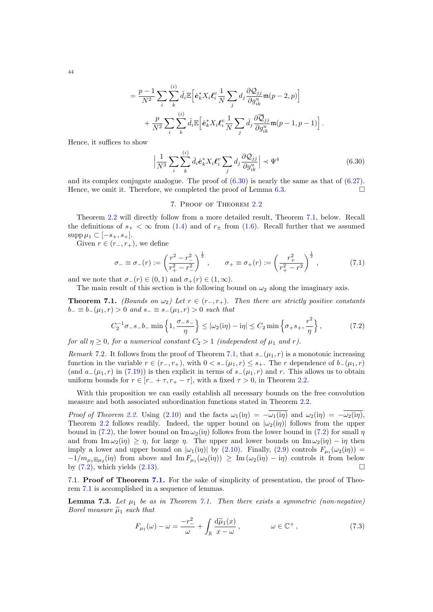$$
= \frac{p-1}{N^2} \sum_{i} \sum_{k}^{(i)} \hat{d}_i \mathbb{E} \Big[ \hat{\mathbf{e}}_k^* X_i \mathbf{\ell}_i^v \frac{1}{N} \sum_j d_j \frac{\partial \mathcal{Q}_{jj}}{\partial g_{ik}^u} \mathfrak{m}(p-2, p) \Big] + \frac{p}{N^2} \sum_{i} \sum_{k}^{(i)} \hat{d}_i \mathbb{E} \Big[ \hat{\mathbf{e}}_k^* X_i \mathbf{\ell}_i^v \frac{1}{N} \sum_j \bar{d}_j \frac{\partial \overline{\mathcal{Q}}_{jj}}{\partial g_{ik}^u} \mathfrak{m}(p-1, p-1) \Big].
$$

Hence, it suffices to show

$$
\left| \frac{1}{N^3} \sum_{i} \sum_{k}^{(i)} \hat{d}_i \hat{e}_k^* X_i \ell_i^v \sum_{j} d_j \frac{\partial \mathcal{Q}_{jj}}{\partial g_{ik}^u} \right| \prec \Psi^4 \tag{6.30}
$$

and its complex conjugate analogue. The proof of  $(6.30)$  is nearly the same as that of  $(6.27)$ . Hence, we omit it. Therefore, we completed the proof of Lemma [6.3.](#page-41-1)

## <span id="page-43-3"></span><span id="page-43-1"></span>7. Proof of Theorem [2.2](#page-6-1)

<span id="page-43-0"></span>Theorem [2.2](#page-6-1) will directly follow from a more detailed result, Theorem [7.1,](#page-43-2) below. Recall the definitions of  $s_{+} < \infty$  from [\(1.4\)](#page-0-3) and of  $r_{\pm}$  from [\(1.6\)](#page-1-8). Recall further that we assumed  $\supp \mu_1 \subset [-s_+, s_+]$ .

Given  $r \in (r_-, r_+),$  we define

$$
\sigma_{-} \equiv \sigma_{-}(r) := \left(\frac{r^2 - r_{-}^2}{r_{+}^2 - r_{-}^2}\right)^{\frac{1}{2}}, \qquad \sigma_{+} \equiv \sigma_{+}(r) := \left(\frac{r_{+}^2}{r_{+}^2 - r_{-}^2}\right)^{\frac{1}{2}}, \tag{7.1}
$$

and we note that  $\sigma_-(r) \in (0,1)$  and  $\sigma_+(r) \in (1,\infty)$ .

The main result of this section is the following bound on  $\omega_2$  along the imaginary axis.

<span id="page-43-2"></span>**Theorem 7.1.** (Bounds on  $\omega_2$ ) Let  $r \in (r_-, r_+)$ . Then there are strictly positive constants  $b_-\equiv b_-(\mu_1,r)>0$  and  $s_-\equiv s_-(\mu_1,r)>0$  such that

$$
C_2^{-1}\sigma_{-}s_{-}b_{-}\min\left\{1,\frac{\sigma_{-}s_{-}}{\eta}\right\} \le |\omega_2(i\eta) - i\eta| \le C_2 \min\left\{\sigma_{+}s_{+},\frac{r^2}{\eta}\right\},\tag{7.2}
$$

for all  $\eta \geq 0$ , for a numerical constant  $C_2 > 1$  (independent of  $\mu_1$  and r).

Remark 7.2. It follows from the proof of Theorem [7.1,](#page-43-2) that  $s_-(\mu_1, r)$  is a monotonic increasing function in the variable  $r \in (r_-, r_+)$ , with  $0 < s_-(\mu_1, r) \leq s_+$ . The r dependence of  $b_-(\mu_1, r)$ (and  $a_{-}(\mu_1, r)$  in [\(7.19\)](#page-46-0)) is then explicit in terms of  $s_{-}(\mu_1, r)$  and r. This allows us to obtain uniform bounds for  $r \in [r_- + \tau, r_+ - \tau]$ , with a fixed  $\tau > 0$ , in Theorem [2.2.](#page-6-1)

With this proposition we can easily establish all necessary bounds on the free convolution measure and both associated subordination functions stated in Theorem [2.2.](#page-6-1)

*Proof of Theorem [2.2.](#page-6-1)* Using [\(2.10\)](#page-5-6) and the facts  $\omega_1(i\eta) = -\overline{\omega_1(i\eta)}$  and  $\omega_2(i\eta) = -\overline{\omega_2(i\eta)}$ , Theorem [2.2](#page-6-1) follows readily. Indeed, the upper bound on  $|\omega_2(i\eta)|$  follows from the upper bound in [\(7.2\)](#page-43-3), the lower bound on Im  $\omega_2(i\eta)$  follows from the lower bound in (7.2) for small  $\eta$ and from Im  $\omega_2(i\eta) \geq \eta$ , for large  $\eta$ . The upper and lower bounds on Im  $\omega_2(i\eta) - i\eta$  then imply a lower and upper bound on  $|\omega_1(i\eta)|$  by [\(2.10\)](#page-5-6). Finally, [\(2.9\)](#page-5-4) controls  $F_{\mu_1}(\omega_2(i\eta))$  =  $-1/m_{\mu_1\boxplus\mu_2}(i\eta)$  from above and  $\text{Im } F_{\mu_1}(\omega_2(i\eta)) \geq \text{Im }(\omega_2(i\eta) - i\eta)$  controls it from below by  $(7.2)$ , which yields  $(2.13)$ .

[7.1.](#page-43-2) **Proof of Theorem 7.1.** For the sake of simplicity of presentation, the proof of Theorem [7.1](#page-43-2) is accomplished in a sequence of lemmas.

**Lemma 7.3.** Let  $\mu_1$  be as in Theorem [7.1.](#page-43-2) Then there exists a symmetric (non-negative) Borel measure  $\tilde{\mu}_1$  such that

<span id="page-43-4"></span>
$$
F_{\mu_1}(\omega) - \omega = \frac{-r_{-}^2}{\omega} + \int_{\mathbb{R}} \frac{d\tilde{\mu}_1(x)}{x - \omega}, \qquad \omega \in \mathbb{C}^+, \qquad (7.3)
$$

44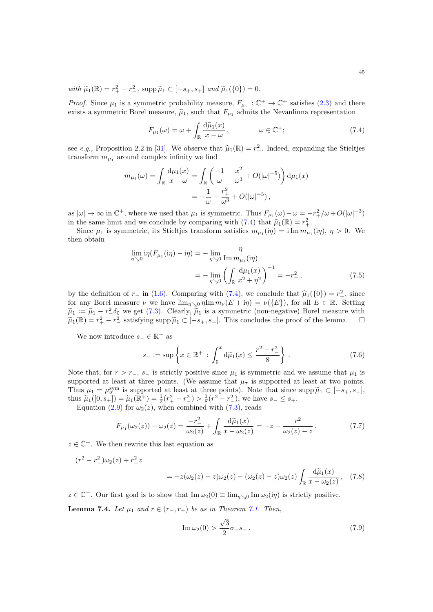with  $\tilde{\mu}_1(\mathbb{R}) = r_+^2 - r_-^2$ , supp  $\tilde{\mu}_1 \subset [-s_+, s_+]$  and  $\tilde{\mu}_1(\{0\}) = 0$ .

*Proof.* Since  $\mu_1$  is a symmetric probability measure,  $F_{\mu_1} : \mathbb{C}^+ \to \mathbb{C}^+$  satisfies [\(2.3\)](#page-5-1) and there exists a symmetric Borel measure,  $\hat{\mu}_1$ , such that  $F_{\mu_1}$  admits the Nevanlinna representation

<span id="page-44-0"></span>
$$
F_{\mu_1}(\omega) = \omega + \int_{\mathbb{R}} \frac{d\widehat{\mu}_1(x)}{x - \omega}, \qquad \omega \in \mathbb{C}^+; \qquad (7.4)
$$

see e.g., Proposition 2.2 in [\[31\]](#page-60-19). We observe that  $\hat{\mu}_1(\mathbb{R}) = r_+^2$ . Indeed, expanding the Stieltjes transform  $m_{\mu_1}$  around complex infinity we find

$$
m_{\mu_1}(\omega) = \int_{\mathbb{R}} \frac{d\mu_1(x)}{x - \omega} = \int_{\mathbb{R}} \left( \frac{-1}{\omega} - \frac{x^2}{\omega^3} + O(|\omega|^{-5}) \right) d\mu_1(x)
$$
  
=  $-\frac{1}{\omega} - \frac{r_+^2}{\omega^3} + O(|\omega|^{-5}),$ 

as  $|\omega| \to \infty$  in  $\mathbb{C}^+$ , where we used that  $\mu_1$  is symmetric. Thus  $F_{\mu_1}(\omega) - \omega = -r_+^2/\omega + O(|\omega|^{-3})$ in the same limit and we conclude by comparing with  $(7.4)$  that  $\hat{\mu}_1(\mathbb{R}) = r_+^2$ .<br>Since  $\mu$ , is symmetric, its Stiglies transform satisfies  $m_n$ ,  $(n) = i \text{Im } m$ .

Since  $\mu_1$  is symmetric, its Stieltjes transform satisfies  $m_{\mu_1}(\eta) = i \operatorname{Im} m_{\mu_1}(\eta)$ ,  $\eta > 0$ . We then obtain

$$
\lim_{\eta \searrow 0} i\eta (F_{\mu_1}(i\eta) - i\eta) = -\lim_{\eta \searrow 0} \frac{\eta}{\text{Im } m_{\mu_1}(i\eta)} \n= -\lim_{\eta \searrow 0} \left( \int_{\mathbb{R}} \frac{d\mu_1(x)}{x^2 + \eta^2} \right)^{-1} = -r^2 ,
$$
\n(7.5)

by the definition of  $r_-\in (1.6)$  $r_-\in (1.6)$ . Comparing with  $(7.4)$ , we conclude that  $\hat{\mu}_1(\{0\}) = r_-^2$ , since for any Borel measure  $\mu$  we have  $\lim_{\epsilon \to \infty} \mu(F + i\omega) = \mu(F)$  for all  $F \in \mathbb{R}$ . Sotting for any Borel measure  $\nu$  we have  $\lim_{\eta\searrow0}$   $\eta \text{Im }m_{\nu}(E + i\eta) = \nu({E})$ , for all  $E \in \mathbb{R}$ . Setting  $\tilde{\mu}_1 := \hat{\mu}_1 - r^2 \delta_0$  we get [\(7.3\)](#page-43-4). Clearly,  $\tilde{\mu}_1$  is a symmetric (non-negative) Borel measure with  $\tilde{\mu}_1 := \hat{\mu}_1 - r^2 \delta_0$  we get (7.3). Clearly,  $\tilde{\mu}_1$  is a symmetric (non-negative) Borel measure with  $\widetilde{\mu}_1(\mathbb{R}) = r_+^2 - r_-^2$  satisfying supp  $\widetilde{\mu}_1 \subset [-s_+, s_+]$ . This concludes the proof of the lemma.  $\square$ 

We now introduce  $s_-\in\mathbb{R}^+$  as

<span id="page-44-2"></span>
$$
s_{-} := \sup \left\{ x \in \mathbb{R}^{+} : \int_{0}^{x} d\tilde{\mu}_{1}(x) \le \frac{r^{2} - r_{-}^{2}}{8} \right\}.
$$
 (7.6)

Note that, for  $r > r_-, s_-$  is strictly positive since  $\mu_1$  is symmetric and we assume that  $\mu_1$  is supported at least at three points. (We assume that  $\mu_{\sigma}$  is supported at least at two points. Thus  $\mu_1 = \mu_{\sigma}^{\text{sym}}$  is supported at least at three points). Note that since  $\sup \widetilde{\mu}_1 \subset [-s_+, s_+]$ ,<br>thus  $\widetilde{\mu}_1([0, s_1]) = \widetilde{\mu}_1(\mathbb{R}^+)-1(s_1^2-s_1^2) \times 1(s_1^2-s_1^2)$ , we have  $s_1 \leq s_1$ thus  $\tilde{\mu}_1([0, s_+]) = \tilde{\mu}_1(\mathbb{R}^+) = \frac{1}{2}(r_+^2 - r_-^2) > \frac{1}{8}(r_-^2 - r_-^2)$ , we have  $s_- \leq s_+$ .<br>Equation (2.0) for  $\mu_2(s)$ , when combined with (7.3) roads

Equation [\(2.9\)](#page-5-4) for  $\omega_2(z)$ , when combined with [\(7.3\)](#page-43-4), reads

$$
F_{\mu_1}(\omega_2(z)) - \omega_2(z) = \frac{-r_-^2}{\omega_2(z)} + \int_{\mathbb{R}} \frac{d\tilde{\mu}_1(x)}{x - \omega_2(z)} = -z - \frac{r^2}{\omega_2(z) - z},\tag{7.7}
$$

 $z \in \mathbb{C}^+$ . We then rewrite this last equation as

$$
(r^{2} - r_{-}^{2})\omega_{2}(z) + r_{-}^{2} z
$$
  
=  $-z(\omega_{2}(z) - z)\omega_{2}(z) - (\omega_{2}(z) - z)\omega_{2}(z) \int_{\mathbb{R}} \frac{d\tilde{\mu}_{1}(x)}{x - \omega_{2}(z)},$  (7.8)

 $z \in \mathbb{C}^+$ . Our first goal is to show that  $\text{Im}\,\omega_2(0) \equiv \lim_{\eta \searrow 0} \text{Im}\,\omega_2(i\eta)$  is strictly positive.

**Lemma 7.4.** Let  $\mu_1$  and  $r \in (r_-, r_+)$  be as in Theorem [7.1.](#page-43-2) Then,

<span id="page-44-3"></span><span id="page-44-1"></span>
$$
\operatorname{Im}\omega_2(0) > \frac{\sqrt{3}}{2}\sigma_{-}s_{-}.
$$
\n(7.9)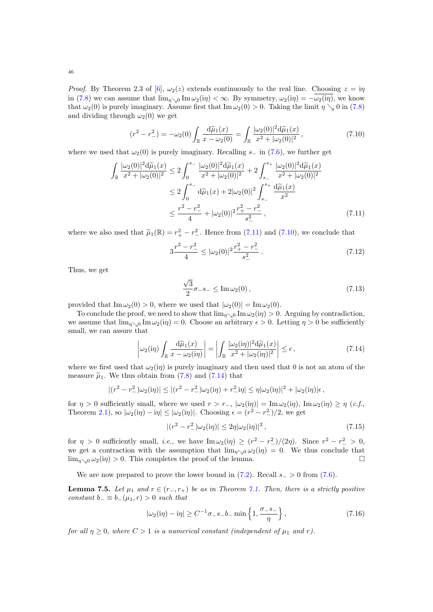*Proof.* By Theorem 2.3 of [\[6\]](#page-59-12),  $\omega_2(z)$  extends continuously to the real line. Choosing  $z = i\eta$ in [\(7.8\)](#page-44-1) we can assume that  $\lim_{\eta \searrow 0} \text{Im}\,\omega_2(i\eta) < \infty$ . By symmetry,  $\omega_2(i\eta) = -\omega_2(i\eta)$ , we know that  $\omega_2(0)$  is purely imaginary. Assume first that Im  $\omega_2(0) > 0$ . Taking the limit  $\eta \searrow 0$  in [\(7.8\)](#page-44-1) and dividing through  $\omega_2(0)$  we get

$$
(r^2 - r_-^2) = -\omega_2(0) \int_{\mathbb{R}} \frac{\mathrm{d}\tilde{\mu}_1(x)}{x - \omega_2(0)} = \int_{\mathbb{R}} \frac{|\omega_2(0)|^2 \mathrm{d}\tilde{\mu}_1(x)}{x^2 + |\omega_2(0)|^2}, \tag{7.10}
$$

where we used that  $\omega_2(0)$  is purely imaginary. Recalling s<sub>−</sub> in [\(7.6\)](#page-44-2), we further get

$$
\int_{\mathbb{R}} \frac{|\omega_2(0)|^2 d\tilde{\mu}_1(x)}{x^2 + |\omega_2(0)|^2} \le 2 \int_0^{s_-} \frac{|\omega_2(0)|^2 d\tilde{\mu}_1(x)}{x^2 + |\omega_2(0)|^2} + 2 \int_{s_-}^{s_+} \frac{|\omega_2(0)|^2 d\tilde{\mu}_1(x)}{x^2 + |\omega_2(0)|^2}
$$
  
\n
$$
\le 2 \int_0^{s_-} d\tilde{\mu}_1(x) + 2|\omega_2(0)|^2 \int_{s_-}^{s_+} \frac{d\tilde{\mu}_1(x)}{x^2}
$$
  
\n
$$
\le \frac{r^2 - r_-^2}{4} + |\omega_2(0)|^2 \frac{r_+^2 - r_-^2}{s_-^2},
$$
\n(7.11)

where we also used that  $\tilde{\mu}_1(\mathbb{R}) = r_+^2 - r_-^2$ . Hence from [\(7.11\)](#page-45-0) and [\(7.10\)](#page-45-1), we conclude that

<span id="page-45-1"></span>
$$
3\frac{r^2 - r_-^2}{4} \le |\omega_2(0)|^2 \frac{r_+^2 - r_-^2}{s_-^2} \,. \tag{7.12}
$$

Thus, we get

<span id="page-45-2"></span><span id="page-45-0"></span>
$$
\frac{\sqrt{3}}{2}\sigma_{-}s_{-} \leq \operatorname{Im}\omega_{2}(0),\tag{7.13}
$$

provided that  $\text{Im }\omega_2(0) > 0$ , where we used that  $|\omega_2(0)| = \text{Im }\omega_2(0)$ .

To conclude the proof, we need to show that  $\lim_{\eta \searrow 0} \text{Im } \omega_2(i\eta) > 0$ . Arguing by contradiction, we assume that  $\lim_{\eta \searrow 0} \text{Im } \omega_2(i\eta) = 0$ . Choose an arbitrary  $\epsilon > 0$ . Letting  $\eta > 0$  be sufficiently small, we can assure that

$$
\left|\omega_2(i\eta)\int_{\mathbb{R}}\frac{d\widetilde{\mu}_1(x)}{x-\omega_2(i\eta)}\right| = \left|\int_{\mathbb{R}}\frac{|\omega_2(i\eta)|^2d\widetilde{\mu}_1(x)}{x^2+|\omega_2(i\eta)|^2}\right| \leq \epsilon,\tag{7.14}
$$

where we first used that  $\omega_2(i\eta)$  is purely imaginary and then used that 0 is not an atom of the measure  $\tilde{\mu}_1$ . We thus obtain from [\(7.8\)](#page-44-1) and [\(7.14\)](#page-45-2) that

$$
|(r^2 - r^2) \omega_2(i\eta)| \le |(r^2 - r^2) \omega_2(i\eta) + r^2 \omega_2(i\eta)| \le \eta |\omega_2(i\eta)|^2 + |\omega_2(i\eta)| \epsilon,
$$

for  $\eta > 0$  sufficiently small, where we used  $r > r_-, |\omega_2(i\eta)| = \text{Im}\,\omega_2(i\eta)$ ,  $\text{Im}\,\omega_2(i\eta) \ge \eta$  (*c.f.*, Theorem [2.1\)](#page-5-5), so  $|\omega_2(i\eta) - i\eta| \leq |\omega_2(i\eta)|$ . Choosing  $\epsilon = (r^2 - r^2)/2$ , we get

<span id="page-45-3"></span>
$$
|(r^2 - r^2_{-})\omega_2(i\eta)| \le 2\eta |\omega_2(i\eta)|^2 , \qquad (7.15)
$$

for  $\eta > 0$  sufficiently small, *i.e.*, we have  $\text{Im}\,\omega_2(i\eta) \ge (r^2 - r^2)/((2\eta)$ . Since  $r^2 - r^2 > 0$ , we get a contraction with the assumption that  $\lim_{n\to 0} \omega_2(i\eta) = 0$ . We thus conclude that  $\lim_{n\to 0} \omega_2(i\eta) > 0$ . This completes the proof of the lemma.

We are now prepared to prove the lower bound in  $(7.2)$ . Recall  $s_$  > 0 from  $(7.6)$ .

**Lemma 7.5.** Let  $\mu_1$  and  $r \in (r_-, r_+)$  be as in Theorem [7.1.](#page-43-2) Then, there is a strictly positive constant  $b_-\equiv b_-(\mu_1,r)>0$  such that

$$
|\omega_2(i\eta) - i\eta| \ge C^{-1}\sigma_- s_- b_- \min\left\{1, \frac{\sigma_- s_-}{\eta}\right\},\tag{7.16}
$$

for all  $\eta \geq 0$ , where  $C > 1$  is a numerical constant (independent of  $\mu_1$  and r).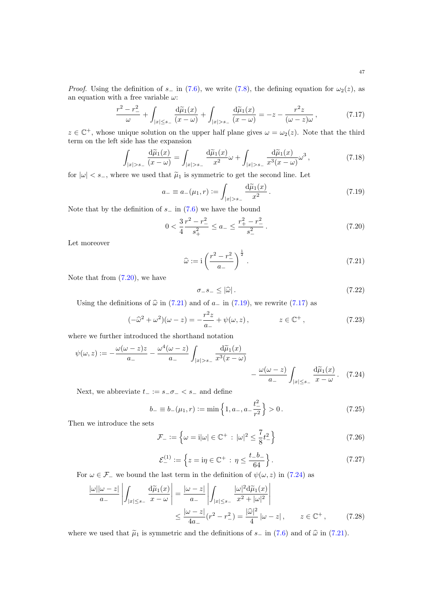<span id="page-46-3"></span><span id="page-46-1"></span><span id="page-46-0"></span>

47

*Proof.* Using the definition of s<sub>−</sub> in [\(7.6\)](#page-44-2), we write [\(7.8\)](#page-44-1), the defining equation for  $\omega_2(z)$ , as an equation with a free variable  $\omega$ :

$$
\frac{r^2 - r_-^2}{\omega} + \int_{|x| \le s_-} \frac{d\tilde{\mu}_1(x)}{(x - \omega)} + \int_{|x| > s_-} \frac{d\tilde{\mu}_1(x)}{(x - \omega)} = -z - \frac{r^2 z}{(\omega - z)\omega},
$$
(7.17)

 $z \in \mathbb{C}^+$ , whose unique solution on the upper half plane gives  $\omega = \omega_2(z)$ . Note that the third term on the left side has the expansion

$$
\int_{|x|>s_-} \frac{\mathrm{d}\widetilde{\mu}_1(x)}{(x-\omega)} = \int_{|x|>s_-} \frac{\mathrm{d}\widetilde{\mu}_1(x)}{x^2} \omega + \int_{|x|>s_-} \frac{\mathrm{d}\widetilde{\mu}_1(x)}{x^3(x-\omega)} \omega^3,
$$
\n(7.18)

for  $|\omega| < s_-,$  where we used that  $\tilde{\mu}_1$  is symmetric to get the second line. Let

$$
a_{-} \equiv a_{-}(\mu_1, r) := \int_{|x| > s_{-}} \frac{d\tilde{\mu}_1(x)}{x^2} \,. \tag{7.19}
$$

Note that by the definition of  $s_$  in [\(7.6\)](#page-44-2) we have the bound

$$
0 < \frac{3}{4} \frac{r^2 - r^2}{s_+^2} \le a_- \le \frac{r_+^2 - r_-^2}{s_-^2} \,. \tag{7.20}
$$

Let moreover

$$
\widehat{\omega} := i \left( \frac{r^2 - r_-^2}{a_-} \right)^{\frac{1}{2}}.
$$
\n(7.21)

Note that from  $(7.20)$ , we have

<span id="page-46-7"></span><span id="page-46-6"></span><span id="page-46-5"></span><span id="page-46-4"></span><span id="page-46-2"></span>
$$
\sigma_{-}s_{-} \leq |\hat{\omega}| \,. \tag{7.22}
$$

Using the definitions of  $\hat{\omega}$  in [\(7.21\)](#page-46-2) and of a<sub>−</sub> in [\(7.19\)](#page-46-0), we rewrite [\(7.17\)](#page-46-3) as

$$
(-\hat{\omega}^2 + \omega^2)(\omega - z) = -\frac{r^2 z}{a_-} + \psi(\omega, z), \qquad z \in \mathbb{C}^+, \qquad (7.23)
$$

where we further introduced the shorthand notation

$$
\psi(\omega, z) := -\frac{\omega(\omega - z)z}{a_{-}} - \frac{\omega^{4}(\omega - z)}{a_{-}} \int_{|x| > s_{-}} \frac{d\widetilde{\mu}_{1}(x)}{x^{3}(x - \omega)} - \frac{\omega(\omega - z)}{a_{-}} \int_{|x| \leq s_{-}} \frac{d\widetilde{\mu}_{1}(x)}{x - \omega} . \tag{7.24}
$$

Next, we abbreviate  $t_ - := s_-\sigma_- < s_-$  and define

$$
b_{-} \equiv b_{-}(\mu_1, r) := \min\left\{1, a_{-}, a_{-}\frac{t^2}{r^2}\right\} > 0. \tag{7.25}
$$

Then we introduce the sets

$$
\mathcal{F}_{-} := \left\{ \omega = i|\omega| \in \mathbb{C}^{+} : |\omega|^{2} \leq \frac{7}{8}t_{-}^{2} \right\}
$$
\n
$$
(7.26)
$$

$$
\mathcal{E}_{-}^{(1)} := \left\{ z = \mathrm{i}\eta \in \mathbb{C}^{+} : \eta \le \frac{t - b_{-}}{64} \right\}. \tag{7.27}
$$

For  $\omega \in \mathcal{F}_-$  we bound the last term in the definition of  $\psi(\omega, z)$  in [\(7.24\)](#page-46-4) as

$$
\frac{|\omega||\omega - z|}{a_{-}} \left| \int_{|x| \le s_{-}} \frac{d\widetilde{\mu}_{1}(x)}{x - \omega} \right| = \frac{|\omega - z|}{a_{-}} \left| \int_{|x| \le s_{-}} \frac{|\omega|^{2} d\widetilde{\mu}_{1}(x)}{x^{2} + |\omega|^{2}} \right|
$$

$$
\le \frac{|\omega - z|}{4a_{-}} (r^{2} - r^{2}) = \frac{|\widehat{\omega}|^{2}}{4} |\omega - z|, \qquad z \in \mathbb{C}^{+}, \qquad (7.28)
$$

where we used that  $\tilde{\mu}_1$  is symmetric and the definitions of s<sub>−</sub> in [\(7.6\)](#page-44-2) and of  $\hat{\omega}$  in [\(7.21\)](#page-46-2).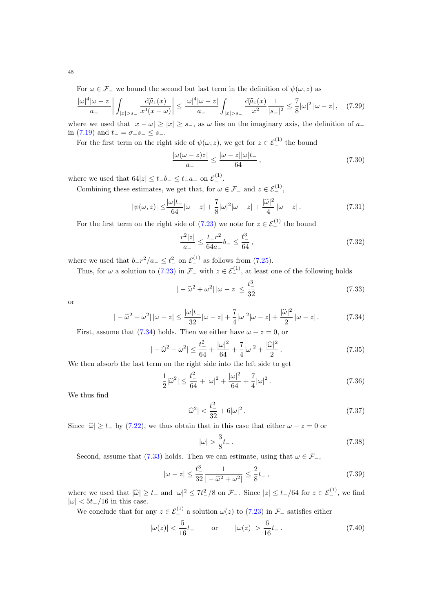For  $\omega \in \mathcal{F}_-$  we bound the second but last term in the definition of  $\psi(\omega, z)$  as

$$
\frac{|\omega|^4 |\omega - z|}{a_-} \left| \int_{|x| > s_-} \frac{d\widetilde{\mu}_1(x)}{x^3 (x - \omega)} \right| \le \frac{|\omega|^4 |\omega - z|}{a_-} \int_{|x| > s_-} \frac{d\widetilde{\mu}_1(x)}{x^2} \frac{1}{|s_-|^2} \le \frac{7}{8} |\omega|^2 |\omega - z|, \quad (7.29)
$$

where we used that  $|x - \omega| > |x| > s_-\$ , as  $\omega$  lies on the imaginary axis, the definition of  $a_-$ in [\(7.19\)](#page-46-0) and  $t_ - = \sigma_ - s_- \leq s_-$ .

For the first term on the right side of  $\psi(\omega, z)$ , we get for  $z \in \mathcal{E}_{-}^{(1)}$  the bound

$$
\frac{|\omega(\omega - z)z|}{a_{-}} \le \frac{|\omega - z||\omega|t_{-}}{64},\tag{7.30}
$$

where we used that  $64|z| \leq t_{-}b_{-} \leq t_{-}a_{-}$  on  $\mathcal{E}_{-}^{(1)}$ .

Combining these estimates, we get that, for  $\omega \in \mathcal{F}_-$  and  $z \in \mathcal{E}_-^{(1)}$ ,

$$
|\psi(\omega, z)| \le \frac{|\omega|t_-}{64} |\omega - z| + \frac{7}{8} |\omega|^2 |\omega - z| + \frac{|\hat{\omega}|^2}{4} |\omega - z|.
$$
 (7.31)

For the first term on the right side of  $(7.23)$  we note for  $z \in \mathcal{E}_{-}^{(1)}$  the bound

$$
\frac{r^2|z|}{a_-} \le \frac{t_-r^2}{64a_-}b_- \le \frac{t_-^3}{64},\tag{7.32}
$$

where we used that  $b_{-}r^2/a_{-} \leq t_{-}^2$  on  $\mathcal{E}_{-}^{(1)}$  as follows from [\(7.25\)](#page-46-6).

Thus, for  $\omega$  a solution to [\(7.23\)](#page-46-5) in  $\mathcal{F}_-$  with  $z \in \mathcal{E}_-^{(1)}$ , at least one of the following holds

<span id="page-47-1"></span><span id="page-47-0"></span>
$$
| -\hat{\omega}^2 + \omega^2 | | \omega - z | \le \frac{t^3}{32}
$$
 (7.33)

or

$$
|-\widehat{\omega}^2 + \omega^2| \, |\omega - z| \le \frac{|\omega|t_-}{32} |\omega - z| + \frac{7}{4} |\omega|^2 |\omega - z| + \frac{|\widehat{\omega}|^2}{2} |\omega - z| \,. \tag{7.34}
$$

First, assume that [\(7.34\)](#page-47-0) holds. Then we either have  $\omega - z = 0$ , or

$$
| -\hat{\omega}^2 + \omega^2 | \le \frac{t^2}{64} + \frac{|\omega|^2}{64} + \frac{7}{4}|\omega|^2 + \frac{|\hat{\omega}|^2}{2}.
$$
 (7.35)

We then absorb the last term on the right side into the left side to get

$$
\frac{1}{2}|\hat{\omega}^2| \le \frac{t^2}{64} + |\omega|^2 + \frac{|\omega|^2}{64} + \frac{7}{4}|\omega|^2.
$$
 (7.36)

We thus find

$$
|\hat{\omega}^2| < \frac{t^2}{32} + 6|\omega|^2. \tag{7.37}
$$

Since  $|\widehat{\omega}| \ge t_{-}$  by [\(7.22\)](#page-46-7), we thus obtain that in this case that either  $\omega - z = 0$  or

<span id="page-47-2"></span>
$$
|\omega| > \frac{3}{8}t \tag{7.38}
$$

Second, assume that [\(7.33\)](#page-47-1) holds. Then we can estimate, using that  $\omega \in \mathcal{F}_-,$ 

$$
|\omega - z| \le \frac{t^3}{32} \frac{1}{| - \widehat{\omega}^2 + \omega^2 |} \le \frac{2}{8} t^2 \tag{7.39}
$$

where we used that  $|\hat{\omega}| \ge t_-$  and  $|\omega|^2 \le 7t_-^2/8$  on  $\mathcal{F}_-$ . Since  $|z| \le t_-/64$  for  $z \in \mathcal{E}_-^{(1)}$ , we find  $|\omega|$  < 5t<sub>−</sub>/16 in this case.

We conclude that for any  $z \in \mathcal{E}_{-}^{(1)}$  a solution  $\omega(z)$  to [\(7.23\)](#page-46-5) in  $\mathcal{F}_{-}$  satisfies either

$$
|\omega(z)| < \frac{5}{16}t_{-} \qquad \text{or} \qquad |\omega(z)| > \frac{6}{16}t_{-} \,. \tag{7.40}
$$

48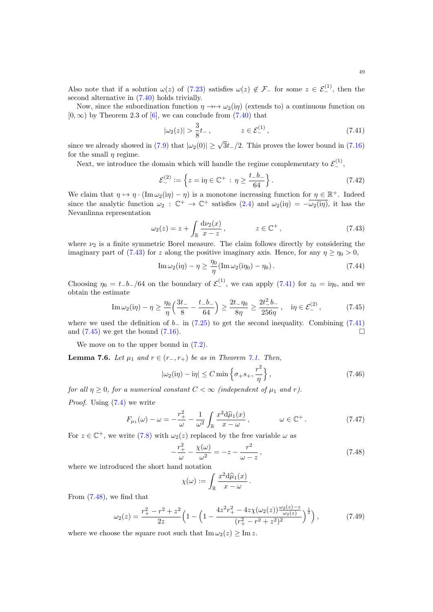Also note that if a solution  $\omega(z)$  of [\(7.23\)](#page-46-5) satisfies  $\omega(z) \notin \mathcal{F}_-$  for some  $z \in \mathcal{E}_-^{(1)}$ , then the second alternative in [\(7.40\)](#page-47-2) holds trivially.

Now, since the subordination function  $\eta \rightarrow \rightarrow \omega_2(i\eta)$  (extends to) a continuous function on  $[0, \infty)$  by Theorem 2.3 of  $[6]$ , we can conclude from  $(7.40)$  that

<span id="page-48-1"></span>
$$
|\omega_2(z)| > \frac{3}{8}t_- \,, \qquad z \in \mathcal{E}_-^{(1)} \,, \tag{7.41}
$$

since we already showed in [\(7.9\)](#page-44-3) that  $|\omega_2(0)| \geq \sqrt{3}t_-/2$ . This proves the lower bound in [\(7.16\)](#page-45-3) for the small  $\eta$  regime.

Next, we introduce the domain which will handle the regime complementary to  $\mathcal{E}_-^{(1)}$ ,

$$
\mathcal{E}_{-}^{(2)} := \left\{ z = \mathrm{i}\eta \in \mathbb{C}^{+} : \eta \ge \frac{t - b_{-}}{64} \right\}. \tag{7.42}
$$

We claim that  $\eta \mapsto \eta \cdot (\text{Im } \omega_2(i\eta) - \eta)$  is a monotone increasing function for  $\eta \in \mathbb{R}^+$ . Indeed since the analytic function  $\omega_2 : \mathbb{C}^+ \to \mathbb{C}^+$  satisfies  $(2.4)$  and  $\omega_2(i\eta) = -\overline{\omega_2(i\eta)}$ , it has the Nevanlinna representation

$$
\omega_2(z) = z + \int_{\mathbb{R}} \frac{\mathrm{d}\nu_2(x)}{x - z}, \qquad z \in \mathbb{C}^+, \tag{7.43}
$$

where  $\nu_2$  is a finite symmetric Borel measure. The claim follows directly by considering the imaginary part of [\(7.43\)](#page-48-0) for z along the positive imaginary axis. Hence, for any  $\eta > \eta_0 > 0$ ,

<span id="page-48-2"></span><span id="page-48-0"></span>
$$
\operatorname{Im}\omega_2(i\eta) - \eta \ge \frac{\eta_0}{\eta} (\operatorname{Im}\omega_2(i\eta_0) - \eta_0).
$$
 (7.44)

Choosing  $\eta_0 = t_b_0/64$  on the boundary of  $\mathcal{E}^{(1)}_0$ , we can apply [\(7.41\)](#page-48-1) for  $z_0 = i\eta_0$ , and we obtain the estimate

$$
\operatorname{Im}\omega_2(i\eta) - \eta \ge \frac{\eta_0}{\eta} \left( \frac{3t_-}{8} - \frac{t_-b_-}{64} \right) \ge \frac{2t_-\eta_0}{8\eta} \ge \frac{2t_-^2b_-}{256\eta}, \quad i\eta \in \mathcal{E}_-^{(2)},\tag{7.45}
$$

where we used the definition of  $b_-\$  in [\(7.25\)](#page-46-6) to get the second inequality. Combining [\(7.41\)](#page-48-1) and  $(7.45)$  we get the bound  $(7.16)$ .

We move on to the upper bound in  $(7.2)$ .

**Lemma 7.6.** Let  $\mu_1$  and  $r \in (r_-, r_+)$  be as in Theorem [7.1.](#page-43-2) Then,

<span id="page-48-4"></span>
$$
|\omega_2(i\eta) - i\eta| \le C \min\left\{\sigma_+ s_+, \frac{r^2}{\eta}\right\},\tag{7.46}
$$

for all  $\eta \geq 0$ , for a numerical constant  $C < \infty$  (independent of  $\mu_1$  and r).

Proof. Using [\(7.4\)](#page-44-0) we write

$$
F_{\mu_1}(\omega) - \omega = -\frac{r_+^2}{\omega} - \frac{1}{\omega^2} \int_{\mathbb{R}} \frac{x^2 d\widehat{\mu}_1(x)}{x - \omega}, \qquad \omega \in \mathbb{C}^+ \,. \tag{7.47}
$$

For  $z \in \mathbb{C}^+$ , we write [\(7.8\)](#page-44-1) with  $\omega_2(z)$  replaced by the free variable  $\omega$  as

$$
-\frac{r_{+}^{2}}{\omega} - \frac{\chi(\omega)}{\omega^{2}} = -z - \frac{r^{2}}{\omega - z},
$$
\n(7.48)

where we introduced the short hand notation

<span id="page-48-6"></span><span id="page-48-5"></span><span id="page-48-3"></span>
$$
\chi(\omega) := \int_{\mathbb{R}} \frac{x^2 d\widehat{\mu}_1(x)}{x - \omega}.
$$

From [\(7.48\)](#page-48-3), we find that

$$
\omega_2(z) = \frac{r_+^2 - r^2 + z^2}{2z} \left( 1 - \left( 1 - \frac{4z^2 r_+^2 - 4z \chi(\omega_2(z)) \frac{\omega_2(z) - z}{\omega_2(z)}}{(r_+^2 - r^2 + z^2)^2} \right)^{\frac{1}{2}} \right),\tag{7.49}
$$

where we choose the square root such that  $\text{Im }\omega_2(z) > \text{Im } z$ .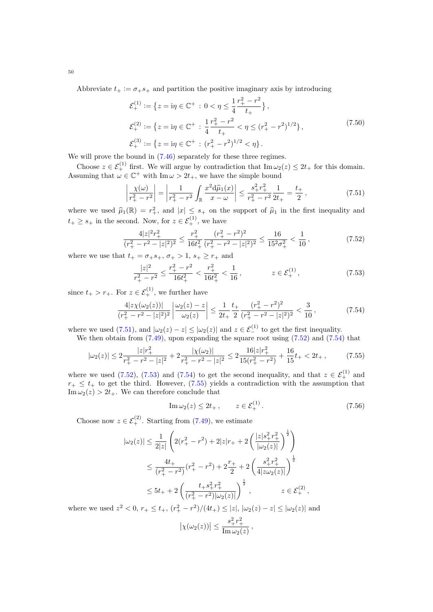Abbreviate  $t_{+} := \sigma_{+} s_{+}$  and partition the positive imaginary axis by introducing

$$
\mathcal{E}_{+}^{(1)} := \left\{ z = \mathrm{i}\eta \in \mathbb{C}^{+} : 0 < \eta \le \frac{1}{4} \frac{r_{+}^{2} - r^{2}}{t_{+}} \right\},\
$$
  
\n
$$
\mathcal{E}_{+}^{(2)} := \left\{ z = \mathrm{i}\eta \in \mathbb{C}^{+} : \frac{1}{4} \frac{r_{+}^{2} - r^{2}}{t_{+}} < \eta \le (r_{+}^{2} - r^{2})^{1/2} \right\},\
$$
  
\n
$$
\mathcal{E}_{+}^{(3)} := \left\{ z = \mathrm{i}\eta \in \mathbb{C}^{+} : (r_{+}^{2} - r^{2})^{1/2} < \eta \right\}.
$$
\n
$$
(7.50)
$$

We will prove the bound in  $(7.46)$  separately for these three regimes.

Choose  $z \in \mathcal{E}_+^{(1)}$  first. We will argue by contradiction that  $\text{Im } \omega_2(z) \leq 2t_+$  for this domain. Assuming that  $\omega \in \mathbb{C}^+$  with  $\text{Im}\,\omega > 2t_+$ , we have the simple bound

<span id="page-49-0"></span>
$$
\left|\frac{\chi(\omega)}{r_+^2 - r^2}\right| = \left|\frac{1}{r_+^2 - r^2} \int_{\mathbb{R}} \frac{x^2 d\hat{\mu}_1(x)}{x - \omega}\right| \le \frac{s_+^2 r_+^2}{r_+^2 - r^2} \frac{1}{2t_+} = \frac{t_+}{2},\tag{7.51}
$$

where we used  $\hat{\mu}_1(\mathbb{R}) = r_+^2$ , and  $|x| \leq s_+$  on the support of  $\hat{\mu}_1$  in the first inequality and  $t_+ \geq s_+$  in the second. Now, for  $z \in \mathcal{E}_+^{(1)}$ , we have

$$
\frac{4|z|^2r_+^2}{(r_+^2 - r^2 - |z|^2)^2} \le \frac{r_+^2}{16t_+^2} \frac{(r_+^2 - r^2)^2}{(r_+^2 - r^2 - |z|^2)^2} \le \frac{16}{15^2\sigma_+^2} < \frac{1}{10},\tag{7.52}
$$

where we use that  $t_+ = \sigma_+ s_+, \sigma_+ > 1, s_+ \geq r_+$  and

<span id="page-49-3"></span><span id="page-49-1"></span>
$$
\frac{|z|^2}{r_+^2 - r^2} \le \frac{r_+^2 - r^2}{16t_+^2} < \frac{r_+^2}{16t_+^2} < \frac{1}{16}, \qquad z \in \mathcal{E}_+^{(1)},\tag{7.53}
$$

since  $t_+ > r_+$ . For  $z \in \mathcal{E}^{(1)}_+$ , we further have

$$
\frac{4|z\chi(\omega_2(z))|}{(r_+^2 - r^2 - |z|^2)^2} \left| \frac{\omega_2(z) - z}{\omega_2(z)} \right| \le \frac{1}{2t_+} \frac{t_+}{2} \frac{(r_+^2 - r^2)^2}{(r_+^2 - r^2 - |z|^2)^2} < \frac{3}{10},\tag{7.54}
$$

where we used [\(7.51\)](#page-49-0), and  $|\omega_2(z) - z| \leq |\omega_2(z)|$  and  $z \in \mathcal{E}_-^{(1)}$  to get the first inequality. We then obtain from  $(7.49)$ , upon expanding the square root using  $(7.52)$  and  $(7.54)$  that

$$
|\omega_2(z)| \le 2 \frac{|z|r_+^2}{r_+^2 - r^2 - |z|^2} + 2 \frac{|\chi(\omega_2)|}{r_+^2 - r^2 - |z|^2} \le 2 \frac{16|z|r_+^2}{15(r_+^2 - r^2)} + \frac{16}{15}t_+ < 2t_+, \tag{7.55}
$$

where we used [\(7.52\)](#page-49-1), [\(7.53\)](#page-49-3) and [\(7.54\)](#page-49-2) to get the second inequality, and that  $z \in \mathcal{E}_{+}^{(1)}$  and  $r_{+} \leq t_{+}$  to get the third. However, [\(7.55\)](#page-49-4) yields a contradiction with the assumption that  $\text{Im}\,\omega_2(z) > 2t_+$ . We can therefore conclude that

<span id="page-49-5"></span><span id="page-49-4"></span><span id="page-49-2"></span>
$$
\operatorname{Im}\omega_2(z) \le 2t_+, \qquad z \in \mathcal{E}_+^{(1)}.\tag{7.56}
$$

Choose now  $z \in \mathcal{E}_+^{(2)}$ . Starting from [\(7.49\)](#page-48-5), we estimate

$$
|\omega_2(z)| \le \frac{1}{2|z|} \left( 2(r_+^2 - r^2) + 2|z|r_+ + 2\left(\frac{|z|s_+^2 r_+^2}{|\omega_2(z)|}\right)^{\frac{1}{2}} \right)
$$
  

$$
\le \frac{4t_+}{(r_+^2 - r^2)} (r_+^2 - r^2) + 2\frac{r_+}{2} + 2\left(\frac{s_+^2 r_+^2}{4|z\omega_2(z)|}\right)^{\frac{1}{2}}
$$
  

$$
\le 5t_+ + 2\left(\frac{t_+ s_+^2 r_+^2}{(r_+^2 - r^2)|\omega_2(z)|}\right)^{\frac{1}{2}}, \qquad z \in \mathcal{E}_+^{(2)},
$$

where we used  $z^2 < 0$ ,  $r_+ \le t_+$ ,  $(r_+^2 - r^2)/(4t_+) \le |z|$ ,  $|\omega_2(z) - z| \le |\omega_2(z)|$  and  $\left|\chi(\omega_2(z))\right| \leq \frac{s_+^2 r_+^2}{\text{Im}\,\omega_2(z)}$  $\frac{0+1}{\text{Im}\,\omega_2(z)},$ 

50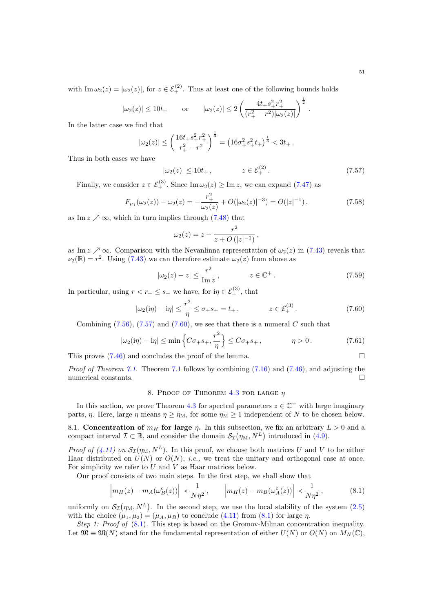with  $\text{Im}\,\omega_2(z) = |\omega_2(z)|$ , for  $z \in \mathcal{E}_+^{(2)}$ . Thus at least one of the following bounds holds

$$
|\omega_2(z)| \le 10t_+
$$
 or  $|\omega_2(z)| \le 2\left(\frac{4t_+s_+^2r_+^2}{(r_+^2-r^2)|\omega_2(z)|}\right)^{\frac{1}{2}}$ 

In the latter case we find that

$$
|\omega_2(z)| \le \left(\frac{16t_+s_+^2r_+^2}{r_+^2-r_-^2}\right)^{\frac{1}{3}} = \left(16\sigma_+^2s_+^2t_+\right)^{\frac{1}{3}} < 3t_+.
$$

Thus in both cases we have

$$
|\omega_2(z)| \le 10t_+, \qquad z \in \mathcal{E}_+^{(2)}.
$$
 (7.57)

<span id="page-50-1"></span>.

Finally, we consider  $z \in \mathcal{E}_+^{(3)}$ . Since  $\text{Im}\,\omega_2(z) \ge \text{Im}\,z$ , we can expand [\(7.47\)](#page-48-6) as

$$
F_{\mu_1}(\omega_2(z)) - \omega_2(z) = -\frac{r_+^2}{\omega_2(z)} + O(|\omega_2(z)|^{-3}) = O(|z|^{-1}),\tag{7.58}
$$

as Im  $z \nearrow \infty$ , which in turn implies through [\(7.48\)](#page-48-3) that

<span id="page-50-2"></span>
$$
\omega_2(z) = z - \frac{r^2}{z + O(|z|^{-1})},
$$

as Im  $z \nearrow \infty$ . Comparison with the Nevanlinna representation of  $\omega_2(z)$  in [\(7.43\)](#page-48-0) reveals that  $\nu_2(\mathbb{R}) = r^2$ . Using [\(7.43\)](#page-48-0) we can therefore estimate  $\omega_2(z)$  from above as

$$
|\omega_2(z) - z| \le \frac{r^2}{\operatorname{Im} z}, \qquad z \in \mathbb{C}^+.
$$
 (7.59)

In particular, using  $r < r_+ \leq s_+$  we have, for  $i\eta \in \mathcal{E}^{(3)}_+$ , that

$$
|\omega_2(i\eta) - i\eta| \le \frac{r^2}{\eta} \le \sigma_+ s_+ = t_+, \qquad z \in \mathcal{E}^{(3)}_+.
$$
 (7.60)

Combining  $(7.56)$ ,  $(7.57)$  and  $(7.60)$ , we see that there is a numeral C such that

$$
|\omega_2(i\eta) - i\eta| \le \min\left\{C\sigma_+s_+, \frac{r^2}{\eta}\right\} \le C\sigma_+s_+, \qquad \eta > 0. \tag{7.61}
$$

This proves  $(7.46)$  and concludes the proof of the lemma.

Proof of Theorem [7.1.](#page-43-2) Theorem [7.1](#page-43-2) follows by combining [\(7.16\)](#page-45-3) and [\(7.46\)](#page-48-4), and adjusting the numerical constants.  $\hfill \square$ 

# <span id="page-50-3"></span>8. PROOF OF THEOREM [4.3](#page-11-1) FOR LARGE  $\eta$

<span id="page-50-0"></span>In this section, we prove Theorem [4.3](#page-11-1) for spectral parameters  $z \in \mathbb{C}^+$  with large imaginary parts,  $\eta$ . Here, large  $\eta$  means  $\eta \geq \eta_M$ , for some  $\eta_M \geq 1$  independent of N to be chosen below.

<span id="page-50-4"></span>8.1. Concentration of  $m_H$  for large  $\eta$ . In this subsection, we fix an arbitrary  $L > 0$  and a compact interval  $\mathcal{I} \subset \mathbb{R}$ , and consider the domain  $\mathcal{S}_{\mathcal{I}}(\eta_M, N^L)$  introduced in [\(4.9\)](#page-11-7).

*Proof of [\(4.11\)](#page-11-4) on*  $S_{\mathcal{I}}(\eta_M, N^L)$ . In this proof, we choose both matrices U and V to be either Haar distributed on  $U(N)$  or  $O(N)$ , *i.e.*, we treat the unitary and orthogonal case at once. For simplicity we refer to  $U$  and  $V$  as Haar matrices below.

Our proof consists of two main steps. In the first step, we shall show that

$$
\left| m_H(z) - m_A(\omega_B^c(z)) \right| \prec \frac{1}{N\eta^2}, \qquad \left| m_H(z) - m_B(\omega_A^c(z)) \right| \prec \frac{1}{N\eta^2}, \tag{8.1}
$$

uniformly on  $\mathcal{S}_{\mathcal{I}}(\eta_M, N^L)$ . In the second step, we use the local stability of the system  $(2.5)$ with the choice  $(\mu_1, \mu_2) = (\mu_A, \mu_B)$  to conclude [\(4.11\)](#page-11-4) from [\(8.1\)](#page-50-3) for large  $\eta$ .

Step 1: Proof of  $(8.1)$ . This step is based on the Gromov-Milman concentration inequality. Let  $\mathfrak{M} \equiv \mathfrak{M}(N)$  stand for the fundamental representation of either  $U(N)$  or  $O(N)$  on  $M_N(\mathbb{C}),$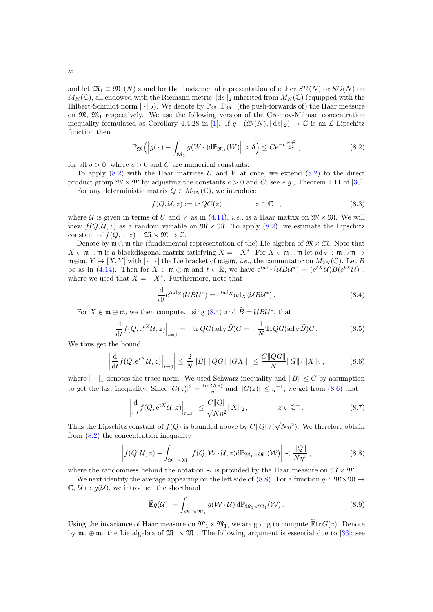and let  $\mathfrak{M}_1 \equiv \mathfrak{M}_1(N)$  stand for the fundamental representation of either  $SU(N)$  or  $SO(N)$  on  $M_N(\mathbb{C})$ , all endowed with the Riemann metric  $\|\mathrm{d}s\|_2$  inherited from  $M_N(\mathbb{C})$  (equipped with the Hilbert-Schmidt norm  $\|\cdot\|_2$ ). We denote by  $\mathbb{P}_{\mathfrak{M}}$ ,  $\mathbb{P}_{\mathfrak{M}_1}$  (the push-forwards of) the Haar measure on  $\mathfrak{M}$ ,  $\mathfrak{M}_1$  respectively. We use the following version of the Gromov-Milman concentration inequality formulated as Corollary 4.4.28 in [\[1\]](#page-59-15). If  $g : (\mathfrak{M}(N), ||ds||_2) \to \mathbb{C}$  is an  $\mathcal{L}\text{-Lipschitz}$ function then

$$
\mathbb{P}_{\mathfrak{M}}\Big(\Big|g(\,\cdot\,) - \int_{\mathfrak{M}_1} g(W \,\cdot\,) \mathrm{d} \mathbb{P}_{\mathfrak{M}_1}(W)\Big| > \delta\Big) \leq C \mathrm{e}^{-c\frac{N\delta^2}{\mathcal{L}^2}},\tag{8.2}
$$

for all  $\delta > 0$ , where  $c > 0$  and C are numerical constants.

To apply  $(8.2)$  with the Haar matrices U and V at once, we extend  $(8.2)$  to the direct product group  $\mathfrak{M} \times \mathfrak{M}$  by adjusting the constants  $c > 0$  and C; see e.g., Theorem 1.11 of [\[30\]](#page-60-20). For any deterministic matrix  $Q \in M_{2N}(\mathbb{C})$ , we introduce

<span id="page-51-0"></span>
$$
f(Q, \mathcal{U}, z) := \text{tr}\, QG(z), \qquad z \in \mathbb{C}^+, \tag{8.3}
$$

where U is given in terms of U and V as in [\(4.14\)](#page-13-1), *i.e.*, is a Haar matrix on  $\mathfrak{M} \times \mathfrak{M}$ . We will view  $f(Q, \mathcal{U}, z)$  as a random variable on  $\mathfrak{M} \times \mathfrak{M}$ . To apply [\(8.2\)](#page-51-0), we estimate the Lipschitz constant of  $f(Q, \cdot, z) : \mathfrak{M} \times \mathfrak{M} \to \mathbb{C}$ .

Denote by  $\mathfrak{m} \oplus \mathfrak{m}$  the (fundamental representation of the) Lie algebra of  $\mathfrak{M} \times \mathfrak{M}$ . Note that  $X \in \mathfrak{m} \oplus \mathfrak{m}$  is a blockdiagonal matrix satisfying  $X = -X^*$ . For  $X \in \mathfrak{m} \oplus \mathfrak{m}$  let  $ad_X : \mathfrak{m} \oplus \mathfrak{m} \to$  $\mathfrak{m}\oplus\mathfrak{m}, Y \mapsto [X, Y]$  with  $[\cdot, \cdot]$  the Lie bracket of  $\mathfrak{m}\oplus\mathfrak{m}, i.e.,$  the commutator on  $M_{2N}(\mathbb{C})$ . Let B be as in [\(4.14\)](#page-13-1). Then for  $X \in \mathfrak{m} \oplus \mathfrak{m}$  and  $t \in \mathbb{R}$ , we have  $e^{tad_X}(\mathcal{U} B \mathcal{U}^*) = (e^{tX} \mathcal{U}) B(e^{tX} \mathcal{U})^*$ , where we used that  $X = -X^*$ . Furthermore, note that

<span id="page-51-2"></span><span id="page-51-1"></span>
$$
\frac{\mathrm{d}}{\mathrm{d}t} e^{t \mathrm{ad}_X} (\mathcal{U} B \mathcal{U}^*) = e^{t \mathrm{ad}_X} \mathrm{ad}_X (\mathcal{U} B \mathcal{U}^*) . \tag{8.4}
$$

For  $X \in \mathfrak{m} \oplus \mathfrak{m}$ , we then compute, using [\(8.4\)](#page-51-1) and  $\widetilde{B} = UBU^*$ , that

$$
\frac{\mathrm{d}}{\mathrm{d}t} f(Q, e^{tX} \mathcal{U}, z)\Big|_{t=0} = -\mathrm{tr}\, QG(\mathrm{ad}_X \widetilde{B})G = -\frac{1}{N} \mathrm{Tr} QG(\mathrm{ad}_X \widetilde{B})G. \tag{8.5}
$$

We thus get the bound

$$
\left| \frac{\mathrm{d}}{\mathrm{d}t} f(Q, e^{tX} \mathcal{U}, z) \right|_{t=0} \leq \frac{2}{N} \|B\| \|QG\| \|GX\|_1 \leq \frac{C \|QG\|}{N} \|G\|_2 \|X\|_2 ,\tag{8.6}
$$

where  $\|\cdot\|_1$  denotes the trace norm. We used Schwarz inequality and  $||B|| \leq C$  by assumption to get the last inequality. Since  $|G(z)|^2 = \frac{\text{Im } G(z)}{n}$  $\frac{G(z)}{\eta}$  and  $||G(z)|| \leq \eta^{-1}$ , we get from [\(8.6\)](#page-51-2) that

$$
\left| \frac{\mathrm{d}}{\mathrm{d}t} f(Q, e^{tX} \mathcal{U}, z) \right|_{t=0} \leq \frac{C ||Q||}{\sqrt{N} \eta^2} ||X||_2, \qquad z \in \mathbb{C}^+.
$$
 (8.7)

Thus the Lipschitz constant of  $f(Q)$  is bounded above by  $C||Q||/(\sqrt{Q(|Q|)})$  $(\sqrt{N}\eta^2)$ . We therefore obtain from  $(8.2)$  the concentration inequality

$$
\left| f(Q, \mathcal{U}, z) - \int_{\mathfrak{M}_1 \times \mathfrak{M}_1} f(Q, \mathcal{W} \cdot \mathcal{U}, z) d\mathbb{P}_{\mathfrak{M}_1 \times \mathfrak{M}_1}(\mathcal{W}) \right| \prec \frac{\|Q\|}{N\eta^2},
$$
\n(8.8)

where the randomness behind the notation  $\prec$  is provided by the Haar measure on  $\mathfrak{M} \times \mathfrak{M}$ .

We next identify the average appearing on the left side of [\(8.8\)](#page-51-3). For a function  $g : \mathfrak{M} \times \mathfrak{M} \to$  $\mathbb{C}, \mathcal{U} \mapsto g(\mathcal{U}),$  we introduce the shorthand

<span id="page-51-3"></span>
$$
\widetilde{\mathbb{E}}g(\mathcal{U}) := \int_{\mathfrak{M}_1 \times \mathfrak{M}_1} g(\mathcal{W} \cdot \mathcal{U}) \, d\mathbb{P}_{\mathfrak{M}_1 \times \mathfrak{M}_1}(\mathcal{W}). \tag{8.9}
$$

Using the invariance of Haar measure on  $\mathfrak{M}_1 \times \mathfrak{M}_1$ , we are going to compute  $\widetilde{\mathbb{E}}$ tr  $G(z)$ . Denote by  $m_1 \oplus m_1$  the Lie algebra of  $\mathfrak{M}_1 \times \mathfrak{M}_1$ . The following argument is essential due to [\[33\]](#page-60-14); see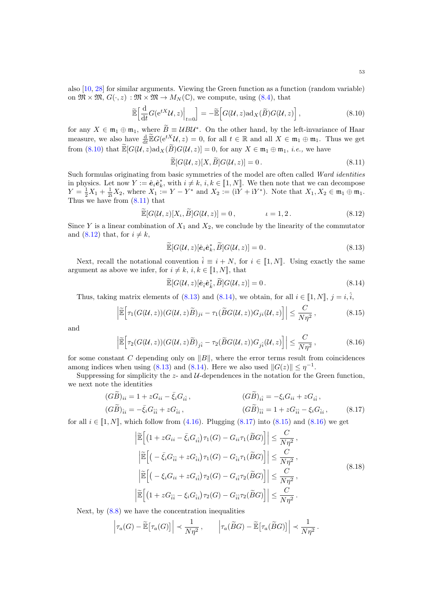also [\[10,](#page-59-0) [28\]](#page-60-11) for similar arguments. Viewing the Green function as a function (random variable) on  $\mathfrak{M} \times \mathfrak{M}, G(\cdot, z) : \mathfrak{M} \times \mathfrak{M} \to M_N(\mathbb{C})$ , we compute, using  $(8.4)$ , that

$$
\widetilde{\mathbb{E}}\Big[\frac{\mathrm{d}}{\mathrm{d}t}G(\mathrm{e}^{tX}\mathcal{U},z)\Big|_{t=0}\Big] = -\widetilde{\mathbb{E}}\Big[G(\mathcal{U},z)\mathrm{ad}_X(\widetilde{B})G(\mathcal{U},z)\Big]\,,\tag{8.10}
$$

for any  $X \in \mathfrak{m}_1 \oplus \mathfrak{m}_1$ , where  $\widetilde{B} = UBU^*$ . On the other hand, by the left-invariance of Haar measure, we also have  $\frac{d}{dt} \widetilde{\mathbb{E}} G(e^{tX} \mathcal{U}, z) = 0$ , for all  $t \in \mathbb{R}$  and all  $X \in \mathfrak{m}_1 \oplus \mathfrak{m}_1$ . Thus we get from [\(8.10\)](#page-52-1) that  $\widetilde{\mathbb{E}}[G(\mathcal{U}, z)\text{ad}_X(\widetilde{B})G(\mathcal{U}, z)] = 0$ , for any  $X \in \mathfrak{m}_1 \oplus \mathfrak{m}_1$ , *i.e.*, we have

<span id="page-52-2"></span><span id="page-52-1"></span><span id="page-52-0"></span>
$$
\widetilde{\mathbb{E}}[G(\mathcal{U},z)[X,\widetilde{B}]G(\mathcal{U},z)]=0.
$$
\n(8.11)

Such formulas originating from basic symmetries of the model are often called Ward identities in physics. Let now  $Y := \hat{\mathbf{e}}_i \hat{\mathbf{e}}_k^*$ , with  $i \neq k, i, k \in [\![1, N]\!]$ . We then note that we can decompose  $Y = \frac{1}{2}X_1 + \frac{1}{2i}X_2$ , where  $X_1 := Y - Y^*$  and  $X_2 := (iY + iY^*)$ . Note that  $X_1, X_2 \in \mathfrak{m}_1 \oplus \mathfrak{m}_1$ . Thus we have from  $(8.11)$  that

$$
\widetilde{\mathbb{E}}[G(\mathcal{U},z)[X_{\iota},\widetilde{B}]G(\mathcal{U},z)]=0, \qquad \qquad \iota=1,2. \qquad (8.12)
$$

Since Y is a linear combination of  $X_1$  and  $X_2$ , we conclude by the linearity of the commutator and [\(8.12\)](#page-52-2) that, for  $i \neq k$ ,

<span id="page-52-3"></span>
$$
\widetilde{\mathbb{E}}[G(\mathcal{U},z)[\hat{\boldsymbol{e}}_i\hat{\boldsymbol{e}}_k^*,\widetilde{B}]G(\mathcal{U},z)] = 0.
$$
\n(8.13)

Next, recall the notational convention  $\hat{i} \equiv i + N$ , for  $i \in [1, N]$ . Using exactly the same argument as above we infer, for  $i \neq k$ ,  $i, k \in [1, N]$ , that

<span id="page-52-7"></span><span id="page-52-6"></span><span id="page-52-4"></span>
$$
\widetilde{\mathbb{E}}[G(\mathcal{U},z)[\hat{\mathbf{e}}_i^*\hat{\mathbf{e}}_k^*,\widetilde{B}]G(\mathcal{U},z)] = 0.
$$
\n(8.14)

Thus, taking matrix elements of [\(8.13\)](#page-52-3) and [\(8.14\)](#page-52-4), we obtain, for all  $i \in [1, N], j = i, \hat{i}$ ,

$$
\left| \widetilde{\mathbb{E}} \Big[ \tau_1(G(\mathcal{U}, z))(G(\mathcal{U}, z)\widetilde{B})_{ji} - \tau_1(\widetilde{B}G(\mathcal{U}, z))G_{ji}(\mathcal{U}, z) \Big] \right| \leq \frac{C}{N\eta^2},\tag{8.15}
$$

and

$$
\left| \widetilde{\mathbb{E}} \Big[ \tau_2(G(\mathcal{U}, z))(G(\mathcal{U}, z)\widetilde{B})_{j\hat{i}} - \tau_2(\widetilde{B}G(\mathcal{U}, z))G_{j\hat{i}}(\mathcal{U}, z) \Big] \right| \leq \frac{C}{N\eta^2},\tag{8.16}
$$

for some constant C depending only on  $||B||$ , where the error terms result from coincidences among indices when using [\(8.13\)](#page-52-3) and [\(8.14\)](#page-52-4). Here we also used  $||G(z)|| \leq \eta^{-1}$ .

Suppressing for simplicity the  $z$ - and  $U$ -dependences in the notation for the Green function, we next note the identities

$$
(G\widetilde{B})_{ii} = 1 + zG_{ii} - \bar{\xi}_i G_{i\hat{i}},
$$
  
\n
$$
(G\widetilde{B})_{\hat{i}\hat{i}} = -\xi_i G_{i\hat{i}} + zG_{\hat{i}\hat{i}},
$$
  
\n
$$
(G\widetilde{B})_{\hat{i}\hat{i}} = -\xi_i G_{i\hat{i}} + zG_{\hat{i}\hat{i}},
$$
  
\n
$$
(G\widetilde{B})_{\hat{i}\hat{i}} = 1 + zG_{\hat{i}\hat{i}} - \xi_i G_{\hat{i}\hat{i}},
$$
  
\n(8.17)

for all  $i \in [1, N]$ , which follow from [\(4.16\)](#page-13-0). Plugging [\(8.17\)](#page-52-5) into [\(8.15\)](#page-52-6) and [\(8.16\)](#page-52-7) we get

<span id="page-52-8"></span><span id="page-52-5"></span>
$$
\left| \widetilde{\mathbb{E}} \left[ \left( 1 + z G_{ii} - \bar{\xi}_i G_{i\hat{i}} \right) \tau_1(G) - G_{ii} \tau_1(\widetilde{B}G) \right] \right| \leq \frac{C}{N\eta^2},
$$
\n
$$
\left| \widetilde{\mathbb{E}} \left[ \left( -\bar{\xi}_i G_{\hat{i}\hat{i}} + z G_{\hat{i}\hat{i}} \right) \tau_1(G) - G_{\hat{i}\hat{i}} \tau_1(\widetilde{B}G) \right] \right| \leq \frac{C}{N\eta^2},
$$
\n
$$
\left| \widetilde{\mathbb{E}} \left[ \left( -\xi_i G_{ii} + z G_{i\hat{i}} \right) \tau_2(G) - G_{i\hat{i}} \tau_2(\widetilde{B}G) \right] \right| \leq \frac{C}{N\eta^2},
$$
\n
$$
\left| \widetilde{\mathbb{E}} \left[ \left( 1 + z G_{\hat{i}\hat{i}} - \xi_i G_{\hat{i}\hat{i}} \right) \tau_2(G) - G_{\hat{i}\hat{i}} \tau_2(\widetilde{B}G) \right] \right| \leq \frac{C}{N\eta^2}.
$$
\n
$$
(8.18)
$$

Next, by  $(8.8)$  we have the concentration inequalities

$$
\left|\tau_a(G)-\widetilde{\mathbb{E}}\big[\tau_a(G)\big]\right|\prec\frac{1}{N\eta^2},\qquad \left|\tau_a(\widetilde{B}G)-\widetilde{\mathbb{E}}\big[\tau_a(\widetilde{B}G)\big]\right|\prec\frac{1}{N\eta^2}.
$$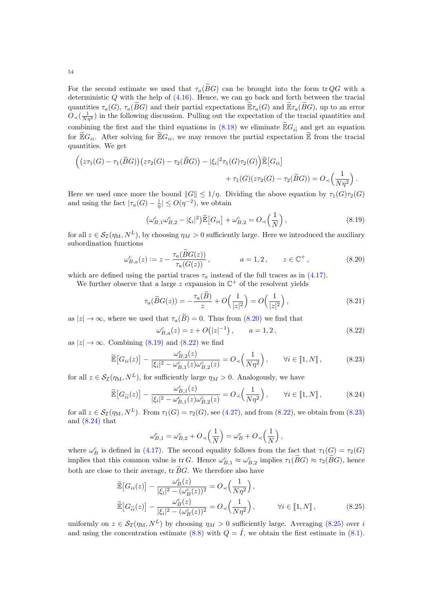54

For the second estimate we used that  $\tau_a(\widetilde{B}G)$  can be brought into the form tr QG with a deterministic  $Q$  with the help of  $(4.16)$ . Hence, we can go back and forth between the tracial quantities  $\tau_a(G)$ ,  $\tau_a(\widetilde{B}G)$  and their partial expectations  $\widetilde{\mathbb{E}}\tau_a(G)$  and  $\widetilde{\mathbb{E}}\tau_a(\widetilde{B}G)$ , up to an error  $O(\sqrt{\frac{1}{N\eta^2}})$  in the following discussion. Pulling out the expectation of the tracial quantities and combining the first and the third equations in [\(8.18\)](#page-52-8) we eliminate  $\widetilde{\mathbb{E}}G_{i\hat{i}}$  and get an equation for  $\mathbb{E}G_{ii}$ . After solving for  $\mathbb{E}G_{ii}$ , we may remove the partial expectation  $\mathbb{E}$  from the tracial quantities. We get

$$
\left( \left( z\tau_1(G) - \tau_1(\widetilde{B}G) \right) \left( z\tau_2(G) - \tau_2(\widetilde{B}G) \right) - |\xi_i|^2 \tau_1(G)\tau_2(G) \right) \widetilde{\mathbb{E}}[G_{ii}] + \tau_1(G)(z\tau_2(G) - \tau_2(\widetilde{B}G)) = O_{\prec} \left( \frac{1}{N\eta^2} \right).
$$

Here we used once more the bound  $||G|| \leq 1/\eta$ . Dividing the above equation by  $\tau_1(G)\tau_2(G)$ and using the fact  $|\tau_a(G) - \frac{i}{\eta}| \leq O(\eta^{-2})$ , we obtain

<span id="page-53-1"></span><span id="page-53-0"></span>
$$
\left(\omega_{B,1}^c \omega_{B,2}^c - |\xi_i|^2\right) \widetilde{\mathbb{E}}\left[G_{ii}\right] + \omega_{B,2}^c = O_{\prec}\left(\frac{1}{N}\right),\tag{8.19}
$$

for all  $z \in S_{\mathcal{I}}(\eta_M, N^L)$ , by choosing  $\eta_M > 0$  sufficiently large. Here we introduced the auxiliary subordination functions

$$
\omega_{B,a}^c(z) := z - \frac{\tau_a(BG(z))}{\tau_a(G(z))}, \qquad a = 1, 2, \qquad z \in \mathbb{C}^+, \tag{8.20}
$$

which are defined using the partial traces  $\tau_a$  instead of the full traces as in [\(4.17\)](#page-13-5).

We further observe that a large z expansion in  $\mathbb{C}^+$  of the resolvent yields

$$
\tau_a(\widetilde{B}G(z)) = -\frac{\tau_a(\widetilde{B})}{z} + O\Big(\frac{1}{|z|^2}\Big) = O\Big(\frac{1}{|z|^2}\Big),\tag{8.21}
$$

as  $|z| \to \infty$ , where we used that  $\tau_a(\tilde{B}) = 0$ . Thus from [\(8.20\)](#page-53-0) we find that

<span id="page-53-4"></span><span id="page-53-3"></span><span id="page-53-2"></span>
$$
\omega_{B,a}^c(z) = z + O(|z|^{-1}), \qquad a = 1, 2,
$$
\n(8.22)

as  $|z| \to \infty$ . Combining [\(8.19\)](#page-53-1) and [\(8.22\)](#page-53-2) we find

$$
\widetilde{\mathbb{E}}\left[G_{ii}(z)\right] - \frac{\omega_{B,2}^c(z)}{|\xi_i|^2 - \omega_{B,1}^c(z)\omega_{B,2}^c(z)} = O\left(\frac{1}{N\eta^2}\right), \qquad \forall i \in [1, N],
$$
\n(8.23)

for all  $z \in S_{\mathcal{I}}(\eta_M, N^L)$ , for sufficiently large  $\eta_M > 0$ . Analogously, we have

$$
\widetilde{\mathbb{E}}\left[G_{\hat{i}\hat{i}}(z)\right] - \frac{\omega_{B,1}^c(z)}{|\xi_i|^2 - \omega_{B,1}^c(z)\omega_{B,2}^c(z)} = O_\prec\left(\frac{1}{N\eta^2}\right), \qquad \forall i \in [1, N],\tag{8.24}
$$

for all  $z \in \mathcal{S}_{\mathcal{I}}(\eta_M, N^L)$ . From  $\tau_1(G) = \tau_2(G)$ , see [\(4.27\)](#page-15-4), and from [\(8.22\)](#page-53-2), we obtain from [\(8.23\)](#page-53-3) and [\(8.24\)](#page-53-4) that

<span id="page-53-5"></span>
$$
\omega_{B,1}^c = \omega_{B,2}^c + O_{\prec}\left(\frac{1}{N}\right) = \omega_B^c + O_{\prec}\left(\frac{1}{N}\right),\,
$$

where  $\omega_B^c$  is defined in [\(4.17\)](#page-13-5). The second equality follows from the fact that  $\tau_1(G) = \tau_2(G)$ implies that this common value is  $\text{tr } G$ . Hence  $\omega_{B,1}^c \approx \omega_{B,2}^c$  implies  $\tau_1(\widetilde{B}G) \approx \tau_2(\widetilde{B}G)$ , hence both are close to their average,  $\text{tr } \widetilde{B}G$ . We therefore also have

$$
\widetilde{\mathbb{E}}\left[G_{ii}(z)\right] - \frac{\omega_B^c(z)}{|\xi_i|^2 - (\omega_B^c(z))^2} = O_{\prec}\left(\frac{1}{N\eta^2}\right),
$$
\n
$$
\widetilde{\mathbb{E}}\left[G_{\widehat{i}\widehat{i}}(z)\right] - \frac{\omega_B^c(z)}{|\xi_i|^2 - (\omega_B^c(z))^2} = O_{\prec}\left(\frac{1}{N\eta^2}\right), \qquad \forall i \in [1, N],
$$
\n(8.25)

uniformly on  $z \in S_{\mathcal{I}}(\eta_M, N^L)$  by choosing  $\eta_M > 0$  sufficiently large. Averaging [\(8.25\)](#page-53-5) over i and using the concentration estimate [\(8.8\)](#page-51-3) with  $Q = \hat{I}$ , we obtain the first estimate in [\(8.1\)](#page-50-3).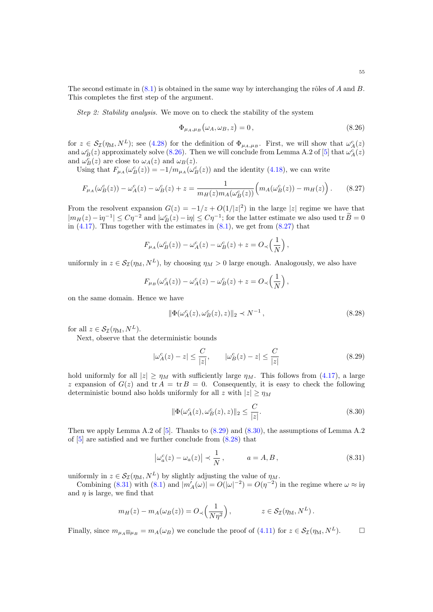Step 2: Stability analysis. We move on to check the stability of the system

<span id="page-54-1"></span><span id="page-54-0"></span>
$$
\Phi_{\mu_A,\mu_B}(\omega_A,\omega_B,z) = 0, \qquad (8.26)
$$

for  $z \in S_{\mathcal{I}}(\eta_M, N^L)$ ; see [\(4.28\)](#page-15-5) for the definition of  $\Phi_{\mu_A,\mu_B}$ . First, we will show that  $\omega_A^c(z)$ and  $\omega_B^c(z)$  approximately solve [\(8.26\)](#page-54-0). Then we will conclude from Lemma A.2 of [\[5\]](#page-59-7) that  $\omega_A^c(z)$ and  $\omega_B^c(z)$  are close to  $\omega_A(z)$  and  $\omega_B(z)$ .

Using that  $F_{\mu_A}(\omega_B^c(z)) = -1/m_{\mu_A}(\omega_B^c(z))$  and the identity [\(4.18\)](#page-13-7), we can write

$$
F_{\mu_A}(\omega_B^c(z)) - \omega_A^c(z) - \omega_B^c(z) + z = \frac{1}{m_H(z)m_A(\omega_B^c(z))} \left( m_A(\omega_B^c(z)) - m_H(z) \right). \tag{8.27}
$$

From the resolvent expansion  $G(z) = -1/z + O(1/|z|^2)$  in the large |z| regime we have that  $|m_H(z) - i\eta^{-1}| \leq C\eta^{-2}$  and  $|\omega_B^c(z) - i\eta| \leq C\eta^{-1}$ ; for the latter estimate we also used tr  $B = 0$ in  $(4.17)$ . Thus together with the estimates in  $(8.1)$ , we get from  $(8.27)$  that

$$
F_{\mu_A}(\omega_B^c(z)) - \omega_A^c(z) - \omega_B^c(z) + z = O_{\prec}\left(\frac{1}{N}\right),\,
$$

uniformly in  $z \in \mathcal{S}_{\mathcal{I}}(\eta_M, N^L)$ , by choosing  $\eta_M > 0$  large enough. Analogously, we also have

$$
F_{\mu_B}(\omega_A^c(z)) - \omega_A^c(z) - \omega_B^c(z) + z = O_{\prec}\left(\frac{1}{N}\right),
$$

on the same domain. Hence we have

<span id="page-54-4"></span><span id="page-54-2"></span>
$$
\|\Phi(\omega_A^c(z), \omega_B^c(z), z)\|_2 \prec N^{-1},
$$
\n(8.28)

for all  $z \in \mathcal{S}_{\mathcal{I}}(\eta_{\mathrm{M}}, N^{L}).$ 

Next, observe that the deterministic bounds

$$
|\omega_A^c(z) - z| \le \frac{C}{|z|}, \qquad |\omega_B^c(z) - z| \le \frac{C}{|z|} \tag{8.29}
$$

hold uniformly for all  $|z| \ge \eta_M$  with sufficiently large  $\eta_M$ . This follows from [\(4.17\)](#page-13-5), a large z expansion of  $G(z)$  and  $tr A = tr B = 0$ . Consequently, it is easy to check the following deterministic bound also holds uniformly for all z with  $|z| \ge \eta_M$ 

<span id="page-54-5"></span><span id="page-54-3"></span>
$$
\|\Phi(\omega_A^c(z), \omega_B^c(z), z)\|_2 \le \frac{C}{|z|}.\tag{8.30}
$$

Then we apply Lemma A.2 of [\[5\]](#page-59-7). Thanks to [\(8.29\)](#page-54-2) and [\(8.30\)](#page-54-3), the assumptions of Lemma A.2 of  $[5]$  are satisfied and we further conclude from  $(8.28)$  that

$$
\left|\omega_a^c(z) - \omega_a(z)\right| \prec \frac{1}{N}, \qquad a = A, B,
$$
\n(8.31)

uniformly in  $z \in \mathcal{S}_{\mathcal{I}}(\eta_M, N^L)$  by slightly adjusting the value of  $\eta_M$ .

Combining [\(8.31\)](#page-54-5) with [\(8.1\)](#page-50-3) and  $|m'_{A}(\omega)| = O(|\omega|^{-2}) = O(\eta^{-2})$  in the regime where  $\omega \approx i\eta$ and  $\eta$  is large, we find that

$$
m_H(z) - m_A(\omega_B(z)) = O_{\prec}\left(\frac{1}{N\eta^2}\right), \qquad z \in \mathcal{S}_{\mathcal{I}}(\eta_M, N^L).
$$

Finally, since  $m_{\mu_A \boxplus \mu_B} = m_A(\omega_B)$  we conclude the proof of [\(4.11\)](#page-11-4) for  $z \in \mathcal{S}_{\mathcal{I}}(\eta_M, N^L)$ .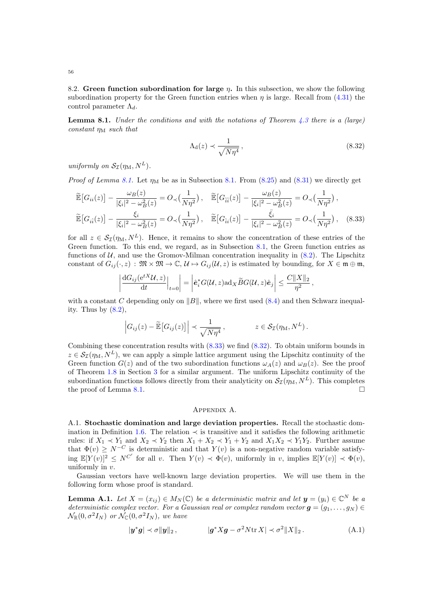8.2. Green function subordination for large  $\eta$ . In this subsection, we show the following subordination property for the Green function entries when  $\eta$  is large. Recall from [\(4.31\)](#page-16-4) the control parameter  $\Lambda_d$ .

<span id="page-55-3"></span>**Lemma 8.1.** Under the conditions and with the notations of Theorem [4.3](#page-11-1) there is a (large) constant  $\eta_M$  such that

<span id="page-55-5"></span><span id="page-55-4"></span>
$$
\Lambda_{\rm d}(z) \prec \frac{1}{\sqrt{N\eta^4}}\,,\tag{8.32}
$$

uniformly on  $S_{\mathcal{I}}(\eta_{\mathrm{M}}, N^{L}).$ 

 $\overline{\phantom{a}}$  $\overline{\phantom{a}}$  $\overline{\phantom{a}}$  $\overline{\phantom{a}}$ 

*Proof of Lemma [8.1.](#page-50-4)* Let  $\eta_M$  be as in Subsection 8.1. From [\(8.25\)](#page-53-5) and [\(8.31\)](#page-54-5) we directly get

$$
\widetilde{\mathbb{E}}\left[G_{ii}(z)\right] - \frac{\omega_B(z)}{|\xi_i|^2 - \omega_B^2(z)} = O_{\prec}\left(\frac{1}{N\eta^2}\right), \quad \widetilde{\mathbb{E}}\left[G_{\hat{i}\hat{i}}(z)\right] - \frac{\omega_B(z)}{|\xi_i|^2 - \omega_B^2(z)} = O_{\prec}\left(\frac{1}{N\eta^2}\right),
$$
\n
$$
\widetilde{\mathbb{E}}\left[G_{\hat{i}\hat{i}}(z)\right] - \frac{\xi_i}{|\xi_i|^2 - \omega_B^2(z)} = O_{\prec}\left(\frac{1}{N\eta^2}\right), \quad \widetilde{\mathbb{E}}\left[G_{\hat{i}i}(z)\right] - \frac{\bar{\xi}_i}{|\xi_i|^2 - \omega_B^2(z)} = O_{\prec}\left(\frac{1}{N\eta^2}\right), \quad (8.33)
$$

for all  $z \in \mathcal{S}_{\mathcal{I}}(\eta_M, N^L)$ . Hence, it remains to show the concentration of these entries of the Green function. To this end, we regard, as in Subsection [8.1,](#page-50-4) the Green function entries as functions of  $U$ , and use the Gromov-Milman concentration inequality in  $(8.2)$ . The Lipschitz constant of  $G_{ij}(\cdot, z)$ :  $\mathfrak{M} \times \mathfrak{M} \to \mathbb{C}, \mathcal{U} \mapsto G_{ij}(\mathcal{U}, z)$  is estimated by bounding, for  $X \in \mathfrak{m} \oplus \mathfrak{m}$ ,

$$
\frac{\mathrm{d}G_{ij}(\mathrm{e}^{tX}\mathcal{U},z)}{\mathrm{d}t}\Big|_{t=0}\Big| = \Big|\hat{\boldsymbol{e}}_i^*G(\mathcal{U},z)\mathrm{ad}_X\widetilde{B}G(\mathcal{U},z)\hat{\boldsymbol{e}}_j\Big| \leq \frac{C\|X\|_2}{\eta^2}\,,
$$

with a constant C depending only on  $||B||$ , where we first used [\(8.4\)](#page-51-1) and then Schwarz inequality. Thus by  $(8.2)$ ,

$$
\left| G_{ij}(z) - \widetilde{\mathbb{E}} \left[ G_{ij}(z) \right] \right| \prec \frac{1}{\sqrt{N\eta^4}}, \qquad z \in \mathcal{S}_{\mathcal{I}}(\eta_M, N^L).
$$

Combining these concentration results with  $(8.33)$  we find  $(8.32)$ . To obtain uniform bounds in  $z \in \mathcal{S}_{\mathcal{I}}(\eta_{\text{M}}, N^L)$ , we can apply a simple lattice argument using the Lipschitz continuity of the Green function  $G(z)$  and of the two subordination functions  $\omega_A(z)$  and  $\omega_B(z)$ . See the proof of Theorem [1.8](#page-2-2) in Section [3](#page-7-4) for a similar argument. The uniform Lipschitz continuity of the subordination functions follows directly from their analyticity on  $\mathcal{S}_{\mathcal{I}}(\eta_M, N^L)$ . This completes the proof of Lemma [8.1.](#page-55-3)

### <span id="page-55-2"></span>Appendix A.

<span id="page-55-0"></span>A.1. Stochastic domination and large deviation properties. Recall the stochastic dom-ination in Definition [1.6.](#page-2-6) The relation  $\prec$  is transitive and it satisfies the following arithmetic rules: if  $X_1 \prec Y_1$  and  $X_2 \prec Y_2$  then  $X_1 + X_2 \prec Y_1 + Y_2$  and  $X_1X_2 \prec Y_1Y_2$ . Further assume that  $\Phi(v) \geq N^{-C}$  is deterministic and that  $Y(v)$  is a non-negative random variable satisfying  $\mathbb{E}[Y(v)]^2 \leq N^{C'}$  for all v. Then  $Y(v) \prec \Phi(v)$ , uniformly in v, implies  $\mathbb{E}[Y(v)] \prec \Phi(v)$ , uniformly in v.

Gaussian vectors have well-known large deviation properties. We will use them in the following form whose proof is standard.

<span id="page-55-1"></span>**Lemma A.1.** Let  $X = (x_{ij}) \in M_N(\mathbb{C})$  be a deterministic matrix and let  $y = (y_i) \in \mathbb{C}^N$  be a deterministic complex vector. For a Gaussian real or complex random vector  $\mathbf{q} = (q_1, \ldots, q_N) \in$  $\mathcal{N}_{\mathbb{R}}(0, \sigma^2 I_N)$  or  $\mathcal{N}_{\mathbb{C}}(0, \sigma^2 I_N)$ , we have

$$
|\mathbf{y}^*\mathbf{g}| \prec \sigma ||\mathbf{y}||_2, \qquad |\mathbf{g}^* X \mathbf{g} - \sigma^2 N \text{tr} X| \prec \sigma^2 ||X||_2. \tag{A.1}
$$

56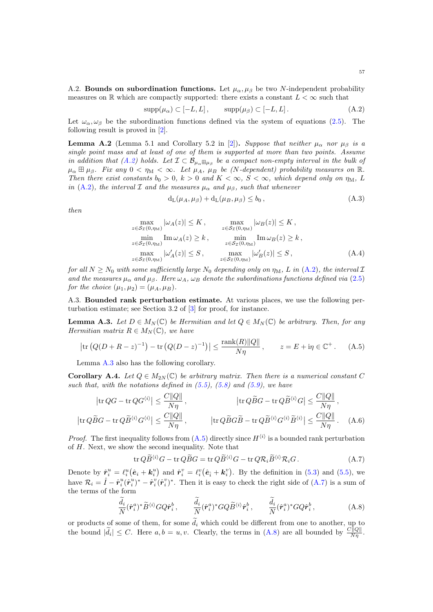A.2. Bounds on subordination functions. Let  $\mu_{\alpha}, \mu_{\beta}$  be two N-independent probability measures on R which are compactly supported: there exists a constant  $L < \infty$  such that

$$
supp(\mu_{\alpha}) \subset [-L, L], \qquad supp(\mu_{\beta}) \subset [-L, L]. \tag{A.2}
$$

Let  $\omega_{\alpha}, \omega_{\beta}$  be the subordination functions defined via the system of equations [\(2.5\)](#page-5-3). The following result is proved in [\[2\]](#page-59-8).

<span id="page-56-0"></span>**Lemma A.2** (Lemma 5.1 and Corollary 5.2 in [\[2\]](#page-59-8)). Suppose that neither  $\mu_{\alpha}$  nor  $\mu_{\beta}$  is a single point mass and at least of one of them is supported at more than two points. Assume in addition that [\(A.2\)](#page-56-3) holds. Let  $\mathcal{I} \subset \mathcal{B}_{\mu_{\alpha} \boxplus \mu_{\beta}}$  be a compact non-empty interval in the bulk of  $\mu_{\alpha} \boxplus \mu_{\beta}$ . Fix any  $0 < \eta_{\rm M} < \infty$ . Let  $\mu_A$ ,  $\mu_B$  be (N-dependent) probability measures on R. Then there exist constants  $b_0 > 0$ ,  $k > 0$  and  $K < \infty$ ,  $S < \infty$ , which depend only on  $\eta_M$ , L in [\(A.2\)](#page-56-3), the interval  $\mathcal I$  and the measures  $\mu_\alpha$  and  $\mu_\beta$ , such that whenever

<span id="page-56-5"></span><span id="page-56-3"></span><span id="page-56-1"></span>
$$
d_{L}(\mu_{A}, \mu_{\beta}) + d_{L}(\mu_{B}, \mu_{\beta}) \le b_{0}, \qquad (A.3)
$$

then

$$
\max_{z \in S_{\mathcal{I}}(0, \eta_{\mathrm{M}})} |\omega_A(z)| \le K, \quad \max_{z \in S_{\mathcal{I}}(0, \eta_{\mathrm{M}})} |\omega_B(z)| \le K, \n\min_{z \in S_{\mathcal{I}}(0, \eta_{\mathrm{M}})} \mathrm{Im} \,\omega_A(z) \ge k, \quad \min_{z \in S_{\mathcal{I}}(0, \eta_{\mathrm{M}})} \mathrm{Im} \,\omega_B(z) \ge k, \n\max_{z \in S_{\mathcal{I}}(0, \eta_{\mathrm{M}})} |\omega'_A(z)| \le S, \quad \max_{z \in S_{\mathcal{I}}(0, \eta_{\mathrm{M}})} |\omega'_B(z)| \le S,
$$
\n(A.4)

for all  $N \geq N_0$  with some sufficiently large  $N_0$  depending only on  $\eta_M$ , L in [\(A.2\)](#page-56-3), the interval  $\mathcal I$ and the measures  $\mu_{\alpha}$  and  $\mu_{\beta}$ . Here  $\omega_A$ ,  $\omega_B$  denote the subordinations functions defined via [\(2.5\)](#page-5-3) for the choice  $(\mu_1, \mu_2) = (\mu_A, \mu_B)$ .

A.3. Bounded rank perturbation estimate. At various places, we use the following perturbation estimate; see Section 3.2 of [\[3\]](#page-59-5) for proof, for instance.

<span id="page-56-4"></span>**Lemma A.3.** Let  $D \in M_N(\mathbb{C})$  be Hermitian and let  $Q \in M_N(\mathbb{C})$  be arbitrary. Then, for any Hermitian matrix  $R \in M_N(\mathbb{C})$ , we have

$$
|\text{tr}(Q(D + R - z)^{-1}) - \text{tr}(Q(D - z)^{-1})| \le \frac{\text{rank}(R) ||Q||}{N\eta}, \qquad z = E + i\eta \in \mathbb{C}^+.
$$
 (A.5)

Lemma [A.3](#page-56-4) also has the following corollary.

<span id="page-56-2"></span>**Corollary A.4.** Let  $Q \in M_{2N}(\mathbb{C})$  be arbitrary matrix. Then there is a numerical constant C such that, with the notations defined in  $(5.5)$ ,  $(5.8)$  and  $(5.9)$ , we have

$$
\left|\text{tr}\,Q\tilde{B}G - \text{tr}\,Q\tilde{B}^{\langle i\rangle}\right| \leq \frac{C\|Q\|}{N\eta}, \qquad \qquad \left|\text{tr}\,Q\tilde{B}G - \text{tr}\,Q\tilde{B}^{\langle i\rangle}G\right| \leq \frac{C\|Q\|}{N\eta},
$$
\n
$$
\left|\text{tr}\,Q\tilde{B}G - \text{tr}\,Q\tilde{B}^{\langle i\rangle}G^{\langle i\rangle}\right| \leq \frac{C\|Q\|}{N\eta}, \qquad \qquad \left|\text{tr}\,Q\tilde{B}G\tilde{B} - \text{tr}\,Q\tilde{B}^{\langle i\rangle}G^{\langle i\rangle}\tilde{B}^{\langle i\rangle}\right| \leq \frac{C\|Q\|}{N\eta}. \tag{A.6}
$$

*Proof.* The first inequality follows from  $(A.5)$  directly since  $H^{(i)}$  is a bounded rank perturbation of H. Next, we show the second inequality. Note that

<span id="page-56-8"></span><span id="page-56-7"></span><span id="page-56-6"></span>
$$
\operatorname{tr} Q\widetilde{B}^{\langle i\rangle}G - \operatorname{tr} Q\widetilde{B}G = \operatorname{tr} Q\widetilde{B}^{\langle i\rangle}G - \operatorname{tr} Q\mathcal{R}_i\widetilde{B}^{\langle i\rangle}\mathcal{R}_iG. \tag{A.7}
$$

Denote by  $\hat{\mathbf{r}}_i^u = \ell_i^u(\hat{\mathbf{e}}_i + \mathbf{k}_i^u)$  and  $\hat{\mathbf{r}}_i^v = \ell_i^v(\hat{\mathbf{e}}_i + \mathbf{k}_i^v)$ . By the definition in [\(5.3\)](#page-16-7) and [\(5.5\)](#page-16-3), we have  $\mathcal{R}_i = \hat{I} - \hat{r}_i^u (\hat{r}_i^u)^* - \hat{r}_i^v (\hat{r}_i^v)^*$ . Then it is easy to check the right side of [\(A.7\)](#page-56-6) is a sum of the terms of the form

$$
\frac{d_i}{N}(\hat{\boldsymbol{r}}_i^a)^*\widetilde{B}^{\langle i\rangle}GQ\hat{\boldsymbol{r}}_i^b, \qquad \frac{d_i}{N}(\hat{\boldsymbol{r}}_i^a)^*GQ\widetilde{B}^{\langle i\rangle}\hat{\boldsymbol{r}}_i^b, \qquad \frac{d_i}{N}(\hat{\boldsymbol{r}}_i^a)^*GQ\hat{\boldsymbol{r}}_i^b,
$$
\n(A.8)

or products of some of them, for some  $d_i$  which could be different from one to another, up to the bound  $|\tilde{d}_i| \leq C$ . Here  $a, b = u, v$ . Clearly, the terms in  $(A.8)$  are all bounded by  $\frac{C||Q||}{N\eta}$ .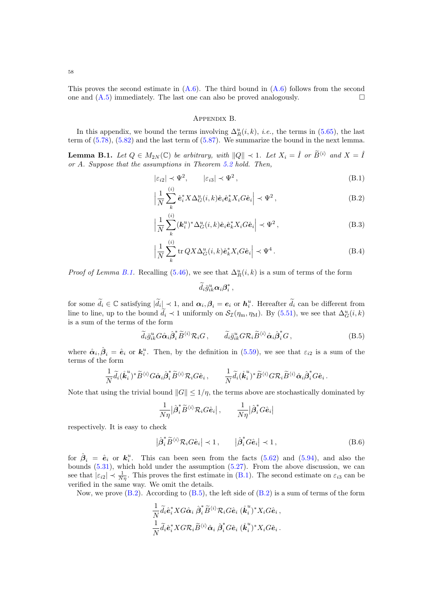58

This proves the second estimate in  $(A.6)$ . The third bound in  $(A.6)$  follows from the second one and  $(A.5)$  immediately. The last one can also be proved analogously.

#### <span id="page-57-5"></span><span id="page-57-4"></span>Appendix B.

<span id="page-57-0"></span>In this appendix, we bound the terms involving  $\Delta_R^u(i,k)$ , *i.e.*, the terms in [\(5.65\)](#page-24-2), the last term of [\(5.78\)](#page-27-1), [\(5.82\)](#page-28-1) and the last term of [\(5.87\)](#page-28-3). We summarize the bound in the next lemma.

<span id="page-57-1"></span>**Lemma B.1.** Let  $Q \in M_{2N}(\mathbb{C})$  be arbitrary, with  $||Q|| \prec 1$ . Let  $X_i = \hat{I}$  or  $\tilde{B}^{\langle i \rangle}$  and  $X = \hat{I}$ or A. Suppose that the assumptions in Theorem [5.2](#page-19-2) hold. Then,

$$
|\varepsilon_{i2}| \prec \Psi^2, \qquad |\varepsilon_{i3}| \prec \Psi^2, \tag{B.1}
$$

$$
\left|\frac{1}{N}\sum_{k}^{(i)}\hat{\mathbf{e}}_{i}^{*}X\Delta_{G}^{u}(i,k)\hat{\mathbf{e}}_{i}\hat{\mathbf{e}}_{k}^{*}X_{i}G\hat{\mathbf{e}}_{i}\right| \prec \Psi^{2},\tag{B.2}
$$

$$
\left|\frac{1}{N}\sum_{k}^{(i)}(\mathbf{k}_{i}^{u})^{*}\Delta_{G}^{u}(i,k)\hat{\mathbf{e}}_{i}\hat{\mathbf{e}}_{k}^{*}X_{i}G\hat{\mathbf{e}}_{i}\right| \prec \Psi^{2},\tag{B.3}
$$

$$
\left|\frac{1}{N}\sum_{k}^{(i)}\text{tr}\,QX\Delta_{G}^{u}(i,k)\hat{\mathbf{e}}_{k}^{*}X_{i}G\hat{\mathbf{e}}_{i}\right| \prec \Psi^{4}.
$$
 (B.4)

*Proof of Lemma [B.1.](#page-57-1)* Recalling [\(5.46\)](#page-21-7), we see that  $\Delta_R^u(i,k)$  is a sum of terms of the form

<span id="page-57-6"></span><span id="page-57-3"></span><span id="page-57-2"></span>
$$
\widetilde{d}_i \bar{g}_{ik}^u \alpha_i {\boldsymbol \beta}_i^*,
$$

for some  $\tilde{d}_i \in \mathbb{C}$  satisfying  $|\tilde{d}_i| \prec 1$ , and  $\alpha_i, \beta_i = e_i$  or  $h_i^u$ . Hereafter  $\tilde{d}_i$  can be different from line to line, up to the bound  $\tilde{d}_i \prec 1$  uniformly on  $\mathcal{S}_{\mathcal{I}}(\eta_m, \eta_M)$ . By [\(5.51\)](#page-22-8), we see that  $\Delta_G^u(i,k)$ is a sum of the terms of the form

$$
\tilde{d}_i \bar{g}_{ik}^u G \hat{\alpha}_i \hat{\beta}_i^* \tilde{B}^{\langle i \rangle} \mathcal{R}_i G, \qquad \tilde{d}_i \bar{g}_{ik}^u G \mathcal{R}_i \tilde{B}^{\langle i \rangle} \hat{\alpha}_i \hat{\beta}_i^* G,
$$
\n(B.5)

where  $\hat{\alpha}_i, \hat{\beta}_i = \hat{e}_i$  or  $k_i^u$ . Then, by the definition in [\(5.59\)](#page-23-6), we see that  $\varepsilon_{i2}$  is a sum of the terms of the form

$$
\frac{1}{N} \widetilde{d}_i (\mathring{\boldsymbol{k}}_i^u)^* \widetilde{B}^{\langle i \rangle} G \hat{\boldsymbol{\alpha}}_i \hat{\boldsymbol{\beta}}_i^* \widetilde{B}^{\langle i \rangle} \mathcal{R}_i G \hat{\boldsymbol{e}}_i \,, \qquad \frac{1}{N} \widetilde{d}_i (\mathring{\boldsymbol{k}}_i^u)^* \widetilde{B}^{\langle i \rangle} G \mathcal{R}_i \widetilde{B}^{\langle i \rangle} \hat{\boldsymbol{\alpha}}_i \hat{\boldsymbol{\beta}}_i^* G \hat{\boldsymbol{e}}_i \,.
$$

Note that using the trivial bound  $||G|| \leq 1/\eta$ , the terms above are stochastically dominated by

<span id="page-57-7"></span>
$$
\frac{1}{N\eta} \big|\hat{\boldsymbol{\beta}}_i^* \widetilde{B}^{\langle i\rangle} \mathcal{R}_i G \hat{\boldsymbol{e}}_i \big| \,, \qquad \frac{1}{N\eta} \big|\hat{\boldsymbol{\beta}}_i^* G \hat{\boldsymbol{e}}_i \big|
$$

respectively. It is easy to check

$$
\left|\hat{\beta}_i^* \tilde{B}^{(i)} \mathcal{R}_i G \hat{e}_i\right| \prec 1, \qquad \left|\hat{\beta}_i^* G \hat{e}_i\right| \prec 1, \tag{B.6}
$$

for  $\hat{\beta}_i = \hat{e}_i$  or  $k_i^u$ . This can been seen from the facts [\(5.62\)](#page-23-4) and [\(5.94\)](#page-30-0), and also the bounds  $(5.31)$ , which hold under the assumption  $(5.27)$ . From the above discussion, we can see that  $|\varepsilon_{i2}| \prec \frac{1}{N\eta}$ . This proves the first estimate in [\(B.1\)](#page-57-4). The second estimate on  $\varepsilon_{i3}$  can be verified in the same way. We omit the details.

Now, we prove  $(B.2)$ . According to  $(B.5)$ , the left side of  $(B.2)$  is a sum of terms of the form

$$
\frac{1}{N} \widetilde{d}_i \hat{\mathbf{e}}_i^* X G \hat{\mathbf{\alpha}}_i \hat{\boldsymbol{\beta}}_i^* \widetilde{B}^{\langle i \rangle} \mathcal{R}_i G \hat{\mathbf{e}}_i (\stackrel{\circ}{\mathbf{k}}_i^u)^* X_i G \hat{\mathbf{e}}_i ,
$$
  

$$
\frac{1}{N} \widetilde{d}_i \hat{\mathbf{e}}_i^* X G \mathcal{R}_i \widetilde{B}^{\langle i \rangle} \hat{\mathbf{\alpha}}_i \hat{\boldsymbol{\beta}}_i^* G \hat{\mathbf{e}}_i (\stackrel{\circ}{\mathbf{k}}_i^u)^* X_i G \hat{\mathbf{e}}_i .
$$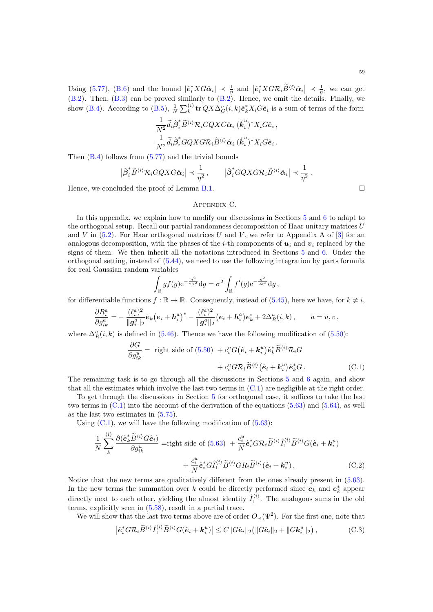[\(B.2\)](#page-57-5). Then, [\(B.3\)](#page-57-2) can be proved similarly to [\(B.2\)](#page-57-5). Hence, we omit the details. Finally, we show [\(B.4\)](#page-57-3). According to [\(B.5\)](#page-57-6),  $\frac{1}{N} \sum_{k}^{(i)} \text{tr} QX \Delta_G^u(i,k) \hat{\mathbf{e}}_k^* X_i G \hat{\mathbf{e}}_i$  is a sum of terms of the form

$$
\frac{1}{N^2}\tilde{d}_i\hat{\beta}_i^* \tilde{B}^{\langle i \rangle}\mathcal{R}_i GQXG\hat{\alpha}_i (\stackrel{\ast}{\bm{k}}_i^u)^* X_i G\hat{\bm{e}}_i, \frac{1}{N^2}\tilde{d}_i\hat{\beta}_i^* GQXG\mathcal{R}_i \tilde{B}^{\langle i \rangle}\hat{\alpha}_i (\stackrel{\ast}{\bm{k}}_i^u)^* X_i G\hat{\bm{e}}_i.
$$

Then [\(B.4\)](#page-57-3) follows from [\(5.77\)](#page-27-3) and the trivial bounds

$$
\left|\hat{\beta}_i^*\widetilde{B}^{\langle i\rangle}\mathcal{R}_iGQXG\hat{\alpha}_i\right|\prec \frac{1}{\eta^2}\,,\qquad \left|\hat{\beta}_i^*GQXG\mathcal{R}_i\widetilde{B}^{\langle i\rangle}\hat{\alpha}_i\right|\prec \frac{1}{\eta^2}\,.
$$

<span id="page-58-0"></span>Hence, we concluded the proof of Lemma [B.1.](#page-57-1)  $\Box$ 

## Appendix C.

In this appendix, we explain how to modify our discussions in Sections [5](#page-16-0) and [6](#page-36-0) to adapt to the orthogonal setup. Recall our partial randomness decomposition of Haar unitary matrices  $U$ and V in  $(5.2)$ . For Haar orthogonal matrices U and V, we refer to Appendix A of  $[3]$  for an analogous decomposition, with the phases of the *i*-th components of  $u_i$  and  $v_i$  replaced by the signs of them. We then inherit all the notations introduced in Sections [5](#page-16-0) and [6.](#page-36-0) Under the orthogonal setting, instead of [\(5.44\)](#page-21-4), we need to use the following integration by parts formula for real Gaussian random variables

$$
\int_{\mathbb{R}} gf(g) e^{-\frac{g^2}{2\sigma^2}} dg = \sigma^2 \int_{\mathbb{R}} f'(g) e^{-\frac{g^2}{2\sigma^2}} dg,
$$

for differentiable functions  $f : \mathbb{R} \to \mathbb{R}$ . Consequently, instead of [\(5.45\)](#page-21-3), here we have, for  $k \neq i$ ,

$$
\frac{\partial R_i^a}{\partial g_{ik}^a} = -\frac{(\ell_i^a)^2}{\|\boldsymbol{g}_i^a\|_2} \boldsymbol{e}_k (\boldsymbol{e}_i + \boldsymbol{h}_i^a)^* - \frac{(\ell_i^a)^2}{\|\boldsymbol{g}_i^a\|_2} (\boldsymbol{e}_i + \boldsymbol{h}_i^a) \boldsymbol{e}_k^* + 2 \Delta_R^a(i,k) \,, \qquad a = u, v \,,
$$

where  $\Delta_R^a(i, k)$  is defined in [\(5.46\)](#page-21-7). Thence we have the following modification of [\(5.50\)](#page-22-6):

$$
\frac{\partial G}{\partial g_{ik}^u} = \text{ right side of } (5.50) + c_i^u G(\hat{\mathbf{e}}_i + \mathbf{k}_i^u) \hat{\mathbf{e}}_k^* \widetilde{B}^{\langle i \rangle} \mathcal{R}_i G + c_i^u G \mathcal{R}_i \widetilde{B}^{\langle i \rangle} (\hat{\mathbf{e}}_i + \mathbf{k}_i^u) \hat{\mathbf{e}}_k^* G.
$$
 (C.1)

The remaining task is to go through all the discussions in Sections [5](#page-16-0) and [6](#page-36-0) again, and show that all the estimates which involve the last two terms in [\(C.1\)](#page-58-1) are negligible at the right order.

To get through the discussions in Section [5](#page-16-0) for orthogonal case, it suffices to take the last two terms in  $(C.1)$  into the account of the derivation of the equations  $(5.63)$  and  $(5.64)$ , as well as the last two estimates in [\(5.75\)](#page-26-2).

Using  $(C.1)$ , we will have the following modification of  $(5.63)$ :

<span id="page-58-3"></span><span id="page-58-2"></span>hii

$$
\frac{1}{N} \sum_{k}^{(i)} \frac{\partial (\hat{\mathbf{e}}_{k}^{*} \widetilde{B}^{\langle i \rangle} G \hat{\mathbf{e}}_{i})}{\partial g_{ik}^{u}} = \text{right side of } (5.63) + \frac{c_{i}^{u}}{N} \hat{\mathbf{e}}_{i}^{*} G \mathcal{R}_{i} \widetilde{B}^{\langle i \rangle} \hat{I}_{1}^{\langle i \rangle} \widetilde{B}^{\langle i \rangle} G (\hat{\mathbf{e}}_{i} + \mathbf{k}_{i}^{u}) + \frac{c_{i}^{u}}{N} \hat{\mathbf{e}}_{i}^{*} G \hat{I}_{1}^{\langle i \rangle} \widetilde{B}^{\langle i \rangle} G R_{i} \widetilde{B}^{\langle i \rangle} (\hat{\mathbf{e}}_{i} + \mathbf{k}_{i}^{u}). \tag{C.2}
$$

Notice that the new terms are qualitatively different from the ones already present in [\(5.63\)](#page-24-0). In the new terms the summation over k could be directly performed since  $e_k$  and  $e_k^*$  appear directly next to each other, yielding the almost identity  $\hat{I}_1^{(i)}$ . The analogous sums in the old terms, explicitly seen in [\(5.58\)](#page-23-5), result in a partial trace.

We will show that the last two terms above are of order  $O_{\prec}(\Psi^2)$ . For the first one, note that

$$
\left|\hat{\boldsymbol{e}}_i^* G \mathcal{R}_i \widetilde{B}^{\langle i \rangle} \widehat{I}_1^{\langle i \rangle} \widetilde{B}^{\langle i \rangle} G(\hat{\boldsymbol{e}}_i + \boldsymbol{k}_i^u)\right| \leq C \|G \hat{\boldsymbol{e}}_i\|_2 \left( \|G \hat{\boldsymbol{e}}_i\|_2 + \|G \boldsymbol{k}_i^u\|_2 \right),\tag{C.3}
$$

<span id="page-58-1"></span>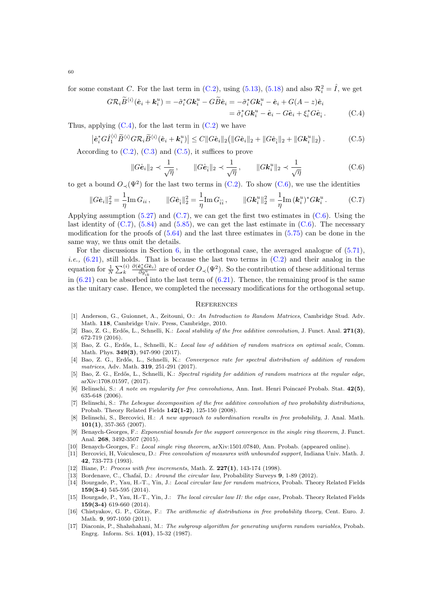for some constant C. For the last term in [\(C.2\)](#page-58-2), using [\(5.13\)](#page-17-2), [\(5.18\)](#page-18-5) and also  $\mathcal{R}_i^2 = \hat{I}$ , we get

$$
G\mathcal{R}_i\widetilde{B}^{\langle i\rangle}(\hat{\mathbf{e}}_i + \mathbf{k}_i^u) = -\tilde{\sigma}_i^* G\mathbf{k}_i^u - G\widetilde{B}\hat{\mathbf{e}}_i = -\tilde{\sigma}_i^* G\mathbf{k}_i^u - \hat{\mathbf{e}}_i + G(A - z)\hat{\mathbf{e}}_i
$$
  
=  $\tilde{\sigma}_i^* G\mathbf{k}_i^u - \hat{\mathbf{e}}_i - G\hat{\mathbf{e}}_i + \xi_i^* G\hat{\mathbf{e}}_i^*.$  (C.4)

Thus, applying  $(C.4)$ , for the last term in  $(C.2)$  we have

$$
\left|\hat{\mathbf{e}}_i^* G \hat{I}_1^{(i)} \tilde{B}^{(i)} G \mathcal{R}_i \tilde{B}^{(i)} (\hat{\mathbf{e}}_i + \mathbf{k}_i^u)\right| \le C \|G\hat{\mathbf{e}}_i\|_2 \left(\|G\hat{\mathbf{e}}_i\|_2 + \|G\hat{\mathbf{e}}_i\|_2 + \|G\hat{\mathbf{k}}_i^u\|_2\right). \tag{C.5}
$$
  
According to (C.2), (C.3) and (C.5), it suffices to prove

<span id="page-59-18"></span><span id="page-59-17"></span>
$$
\|G\hat{\mathbf{e}}_i\|_2 \prec \frac{1}{\sqrt{\eta}}, \qquad \|G\hat{\mathbf{e}}_i\|_2 \prec \frac{1}{\sqrt{\eta}}, \qquad \|G\mathbf{k}_i^u\|_2 \prec \frac{1}{\sqrt{\eta}}
$$
(C.6)

to get a bound  $O_{\prec}(\Psi^2)$  for the last two terms in [\(C.2\)](#page-58-2). To show [\(C.6\)](#page-59-19), we use the identities

$$
||G\hat{\mathbf{e}}_i||_2^2 = \frac{1}{\eta} \text{Im} \, G_{ii} \,, \qquad ||G\hat{\mathbf{e}}_i||_2^2 = \frac{1}{\eta} \text{Im} \, G_{\hat{i}\hat{i}} \,, \qquad ||G\mathbf{k}_i^u||_2^2 = \frac{1}{\eta} \text{Im} \, (\mathbf{k}_i^u)^* G \mathbf{k}_i^u \,. \tag{C.7}
$$

Applying assumption  $(5.27)$  and  $(C.7)$ , we can get the first two estimates in  $(C.6)$ . Using the last identity of  $(C.7)$ ,  $(5.84)$  and  $(5.85)$ , we can get the last estimate in  $(C.6)$ . The necessary modification for the proofs of  $(5.64)$  and the last three estimates in  $(5.75)$  can be done in the same way, we thus omit the details.

For the discussions in Section [6,](#page-36-0) in the orthogonal case, the averaged analogue of  $(5.71)$ , *i.e.*,  $(6.21)$ , still holds. That is because the last two terms in  $(C.2)$  and their analog in the equation for  $\frac{1}{N} \sum_{k}^{(i)}$  $\frac{\partial (\hat{\bf e}_k^* G \hat{\bf e}_i)}{\partial g_{ik}^u}$  are of order  $O_{\prec}(\Psi^2)$ . So the contribution of these additional terms in  $(6.21)$  can be absorbed into the last term of  $(6.21)$ . Thence, the remaining proof is the same as the unitary case. Hence, we completed the necessary modifications for the orthogonal setup.

#### <span id="page-59-20"></span><span id="page-59-19"></span>**REFERENCES**

- <span id="page-59-15"></span>[1] Anderson, G., Guionnet, A., Zeitouni, O.: An Introduction to Random Matrices, Cambridge Stud. Adv. Math. 118, Cambridge Univ. Press, Cambridge, 2010.
- <span id="page-59-8"></span>Bao, Z. G., Erdős, L., Schnelli, K.: Local stability of the free additive convolution, J. Funct. Anal. 271(3), 672-719 (2016).
- <span id="page-59-5"></span>[3] Bao, Z. G., Erdős, L., Schnelli, K.: Local law of addition of random matrices on optimal scale, Comm. Math. Phys. **349(3)**, 947-990 (2017).
- <span id="page-59-6"></span>[4] Bao, Z. G., Erdős, L., Schnelli, K.: Convergence rate for spectral distribution of addition of random matrices, Adv. Math. 319, 251-291 (2017).
- <span id="page-59-7"></span>[5] Bao, Z. G., Erdős, L., Schnelli, K.: Spectral rigidity for addition of random matrices at the regular edge, arXiv:1708.01597, (2017).
- <span id="page-59-12"></span>[6] Belinschi, S.: A note on regularity for free convolutions, Ann. Inst. Henri Poincaré Probab. Stat. 42(5), 635-648 (2006).
- <span id="page-59-13"></span>[7] Belinschi, S.: The Lebesgue decomposition of the free additive convolution of two probability distributions, Probab. Theory Related Fields 142(1-2), 125-150 (2008).
- <span id="page-59-9"></span>[8] Belinschi, S., Bercovici, H.: A new approach to subordination results in free probability, J. Anal. Math. 101(1), 357-365 (2007).
- <span id="page-59-1"></span>[9] Benaych-Georges, F.: Exponential bounds for the support convergence in the single ring theorem, J. Funct. Anal. 268, 3492-3507 (2015).
- <span id="page-59-0"></span>[10] Benaych-Georges, F.: Local single ring theorem, arXiv:1501.07840, Ann. Probab. (appeared online).
- <span id="page-59-14"></span>[11] Bercovici, H, Voiculescu, D.: Free convolution of measures with unbounded support, Indiana Univ. Math. J. 42, 733-773 (1993).
- <span id="page-59-11"></span>[12] Biane, P.: Process with free increments, Math. Z. 227(1), 143-174 (1998).
- <span id="page-59-2"></span>[13] Bordenave, C., Chafaï, D.: Around the circular law, Probability Surveys 9, 1-89 (2012).
- <span id="page-59-3"></span>[14] Bourgade, P., Yau, H.-T., Yin, J.: Local circular law for random matrices, Probab. Theory Related Fields 159(3-4) 545-595 (2014).
- <span id="page-59-4"></span>[15] Bourgade, P., Yau, H.-T., Yin, J.: The local circular law II: the edge case, Probab. Theory Related Fields 159(3-4) 619-660 (2014).
- <span id="page-59-10"></span>[16] Chistyakov, G. P., Götze, F.: The arithmetic of distributions in free probability theory, Cent. Euro. J. Math. 9, 997-1050 (2011).
- <span id="page-59-16"></span>[17] Diaconis, P., Shahshahani, M.: The subgroup algorithm for generating uniform random variables, Probab. Engrg. Inform. Sci. 1(01), 15-32 (1987).